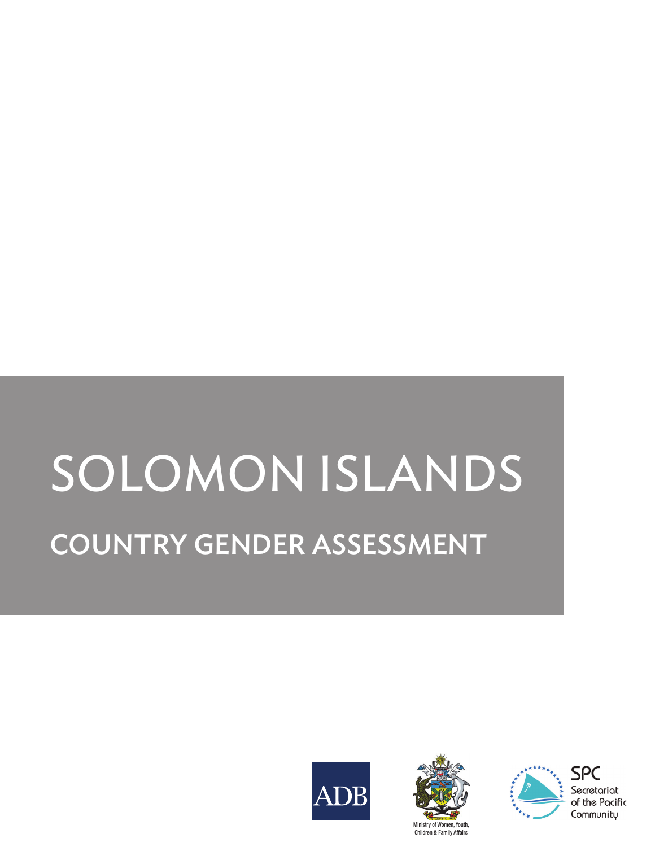# SOLOMON ISLANDS COUNTRY GENDER ASSESSMENT







SPC Secretariat of the Pacific Community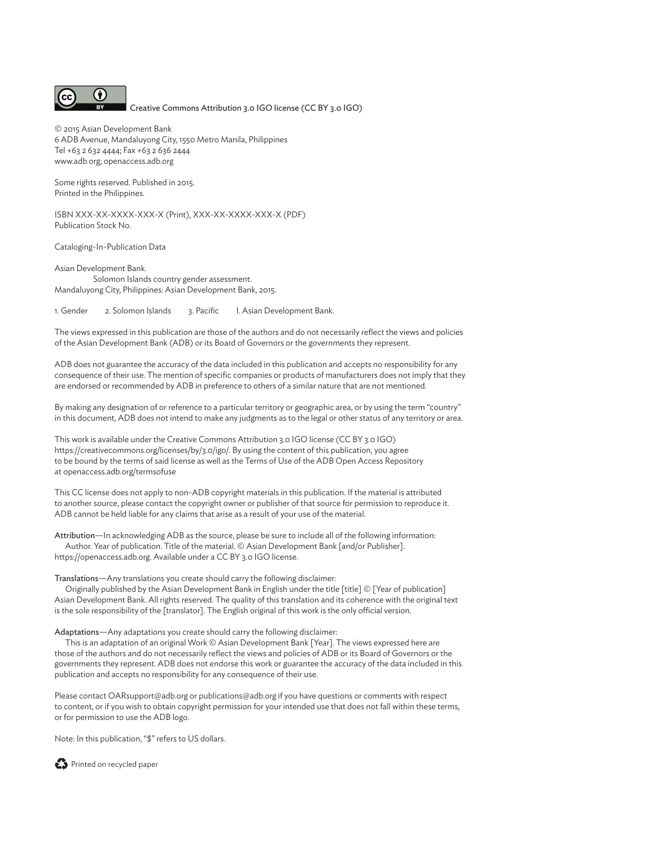

Creative Commons Attribution 3.0 IGO license (CC BY 3.0 IGO)

© 2015 Asian Development Bank 6 ADB Avenue, Mandaluyong City, 1550 Metro Manila, Philippines Tel +63 2 632 4444; Fax +63 2 636 2444 www.adb.org; openaccess.adb.org

Some rights reserved. Published in 2015. Printed in the Philippines.

ISBN XXX-XX-XXXX-XXX-X (Print), XXX-XX-XXXX-XXX-X (PDF) Publication Stock No.

Cataloging-In-Publication Data

Asian Development Bank. Solomon Islands country gender assessment. Mandaluyong City, Philippines: Asian Development Bank, 2015.

1. Gender 2. Solomon Islands 3. Pacific I. Asian Development Bank.

The views expressed in this publication are those of the authors and do not necessarily reflect the views and policies of the Asian Development Bank (ADB) or its Board of Governors or the governments they represent.

ADB does not guarantee the accuracy of the data included in this publication and accepts no responsibility for any consequence of their use. The mention of specific companies or products of manufacturers does not imply that they are endorsed or recommended by ADB in preference to others of a similar nature that are not mentioned.

By making any designation of or reference to a particular territory or geographic area, or by using the term "country" in this document, ADB does not intend to make any judgments as to the legal or other status of any territory or area.

This work is available under the Creative Commons Attribution 3.0 IGO license (CC BY 3.0 IGO) https://creativecommons.org/licenses/by/3.0/igo/. By using the content of this publication, you agree to be bound by the terms of said license as well as the Terms of Use of the ADB Open Access Repository at openaccess.adb.org/termsofuse

This CC license does not apply to non-ADB copyright materials in this publication. If the material is attributed to another source, please contact the copyright owner or publisher of that source for permission to reproduce it. ADB cannot be held liable for any claims that arise as a result of your use of the material.

Attribution—In acknowledging ADB as the source, please be sure to include all of the following information: Author. Year of publication. Title of the material. © Asian Development Bank [and/or Publisher]. https://openaccess.adb.org. Available under a CC BY 3.0 IGO license.

Translations—Any translations you create should carry the following disclaimer:

Originally published by the Asian Development Bank in English under the title [title] © [Year of publication] Asian Development Bank. All rights reserved. The quality of this translation and its coherence with the original text is the sole responsibility of the [translator]. The English original of this work is the only official version.

Adaptations—Any adaptations you create should carry the following disclaimer:

This is an adaptation of an original Work © Asian Development Bank [Year]. The views expressed here are those of the authors and do not necessarily reflect the views and policies of ADB or its Board of Governors or the governments they represent. ADB does not endorse this work or guarantee the accuracy of the data included in this publication and accepts no responsibility for any consequence of their use.

Please contact OARsupport@adb.org or publications@adb.org if you have questions or comments with respect to content, or if you wish to obtain copyright permission for your intended use that does not fall within these terms, or for permission to use the ADB logo.

Note: In this publication, "\$" refers to US dollars.

Printed on recycled paper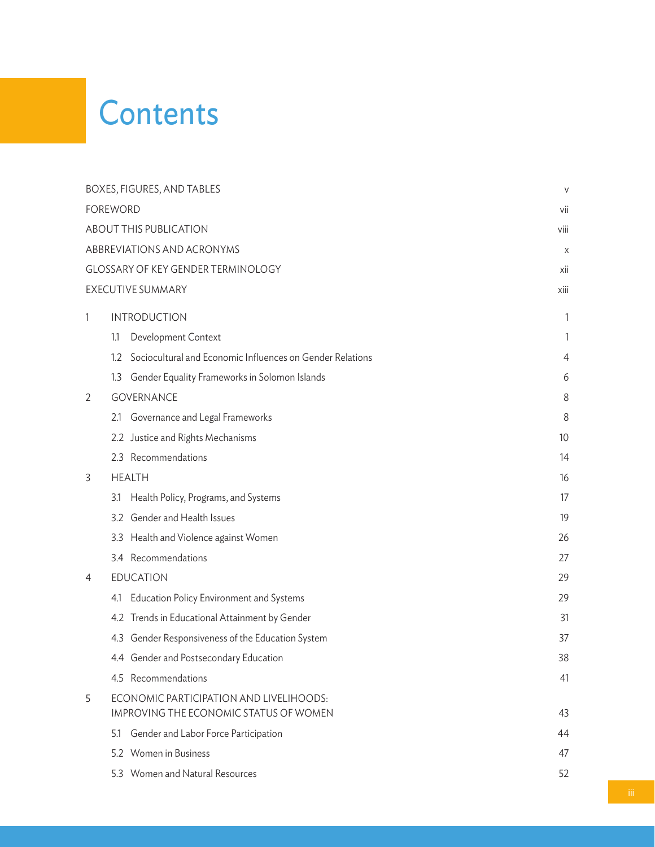# **Contents**

| BOXES, FIGURES, AND TABLES |                                               | $\vee$                                                                                                                                                                                                                                                                                                                                                                                                                                                                                                                                                                                                                                                                                 |
|----------------------------|-----------------------------------------------|----------------------------------------------------------------------------------------------------------------------------------------------------------------------------------------------------------------------------------------------------------------------------------------------------------------------------------------------------------------------------------------------------------------------------------------------------------------------------------------------------------------------------------------------------------------------------------------------------------------------------------------------------------------------------------------|
| <b>FOREWORD</b>            |                                               |                                                                                                                                                                                                                                                                                                                                                                                                                                                                                                                                                                                                                                                                                        |
| ABOUT THIS PUBLICATION     |                                               |                                                                                                                                                                                                                                                                                                                                                                                                                                                                                                                                                                                                                                                                                        |
|                            |                                               | X                                                                                                                                                                                                                                                                                                                                                                                                                                                                                                                                                                                                                                                                                      |
|                            |                                               | xii                                                                                                                                                                                                                                                                                                                                                                                                                                                                                                                                                                                                                                                                                    |
|                            |                                               | xiii                                                                                                                                                                                                                                                                                                                                                                                                                                                                                                                                                                                                                                                                                   |
|                            |                                               | 1                                                                                                                                                                                                                                                                                                                                                                                                                                                                                                                                                                                                                                                                                      |
| 1.1                        | Development Context                           | 1                                                                                                                                                                                                                                                                                                                                                                                                                                                                                                                                                                                                                                                                                      |
| $1.2^{\circ}$              |                                               | 4                                                                                                                                                                                                                                                                                                                                                                                                                                                                                                                                                                                                                                                                                      |
| 1.3                        | Gender Equality Frameworks in Solomon Islands | 6                                                                                                                                                                                                                                                                                                                                                                                                                                                                                                                                                                                                                                                                                      |
|                            |                                               | 8                                                                                                                                                                                                                                                                                                                                                                                                                                                                                                                                                                                                                                                                                      |
| 2.1                        | Governance and Legal Frameworks               | 8                                                                                                                                                                                                                                                                                                                                                                                                                                                                                                                                                                                                                                                                                      |
|                            |                                               | 10                                                                                                                                                                                                                                                                                                                                                                                                                                                                                                                                                                                                                                                                                     |
|                            |                                               | 14                                                                                                                                                                                                                                                                                                                                                                                                                                                                                                                                                                                                                                                                                     |
|                            |                                               | 16                                                                                                                                                                                                                                                                                                                                                                                                                                                                                                                                                                                                                                                                                     |
| 3.1                        | Health Policy, Programs, and Systems          | 17                                                                                                                                                                                                                                                                                                                                                                                                                                                                                                                                                                                                                                                                                     |
|                            |                                               | 19                                                                                                                                                                                                                                                                                                                                                                                                                                                                                                                                                                                                                                                                                     |
| 3.3                        | Health and Violence against Women             | 26                                                                                                                                                                                                                                                                                                                                                                                                                                                                                                                                                                                                                                                                                     |
|                            |                                               | 27                                                                                                                                                                                                                                                                                                                                                                                                                                                                                                                                                                                                                                                                                     |
|                            |                                               | 29                                                                                                                                                                                                                                                                                                                                                                                                                                                                                                                                                                                                                                                                                     |
| 4.1                        | Education Policy Environment and Systems      | 29                                                                                                                                                                                                                                                                                                                                                                                                                                                                                                                                                                                                                                                                                     |
|                            |                                               | 31                                                                                                                                                                                                                                                                                                                                                                                                                                                                                                                                                                                                                                                                                     |
|                            |                                               | 37                                                                                                                                                                                                                                                                                                                                                                                                                                                                                                                                                                                                                                                                                     |
|                            |                                               | 38                                                                                                                                                                                                                                                                                                                                                                                                                                                                                                                                                                                                                                                                                     |
|                            |                                               | 41                                                                                                                                                                                                                                                                                                                                                                                                                                                                                                                                                                                                                                                                                     |
|                            |                                               | 43                                                                                                                                                                                                                                                                                                                                                                                                                                                                                                                                                                                                                                                                                     |
| 5.1                        | Gender and Labor Force Participation          | 44                                                                                                                                                                                                                                                                                                                                                                                                                                                                                                                                                                                                                                                                                     |
|                            |                                               | 47                                                                                                                                                                                                                                                                                                                                                                                                                                                                                                                                                                                                                                                                                     |
|                            |                                               | 52                                                                                                                                                                                                                                                                                                                                                                                                                                                                                                                                                                                                                                                                                     |
|                            |                                               | ABBREVIATIONS AND ACRONYMS<br>GLOSSARY OF KEY GENDER TERMINOLOGY<br>EXECUTIVE SUMMARY<br><b>INTRODUCTION</b><br>Sociocultural and Economic Influences on Gender Relations<br><b>GOVERNANCE</b><br>2.2 Justice and Rights Mechanisms<br>2.3 Recommendations<br><b>HEALTH</b><br>3.2 Gender and Health Issues<br>3.4 Recommendations<br><b>EDUCATION</b><br>4.2 Trends in Educational Attainment by Gender<br>4.3 Gender Responsiveness of the Education System<br>4.4 Gender and Postsecondary Education<br>4.5 Recommendations<br>ECONOMIC PARTICIPATION AND LIVELIHOODS:<br><b>IMPROVING THE ECONOMIC STATUS OF WOMEN</b><br>5.2 Women in Business<br>5.3 Women and Natural Resources |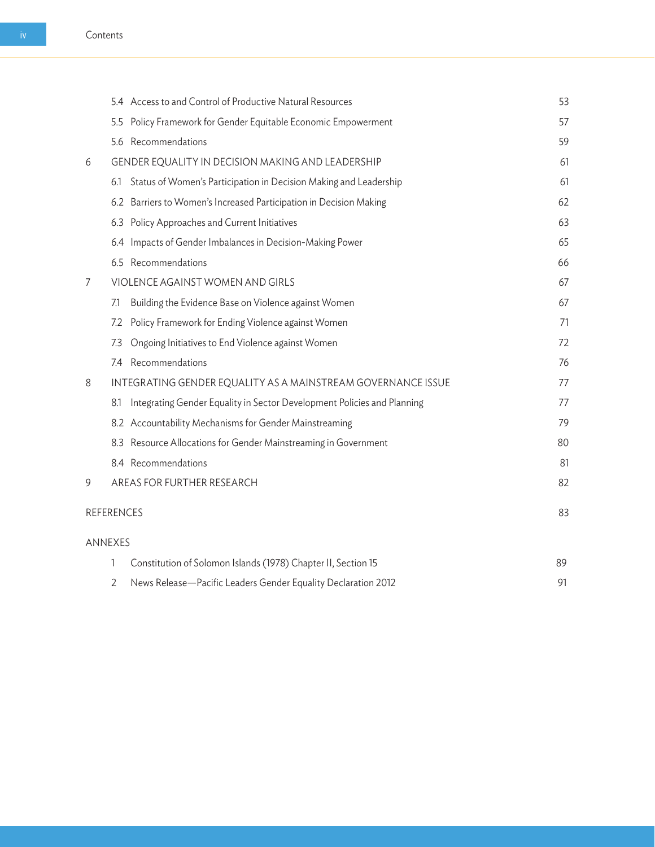|                   |                                                              | 5.4 Access to and Control of Productive Natural Resources               | 53 |
|-------------------|--------------------------------------------------------------|-------------------------------------------------------------------------|----|
|                   | 5.5                                                          | Policy Framework for Gender Equitable Economic Empowerment              | 57 |
|                   |                                                              | 5.6 Recommendations                                                     | 59 |
| 6                 | GENDER EQUALITY IN DECISION MAKING AND LEADERSHIP            |                                                                         | 61 |
|                   | 6.1                                                          | Status of Women's Participation in Decision Making and Leadership       | 61 |
|                   |                                                              | 6.2 Barriers to Women's Increased Participation in Decision Making      | 62 |
|                   |                                                              | 6.3 Policy Approaches and Current Initiatives                           | 63 |
|                   |                                                              | 6.4 Impacts of Gender Imbalances in Decision-Making Power               | 65 |
|                   |                                                              | 6.5 Recommendations                                                     | 66 |
| 7                 | VIOLENCE AGAINST WOMEN AND GIRLS                             |                                                                         | 67 |
|                   | 7.1                                                          | Building the Evidence Base on Violence against Women                    | 67 |
|                   | 7.2                                                          | Policy Framework for Ending Violence against Women                      | 71 |
|                   | 7.3                                                          | Ongoing Initiatives to End Violence against Women                       | 72 |
|                   | 74                                                           | Recommendations                                                         | 76 |
| 8                 | INTEGRATING GENDER EQUALITY AS A MAINSTREAM GOVERNANCE ISSUE |                                                                         | 77 |
|                   | 8.1                                                          | Integrating Gender Equality in Sector Development Policies and Planning | 77 |
|                   |                                                              | 8.2 Accountability Mechanisms for Gender Mainstreaming                  | 79 |
|                   | 8.3                                                          | Resource Allocations for Gender Mainstreaming in Government             | 80 |
|                   |                                                              | 8.4 Recommendations                                                     | 81 |
| 9                 |                                                              | AREAS FOR FURTHER RESEARCH                                              | 82 |
| <b>REFERENCES</b> |                                                              |                                                                         | 83 |
| <b>ANNEXES</b>    |                                                              |                                                                         |    |
|                   | 1                                                            | Constitution of Solomon Islands (1978) Chapter II, Section 15           | 89 |

| 2 News Release—Pacific Leaders Gender Equality Declaration 2012 |  |
|-----------------------------------------------------------------|--|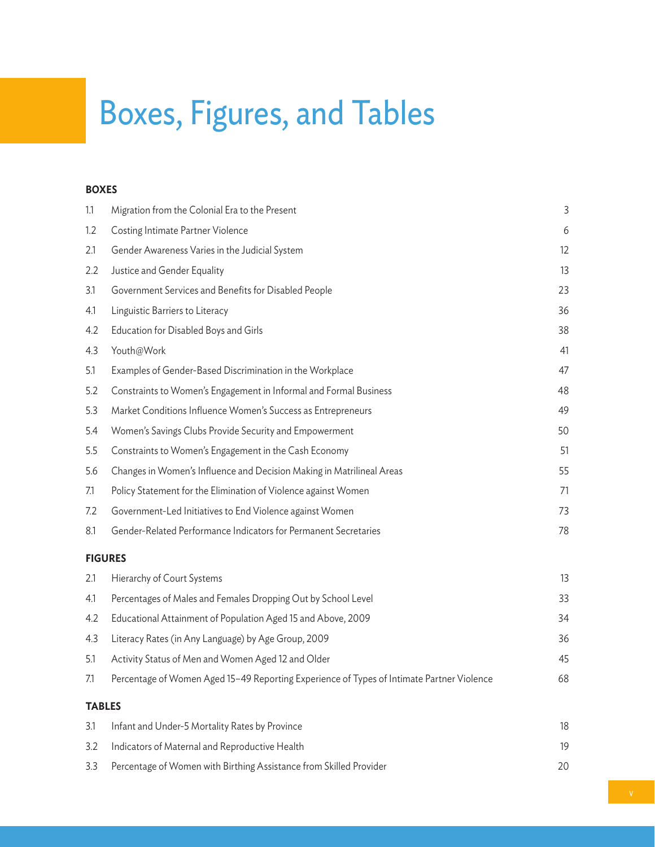# Boxes, Figures, and Tables

#### **Boxes**

| 1.1           | Migration from the Colonial Era to the Present                                            | 3  |
|---------------|-------------------------------------------------------------------------------------------|----|
| 1.2           | Costing Intimate Partner Violence                                                         | 6  |
| 2.1           | Gender Awareness Varies in the Judicial System                                            | 12 |
| 2.2           | Justice and Gender Equality                                                               | 13 |
| 3.1           | Government Services and Benefits for Disabled People                                      | 23 |
| 4.1           | Linguistic Barriers to Literacy                                                           | 36 |
| 4.2           | Education for Disabled Boys and Girls                                                     | 38 |
| 4.3           | Youth@Work                                                                                | 41 |
| 5.1           | Examples of Gender-Based Discrimination in the Workplace                                  | 47 |
| 5.2           | Constraints to Women's Engagement in Informal and Formal Business                         | 48 |
| 5.3           | Market Conditions Influence Women's Success as Entrepreneurs                              | 49 |
| 5.4           | Women's Savings Clubs Provide Security and Empowerment                                    | 50 |
| 5.5           | Constraints to Women's Engagement in the Cash Economy                                     | 51 |
| 5.6           | Changes in Women's Influence and Decision Making in Matrilineal Areas                     | 55 |
| 7.1           | Policy Statement for the Elimination of Violence against Women                            | 71 |
| 7.2           | Government-Led Initiatives to End Violence against Women                                  | 73 |
| 8.1           | Gender-Related Performance Indicators for Permanent Secretaries                           | 78 |
|               | <b>FIGURES</b>                                                                            |    |
| 2.1           | Hierarchy of Court Systems                                                                | 13 |
| 4.1           | Percentages of Males and Females Dropping Out by School Level                             | 33 |
| 4.2           | Educational Attainment of Population Aged 15 and Above, 2009                              | 34 |
| 4.3           | Literacy Rates (in Any Language) by Age Group, 2009                                       | 36 |
| 5.1           | Activity Status of Men and Women Aged 12 and Older                                        | 45 |
| 7.1           | Percentage of Women Aged 15-49 Reporting Experience of Types of Intimate Partner Violence | 68 |
| <b>TABLES</b> |                                                                                           |    |
| 3.1           | Infant and Under-5 Mortality Rates by Province                                            | 18 |
| 3.2           | Indicators of Maternal and Reproductive Health                                            | 19 |
| 3.3           | Percentage of Women with Birthing Assistance from Skilled Provider                        | 20 |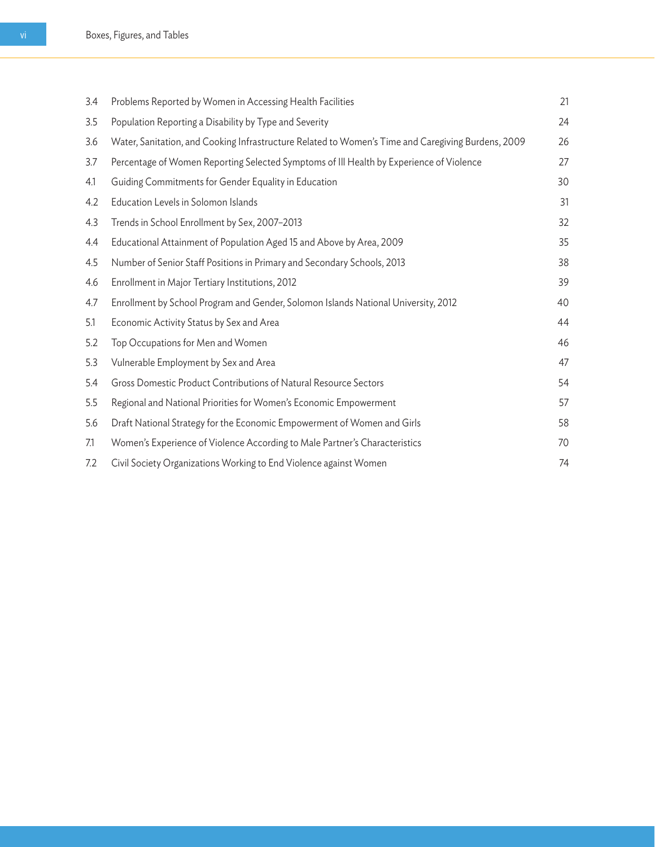| 3.4 | Problems Reported by Women in Accessing Health Facilities                                          | 21 |
|-----|----------------------------------------------------------------------------------------------------|----|
| 3.5 | Population Reporting a Disability by Type and Severity                                             | 24 |
| 3.6 | Water, Sanitation, and Cooking Infrastructure Related to Women's Time and Caregiving Burdens, 2009 | 26 |
| 3.7 | Percentage of Women Reporting Selected Symptoms of III Health by Experience of Violence            | 27 |
| 4.1 | Guiding Commitments for Gender Equality in Education                                               | 30 |
| 4.2 | Education Levels in Solomon Islands                                                                | 31 |
| 4.3 | Trends in School Enrollment by Sex, 2007-2013                                                      | 32 |
| 4.4 | Educational Attainment of Population Aged 15 and Above by Area, 2009                               | 35 |
| 4.5 | Number of Senior Staff Positions in Primary and Secondary Schools, 2013                            | 38 |
| 4.6 | Enrollment in Major Tertiary Institutions, 2012                                                    | 39 |
| 4.7 | Enrollment by School Program and Gender, Solomon Islands National University, 2012                 | 40 |
| 5.1 | Economic Activity Status by Sex and Area                                                           | 44 |
| 5.2 | Top Occupations for Men and Women                                                                  | 46 |
| 5.3 | Vulnerable Employment by Sex and Area                                                              | 47 |
| 5.4 | Gross Domestic Product Contributions of Natural Resource Sectors                                   | 54 |
| 5.5 | Regional and National Priorities for Women's Economic Empowerment                                  | 57 |
| 5.6 | Draft National Strategy for the Economic Empowerment of Women and Girls                            | 58 |
| 7.1 | Women's Experience of Violence According to Male Partner's Characteristics                         | 70 |
| 7.2 | Civil Society Organizations Working to End Violence against Women                                  | 74 |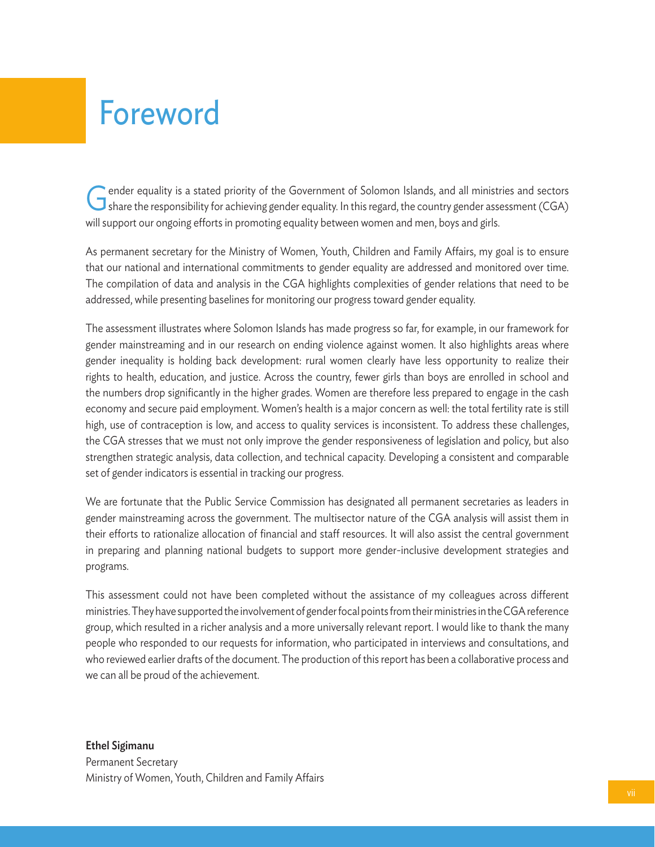# Foreword

Gender equality is a stated priority of the Government of Solomon Islands, and all ministries and sectors Share the responsibility for achieving gender equality. In this regard, the country gender assessment (CGA) will support our ongoing efforts in promoting equality between women and men, boys and girls.

As permanent secretary for the Ministry of Women, Youth, Children and Family Affairs, my goal is to ensure that our national and international commitments to gender equality are addressed and monitored over time. The compilation of data and analysis in the CGA highlights complexities of gender relations that need to be addressed, while presenting baselines for monitoring our progress toward gender equality.

The assessment illustrates where Solomon Islands has made progress so far, for example, in our framework for gender mainstreaming and in our research on ending violence against women. It also highlights areas where gender inequality is holding back development: rural women clearly have less opportunity to realize their rights to health, education, and justice. Across the country, fewer girls than boys are enrolled in school and the numbers drop significantly in the higher grades. Women are therefore less prepared to engage in the cash economy and secure paid employment. Women's health is a major concern as well: the total fertility rate is still high, use of contraception is low, and access to quality services is inconsistent. To address these challenges, the CGA stresses that we must not only improve the gender responsiveness of legislation and policy, but also strengthen strategic analysis, data collection, and technical capacity. Developing a consistent and comparable set of gender indicators is essential in tracking our progress.

We are fortunate that the Public Service Commission has designated all permanent secretaries as leaders in gender mainstreaming across the government. The multisector nature of the CGA analysis will assist them in their efforts to rationalize allocation of financial and staff resources. It will also assist the central government in preparing and planning national budgets to support more gender-inclusive development strategies and programs.

This assessment could not have been completed without the assistance of my colleagues across different ministries. They have supported the involvement of gender focal points from their ministries in the CGA reference group, which resulted in a richer analysis and a more universally relevant report. I would like to thank the many people who responded to our requests for information, who participated in interviews and consultations, and who reviewed earlier drafts of the document. The production of this report has been a collaborative process and we can all be proud of the achievement.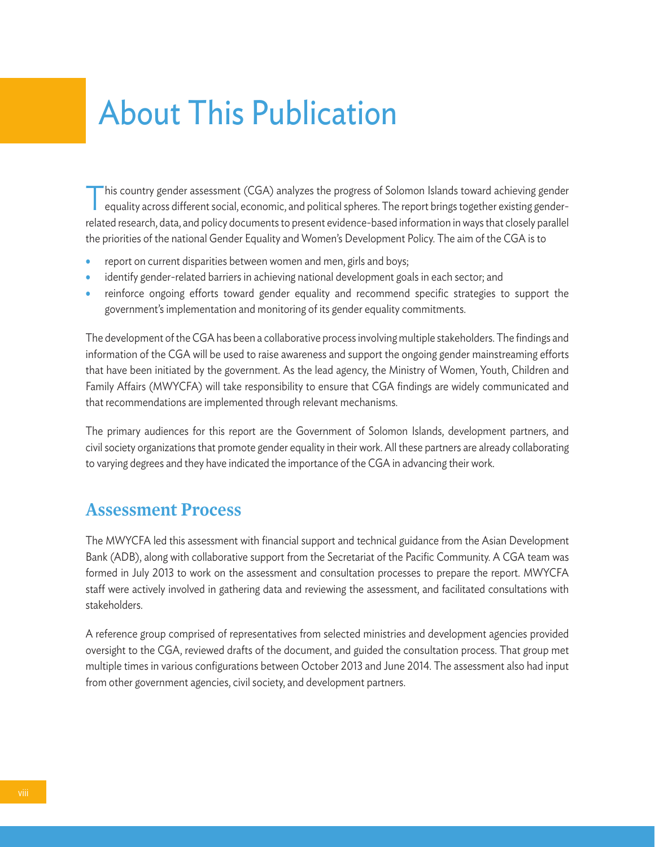# About This Publication

This country gender assessment (CGA) analyzes the progress of Solomon Islands toward achieving genderequality across different social, economic, and political spheres. The report brings together existing genderrelated research, data, and policy documents to present evidence-based information in ways that closely parallel the priorities of the national Gender Equality and Women's Development Policy. The aim of the CGA is to

- report on current disparities between women and men, girls and boys;
- identify gender-related barriers in achieving national development goals in each sector; and
- reinforce ongoing efforts toward gender equality and recommend specific strategies to support the government's implementation and monitoring of its gender equality commitments.

The development of the CGA has been a collaborative process involving multiple stakeholders. The findings and information of the CGA will be used to raise awareness and support the ongoing gender mainstreaming efforts that have been initiated by the government. As the lead agency, the Ministry of Women, Youth, Children and Family Affairs (MWYCFA) will take responsibility to ensure that CGA findings are widely communicated and that recommendations are implemented through relevant mechanisms.

The primary audiences for this report are the Government of Solomon Islands, development partners, and civil society organizations that promote gender equality in their work. All these partners are already collaborating to varying degrees and they have indicated the importance of the CGA in advancing their work.

#### **Assessment Process**

The MWYCFA led this assessment with financial support and technical guidance from the Asian Development Bank (ADB), along with collaborative support from the Secretariat of the Pacific Community. A CGA team was formed in July 2013 to work on the assessment and consultation processes to prepare the report. MWYCFA staff were actively involved in gathering data and reviewing the assessment, and facilitated consultations with stakeholders.

A reference group comprised of representatives from selected ministries and development agencies provided oversight to the CGA, reviewed drafts of the document, and guided the consultation process. That group met multiple times in various configurations between October 2013 and June 2014. The assessment also had input from other government agencies, civil society, and development partners.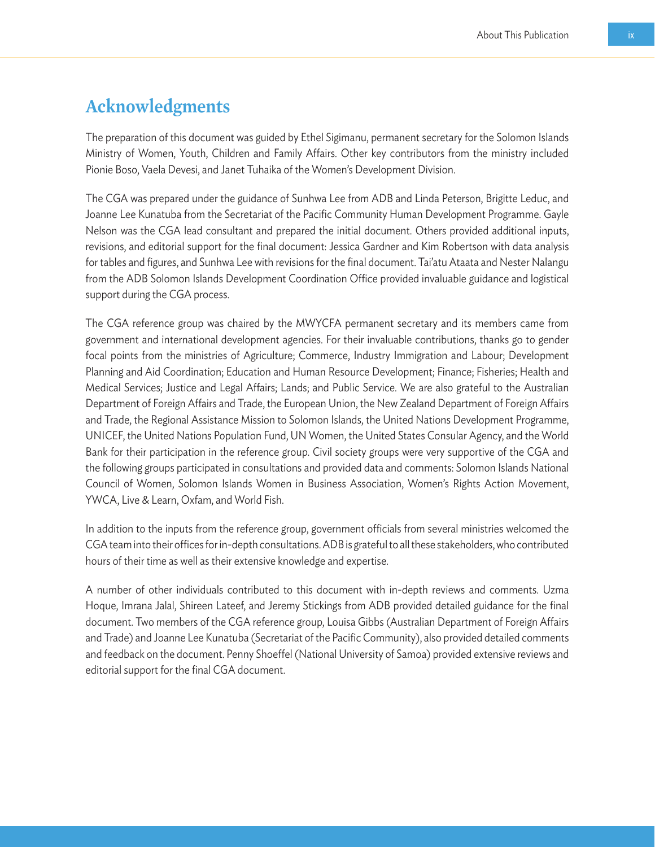### **Acknowledgments**

The preparation of this document was guided by Ethel Sigimanu, permanent secretary for the Solomon Islands Ministry of Women, Youth, Children and Family Affairs. Other key contributors from the ministry included Pionie Boso, Vaela Devesi, and Janet Tuhaika of the Women's Development Division.

The CGA was prepared under the guidance of Sunhwa Lee from ADB and Linda Peterson, Brigitte Leduc, and Joanne Lee Kunatuba from the Secretariat of the Pacific Community Human Development Programme. Gayle Nelson was the CGA lead consultant and prepared the initial document. Others provided additional inputs, revisions, and editorial support for the final document: Jessica Gardner and Kim Robertson with data analysis for tables and figures, and Sunhwa Lee with revisions for the final document. Tai'atu Ataata and Nester Nalangu from the ADB Solomon Islands Development Coordination Office provided invaluable guidance and logistical support during the CGA process.

The CGA reference group was chaired by the MWYCFA permanent secretary and its members came from government and international development agencies. For their invaluable contributions, thanks go to gender focal points from the ministries of Agriculture; Commerce, Industry Immigration and Labour; Development Planning and Aid Coordination; Education and Human Resource Development; Finance; Fisheries; Health and Medical Services; Justice and Legal Affairs; Lands; and Public Service. We are also grateful to the Australian Department of Foreign Affairs and Trade, the European Union, the New Zealand Department of Foreign Affairs and Trade, the Regional Assistance Mission to Solomon Islands, the United Nations Development Programme, UNICEF, the United Nations Population Fund, UN Women, the United States Consular Agency, and the World Bank for their participation in the reference group. Civil society groups were very supportive of the CGA and the following groups participated in consultations and provided data and comments: Solomon Islands National Council of Women, Solomon Islands Women in Business Association, Women's Rights Action Movement, YWCA, Live & Learn, Oxfam, and World Fish.

In addition to the inputs from the reference group, government officials from several ministries welcomed the CGA team into their offices for in-depth consultations. ADB is grateful to all these stakeholders, who contributed hours of their time as well as their extensive knowledge and expertise.

A number of other individuals contributed to this document with in-depth reviews and comments. Uzma Hoque, Imrana Jalal, Shireen Lateef, and Jeremy Stickings from ADB provided detailed guidance for the final document. Two members of the CGA reference group, Louisa Gibbs (Australian Department of Foreign Affairs and Trade) and Joanne Lee Kunatuba (Secretariat of the Pacific Community), also provided detailed comments and feedback on the document. Penny Shoeffel (National University of Samoa) provided extensive reviews and editorial support for the final CGA document.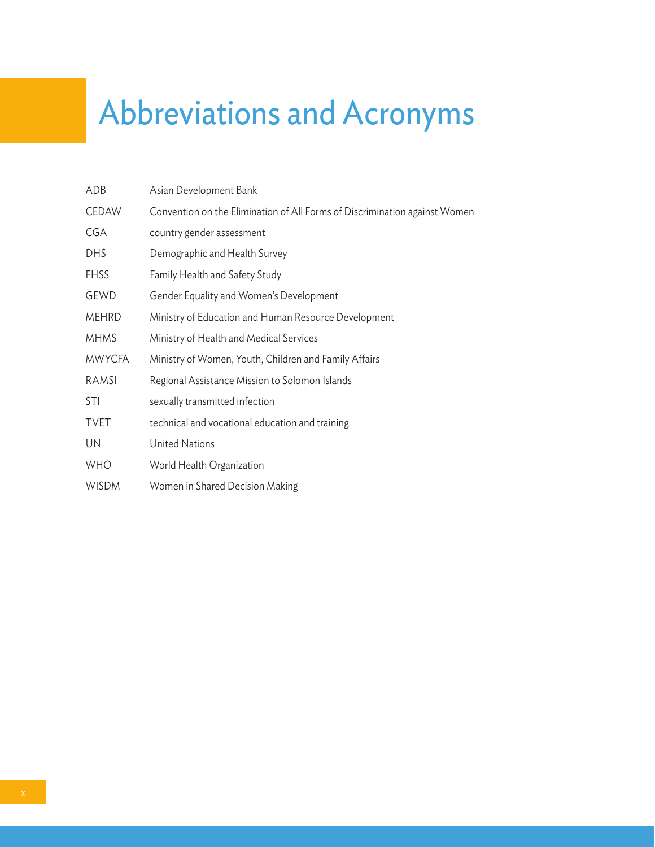# Abbreviations and Acronyms

| ADB           | Asian Development Bank                                                     |
|---------------|----------------------------------------------------------------------------|
| <b>CEDAW</b>  | Convention on the Elimination of All Forms of Discrimination against Women |
| CGA           | country gender assessment                                                  |
| <b>DHS</b>    | Demographic and Health Survey                                              |
| <b>FHSS</b>   | Family Health and Safety Study                                             |
| GEWD          | Gender Equality and Women's Development                                    |
| <b>MEHRD</b>  | Ministry of Education and Human Resource Development                       |
| <b>MHMS</b>   | Ministry of Health and Medical Services                                    |
| <b>MWYCFA</b> | Ministry of Women, Youth, Children and Family Affairs                      |
| RAMSI         | Regional Assistance Mission to Solomon Islands                             |
| <b>STI</b>    | sexually transmitted infection                                             |
| <b>TVET</b>   | technical and vocational education and training                            |
| UN            | <b>United Nations</b>                                                      |
| <b>WHO</b>    | World Health Organization                                                  |
| <b>WISDM</b>  | Women in Shared Decision Making                                            |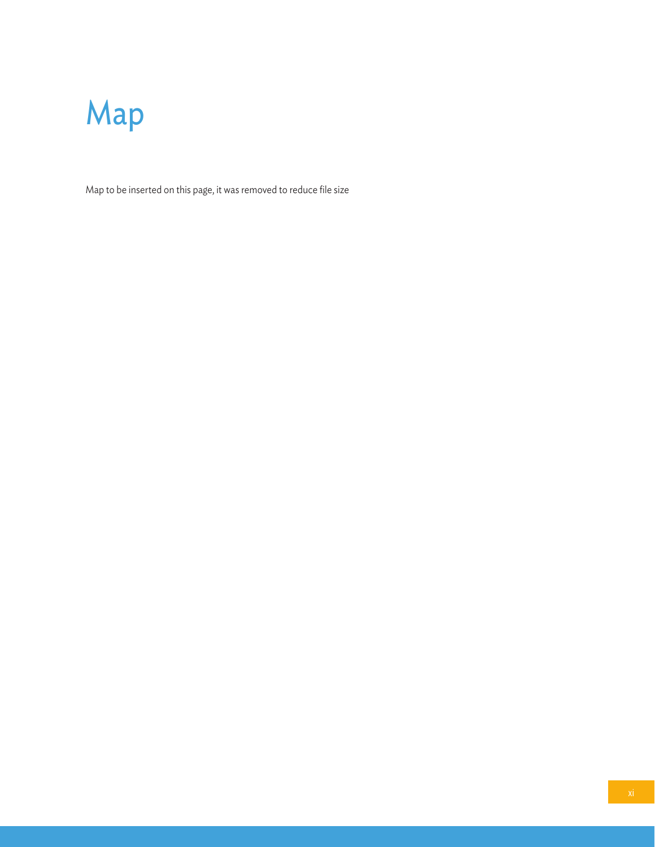

Map to be inserted on this page, it was removed to reduce file size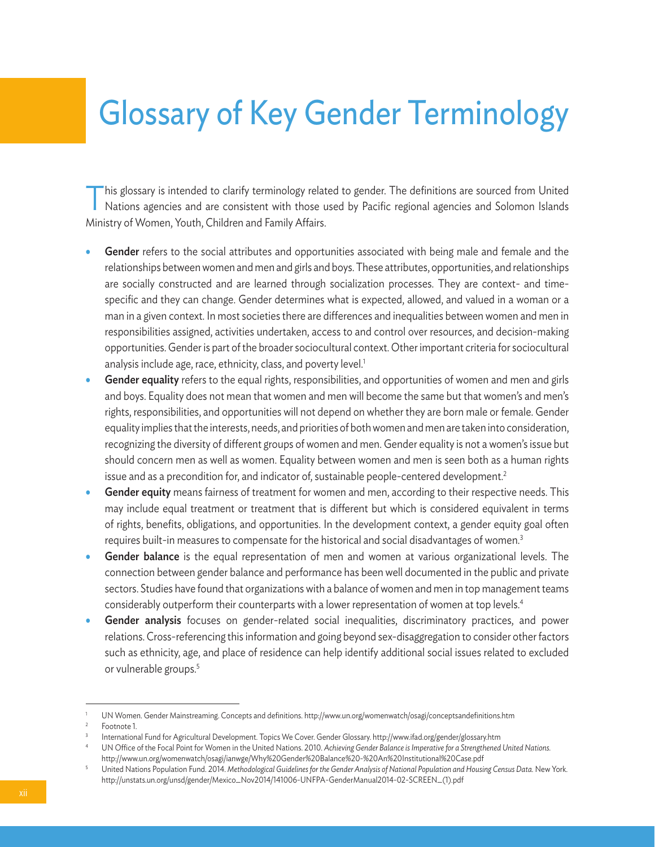# Glossary of Key Gender Terminology

This glossary is intended to clarify terminology related to gender. The definitions are sourced from United Nations agencies and are consistent with those used by Pacific regional agencies and Solomon Islands Ministry of Women, Youth, Children and Family Affairs.

- Gender refers to the social attributes and opportunities associated with being male and female and the relationships between women and men and girls and boys. These attributes, opportunities, and relationships are socially constructed and are learned through socialization processes. They are context- and timespecific and they can change. Gender determines what is expected, allowed, and valued in a woman or a man in a given context. In most societies there are differences and inequalities between women and men in responsibilities assigned, activities undertaken, access to and control over resources, and decision-making opportunities. Gender is part of the broader sociocultural context. Other important criteria for sociocultural analysis include age, race, ethnicity, class, and poverty level.<sup>1</sup>
- Gender equality refers to the equal rights, responsibilities, and opportunities of women and men and girls and boys. Equality does not mean that women and men will become the same but that women's and men's rights, responsibilities, and opportunities will not depend on whether they are born male or female. Gender equality implies that the interests, needs, and priorities of both women and men are taken into consideration, recognizing the diversity of different groups of women and men. Gender equality is not a women's issue but should concern men as well as women. Equality between women and men is seen both as a human rights issue and as a precondition for, and indicator of, sustainable people-centered development.<sup>2</sup>
- Gender equity means fairness of treatment for women and men, according to their respective needs. This may include equal treatment or treatment that is different but which is considered equivalent in terms of rights, benefits, obligations, and opportunities. In the development context, a gender equity goal often requires built-in measures to compensate for the historical and social disadvantages of women.<sup>3</sup>
- Gender balance is the equal representation of men and women at various organizational levels. The connection between gender balance and performance has been well documented in the public and private sectors. Studies have found that organizations with a balance of women and men in top management teams considerably outperform their counterparts with a lower representation of women at top levels.<sup>4</sup>
- Gender analysis focuses on gender-related social inequalities, discriminatory practices, and power relations. Cross-referencing this information and going beyond sex-disaggregation to consider other factors such as ethnicity, age, and place of residence can help identify additional social issues related to excluded or vulnerable groups.<sup>5</sup>

UN Women. Gender Mainstreaming. Concepts and definitions. http://www.un.org/womenwatch/osagi/conceptsandefinitions.htm

Footnote 1.

<sup>3</sup> International Fund for Agricultural Development. Topics We Cover. Gender Glossary. http://www.ifad.org/gender/glossary.htm

<sup>4</sup> UN Office of the Focal Point for Women in the United Nations. 2010. *Achieving Gender Balance is Imperative for a Strengthened United Nations.* http://www.un.org/womenwatch/osagi/ianwge/Why%20Gender%20Balance%20-%20An%20Institutional%20Case.pdf

<sup>5</sup> United Nations Population Fund. 2014. *Methodological Guidelines for the Gender Analysis of National Population and Housing Census Data.* New York. http://unstats.un.org/unsd/gender/Mexico\_Nov2014/141006-UNFPA-GenderManual2014-02-SCREEN\_(1).pdf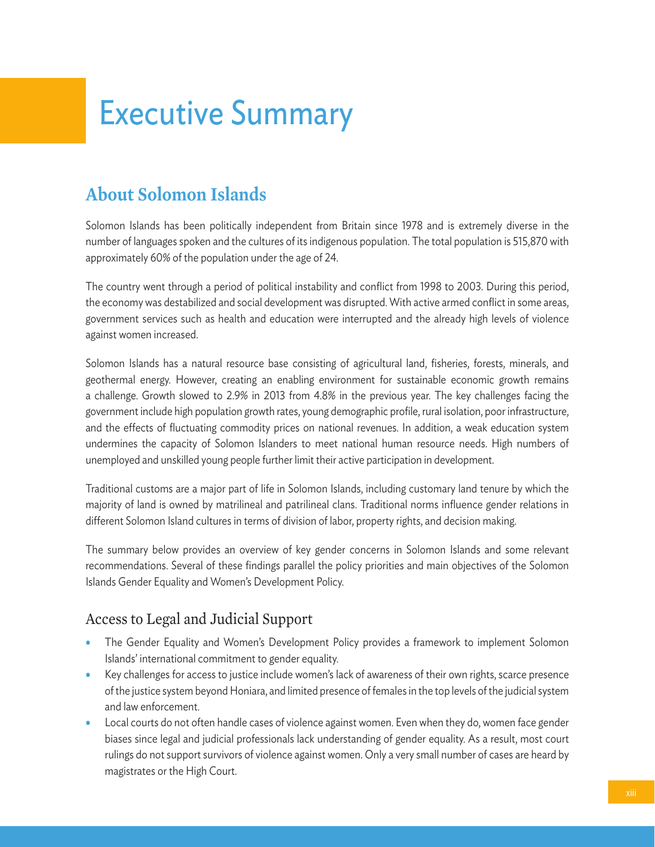# Executive Summary

# **About Solomon Islands**

Solomon Islands has been politically independent from Britain since 1978 and is extremely diverse in the number of languages spoken and the cultures of its indigenous population. The total population is 515,870 with approximately 60% of the population under the age of 24.

The country went through a period of political instability and conflict from 1998 to 2003. During this period, the economy was destabilized and social development was disrupted. With active armed conflict in some areas, government services such as health and education were interrupted and the already high levels of violence against women increased.

Solomon Islands has a natural resource base consisting of agricultural land, fisheries, forests, minerals, and geothermal energy. However, creating an enabling environment for sustainable economic growth remains a challenge. Growth slowed to 2.9% in 2013 from 4.8% in the previous year. The key challenges facing the government include high population growth rates, young demographic profile, rural isolation, poor infrastructure, and the effects of fluctuating commodity prices on national revenues. In addition, a weak education system undermines the capacity of Solomon Islanders to meet national human resource needs. High numbers of unemployed and unskilled young people further limit their active participation in development.

Traditional customs are a major part of life in Solomon Islands, including customary land tenure by which the majority of land is owned by matrilineal and patrilineal clans. Traditional norms influence gender relations in different Solomon Island cultures in terms of division of labor, property rights, and decision making.

The summary below provides an overview of key gender concerns in Solomon Islands and some relevant recommendations. Several of these findings parallel the policy priorities and main objectives of the Solomon Islands Gender Equality and Women's Development Policy.

### Access to Legal and Judicial Support

- The Gender Equality and Women's Development Policy provides a framework to implement Solomon Islands' international commitment to gender equality.
- Key challenges for access to justice include women's lack of awareness of their own rights, scarce presence of the justice system beyond Honiara, and limited presence of females in the top levels of the judicial system and law enforcement.
- Local courts do not often handle cases of violence against women. Even when they do, women face gender biases since legal and judicial professionals lack understanding of gender equality. As a result, most court rulings do not support survivors of violence against women. Only a very small number of cases are heard by magistrates or the High Court.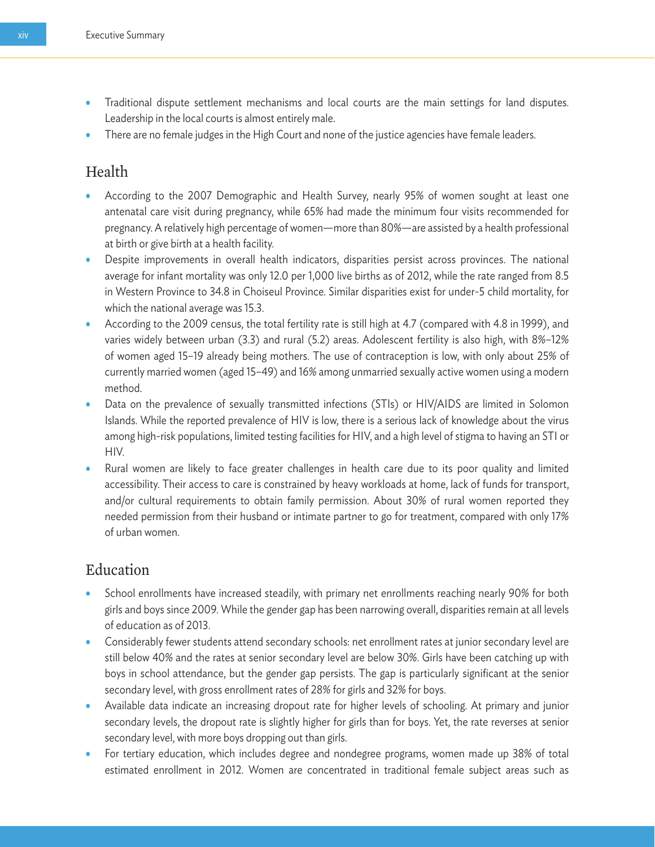- Traditional dispute settlement mechanisms and local courts are the main settings for land disputes. Leadership in the local courts is almost entirely male.
- There are no female judges in the High Court and none of the justice agencies have female leaders.

#### Health

- According to the 2007 Demographic and Health Survey, nearly 95% of women sought at least one antenatal care visit during pregnancy, while 65% had made the minimum four visits recommended for pregnancy. A relatively high percentage of women—more than 80%—are assisted by a health professional at birth or give birth at a health facility.
- Despite improvements in overall health indicators, disparities persist across provinces. The national average for infant mortality was only 12.0 per 1,000 live births as of 2012, while the rate ranged from 8.5 in Western Province to 34.8 in Choiseul Province. Similar disparities exist for under-5 child mortality, for which the national average was 15.3.
- According to the 2009 census, the total fertility rate is still high at 4.7 (compared with 4.8 in 1999), and varies widely between urban (3.3) and rural (5.2) areas. Adolescent fertility is also high, with 8%–12% of women aged 15–19 already being mothers. The use of contraception is low, with only about 25% of currently married women (aged 15–49) and 16% among unmarried sexually active women using a modern method.
- Data on the prevalence of sexually transmitted infections (STIs) or HIV/AIDS are limited in Solomon Islands. While the reported prevalence of HIV is low, there is a serious lack of knowledge about the virus among high-risk populations, limited testing facilities for HIV, and a high level of stigma to having an STI or HIV.
- Rural women are likely to face greater challenges in health care due to its poor quality and limited accessibility. Their access to care is constrained by heavy workloads at home, lack of funds for transport, and/or cultural requirements to obtain family permission. About 30% of rural women reported they needed permission from their husband or intimate partner to go for treatment, compared with only 17% of urban women.

#### Education

- School enrollments have increased steadily, with primary net enrollments reaching nearly 90% for both girls and boys since 2009. While the gender gap has been narrowing overall, disparities remain at all levels of education as of 2013.
- Considerably fewer students attend secondary schools: net enrollment rates at junior secondary level are still below 40% and the rates at senior secondary level are below 30%. Girls have been catching up with boys in school attendance, but the gender gap persists. The gap is particularly significant at the senior secondary level, with gross enrollment rates of 28% for girls and 32% for boys.
- Available data indicate an increasing dropout rate for higher levels of schooling. At primary and junior secondary levels, the dropout rate is slightly higher for girls than for boys. Yet, the rate reverses at senior secondary level, with more boys dropping out than girls.
- For tertiary education, which includes degree and nondegree programs, women made up 38% of total estimated enrollment in 2012. Women are concentrated in traditional female subject areas such as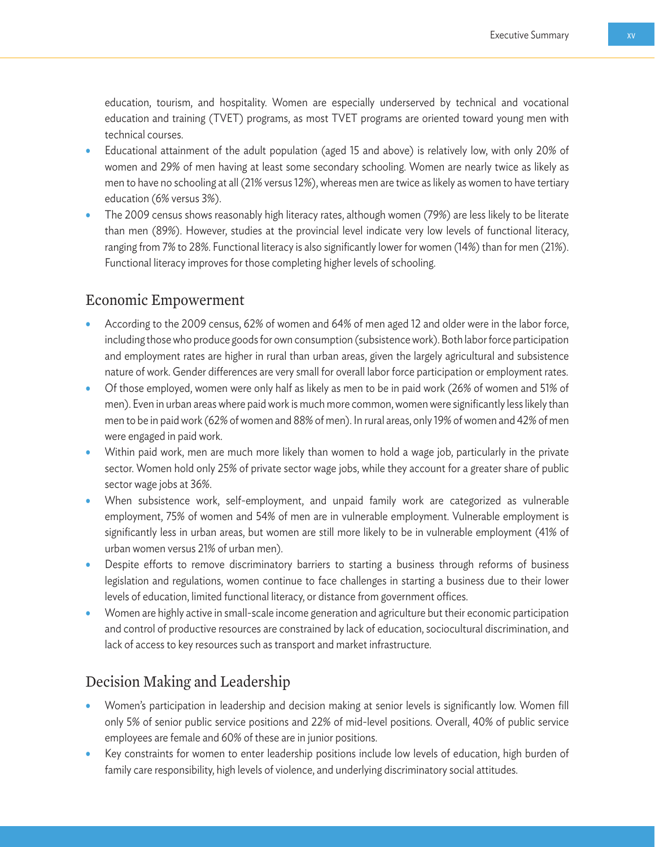education, tourism, and hospitality. Women are especially underserved by technical and vocational education and training (TVET) programs, as most TVET programs are oriented toward young men with technical courses.

- Educational attainment of the adult population (aged 15 and above) is relatively low, with only 20% of women and 29% of men having at least some secondary schooling. Women are nearly twice as likely as men to have no schooling at all (21% versus 12%), whereas men are twice as likely as women to have tertiary education (6% versus 3%).
- The 2009 census shows reasonably high literacy rates, although women (79%) are less likely to be literate than men (89%). However, studies at the provincial level indicate very low levels of functional literacy, ranging from 7% to 28%. Functional literacy is also significantly lower for women (14%) than for men (21%). Functional literacy improves for those completing higher levels of schooling.

#### Economic Empowerment

- According to the 2009 census, 62% of women and 64% of men aged 12 and older were in the labor force, including those who produce goods for own consumption (subsistence work). Both labor force participation and employment rates are higher in rural than urban areas, given the largely agricultural and subsistence nature of work. Gender differences are very small for overall labor force participation or employment rates.
- Of those employed, women were only half as likely as men to be in paid work (26% of women and 51% of men). Even in urban areas where paid work is much more common, women were significantly less likely than men to be in paid work (62% of women and 88% of men). In rural areas, only 19% of women and 42% of men were engaged in paid work.
- Within paid work, men are much more likely than women to hold a wage job, particularly in the private sector. Women hold only 25% of private sector wage jobs, while they account for a greater share of public sector wage jobs at 36%.
- When subsistence work, self-employment, and unpaid family work are categorized as vulnerable employment, 75% of women and 54% of men are in vulnerable employment. Vulnerable employment is significantly less in urban areas, but women are still more likely to be in vulnerable employment (41% of urban women versus 21% of urban men).
- Despite efforts to remove discriminatory barriers to starting a business through reforms of business legislation and regulations, women continue to face challenges in starting a business due to their lower levels of education, limited functional literacy, or distance from government offices.
- Women are highly active in small-scale income generation and agriculture but their economic participation and control of productive resources are constrained by lack of education, sociocultural discrimination, and lack of access to key resources such as transport and market infrastructure.

#### Decision Making and Leadership

- Women's participation in leadership and decision making at senior levels is significantly low. Women fill only 5% of senior public service positions and 22% of mid-level positions. Overall, 40% of public service employees are female and 60% of these are in junior positions.
- Key constraints for women to enter leadership positions include low levels of education, high burden of family care responsibility, high levels of violence, and underlying discriminatory social attitudes.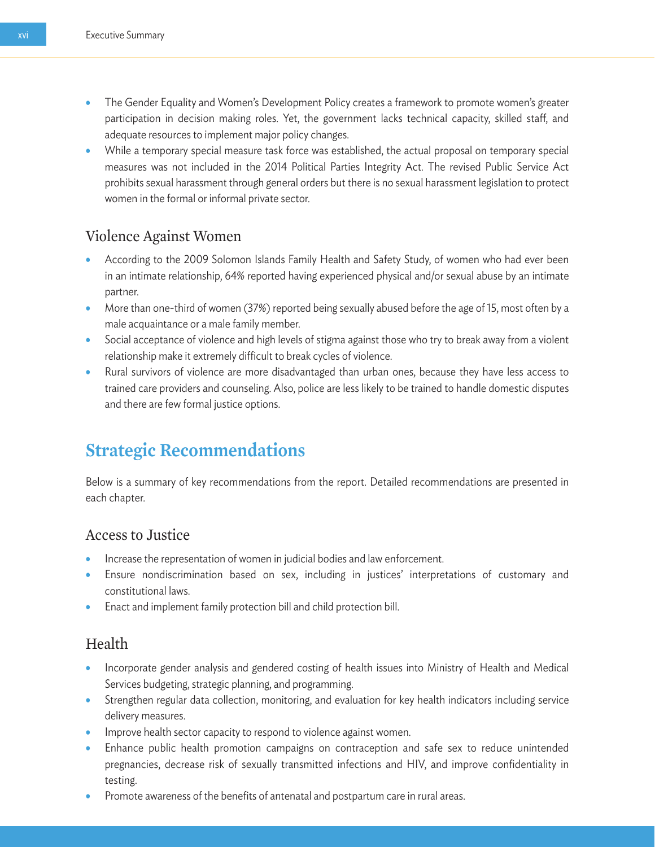- The Gender Equality and Women's Development Policy creates a framework to promote women's greater participation in decision making roles. Yet, the government lacks technical capacity, skilled staff, and adequate resources to implement major policy changes.
- While a temporary special measure task force was established, the actual proposal on temporary special measures was not included in the 2014 Political Parties Integrity Act. The revised Public Service Act prohibits sexual harassment through general orders but there is no sexual harassment legislation to protect women in the formal or informal private sector.

#### Violence Against Women

- According to the 2009 Solomon Islands Family Health and Safety Study, of women who had ever been in an intimate relationship, 64% reported having experienced physical and/or sexual abuse by an intimate partner.
- More than one-third of women (37%) reported being sexually abused before the age of 15, most often by a male acquaintance or a male family member.
- Social acceptance of violence and high levels of stigma against those who try to break away from a violent relationship make it extremely difficult to break cycles of violence.
- Rural survivors of violence are more disadvantaged than urban ones, because they have less access to trained care providers and counseling. Also, police are less likely to be trained to handle domestic disputes and there are few formal justice options.

### **Strategic Recommendations**

Below is a summary of key recommendations from the report. Detailed recommendations are presented in each chapter.

#### Access to Justice

- Increase the representation of women in judicial bodies and law enforcement.
- Ensure nondiscrimination based on sex, including in justices' interpretations of customary and constitutional laws.
- Enact and implement family protection bill and child protection bill.

#### Health

- Incorporate gender analysis and gendered costing of health issues into Ministry of Health and Medical Services budgeting, strategic planning, and programming.
- Strengthen regular data collection, monitoring, and evaluation for key health indicators including service delivery measures.
- Improve health sector capacity to respond to violence against women.
- Enhance public health promotion campaigns on contraception and safe sex to reduce unintended pregnancies, decrease risk of sexually transmitted infections and HIV, and improve confidentiality in testing.
- Promote awareness of the benefits of antenatal and postpartum care in rural areas.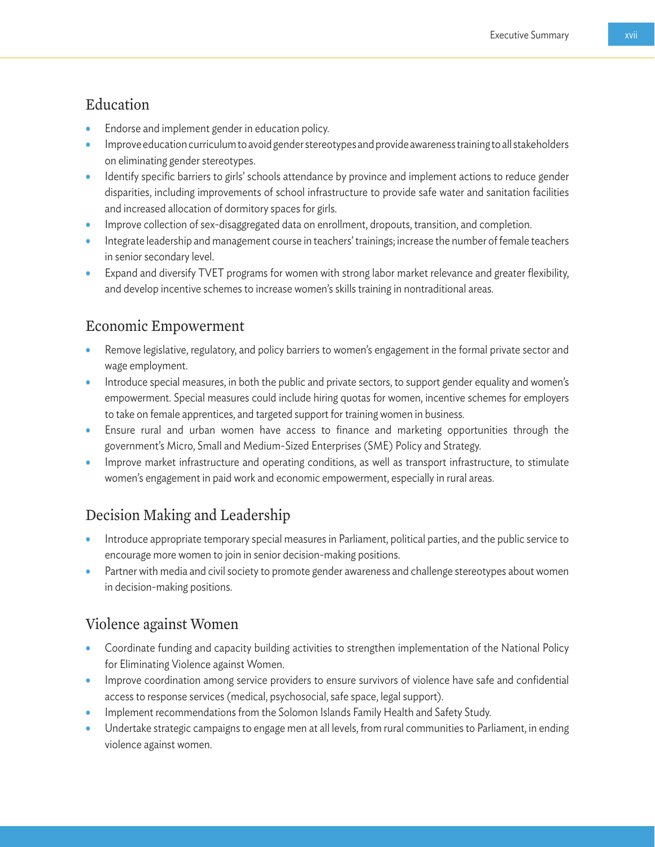#### Education

- Endorse and implement gender in education policy.
- Improve education curriculum to avoid gender stereotypes and provide awareness training to all stakeholders on eliminating gender stereotypes.
- Identify specific barriers to girls' schools attendance by province and implement actions to reduce gender disparities, including improvements of school infrastructure to provide safe water and sanitation facilities and increased allocation of dormitory spaces for girls.
- Improve collection of sex-disaggregated data on enrollment, dropouts, transition, and completion.
- Integrate leadership and management course in teachers' trainings; increase the number of female teachers in senior secondary level.
- Expand and diversify TVET programs for women with strong labor market relevance and greater flexibility, and develop incentive schemes to increase women's skills training in nontraditional areas.

#### Economic Empowerment

- Remove legislative, regulatory, and policy barriers to women's engagement in the formal private sector and wage employment.
- Introduce special measures, in both the public and private sectors, to support gender equality and women's empowerment. Special measures could include hiring quotas for women, incentive schemes for employers to take on female apprentices, and targeted support for training women in business.
- Ensure rural and urban women have access to finance and marketing opportunities through the government's Micro, Small and Medium-Sized Enterprises (SME) Policy and Strategy.
- Improve market infrastructure and operating conditions, as well as transport infrastructure, to stimulate women's engagement in paid work and economic empowerment, especially in rural areas.

#### Decision Making and Leadership

- Introduce appropriate temporary special measures in Parliament, political parties, and the public service to encourage more women to join in senior decision-making positions.
- Partner with media and civil society to promote gender awareness and challenge stereotypes about women in decision-making positions.

#### Violence against Women

- Coordinate funding and capacity building activities to strengthen implementation of the National Policy for Eliminating Violence against Women.
- Improve coordination among service providers to ensure survivors of violence have safe and confidential access to response services (medical, psychosocial, safe space, legal support).
- Implement recommendations from the Solomon Islands Family Health and Safety Study.
- Undertake strategic campaigns to engage men at all levels, from rural communities to Parliament, in ending violence against women.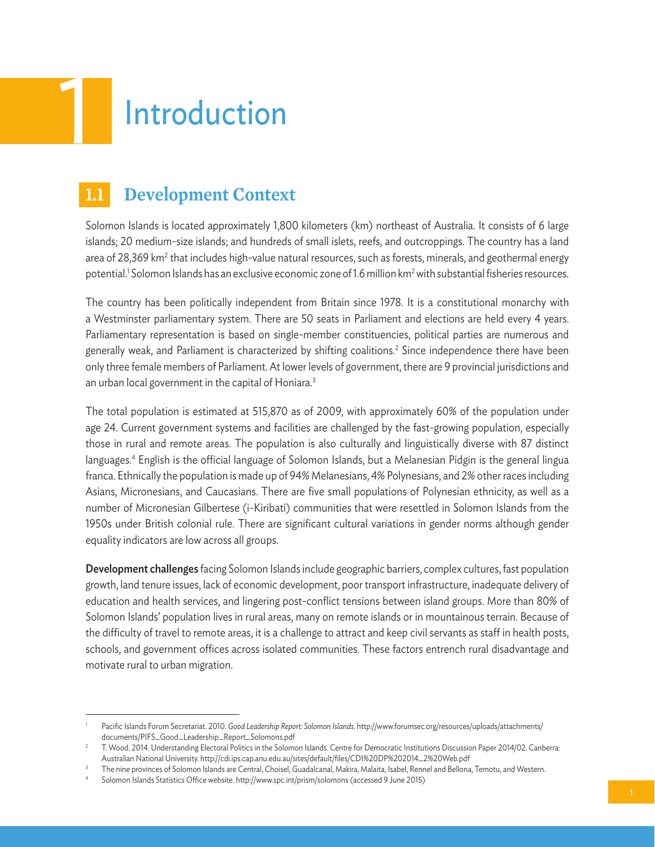

# **1.1 Development Context**

Solomon Islands is located approximately 1,800 kilometers (km) northeast of Australia. It consists of 6 large islands; 20 medium-size islands; and hundreds of small islets, reefs, and outcroppings. The country has a land area of 28,369 km² that includes high-value natural resources, such as forests, minerals, and geothermal energy potential.<sup>1</sup> Solomon Islands has an exclusive economic zone of 1.6 million km<sup>2</sup> with substantial fisheries resources.

The country has been politically independent from Britain since 1978. It is a constitutional monarchy with a Westminster parliamentary system. There are 50 seats in Parliament and elections are held every 4 years. Parliamentary representation is based on single-member constituencies, political parties are numerous and generally weak, and Parliament is characterized by shifting coalitions. $^2$  Since independence there have been only three female members of Parliament. At lower levels of government, there are 9 provincial jurisdictions and an urban local government in the capital of Honiara.<sup>3</sup>

The total population is estimated at 515,870 as of 2009, with approximately 60% of the population under age 24. Current government systems and facilities are challenged by the fast-growing population, especially those in rural and remote areas. The population is also culturally and linguistically diverse with 87 distinct languages.4 English is the official language of Solomon Islands, but a Melanesian Pidgin is the general lingua franca. Ethnically the population is made up of 94% Melanesians, 4% Polynesians, and 2% other races including Asians, Micronesians, and Caucasians. There are five small populations of Polynesian ethnicity, as well as a number of Micronesian Gilbertese (i-Kiribati) communities that were resettled in Solomon Islands from the 1950s under British colonial rule. There are significant cultural variations in gender norms although gender equality indicators are low across all groups.

Development challenges facing Solomon Islands include geographic barriers, complex cultures, fast population growth, land tenure issues, lack of economic development, poor transport infrastructure, inadequate delivery of education and health services, and lingering post-conflict tensions between island groups. More than 80% of Solomon Islands' population lives in rural areas, many on remote islands or in mountainous terrain. Because of the difficulty of travel to remote areas, it is a challenge to attract and keep civil servants as staff in health posts, schools, and government offices across isolated communities. These factors entrench rural disadvantage and motivate rural to urban migration.

<sup>1</sup> Pacific Islands Forum Secretariat. 2010. *Good Leadership Report: Solomon Islands.* http://www.forumsec.org/resources/uploads/attachments/ documents/PIFS\_Good\_Leadership\_Report\_Solomons.pdf

<sup>2</sup> T. Wood. 2014. Understanding Electoral Politics in the Solomon Islands. Centre for Democratic Institutions Discussion Paper 2014/02. Canberra: Australian National University. http://cdi.ips.cap.anu.edu.au/sites/default/files/CDI%20DP%202014\_2%20Web.pdf<br>The nine provinces of Solomon Islands are Central, Choisel, Guadalcanal, Makira, Malaita, Isabel, Rennel and Bel

<sup>4</sup> Solomon Islands Statistics Office website. http://www.spc.int/prism/solomons (accessed 9 June 2015)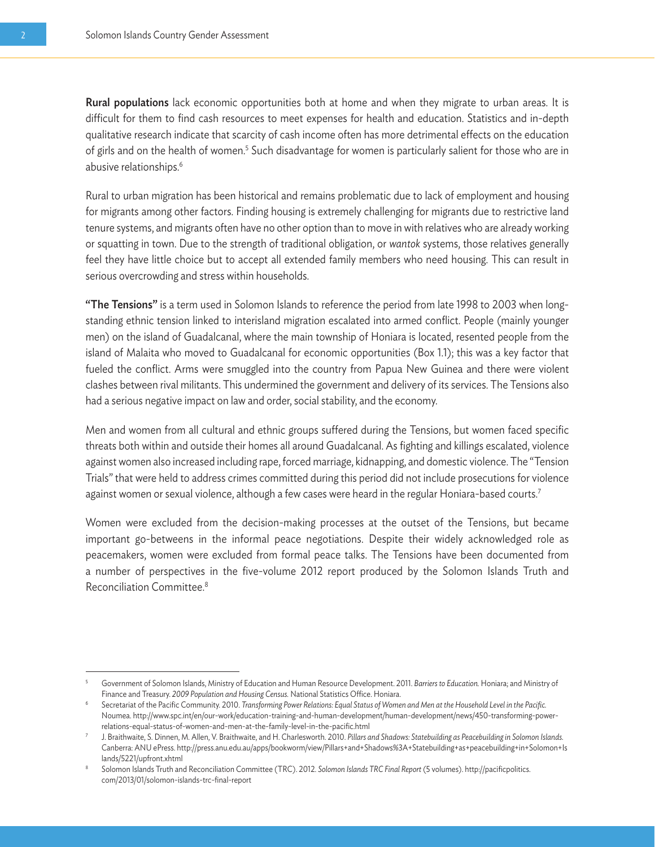Rural populations lack economic opportunities both at home and when they migrate to urban areas. It is difficult for them to find cash resources to meet expenses for health and education. Statistics and in-depth qualitative research indicate that scarcity of cash income often has more detrimental effects on the education of girls and on the health of women.<sup>5</sup> Such disadvantage for women is particularly salient for those who are in abusive relationships.6

Rural to urban migration has been historical and remains problematic due to lack of employment and housing for migrants among other factors. Finding housing is extremely challenging for migrants due to restrictive land tenure systems, and migrants often have no other option than to move in with relatives who are already working or squatting in town. Due to the strength of traditional obligation, or *wantok* systems, those relatives generally feel they have little choice but to accept all extended family members who need housing. This can result in serious overcrowding and stress within households.

"The Tensions" is a term used in Solomon Islands to reference the period from late 1998 to 2003 when longstanding ethnic tension linked to interisland migration escalated into armed conflict. People (mainly younger men) on the island of Guadalcanal, where the main township of Honiara is located, resented people from the island of Malaita who moved to Guadalcanal for economic opportunities (Box 1.1); this was a key factor that fueled the conflict. Arms were smuggled into the country from Papua New Guinea and there were violent clashes between rival militants. This undermined the government and delivery of its services. The Tensions also had a serious negative impact on law and order, social stability, and the economy.

Men and women from all cultural and ethnic groups suffered during the Tensions, but women faced specific threats both within and outside their homes all around Guadalcanal. As fighting and killings escalated, violence against women also increased including rape, forced marriage, kidnapping, and domestic violence. The "Tension Trials" that were held to address crimes committed during this period did not include prosecutions for violence against women or sexual violence, although a few cases were heard in the regular Honiara-based courts.<sup>7</sup>

Women were excluded from the decision-making processes at the outset of the Tensions, but became important go-betweens in the informal peace negotiations. Despite their widely acknowledged role as peacemakers, women were excluded from formal peace talks. The Tensions have been documented from a number of perspectives in the five-volume 2012 report produced by the Solomon Islands Truth and Reconciliation Committee.8

<sup>5</sup> Government of Solomon Islands, Ministry of Education and Human Resource Development. 2011. *Barriers to Education.* Honiara; and Ministry of Finance and Treasury. *2009 Population and Housing Census.* National Statistics Office. Honiara.

<sup>6</sup> Secretariat of the Pacific Community. 2010. *Transforming Power Relations: Equal Status of Women and Men at the Household Level in the Pacific.* Noumea. http://www.spc.int/en/our-work/education-training-and-human-development/human-development/news/450-transforming-powerrelations-equal-status-of-women-and-men-at-the-family-level-in-the-pacific.html<br>J. Braithwaite, S. Dinnen, M. Allen, V. Braithwaite, and H. Charlesworth. 2010. Pillars and Shadows: Statebuilding as Peacebuilding in Solomon

Canberra: ANU ePress. http://press.anu.edu.au/apps/bookworm/view/Pillars+and+Shadows%3A+Statebuilding+as+peacebuilding+in+Solomon+Is lands/5221/upfront.xhtml<br>Solomon Islands Truth and Reconciliation Committee (TRC). 2012. Solomon Islands TRC Final Report (5 volumes). http://pacificpolitics.

com/2013/01/solomon-islands-trc-final-report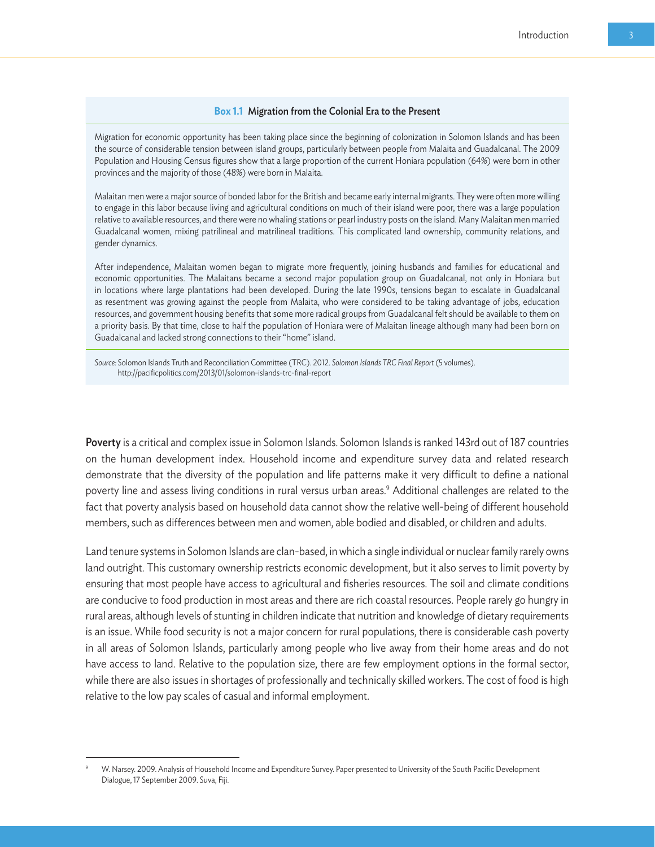Migration for economic opportunity has been taking place since the beginning of colonization in Solomon Islands and has been the source of considerable tension between island groups, particularly between people from Malaita and Guadalcanal. The 2009 Population and Housing Census figures show that a large proportion of the current Honiara population (64%) were born in other provinces and the majority of those (48%) were born in Malaita.

Malaitan men were a major source of bonded labor for the British and became early internal migrants. They were often more willing to engage in this labor because living and agricultural conditions on much of their island were poor, there was a large population relative to available resources, and there were no whaling stations or pearl industry posts on the island. Many Malaitan men married Guadalcanal women, mixing patrilineal and matrilineal traditions. This complicated land ownership, community relations, and gender dynamics.

After independence, Malaitan women began to migrate more frequently, joining husbands and families for educational and economic opportunities. The Malaitans became a second major population group on Guadalcanal, not only in Honiara but in locations where large plantations had been developed. During the late 1990s, tensions began to escalate in Guadalcanal as resentment was growing against the people from Malaita, who were considered to be taking advantage of jobs, education resources, and government housing benefits that some more radical groups from Guadalcanal felt should be available to them on a priority basis. By that time, close to half the population of Honiara were of Malaitan lineage although many had been born on Guadalcanal and lacked strong connections to their "home" island.

*Source:* Solomon Islands Truth and Reconciliation Committee (TRC). 2012. *Solomon Islands TRC Final Report* (5 volumes). http://pacificpolitics.com/2013/01/solomon-islands-trc-final-report

Poverty is a critical and complex issue in Solomon Islands. Solomon Islands is ranked 143rd out of 187 countries on the human development index. Household income and expenditure survey data and related research demonstrate that the diversity of the population and life patterns make it very difficult to define a national poverty line and assess living conditions in rural versus urban areas.9 Additional challenges are related to the fact that poverty analysis based on household data cannot show the relative well-being of different household members, such as differences between men and women, able bodied and disabled, or children and adults.

Land tenure systems in Solomon Islands are clan-based, in which a single individual or nuclear family rarely owns land outright. This customary ownership restricts economic development, but it also serves to limit poverty by ensuring that most people have access to agricultural and fisheries resources. The soil and climate conditions are conducive to food production in most areas and there are rich coastal resources. People rarely go hungry in rural areas, although levels of stunting in children indicate that nutrition and knowledge of dietary requirements is an issue. While food security is not a major concern for rural populations, there is considerable cash poverty in all areas of Solomon Islands, particularly among people who live away from their home areas and do not have access to land. Relative to the population size, there are few employment options in the formal sector, while there are also issues in shortages of professionally and technically skilled workers. The cost of food is high relative to the low pay scales of casual and informal employment.

<sup>9</sup> W. Narsey. 2009. Analysis of Household Income and Expenditure Survey. Paper presented to University of the South Pacific Development Dialogue, 17 September 2009. Suva, Fiji.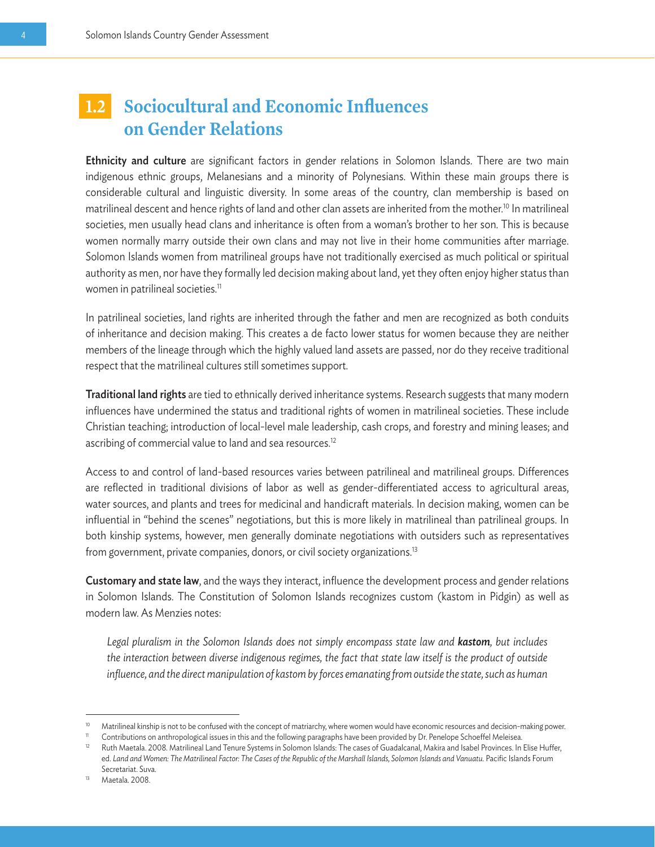### **1.2 Sociocultural and Economic Influences on Gender Relations**

Ethnicity and culture are significant factors in gender relations in Solomon Islands. There are two main indigenous ethnic groups, Melanesians and a minority of Polynesians. Within these main groups there is considerable cultural and linguistic diversity. In some areas of the country, clan membership is based on matrilineal descent and hence rights of land and other clan assets are inherited from the mother.10 In matrilineal societies, men usually head clans and inheritance is often from a woman's brother to her son. This is because women normally marry outside their own clans and may not live in their home communities after marriage. Solomon Islands women from matrilineal groups have not traditionally exercised as much political or spiritual authority as men, nor have they formally led decision making about land, yet they often enjoy higher status than women in patrilineal societies.<sup>11</sup>

In patrilineal societies, land rights are inherited through the father and men are recognized as both conduits of inheritance and decision making. This creates a de facto lower status for women because they are neither members of the lineage through which the highly valued land assets are passed, nor do they receive traditional respect that the matrilineal cultures still sometimes support.

**Traditional land rights** are tied to ethnically derived inheritance systems. Research suggests that many modern influences have undermined the status and traditional rights of women in matrilineal societies. These include Christian teaching; introduction of local-level male leadership, cash crops, and forestry and mining leases; and ascribing of commercial value to land and sea resources.<sup>12</sup>

Access to and control of land-based resources varies between patrilineal and matrilineal groups. Differences are reflected in traditional divisions of labor as well as gender-differentiated access to agricultural areas, water sources, and plants and trees for medicinal and handicraft materials. In decision making, women can be influential in "behind the scenes" negotiations, but this is more likely in matrilineal than patrilineal groups. In both kinship systems, however, men generally dominate negotiations with outsiders such as representatives from government, private companies, donors, or civil society organizations.<sup>13</sup>

Customary and state law, and the ways they interact, influence the development process and gender relations in Solomon Islands. The Constitution of Solomon Islands recognizes custom (kastom in Pidgin) as well as modern law. As Menzies notes:

*Legal pluralism in the Solomon Islands does not simply encompass state law and kastom, but includes the interaction between diverse indigenous regimes, the fact that state law itself is the product of outside influence, and the direct manipulation of kastom by forces emanating from outside the state, such as human* 

<sup>&</sup>lt;sup>10</sup> Matrilineal kinship is not to be confused with the concept of matriarchy, where women would have economic resources and decision-making power.

<sup>11</sup> Contributions on anthropological issues in this and the following paragraphs have been provided by Dr. Penelope Schoeffel Meleisea.<br>12 Buth Maetala 2008 Metrilipeal Land Tenure Systems in Solomon Islands: The cases of G

<sup>12</sup> Ruth Maetala. 2008. Matrilineal Land Tenure Systems in Solomon Islands: The cases of Guadalcanal, Makira and Isabel Provinces. In Elise Huffer, ed. *Land and Women: The Matrilineal Factor: The Cases of the Republic of the Marshall Islands, Solomon Islands and Vanuatu.* Pacific Islands Forum Secretariat. Suva.

<sup>13</sup> Maetala. 2008.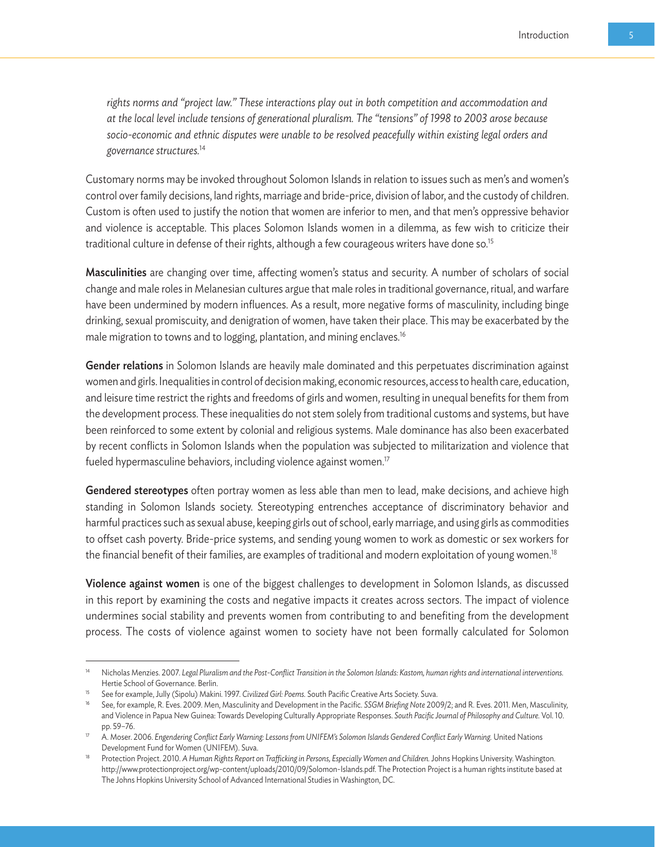*rights norms and "project law." These interactions play out in both competition and accommodation and at the local level include tensions of generational pluralism. The "tensions" of 1998 to 2003 arose because socio-economic and ethnic disputes were unable to be resolved peacefully within existing legal orders and governance structures.*<sup>14</sup>

Customary norms may be invoked throughout Solomon Islands in relation to issues such as men's and women's control over family decisions, land rights, marriage and bride-price, division of labor, and the custody of children. Custom is often used to justify the notion that women are inferior to men, and that men's oppressive behavior and violence is acceptable. This places Solomon Islands women in a dilemma, as few wish to criticize their traditional culture in defense of their rights, although a few courageous writers have done so.<sup>15</sup>

Masculinities are changing over time, affecting women's status and security. A number of scholars of social change and male roles in Melanesian cultures argue that male roles in traditional governance, ritual, and warfare have been undermined by modern influences. As a result, more negative forms of masculinity, including binge drinking, sexual promiscuity, and denigration of women, have taken their place. This may be exacerbated by the male migration to towns and to logging, plantation, and mining enclaves.16

Gender relations in Solomon Islands are heavily male dominated and this perpetuates discrimination against women and girls. Inequalities in control of decision making, economic resources, access to health care, education, and leisure time restrict the rights and freedoms of girls and women, resulting in unequal benefits for them from the development process. These inequalities do not stem solely from traditional customs and systems, but have been reinforced to some extent by colonial and religious systems. Male dominance has also been exacerbated by recent conflicts in Solomon Islands when the population was subjected to militarization and violence that fueled hypermasculine behaviors, including violence against women.<sup>17</sup>

Gendered stereotypes often portray women as less able than men to lead, make decisions, and achieve high standing in Solomon Islands society. Stereotyping entrenches acceptance of discriminatory behavior and harmful practices such as sexual abuse, keeping girls out of school, early marriage, and using girls as commodities to offset cash poverty. Bride-price systems, and sending young women to work as domestic or sex workers for the financial benefit of their families, are examples of traditional and modern exploitation of young women.18

Violence against women is one of the biggest challenges to development in Solomon Islands, as discussed in this report by examining the costs and negative impacts it creates across sectors. The impact of violence undermines social stability and prevents women from contributing to and benefiting from the development process. The costs of violence against women to society have not been formally calculated for Solomon

<sup>14</sup> Nicholas Menzies. 2007. *Legal Pluralism and the Post-Conflict Transition in the Solomon Islands: Kastom, human rights and international interventions.* Hertie School of Governance. Berlin.

<sup>15</sup> See for example, Jully (Sipolu) Makini. 1997. *Civilized Girl: Poems.* South Pacific Creative Arts Society. Suva.

<sup>16</sup> See, for example, R. Eves. 2009. Men, Masculinity and Development in the Pacific. *SSGM Briefing Note* 2009/2; and R. Eves. 2011. Men, Masculinity, and Violence in Papua New Guinea: Towards Developing Culturally Appropriate Responses. *South Pacific Journal of Philosophy and Culture.* Vol. 10. pp. 59–76.

<sup>17</sup> A. Moser. 2006. *Engendering Conflict Early Warning: Lessons from UNIFEM's Solomon Islands Gendered Conflict Early Warning.* United Nations Development Fund for Women (UNIFEM). Suva.

<sup>18</sup> Protection Project. 2010. *A Human Rights Report on Trafficking in Persons, Especially Women and Children.* Johns Hopkins University. Washington. http://www.protectionproject.org/wp-content/uploads/2010/09/Solomon-Islands.pdf. The Protection Project is a human rights institute based at The Johns Hopkins University School of Advanced International Studies in Washington, DC.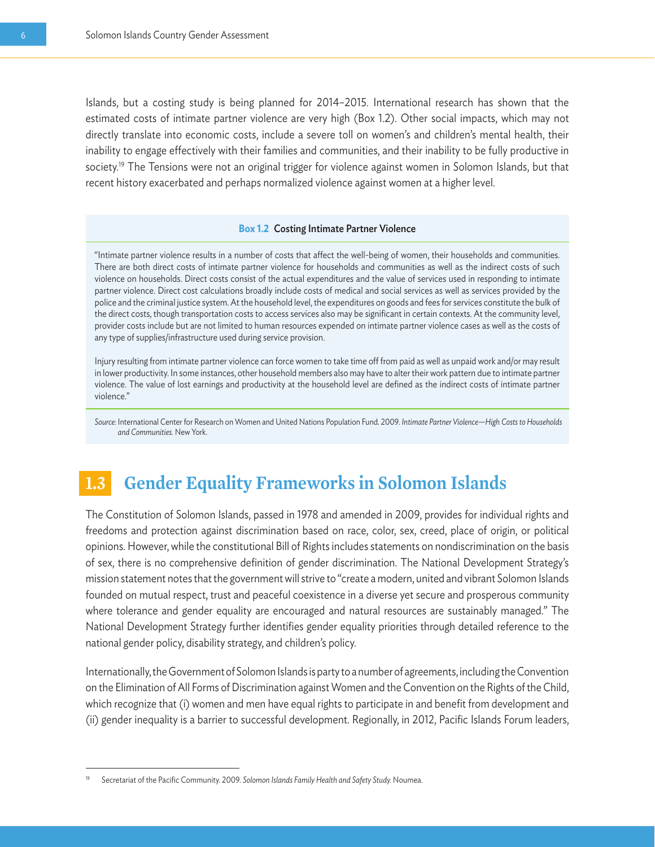Islands, but a costing study is being planned for 2014–2015. International research has shown that the estimated costs of intimate partner violence are very high (Box 1.2). Other social impacts, which may not directly translate into economic costs, include a severe toll on women's and children's mental health, their inability to engage effectively with their families and communities, and their inability to be fully productive in society.<sup>19</sup> The Tensions were not an original trigger for violence against women in Solomon Islands, but that recent history exacerbated and perhaps normalized violence against women at a higher level.

#### **Box 1.2** Costing Intimate Partner Violence

"Intimate partner violence results in a number of costs that affect the well-being of women, their households and communities. There are both direct costs of intimate partner violence for households and communities as well as the indirect costs of such violence on households. Direct costs consist of the actual expenditures and the value of services used in responding to intimate partner violence. Direct cost calculations broadly include costs of medical and social services as well as services provided by the police and the criminal justice system. At the household level, the expenditures on goods and fees for services constitute the bulk of the direct costs, though transportation costs to access services also may be significant in certain contexts. At the community level, provider costs include but are not limited to human resources expended on intimate partner violence cases as well as the costs of any type of supplies/infrastructure used during service provision.

Injury resulting from intimate partner violence can force women to take time off from paid as well as unpaid work and/or may result in lower productivity. In some instances, other household members also may have to alter their work pattern due to intimate partner violence. The value of lost earnings and productivity at the household level are defined as the indirect costs of intimate partner violence."

*Source:* International Center for Research on Women and United Nations Population Fund. 2009. *Intimate Partner Violence—High Costs to Households and Communities.* New York.

### **1.3 Gender Equality Frameworks in Solomon Islands**

The Constitution of Solomon Islands, passed in 1978 and amended in 2009, provides for individual rights and freedoms and protection against discrimination based on race, color, sex, creed, place of origin, or political opinions. However, while the constitutional Bill of Rights includes statements on nondiscrimination on the basis of sex, there is no comprehensive definition of gender discrimination. The National Development Strategy's mission statement notes that the government will strive to "create a modern, united and vibrant Solomon Islands founded on mutual respect, trust and peaceful coexistence in a diverse yet secure and prosperous community where tolerance and gender equality are encouraged and natural resources are sustainably managed." The National Development Strategy further identifies gender equality priorities through detailed reference to the national gender policy, disability strategy, and children's policy.

Internationally, the Government of Solomon Islands is party to a number of agreements, including the Convention on the Elimination of All Forms of Discrimination against Women and the Convention on the Rights of the Child, which recognize that (i) women and men have equal rights to participate in and benefit from development and (ii) gender inequality is a barrier to successful development. Regionally, in 2012, Pacific Islands Forum leaders,

<sup>19</sup> Secretariat of the Pacific Community. 2009. *Solomon Islands Family Health and Safety Study.* Noumea.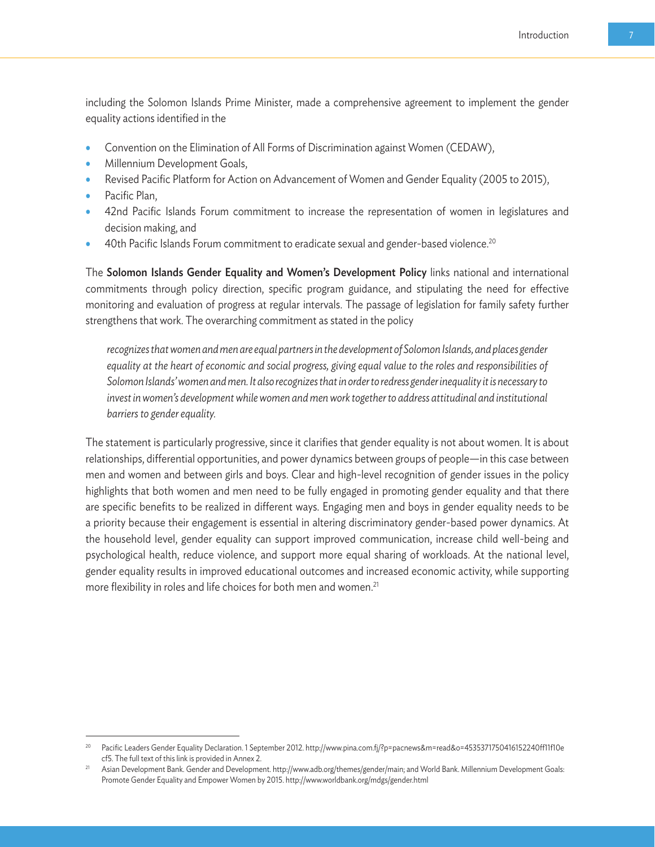including the Solomon Islands Prime Minister, made a comprehensive agreement to implement the gender equality actions identified in the

- Convention on the Elimination of All Forms of Discrimination against Women (CEDAW),
- Millennium Development Goals,
- Revised Pacific Platform for Action on Advancement of Women and Gender Equality (2005 to 2015),
- Pacific Plan,
- 42nd Pacific Islands Forum commitment to increase the representation of women in legislatures and decision making, and
- 40th Pacific Islands Forum commitment to eradicate sexual and gender-based violence.20

The Solomon Islands Gender Equality and Women's Development Policy links national and international commitments through policy direction, specific program guidance, and stipulating the need for effective monitoring and evaluation of progress at regular intervals. The passage of legislation for family safety further strengthens that work. The overarching commitment as stated in the policy

*recognizes that women and men are equal partners in the development of Solomon Islands, and places gender*  equality at the heart of economic and social progress, giving equal value to the roles and responsibilities of *Solomon Islands' women and men. It also recognizes that in order to redress gender inequality it is necessary to*  invest in women's development while women and men work together to address attitudinal and institutional *barriers to gender equality.*

The statement is particularly progressive, since it clarifies that gender equality is not about women. It is about relationships, differential opportunities, and power dynamics between groups of people—in this case between men and women and between girls and boys. Clear and high-level recognition of gender issues in the policy highlights that both women and men need to be fully engaged in promoting gender equality and that there are specific benefits to be realized in different ways. Engaging men and boys in gender equality needs to be a priority because their engagement is essential in altering discriminatory gender-based power dynamics. At the household level, gender equality can support improved communication, increase child well-being and psychological health, reduce violence, and support more equal sharing of workloads. At the national level, gender equality results in improved educational outcomes and increased economic activity, while supporting more flexibility in roles and life choices for both men and women.<sup>21</sup>

<sup>20</sup> Pacific Leaders Gender Equality Declaration. 1 September 2012. http://www.pina.com.fj/?p=pacnews&m=read&o=4535371750416152240ff11f10e cf5. The full text of this link is provided in Annex 2.<br>Asian Development Bank. Gender and Development. http://www.adb.org/themes/gender/main; and World Bank. Millennium Development Goals:

Promote Gender Equality and Empower Women by 2015. http://www.worldbank.org/mdgs/gender.html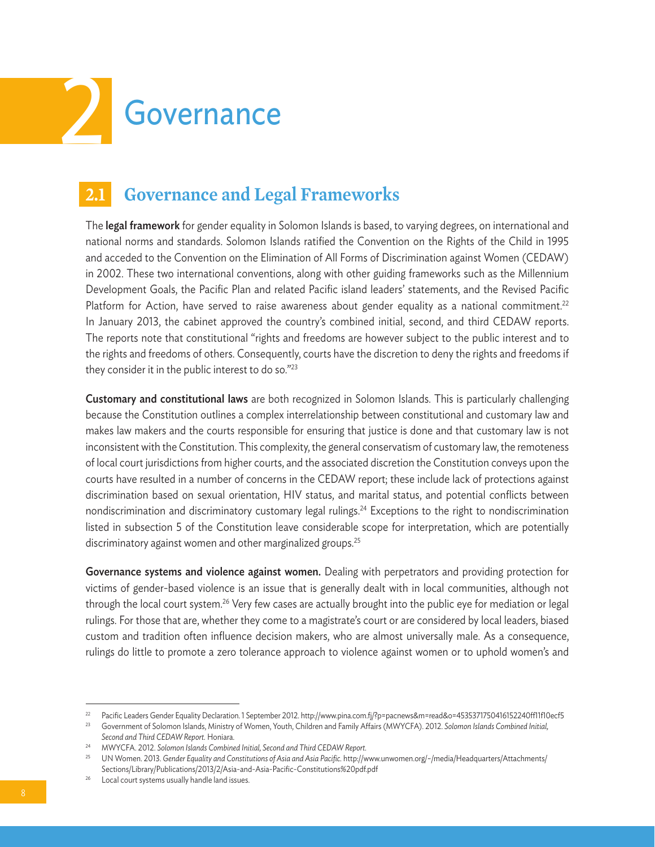

### **2.1 Governance and Legal Frameworks**

The **legal framework** for gender equality in Solomon Islands is based, to varying degrees, on international and national norms and standards. Solomon Islands ratified the Convention on the Rights of the Child in 1995 and acceded to the Convention on the Elimination of All Forms of Discrimination against Women (CEDAW) in 2002. These two international conventions, along with other guiding frameworks such as the Millennium Development Goals, the Pacific Plan and related Pacific island leaders' statements, and the Revised Pacific Platform for Action, have served to raise awareness about gender equality as a national commitment.<sup>22</sup> In January 2013, the cabinet approved the country's combined initial, second, and third CEDAW reports. The reports note that constitutional "rights and freedoms are however subject to the public interest and to the rights and freedoms of others. Consequently, courts have the discretion to deny the rights and freedoms if they consider it in the public interest to do so."23

Customary and constitutional laws are both recognized in Solomon Islands. This is particularly challenging because the Constitution outlines a complex interrelationship between constitutional and customary law and makes law makers and the courts responsible for ensuring that justice is done and that customary law is not inconsistent with the Constitution. This complexity, the general conservatism of customary law, the remoteness of local court jurisdictions from higher courts, and the associated discretion the Constitution conveys upon the courts have resulted in a number of concerns in the CEDAW report; these include lack of protections against discrimination based on sexual orientation, HIV status, and marital status, and potential conflicts between nondiscrimination and discriminatory customary legal rulings.<sup>24</sup> Exceptions to the right to nondiscrimination listed in subsection 5 of the Constitution leave considerable scope for interpretation, which are potentially discriminatory against women and other marginalized groups.<sup>25</sup>

Governance systems and violence against women. Dealing with perpetrators and providing protection for victims of gender-based violence is an issue that is generally dealt with in local communities, although not through the local court system.26 Very few cases are actually brought into the public eye for mediation or legal rulings. For those that are, whether they come to a magistrate's court or are considered by local leaders, biased custom and tradition often influence decision makers, who are almost universally male. As a consequence, rulings do little to promote a zero tolerance approach to violence against women or to uphold women's and

<sup>22</sup> Pacific Leaders Gender Equality Declaration. 1 September 2012. http://www.pina.com.fj/?p=pacnews&m=read&o=4535371750416152240ff11f10ecf5

<sup>23</sup> Government of Solomon Islands, Ministry of Women, Youth, Children and Family Affairs (MWYCFA). 2012. *Solomon Islands Combined Initial, Second and Third CEDAW Report.* Honiara.

<sup>24</sup> MWYCFA. 2012. *Solomon Islands Combined Initial, Second and Third CEDAW Report.*

<sup>25</sup> UN Women. 2013. *Gender Equality and Constitutions of Asia and Asia Pacific.* http://www.unwomen.org/~/media/Headquarters/Attachments/ Sections/Library/Publications/2013/2/Asia-and-Asia-Pacific-Constitutions%20pdf.pdf

<sup>26</sup> Local court systems usually handle land issues.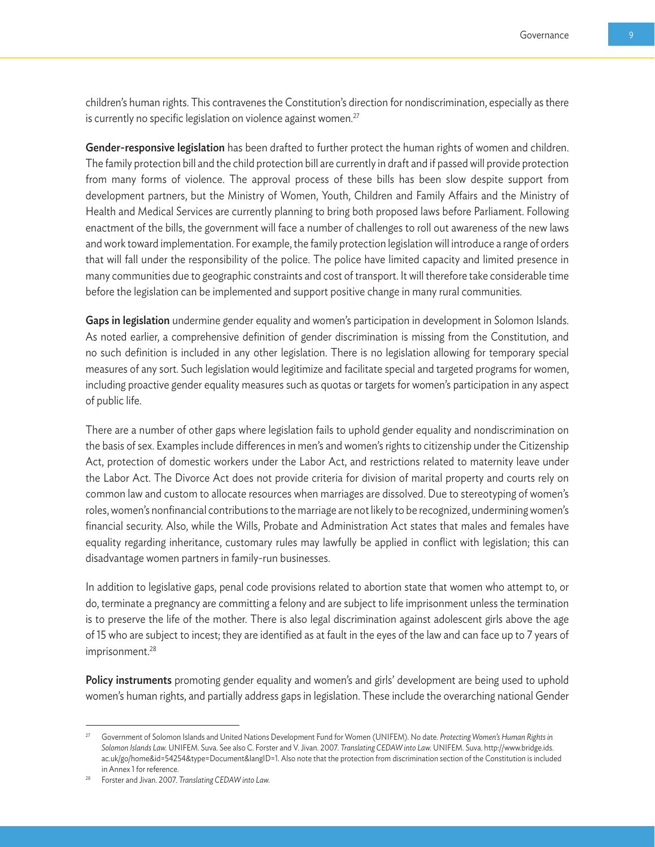children's human rights. This contravenes the Constitution's direction for nondiscrimination, especially as there is currently no specific legislation on violence against women.<sup>27</sup>

Gender-responsive legislation has been drafted to further protect the human rights of women and children. The family protection bill and the child protection bill are currently in draft and if passed will provide protection from many forms of violence. The approval process of these bills has been slow despite support from development partners, but the Ministry of Women, Youth, Children and Family Affairs and the Ministry of Health and Medical Services are currently planning to bring both proposed laws before Parliament. Following enactment of the bills, the government will face a number of challenges to roll out awareness of the new laws and work toward implementation. For example, the family protection legislation will introduce a range of orders that will fall under the responsibility of the police. The police have limited capacity and limited presence in many communities due to geographic constraints and cost of transport. It will therefore take considerable time before the legislation can be implemented and support positive change in many rural communities.

Gaps in legislation undermine gender equality and women's participation in development in Solomon Islands. As noted earlier, a comprehensive definition of gender discrimination is missing from the Constitution, and no such definition is included in any other legislation. There is no legislation allowing for temporary special measures of any sort. Such legislation would legitimize and facilitate special and targeted programs for women, including proactive gender equality measures such as quotas or targets for women's participation in any aspect of public life.

There are a number of other gaps where legislation fails to uphold gender equality and nondiscrimination on the basis of sex. Examples include differences in men's and women's rights to citizenship under the Citizenship Act, protection of domestic workers under the Labor Act, and restrictions related to maternity leave under the Labor Act. The Divorce Act does not provide criteria for division of marital property and courts rely on common law and custom to allocate resources when marriages are dissolved. Due to stereotyping of women's roles, women's nonfinancial contributions to the marriage are not likely to be recognized, undermining women's financial security. Also, while the Wills, Probate and Administration Act states that males and females have equality regarding inheritance, customary rules may lawfully be applied in conflict with legislation; this can disadvantage women partners in family-run businesses.

In addition to legislative gaps, penal code provisions related to abortion state that women who attempt to, or do, terminate a pregnancy are committing a felony and are subject to life imprisonment unless the termination is to preserve the life of the mother. There is also legal discrimination against adolescent girls above the age of 15 who are subject to incest; they are identified as at fault in the eyes of the law and can face up to 7 years of imprisonment.<sup>28</sup>

Policy instruments promoting gender equality and women's and girls' development are being used to uphold women's human rights, and partially address gaps in legislation. These include the overarching national Gender

<sup>27</sup> Government of Solomon Islands and United Nations Development Fund for Women (UNIFEM). No date. *Protecting Women's Human Rights in Solomon Islands Law.* UNIFEM. Suva. See also C. Forster and V. Jivan. 2007. *Translating CEDAW into Law.* UNIFEM. Suva. http://www.bridge.ids. ac.uk/go/home&id=54254&type=Document&langID=1. Also note that the protection from discrimination section of the Constitution is included in Annex 1 for reference.

<sup>28</sup> Forster and Jivan. 2007. *Translating CEDAW into Law.*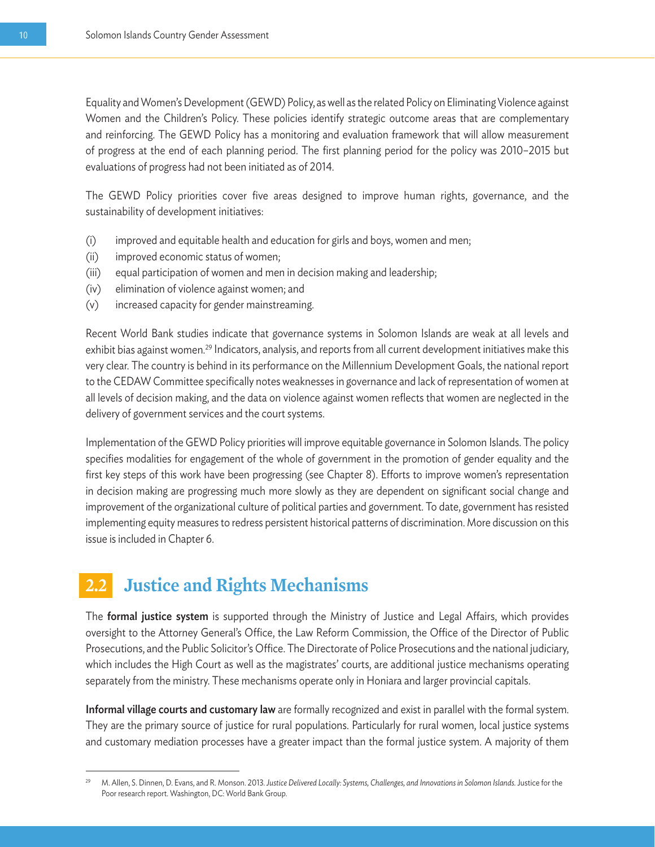Equality and Women's Development (GEWD) Policy, as well as the related Policy on Eliminating Violence against Women and the Children's Policy. These policies identify strategic outcome areas that are complementary and reinforcing. The GEWD Policy has a monitoring and evaluation framework that will allow measurement of progress at the end of each planning period. The first planning period for the policy was 2010–2015 but evaluations of progress had not been initiated as of 2014.

The GEWD Policy priorities cover five areas designed to improve human rights, governance, and the sustainability of development initiatives:

- (i) improved and equitable health and education for girls and boys, women and men;
- (ii) improved economic status of women;
- (iii) equal participation of women and men in decision making and leadership;
- (iv) elimination of violence against women; and
- (v) increased capacity for gender mainstreaming.

Recent World Bank studies indicate that governance systems in Solomon Islands are weak at all levels and exhibit bias against women.<sup>29</sup> Indicators, analysis, and reports from all current development initiatives make this very clear. The country is behind in its performance on the Millennium Development Goals, the national report to the CEDAW Committee specifically notes weaknesses in governance and lack of representation of women at all levels of decision making, and the data on violence against women reflects that women are neglected in the delivery of government services and the court systems.

Implementation of the GEWD Policy priorities will improve equitable governance in Solomon Islands. The policy specifies modalities for engagement of the whole of government in the promotion of gender equality and the first key steps of this work have been progressing (see Chapter 8). Efforts to improve women's representation in decision making are progressing much more slowly as they are dependent on significant social change and improvement of the organizational culture of political parties and government. To date, government has resisted implementing equity measures to redress persistent historical patterns of discrimination. More discussion on this issue is included in Chapter 6.

# **2.2 Justice and Rights Mechanisms**

The formal justice system is supported through the Ministry of Justice and Legal Affairs, which provides oversight to the Attorney General's Office, the Law Reform Commission, the Office of the Director of Public Prosecutions, and the Public Solicitor's Office. The Directorate of Police Prosecutions and the national judiciary, which includes the High Court as well as the magistrates' courts, are additional justice mechanisms operating separately from the ministry. These mechanisms operate only in Honiara and larger provincial capitals.

Informal village courts and customary law are formally recognized and exist in parallel with the formal system. They are the primary source of justice for rural populations. Particularly for rural women, local justice systems and customary mediation processes have a greater impact than the formal justice system. A majority of them

<sup>29</sup> M. Allen, S. Dinnen, D. Evans, and R. Monson. 2013. *Justice Delivered Locally: Systems, Challenges, and Innovations in Solomon Islands.* Justice for the Poor research report. Washington, DC: World Bank Group.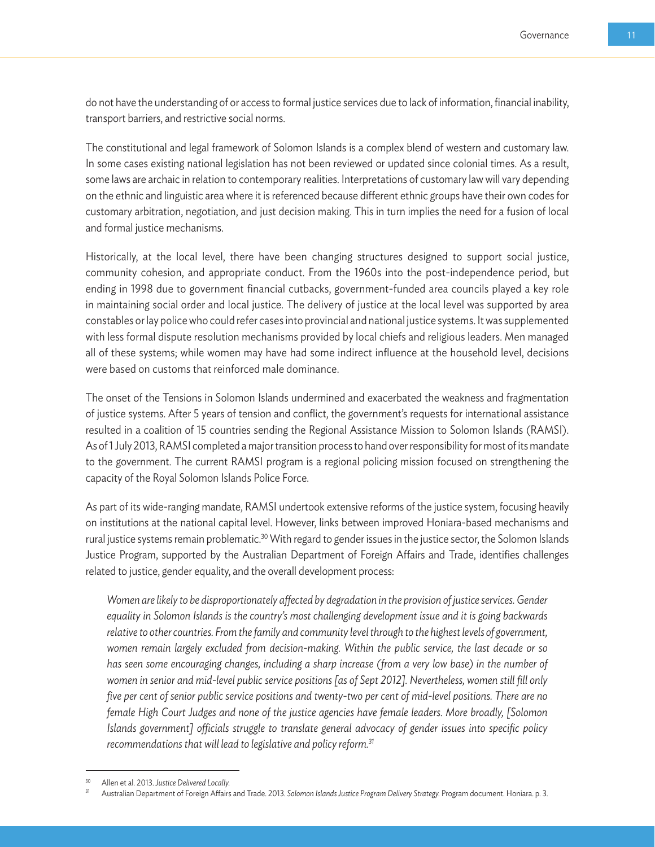do not have the understanding of or access to formal justice services due to lack of information, financial inability, transport barriers, and restrictive social norms.

The constitutional and legal framework of Solomon Islands is a complex blend of western and customary law. In some cases existing national legislation has not been reviewed or updated since colonial times. As a result, some laws are archaic in relation to contemporary realities. Interpretations of customary law will vary depending on the ethnic and linguistic area where it is referenced because different ethnic groups have their own codes for customary arbitration, negotiation, and just decision making. This in turn implies the need for a fusion of local and formal justice mechanisms.

Historically, at the local level, there have been changing structures designed to support social justice, community cohesion, and appropriate conduct. From the 1960s into the post-independence period, but ending in 1998 due to government financial cutbacks, government-funded area councils played a key role in maintaining social order and local justice. The delivery of justice at the local level was supported by area constables or lay police who could refer cases into provincial and national justice systems. It was supplemented with less formal dispute resolution mechanisms provided by local chiefs and religious leaders. Men managed all of these systems; while women may have had some indirect influence at the household level, decisions were based on customs that reinforced male dominance.

The onset of the Tensions in Solomon Islands undermined and exacerbated the weakness and fragmentation of justice systems. After 5 years of tension and conflict, the government's requests for international assistance resulted in a coalition of 15 countries sending the Regional Assistance Mission to Solomon Islands (RAMSI). As of 1 July 2013, RAMSI completed a major transition process to hand over responsibility for most of its mandate to the government. The current RAMSI program is a regional policing mission focused on strengthening the capacity of the Royal Solomon Islands Police Force.

As part of its wide-ranging mandate, RAMSI undertook extensive reforms of the justice system, focusing heavily on institutions at the national capital level. However, links between improved Honiara-based mechanisms and rural justice systems remain problematic.<sup>30</sup> With regard to gender issues in the justice sector, the Solomon Islands Justice Program, supported by the Australian Department of Foreign Affairs and Trade, identifies challenges related to justice, gender equality, and the overall development process:

*Women are likely to be disproportionately affected by degradation in the provision of justice services. Gender equality in Solomon Islands is the country's most challenging development issue and it is going backwards relative to other countries. From the family and community level through to the highest levels of government, women remain largely excluded from decision-making. Within the public service, the last decade or so has seen some encouraging changes, including a sharp increase (from a very low base) in the number of women in senior and mid-level public service positions [as of Sept 2012]. Nevertheless, women still fill only five per cent of senior public service positions and twenty-two per cent of mid-level positions. There are no female High Court Judges and none of the justice agencies have female leaders. More broadly, [Solomon Islands government] officials struggle to translate general advocacy of gender issues into specific policy recommendations that will lead to legislative and policy reform.31*

<sup>30</sup> Allen et al. 2013. *Justice Delivered Locally.*

<sup>31</sup> Australian Department of Foreign Affairs and Trade. 2013. *Solomon Islands Justice Program Delivery Strategy.* Program document. Honiara. p. 3.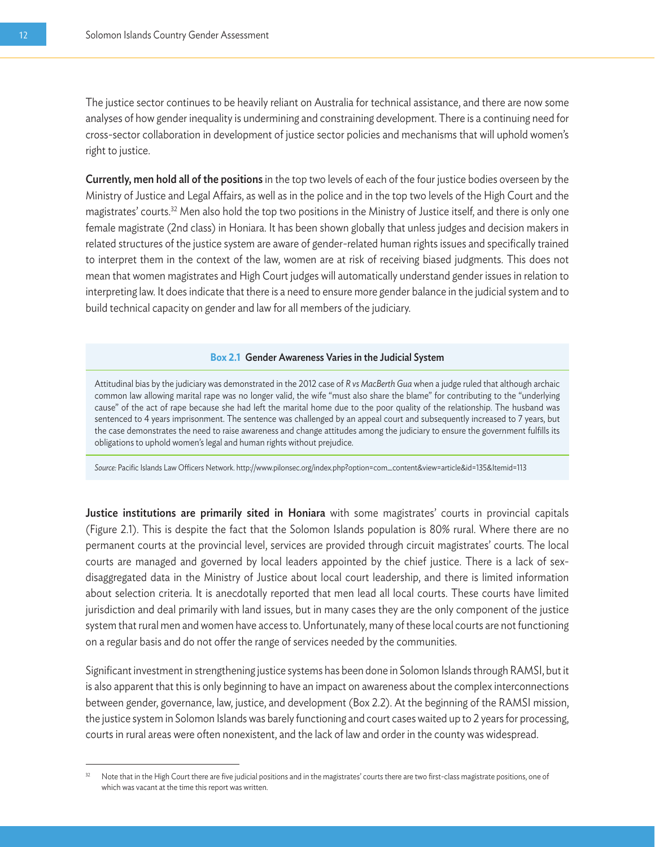The justice sector continues to be heavily reliant on Australia for technical assistance, and there are now some analyses of how gender inequality is undermining and constraining development. There is a continuing need for cross-sector collaboration in development of justice sector policies and mechanisms that will uphold women's right to justice.

Currently, men hold all of the positions in the top two levels of each of the four justice bodies overseen by the Ministry of Justice and Legal Affairs, as well as in the police and in the top two levels of the High Court and the magistrates' courts.32 Men also hold the top two positions in the Ministry of Justice itself, and there is only one female magistrate (2nd class) in Honiara. It has been shown globally that unless judges and decision makers in related structures of the justice system are aware of gender-related human rights issues and specifically trained to interpret them in the context of the law, women are at risk of receiving biased judgments. This does not mean that women magistrates and High Court judges will automatically understand gender issues in relation to interpreting law. It does indicate that there is a need to ensure more gender balance in the judicial system and to build technical capacity on gender and law for all members of the judiciary.

#### **Box 2.1** Gender Awareness Varies in the Judicial System

Attitudinal bias by the judiciary was demonstrated in the 2012 case of *R vs MacBerth Gua* when a judge ruled that although archaic common law allowing marital rape was no longer valid, the wife "must also share the blame" for contributing to the "underlying cause" of the act of rape because she had left the marital home due to the poor quality of the relationship. The husband was sentenced to 4 years imprisonment. The sentence was challenged by an appeal court and subsequently increased to 7 years, but the case demonstrates the need to raise awareness and change attitudes among the judiciary to ensure the government fulfills its obligations to uphold women's legal and human rights without prejudice.

*Source:* Pacific Islands Law Officers Network. http://www.pilonsec.org/index.php?option=com\_content&view=article&id=135&Itemid=113

Justice institutions are primarily sited in Honiara with some magistrates' courts in provincial capitals (Figure 2.1). This is despite the fact that the Solomon Islands population is 80% rural. Where there are no permanent courts at the provincial level, services are provided through circuit magistrates' courts. The local courts are managed and governed by local leaders appointed by the chief justice. There is a lack of sexdisaggregated data in the Ministry of Justice about local court leadership, and there is limited information about selection criteria. It is anecdotally reported that men lead all local courts. These courts have limited jurisdiction and deal primarily with land issues, but in many cases they are the only component of the justice system that rural men and women have access to. Unfortunately, many of these local courts are not functioning on a regular basis and do not offer the range of services needed by the communities.

Significant investment in strengthening justice systems has been done in Solomon Islands through RAMSI, but it is also apparent that this is only beginning to have an impact on awareness about the complex interconnections between gender, governance, law, justice, and development (Box 2.2). At the beginning of the RAMSI mission, the justice system in Solomon Islands was barely functioning and court cases waited up to 2 years for processing, courts in rural areas were often nonexistent, and the lack of law and order in the county was widespread.

Note that in the High Court there are five judicial positions and in the magistrates' courts there are two first-class magistrate positions, one of which was vacant at the time this report was written.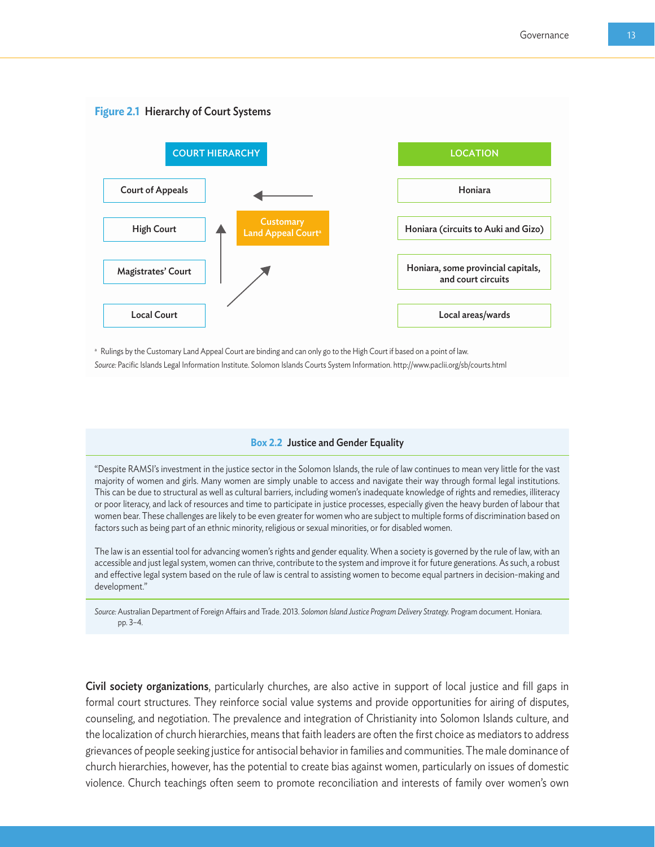

a Rulings by the Customary Land Appeal Court are binding and can only go to the High Court if based on a point of law.

*Source:* Pacific Islands Legal Information Institute. Solomon Islands Courts System Information. http://www.paclii.org/sb/courts.html

#### **Box 2.2** Justice and Gender Equality

"Despite RAMSI's investment in the justice sector in the Solomon Islands, the rule of law continues to mean very little for the vast majority of women and girls. Many women are simply unable to access and navigate their way through formal legal institutions. This can be due to structural as well as cultural barriers, including women's inadequate knowledge of rights and remedies, illiteracy or poor literacy, and lack of resources and time to participate in justice processes, especially given the heavy burden of labour that women bear. These challenges are likely to be even greater for women who are subject to multiple forms of discrimination based on factors such as being part of an ethnic minority, religious or sexual minorities, or for disabled women.

The law is an essential tool for advancing women's rights and gender equality. When a society is governed by the rule of law, with an accessible and just legal system, women can thrive, contribute to the system and improve it for future generations. As such, a robust and effective legal system based on the rule of law is central to assisting women to become equal partners in decision-making and development."

*Source:* Australian Department of Foreign Affairs and Trade. 2013. *Solomon Island Justice Program Delivery Strategy.* Program document. Honiara. pp. 3–4.

Civil society organizations, particularly churches, are also active in support of local justice and fill gaps in formal court structures. They reinforce social value systems and provide opportunities for airing of disputes, counseling, and negotiation. The prevalence and integration of Christianity into Solomon Islands culture, and the localization of church hierarchies, means that faith leaders are often the first choice as mediators to address grievances of people seeking justice for antisocial behavior in families and communities. The male dominance of church hierarchies, however, has the potential to create bias against women, particularly on issues of domestic violence. Church teachings often seem to promote reconciliation and interests of family over women's own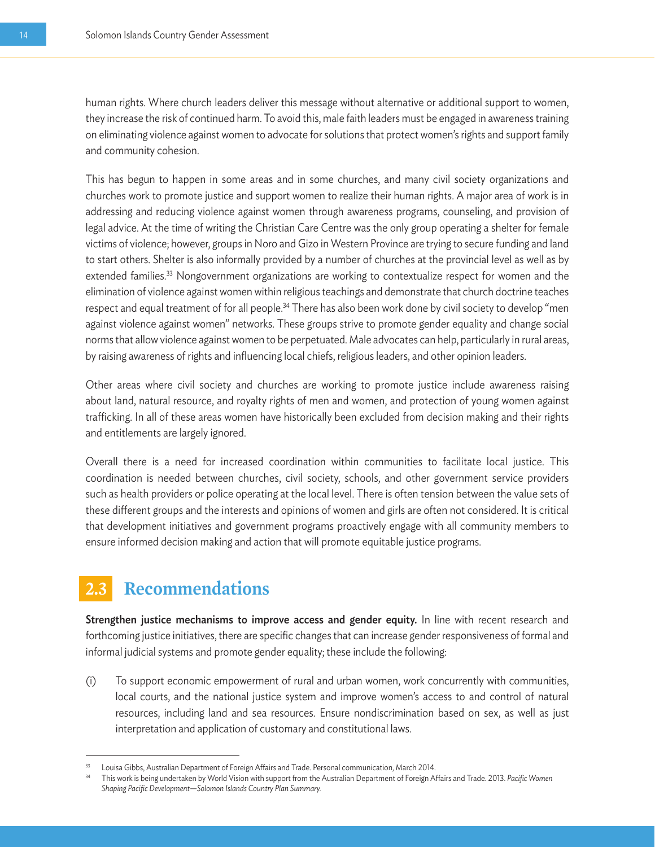human rights. Where church leaders deliver this message without alternative or additional support to women, they increase the risk of continued harm. To avoid this, male faith leaders must be engaged in awareness training on eliminating violence against women to advocate for solutions that protect women's rights and support family and community cohesion.

This has begun to happen in some areas and in some churches, and many civil society organizations and churches work to promote justice and support women to realize their human rights. A major area of work is in addressing and reducing violence against women through awareness programs, counseling, and provision of legal advice. At the time of writing the Christian Care Centre was the only group operating a shelter for female victims of violence; however, groups in Noro and Gizo in Western Province are trying to secure funding and land to start others. Shelter is also informally provided by a number of churches at the provincial level as well as by extended families.<sup>33</sup> Nongovernment organizations are working to contextualize respect for women and the elimination of violence against women within religious teachings and demonstrate that church doctrine teaches respect and equal treatment of for all people.<sup>34</sup> There has also been work done by civil society to develop "men against violence against women" networks. These groups strive to promote gender equality and change social norms that allow violence against women to be perpetuated. Male advocates can help, particularly in rural areas, by raising awareness of rights and influencing local chiefs, religious leaders, and other opinion leaders.

Other areas where civil society and churches are working to promote justice include awareness raising about land, natural resource, and royalty rights of men and women, and protection of young women against trafficking. In all of these areas women have historically been excluded from decision making and their rights and entitlements are largely ignored.

Overall there is a need for increased coordination within communities to facilitate local justice. This coordination is needed between churches, civil society, schools, and other government service providers such as health providers or police operating at the local level. There is often tension between the value sets of these different groups and the interests and opinions of women and girls are often not considered. It is critical that development initiatives and government programs proactively engage with all community members to ensure informed decision making and action that will promote equitable justice programs.

### **2.3 Recommendations**

Strengthen justice mechanisms to improve access and gender equity. In line with recent research and forthcoming justice initiatives, there are specific changes that can increase gender responsiveness of formal and informal judicial systems and promote gender equality; these include the following:

(i) To support economic empowerment of rural and urban women, work concurrently with communities, local courts, and the national justice system and improve women's access to and control of natural resources, including land and sea resources. Ensure nondiscrimination based on sex, as well as just interpretation and application of customary and constitutional laws.

<sup>33</sup> Louisa Gibbs, Australian Department of Foreign Affairs and Trade. Personal communication, March 2014.

<sup>34</sup> This work is being undertaken by World Vision with support from the Australian Department of Foreign Affairs and Trade. 2013. *Pacific Women Shaping Pacific Development—Solomon Islands Country Plan Summary.*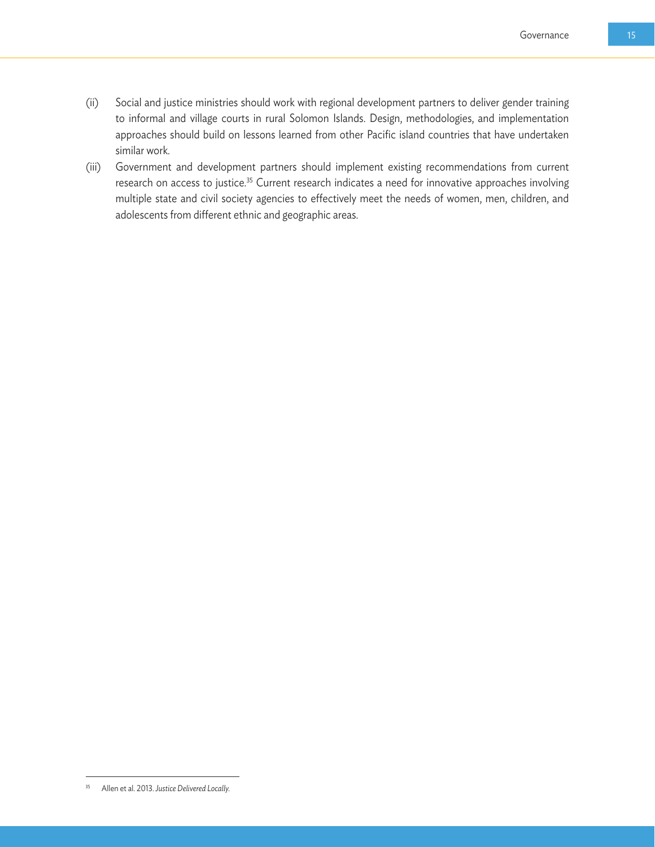- (ii) Social and justice ministries should work with regional development partners to deliver gender training to informal and village courts in rural Solomon Islands. Design, methodologies, and implementation approaches should build on lessons learned from other Pacific island countries that have undertaken similar work.
- (iii) Government and development partners should implement existing recommendations from current research on access to justice.<sup>35</sup> Current research indicates a need for innovative approaches involving multiple state and civil society agencies to effectively meet the needs of women, men, children, and adolescents from different ethnic and geographic areas.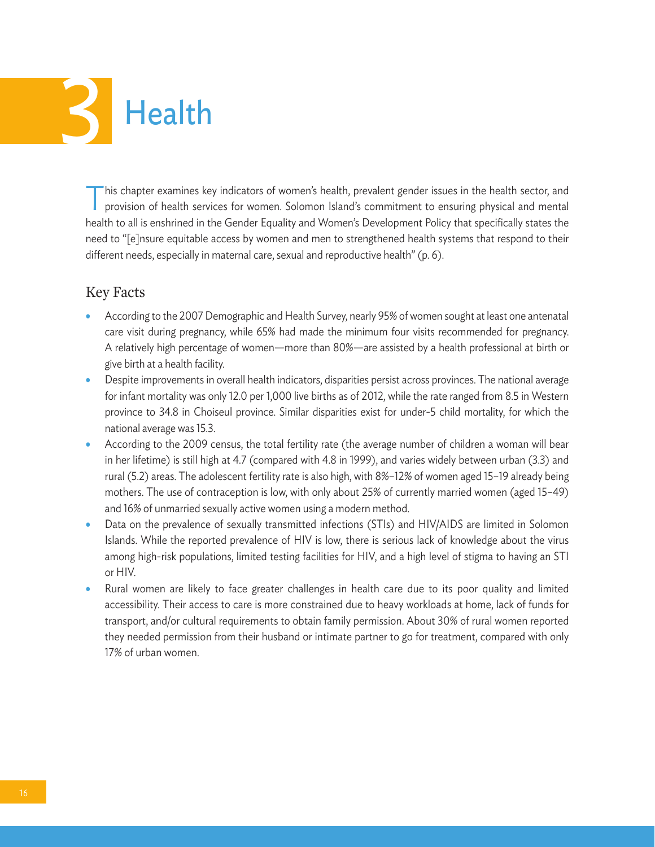# **Health**

This chapter examines key indicators of women's health, prevalent gender issues in the health sector, and provision of health services for women. Solomon Island's commitment to ensuring physical and mental health to all is enshrined in the Gender Equality and Women's Development Policy that specifically states the need to "[e]nsure equitable access by women and men to strengthened health systems that respond to their different needs, especially in maternal care, sexual and reproductive health" (p. 6).

#### Key Facts

- According to the 2007 Demographic and Health Survey, nearly 95% of women sought at least one antenatal care visit during pregnancy, while 65% had made the minimum four visits recommended for pregnancy. A relatively high percentage of women—more than 80%—are assisted by a health professional at birth or give birth at a health facility.
- Despite improvements in overall health indicators, disparities persist across provinces. The national average for infant mortality was only 12.0 per 1,000 live births as of 2012, while the rate ranged from 8.5 in Western province to 34.8 in Choiseul province. Similar disparities exist for under-5 child mortality, for which the national average was 15.3.
- According to the 2009 census, the total fertility rate (the average number of children a woman will bear in her lifetime) is still high at 4.7 (compared with 4.8 in 1999), and varies widely between urban (3.3) and rural (5.2) areas. The adolescent fertility rate is also high, with 8%–12% of women aged 15–19 already being mothers. The use of contraception is low, with only about 25% of currently married women (aged 15–49) and 16% of unmarried sexually active women using a modern method.
- Data on the prevalence of sexually transmitted infections (STIs) and HIV/AIDS are limited in Solomon Islands. While the reported prevalence of HIV is low, there is serious lack of knowledge about the virus among high-risk populations, limited testing facilities for HIV, and a high level of stigma to having an STI or HIV.
- Rural women are likely to face greater challenges in health care due to its poor quality and limited accessibility. Their access to care is more constrained due to heavy workloads at home, lack of funds for transport, and/or cultural requirements to obtain family permission. About 30% of rural women reported they needed permission from their husband or intimate partner to go for treatment, compared with only 17% of urban women.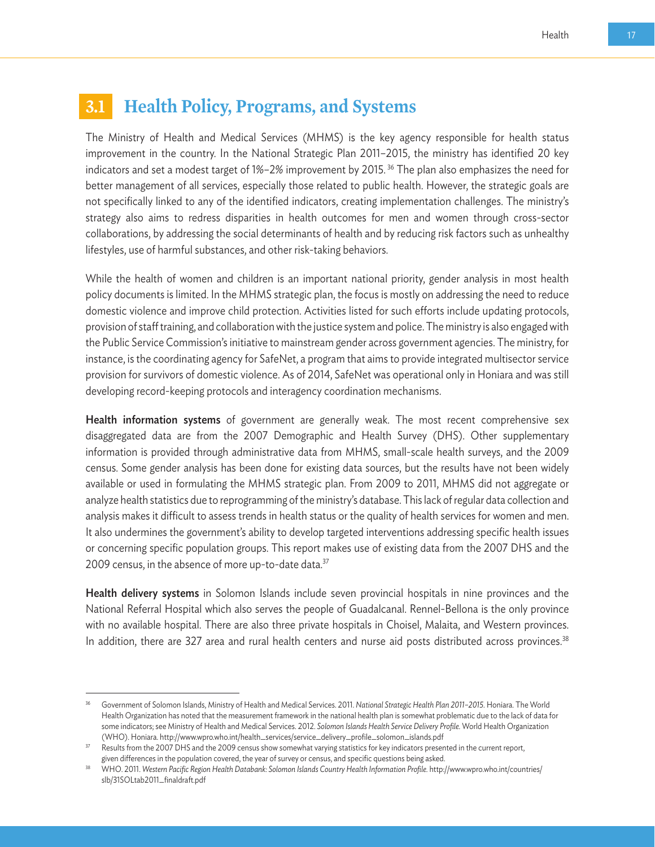# **3.1 Health Policy, Programs, and Systems**

The Ministry of Health and Medical Services (MHMS) is the key agency responsible for health status improvement in the country. In the National Strategic Plan 2011–2015, the ministry has identified 20 key indicators and set a modest target of 1%–2% improvement by 2015. 36 The plan also emphasizes the need for better management of all services, especially those related to public health. However, the strategic goals are not specifically linked to any of the identified indicators, creating implementation challenges. The ministry's strategy also aims to redress disparities in health outcomes for men and women through cross-sector collaborations, by addressing the social determinants of health and by reducing risk factors such as unhealthy lifestyles, use of harmful substances, and other risk-taking behaviors.

While the health of women and children is an important national priority, gender analysis in most health policy documents is limited. In the MHMS strategic plan, the focus is mostly on addressing the need to reduce domestic violence and improve child protection. Activities listed for such efforts include updating protocols, provision of staff training, and collaboration with the justice system and police. The ministry is also engaged with the Public Service Commission's initiative to mainstream gender across government agencies. The ministry, for instance, is the coordinating agency for SafeNet, a program that aims to provide integrated multisector service provision for survivors of domestic violence. As of 2014, SafeNet was operational only in Honiara and was still developing record-keeping protocols and interagency coordination mechanisms.

**Health information systems** of government are generally weak. The most recent comprehensive sex disaggregated data are from the 2007 Demographic and Health Survey (DHS). Other supplementary information is provided through administrative data from MHMS, small-scale health surveys, and the 2009 census. Some gender analysis has been done for existing data sources, but the results have not been widely available or used in formulating the MHMS strategic plan. From 2009 to 2011, MHMS did not aggregate or analyze health statistics due to reprogramming of the ministry's database. This lack of regular data collection and analysis makes it difficult to assess trends in health status or the quality of health services for women and men. It also undermines the government's ability to develop targeted interventions addressing specific health issues or concerning specific population groups. This report makes use of existing data from the 2007 DHS and the 2009 census, in the absence of more up-to-date data.<sup>37</sup>

Health delivery systems in Solomon Islands include seven provincial hospitals in nine provinces and the National Referral Hospital which also serves the people of Guadalcanal. Rennel-Bellona is the only province with no available hospital. There are also three private hospitals in Choisel, Malaita, and Western provinces. In addition, there are 327 area and rural health centers and nurse aid posts distributed across provinces.<sup>38</sup>

<sup>36</sup> Government of Solomon Islands, Ministry of Health and Medical Services. 2011. *National Strategic Health Plan 2011–2015.* Honiara. The World Health Organization has noted that the measurement framework in the national health plan is somewhat problematic due to the lack of data for some indicators; see Ministry of Health and Medical Services. 2012. *Solomon Islands Health Service Delivery Profile.* World Health Organization (WHO). Honiara. http://www.wpro.who.int/health\_services/service\_delivery\_profile\_solomon\_islands.pdf

<sup>&</sup>lt;sup>37</sup> Results from the 2007 DHS and the 2009 census show somewhat varying statistics for key indicators presented in the current report, given differences in the population covered, the year of survey or census, and specific questions being asked.

<sup>38</sup> WHO. 2011. *Western Pacific Region Health Databank: Solomon Islands Country Health Information Profile.* http://www.wpro.who.int/countries/ slb/31SOLtab2011\_finaldraft.pdf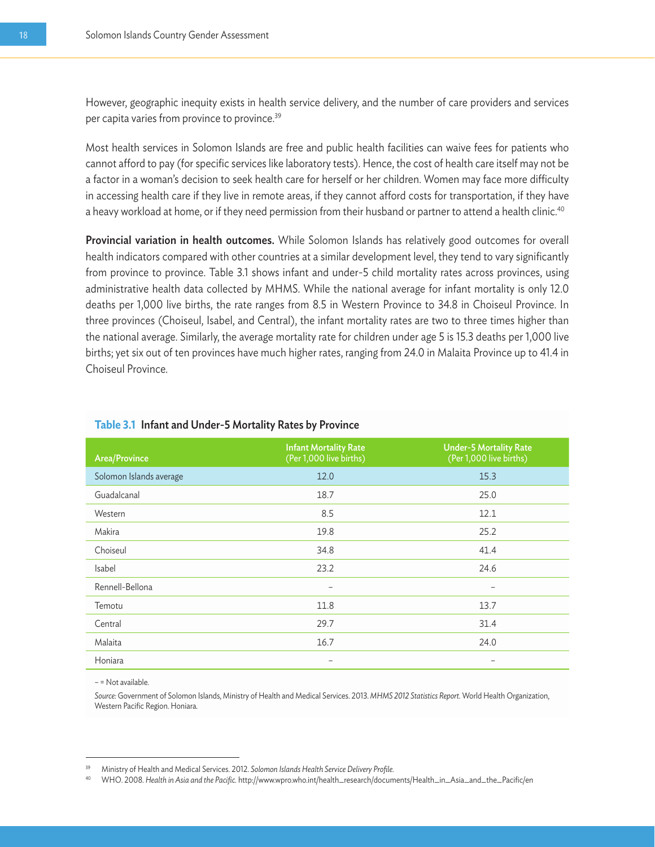However, geographic inequity exists in health service delivery, and the number of care providers and services per capita varies from province to province.39

Most health services in Solomon Islands are free and public health facilities can waive fees for patients who cannot afford to pay (for specific services like laboratory tests). Hence, the cost of health care itself may not be a factor in a woman's decision to seek health care for herself or her children. Women may face more difficulty in accessing health care if they live in remote areas, if they cannot afford costs for transportation, if they have a heavy workload at home, or if they need permission from their husband or partner to attend a health clinic.<sup>40</sup>

Provincial variation in health outcomes. While Solomon Islands has relatively good outcomes for overall health indicators compared with other countries at a similar development level, they tend to vary significantly from province to province. Table 3.1 shows infant and under-5 child mortality rates across provinces, using administrative health data collected by MHMS. While the national average for infant mortality is only 12.0 deaths per 1,000 live births, the rate ranges from 8.5 in Western Province to 34.8 in Choiseul Province. In three provinces (Choiseul, Isabel, and Central), the infant mortality rates are two to three times higher than the national average. Similarly, the average mortality rate for children under age 5 is 15.3 deaths per 1,000 live births; yet six out of ten provinces have much higher rates, ranging from 24.0 in Malaita Province up to 41.4 in Choiseul Province.

| <b>Area/Province</b>    | <b>Infant Mortality Rate</b><br>(Per 1,000 live births) | <b>Under-5 Mortality Rate</b><br>(Per 1,000 live births) |
|-------------------------|---------------------------------------------------------|----------------------------------------------------------|
| Solomon Islands average | 12.0                                                    | 15.3                                                     |
| Guadalcanal             | 18.7                                                    | 25.0                                                     |
| Western                 | 8.5                                                     | 12.1                                                     |
| Makira                  | 19.8                                                    | 25.2                                                     |
| Choiseul                | 34.8                                                    | 41.4                                                     |
| Isabel                  | 23.2                                                    | 24.6                                                     |
| Rennell-Bellona         | $\overline{\phantom{0}}$                                | $\overline{\phantom{0}}$                                 |
| Temotu                  | 11.8                                                    | 13.7                                                     |
| Central                 | 29.7                                                    | 31.4                                                     |
| Malaita                 | 16.7                                                    | 24.0                                                     |
| Honiara                 |                                                         |                                                          |

#### **Table 3.1** Infant and Under-5 Mortality Rates by Province

– = Not available.

*Source:* Government of Solomon Islands, Ministry of Health and Medical Services. 2013. *MHMS 2012 Statistics Report.* World Health Organization, Western Pacific Region. Honiara.

<sup>39</sup> Ministry of Health and Medical Services. 2012. *Solomon Islands Health Service Delivery Profile.* 

<sup>40</sup> WHO. 2008. *Health in Asia and the Pacific.* http://www.wpro.who.int/health\_research/documents/Health\_in\_Asia\_and\_the\_Pacific/en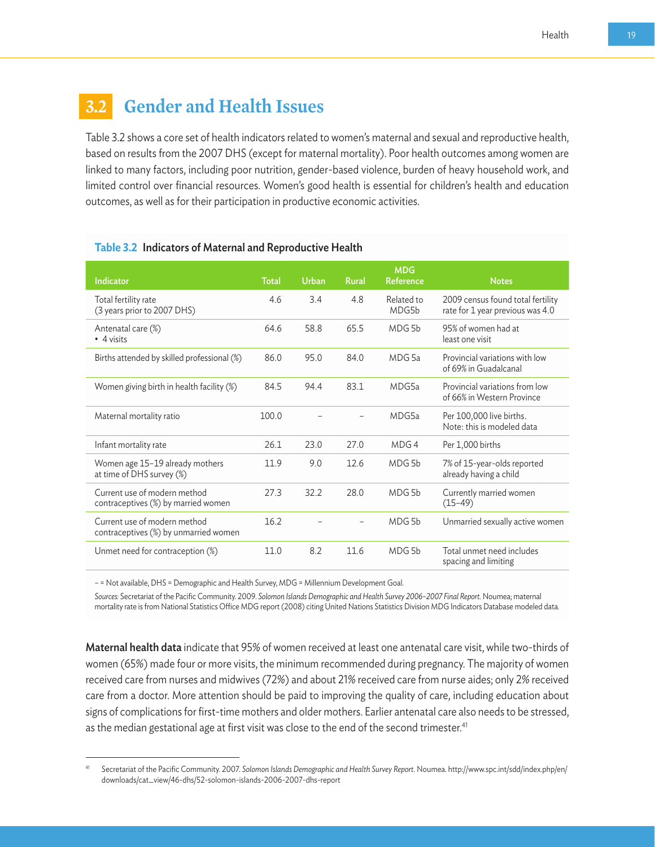## **3.2 Gender and Health Issues**

Table 3.2 shows a core set of health indicators related to women's maternal and sexual and reproductive health, based on results from the 2007 DHS (except for maternal mortality). Poor health outcomes among women are linked to many factors, including poor nutrition, gender-based violence, burden of heavy household work, and limited control over financial resources. Women's good health is essential for children's health and education outcomes, as well as for their participation in productive economic activities.

| <b>Indicator</b>                                                      | <b>Total</b> | <b>Urban</b> | <b>Rural</b> | <b>MDG</b><br>Reference | <b>Notes</b>                                                          |
|-----------------------------------------------------------------------|--------------|--------------|--------------|-------------------------|-----------------------------------------------------------------------|
| Total fertility rate<br>(3 years prior to 2007 DHS)                   | 4.6          | 3.4          | 4.8          | Related to<br>MDG5b     | 2009 census found total fertility<br>rate for 1 year previous was 4.0 |
| Antenatal care (%)<br>• 4 visits                                      | 64.6         | 58.8         | 65.5         | MDG <sub>5</sub> b      | 95% of women had at<br>least one visit                                |
| Births attended by skilled professional (%)                           | 86.0         | 95.0         | 84.0         | MDG <sub>5a</sub>       | Provincial variations with low<br>of 69% in Guadalcanal               |
| Women giving birth in health facility (%)                             | 84.5         | 94.4         | 83.1         | MDG5a                   | Provincial variations from low<br>of 66% in Western Province          |
| Maternal mortality ratio                                              | 100.0        |              |              | MDG5a                   | Per 100,000 live births.<br>Note: this is modeled data                |
| Infant mortality rate                                                 | 26.1         | 23.0         | 27.0         | MDG 4                   | Per 1,000 births                                                      |
| Women age 15-19 already mothers<br>at time of DHS survey (%)          | 11.9         | 9.0          | 12.6         | MDG <sub>5</sub> b      | 7% of 15-year-olds reported<br>already having a child                 |
| Current use of modern method<br>contraceptives (%) by married women   | 27.3         | 32.2         | 28.0         | MDG 5b                  | Currently married women<br>$(15-49)$                                  |
| Current use of modern method<br>contraceptives (%) by unmarried women | 16.2         |              |              | MDG <sub>5b</sub>       | Unmarried sexually active women                                       |
| Unmet need for contraception (%)                                      | 11.0         | 8.2          | 11.6         | MDG <sub>5</sub> h      | Total unmet need includes<br>spacing and limiting                     |

#### **Table 3.2** Indicators of Maternal and Reproductive Health

– = Not available, DHS = Demographic and Health Survey, MDG = Millennium Development Goal.

*Sources:* Secretariat of the Pacific Community. 2009. *Solomon Islands Demographic and Health Survey 2006–2007 Final Report.* Noumea; maternal mortality rate is from National Statistics Office MDG report (2008) citing United Nations Statistics Division MDG Indicators Database modeled data.

Maternal health data indicate that 95% of women received at least one antenatal care visit, while two-thirds of women (65%) made four or more visits, the minimum recommended during pregnancy. The majority of women received care from nurses and midwives (72%) and about 21% received care from nurse aides; only 2% received care from a doctor. More attention should be paid to improving the quality of care, including education about signs of complications for first-time mothers and older mothers. Earlier antenatal care also needs to be stressed, as the median gestational age at first visit was close to the end of the second trimester.<sup>41</sup>

<sup>41</sup> Secretariat of the Pacific Community. 2007. *Solomon Islands Demographic and Health Survey Report.* Noumea. http://www.spc.int/sdd/index.php/en/ downloads/cat\_view/46-dhs/52-solomon-islands-2006-2007-dhs-report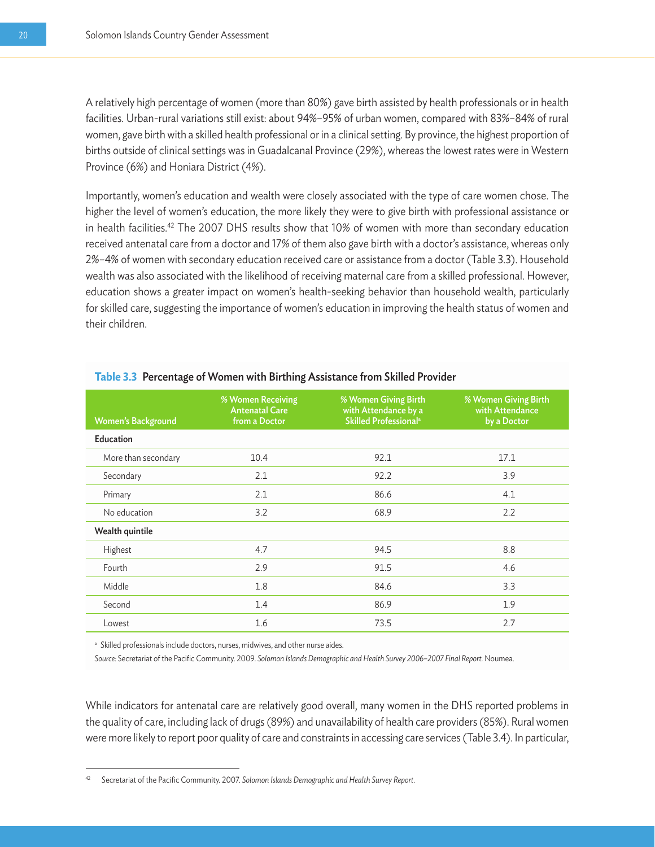A relatively high percentage of women (more than 80%) gave birth assisted by health professionals or in health facilities. Urban-rural variations still exist: about 94%–95% of urban women, compared with 83%–84% of rural women, gave birth with a skilled health professional or in a clinical setting. By province, the highest proportion of births outside of clinical settings was in Guadalcanal Province (29%), whereas the lowest rates were in Western Province (6%) and Honiara District (4%).

Importantly, women's education and wealth were closely associated with the type of care women chose. The higher the level of women's education, the more likely they were to give birth with professional assistance or in health facilities.<sup>42</sup> The 2007 DHS results show that 10% of women with more than secondary education received antenatal care from a doctor and 17% of them also gave birth with a doctor's assistance, whereas only 2%–4% of women with secondary education received care or assistance from a doctor (Table 3.3). Household wealth was also associated with the likelihood of receiving maternal care from a skilled professional. However, education shows a greater impact on women's health-seeking behavior than household wealth, particularly for skilled care, suggesting the importance of women's education in improving the health status of women and their children.

| <b>Women's Background</b> | % Women Receiving<br><b>Antenatal Care</b><br>from a Doctor | % Women Giving Birth<br>with Attendance by a<br>Skilled Professional <sup>a</sup> | % Women Giving Birth<br>with Attendance<br>by a Doctor |
|---------------------------|-------------------------------------------------------------|-----------------------------------------------------------------------------------|--------------------------------------------------------|
| Education                 |                                                             |                                                                                   |                                                        |
| More than secondary       | 10.4                                                        | 92.1                                                                              | 17.1                                                   |
| Secondary                 | 2.1                                                         | 92.2                                                                              | 3.9                                                    |
| Primary                   | 2.1                                                         | 86.6                                                                              | 4.1                                                    |
| No education              | 3.2                                                         | 68.9                                                                              | 2.2                                                    |
| Wealth quintile           |                                                             |                                                                                   |                                                        |
| Highest                   | 4.7                                                         | 94.5                                                                              | 8.8                                                    |
| Fourth                    | 2.9                                                         | 91.5                                                                              | 4.6                                                    |
| Middle                    | 1.8                                                         | 84.6                                                                              | 3.3                                                    |
| Second                    | 1.4                                                         | 86.9                                                                              | 1.9                                                    |
| Lowest                    | 1.6                                                         | 73.5                                                                              | 2.7                                                    |

#### **Table 3.3** Percentage of Women with Birthing Assistance from Skilled Provider

<sup>a</sup> Skilled professionals include doctors, nurses, midwives, and other nurse aides.

*Source:* Secretariat of the Pacific Community. 2009. *Solomon Islands Demographic and Health Survey 2006–2007 Final Report.* Noumea.

While indicators for antenatal care are relatively good overall, many women in the DHS reported problems in the quality of care, including lack of drugs (89%) and unavailability of health care providers (85%). Rural women were more likely to report poor quality of care and constraints in accessing care services (Table 3.4). In particular,

<sup>42</sup> Secretariat of the Pacific Community. 2007. *Solomon Islands Demographic and Health Survey Report.*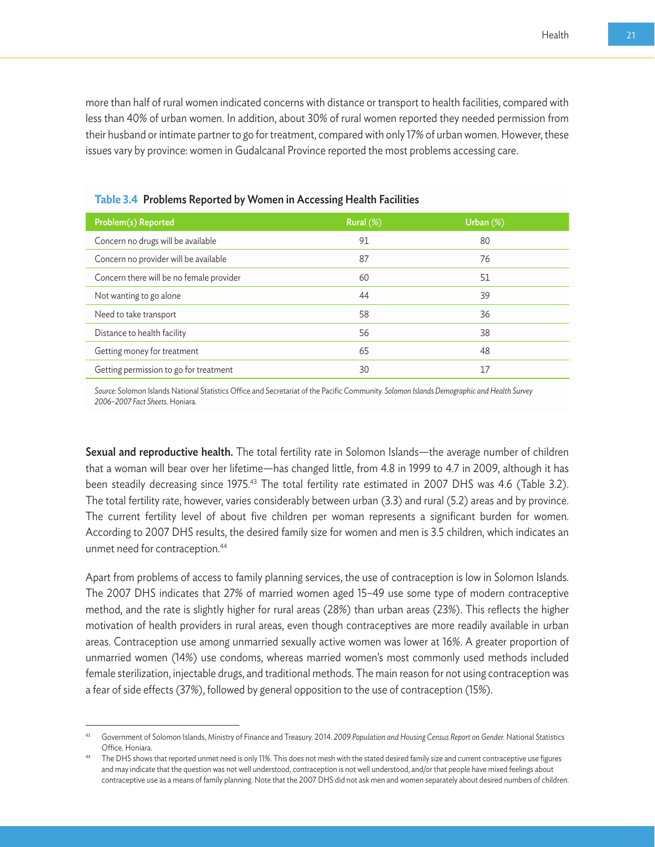more than half of rural women indicated concerns with distance or transport to health facilities, compared with less than 40% of urban women. In addition, about 30% of rural women reported they needed permission from their husband or intimate partner to go for treatment, compared with only 17% of urban women. However, these issues vary by province: women in Gudalcanal Province reported the most problems accessing care.

| Problem(s) Reported                      | Rural (%) | Urban (%) |
|------------------------------------------|-----------|-----------|
| Concern no drugs will be available       | 91        | 80        |
| Concern no provider will be available    | 87        | 76        |
| Concern there will be no female provider | 60        | 51        |
| Not wanting to go alone                  | 44        | 39        |
| Need to take transport                   | 58        | 36        |
| Distance to health facility              | 56        | 38        |
| Getting money for treatment              | 65        | 48        |
| Getting permission to go for treatment   | 30        | 17        |

**Table 3.4** Problems Reported by Women in Accessing Health Facilities

*Source:* Solomon Islands National Statistics Office and Secretariat of the Pacific Community. *Solomon Islands Demographic and Health Survey 2006–2007 Fact Sheets.* Honiara.

Sexual and reproductive health. The total fertility rate in Solomon Islands—the average number of children that a woman will bear over her lifetime—has changed little, from 4.8 in 1999 to 4.7 in 2009, although it has been steadily decreasing since 1975.<sup>43</sup> The total fertility rate estimated in 2007 DHS was 4.6 (Table 3.2). The total fertility rate, however, varies considerably between urban (3.3) and rural (5.2) areas and by province. The current fertility level of about five children per woman represents a significant burden for women. According to 2007 DHS results, the desired family size for women and men is 3.5 children, which indicates an unmet need for contraception.44

Apart from problems of access to family planning services, the use of contraception is low in Solomon Islands. The 2007 DHS indicates that 27% of married women aged 15–49 use some type of modern contraceptive method, and the rate is slightly higher for rural areas (28%) than urban areas (23%). This reflects the higher motivation of health providers in rural areas, even though contraceptives are more readily available in urban areas. Contraception use among unmarried sexually active women was lower at 16%. A greater proportion of unmarried women (14%) use condoms, whereas married women's most commonly used methods included female sterilization, injectable drugs, and traditional methods. The main reason for not using contraception was a fear of side effects (37%), followed by general opposition to the use of contraception (15%).

<sup>43</sup> Government of Solomon Islands, Ministry of Finance and Treasury. 2014. *2009 Population and Housing Census Report on Gender.* National Statistics Office. Honiara.<br>The DHS shows that reported unmet need is only 11%. This does not mesh with the stated desired family size and current contraceptive use figures

and may indicate that the question was not well understood, contraception is not well understood, and/or that people have mixed feelings about contraceptive use as a means of family planning. Note that the 2007 DHS did not ask men and women separately about desired numbers of children.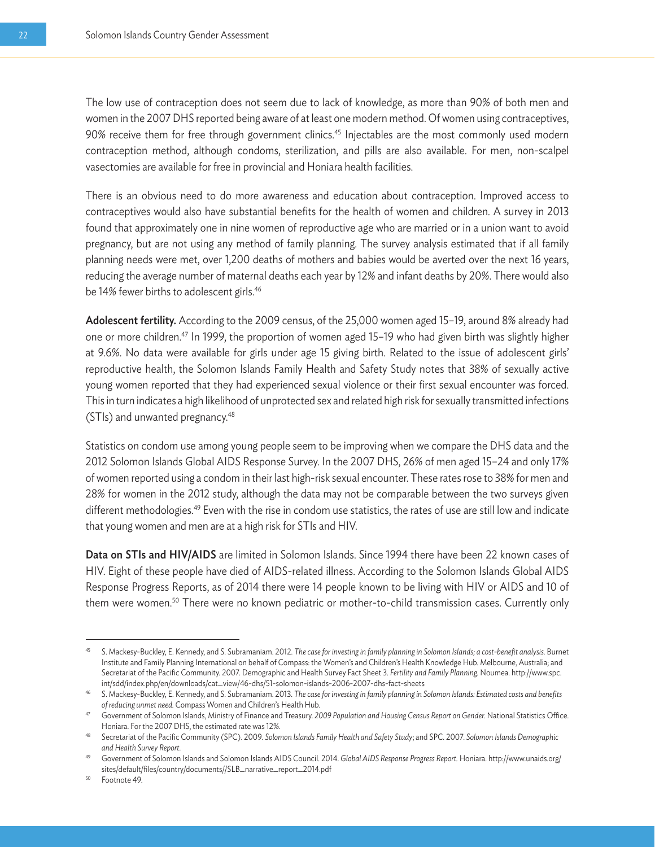The low use of contraception does not seem due to lack of knowledge, as more than 90% of both men and women in the 2007 DHS reported being aware of at least one modern method. Of women using contraceptives, 90% receive them for free through government clinics.<sup>45</sup> Injectables are the most commonly used modern contraception method, although condoms, sterilization, and pills are also available. For men, non-scalpel vasectomies are available for free in provincial and Honiara health facilities.

There is an obvious need to do more awareness and education about contraception. Improved access to contraceptives would also have substantial benefits for the health of women and children. A survey in 2013 found that approximately one in nine women of reproductive age who are married or in a union want to avoid pregnancy, but are not using any method of family planning. The survey analysis estimated that if all family planning needs were met, over 1,200 deaths of mothers and babies would be averted over the next 16 years, reducing the average number of maternal deaths each year by 12% and infant deaths by 20%. There would also be 14% fewer births to adolescent girls.<sup>46</sup>

Adolescent fertility. According to the 2009 census, of the 25,000 women aged 15–19, around 8% already had one or more children.47 In 1999, the proportion of women aged 15–19 who had given birth was slightly higher at 9.6%. No data were available for girls under age 15 giving birth. Related to the issue of adolescent girls' reproductive health, the Solomon Islands Family Health and Safety Study notes that 38% of sexually active young women reported that they had experienced sexual violence or their first sexual encounter was forced. This in turn indicates a high likelihood of unprotected sex and related high risk for sexually transmitted infections (STIs) and unwanted pregnancy.48

Statistics on condom use among young people seem to be improving when we compare the DHS data and the 2012 Solomon Islands Global AIDS Response Survey. In the 2007 DHS, 26% of men aged 15–24 and only 17% of women reported using a condom in their last high-risk sexual encounter. These rates rose to 38% for men and 28% for women in the 2012 study, although the data may not be comparable between the two surveys given different methodologies.<sup>49</sup> Even with the rise in condom use statistics, the rates of use are still low and indicate that young women and men are at a high risk for STIs and HIV.

Data on STIs and HIV/AIDS are limited in Solomon Islands. Since 1994 there have been 22 known cases of HIV. Eight of these people have died of AIDS-related illness. According to the Solomon Islands Global AIDS Response Progress Reports, as of 2014 there were 14 people known to be living with HIV or AIDS and 10 of them were women.<sup>50</sup> There were no known pediatric or mother-to-child transmission cases. Currently only

<sup>50</sup> Footnote 49.

<sup>45</sup> S. Mackesy-Buckley, E. Kennedy, and S. Subramaniam. 2012. *The case for investing in family planning in Solomon Islands; a cost-benefit analysis.* Burnet Institute and Family Planning International on behalf of Compass: the Women's and Children's Health Knowledge Hub. Melbourne, Australia; and Secretariat of the Pacific Community. 2007. Demographic and Health Survey Fact Sheet 3. *Fertility and Family Planning.* Noumea. http://www.spc. int/sdd/index.php/en/downloads/cat\_view/46-dhs/51-solomon-islands-2006-2007-dhs-fact-sheets

<sup>46</sup> S. Mackesy-Buckley, E. Kennedy, and S. Subramaniam. 2013. *The case for investing in family planning in Solomon Islands: Estimated costs and benefits*  of reducing unmet need. Compass Women and Children's Health Hub.<br>47 Government of Solomon Islands, Ministry of Finance and Treasury. 2009 Population and Housing Census Report on Gender. National Statistics Office.

Honiara. For the 2007 DHS, the estimated rate was 12%. 48 Secretariat of the Pacific Community (SPC). 2009. *Solomon Islands Family Health and Safety Study*; and SPC. 2007. *Solomon Islands Demographic* 

*and Health Survey Report.*

<sup>49</sup> Government of Solomon Islands and Solomon Islands AIDS Council. 2014. *Global AIDS Response Progress Report.* Honiara. http://www.unaids.org/ sites/default/files/country/documents//SLB\_narrative\_report\_2014.pdf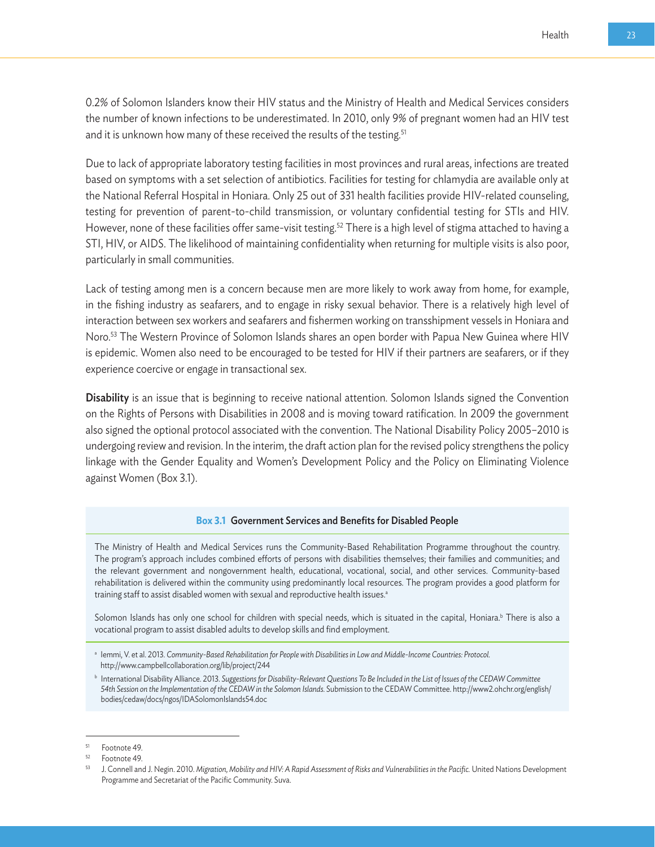0.2% of Solomon Islanders know their HIV status and the Ministry of Health and Medical Services considers the number of known infections to be underestimated. In 2010, only 9% of pregnant women had an HIV test and it is unknown how many of these received the results of the testing.<sup>51</sup>

Due to lack of appropriate laboratory testing facilities in most provinces and rural areas, infections are treated based on symptoms with a set selection of antibiotics. Facilities for testing for chlamydia are available only at the National Referral Hospital in Honiara. Only 25 out of 331 health facilities provide HIV-related counseling, testing for prevention of parent-to-child transmission, or voluntary confidential testing for STIs and HIV. However, none of these facilities offer same-visit testing.<sup>52</sup> There is a high level of stigma attached to having a STI, HIV, or AIDS. The likelihood of maintaining confidentiality when returning for multiple visits is also poor, particularly in small communities.

Lack of testing among men is a concern because men are more likely to work away from home, for example, in the fishing industry as seafarers, and to engage in risky sexual behavior. There is a relatively high level of interaction between sex workers and seafarers and fishermen working on transshipment vessels in Honiara and Noro.53 The Western Province of Solomon Islands shares an open border with Papua New Guinea where HIV is epidemic. Women also need to be encouraged to be tested for HIV if their partners are seafarers, or if they experience coercive or engage in transactional sex.

Disability is an issue that is beginning to receive national attention. Solomon Islands signed the Convention on the Rights of Persons with Disabilities in 2008 and is moving toward ratification. In 2009 the government also signed the optional protocol associated with the convention. The National Disability Policy 2005–2010 is undergoing review and revision. In the interim, the draft action plan for the revised policy strengthens the policy linkage with the Gender Equality and Women's Development Policy and the Policy on Eliminating Violence against Women (Box 3.1).

#### **Box 3.1** Government Services and Benefits for Disabled People

The Ministry of Health and Medical Services runs the Community-Based Rehabilitation Programme throughout the country. The program's approach includes combined efforts of persons with disabilities themselves; their families and communities; and the relevant government and nongovernment health, educational, vocational, social, and other services. Community-based rehabilitation is delivered within the community using predominantly local resources. The program provides a good platform for training staff to assist disabled women with sexual and reproductive health issues.<sup>a</sup>

Solomon Islands has only one school for children with special needs, which is situated in the capital, Honiara.<sup>b</sup> There is also a vocational program to assist disabled adults to develop skills and find employment.

<sup>a</sup> Iemmi, V. et al. 2013. *Community-Based Rehabilitation for People with Disabilities in Low and Middle-Income Countries: Protocol.*  http://www.campbellcollaboration.org/lib/project/244

<sup>b</sup> International Disability Alliance. 2013. *Suggestions for Disability-Relevant Questions To Be Included in the List of Issues of the CEDAW Committee*  54th Session on the Implementation of the CEDAW in the Solomon Islands. Submission to the CEDAW Committee. http://www2.ohchr.org/english/ bodies/cedaw/docs/ngos/IDASolomonIslands54.doc

 $51$  Footnote 49.

Footnote 49.

<sup>53</sup> J. Connell and J. Negin. 2010. *Migration, Mobility and HIV: A Rapid Assessment of Risks and Vulnerabilities in the Pacific.* United Nations Development Programme and Secretariat of the Pacific Community. Suva.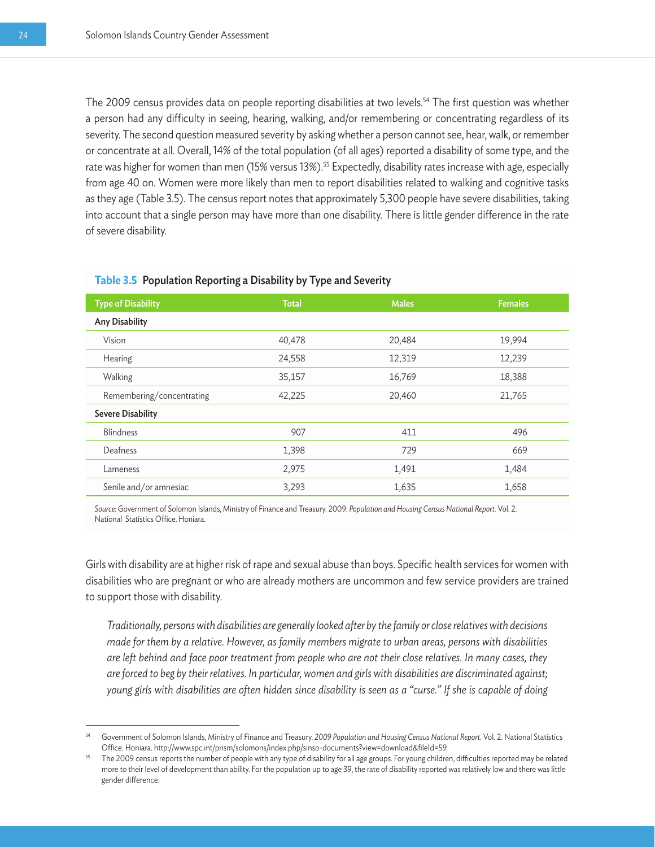The 2009 census provides data on people reporting disabilities at two levels.<sup>54</sup> The first question was whether a person had any difficulty in seeing, hearing, walking, and/or remembering or concentrating regardless of its severity. The second question measured severity by asking whether a person cannot see, hear, walk, or remember or concentrate at all. Overall, 14% of the total population (of all ages) reported a disability of some type, and the rate was higher for women than men (15% versus 13%).<sup>55</sup> Expectedly, disability rates increase with age, especially from age 40 on. Women were more likely than men to report disabilities related to walking and cognitive tasks as they age (Table 3.5). The census report notes that approximately 5,300 people have severe disabilities, taking into account that a single person may have more than one disability. There is little gender difference in the rate of severe disability.

| <b>Type of Disability</b> | <b>Total</b> | <b>Males</b> | <b>Females</b> |
|---------------------------|--------------|--------------|----------------|
|                           |              |              |                |
| <b>Any Disability</b>     |              |              |                |
| Vision                    | 40,478       | 20,484       | 19,994         |
| Hearing                   | 24,558       | 12,319       | 12,239         |
| Walking                   | 35,157       | 16,769       | 18,388         |
| Remembering/concentrating | 42,225       | 20,460       | 21,765         |
| <b>Severe Disability</b>  |              |              |                |
| <b>Blindness</b>          | 907          | 411          | 496            |
| Deafness                  | 1,398        | 729          | 669            |
| Lameness                  | 2,975        | 1,491        | 1,484          |
| Senile and/or amnesiac    | 3,293        | 1,635        | 1,658          |

#### **Table 3.5** Population Reporting a Disability by Type and Severity

*Source:* Government of Solomon Islands, Ministry of Finance and Treasury. 2009. *Population and Housing Census National Report.* Vol. 2. National Statistics Office. Honiara.

Girls with disability are at higher risk of rape and sexual abuse than boys. Specific health services for women with disabilities who are pregnant or who are already mothers are uncommon and few service providers are trained to support those with disability.

*Traditionally, persons with disabilities are generally looked after by the family or close relatives with decisions made for them by a relative. However, as family members migrate to urban areas, persons with disabilities are left behind and face poor treatment from people who are not their close relatives. In many cases, they are forced to beg by their relatives. In particular, women and girls with disabilities are discriminated against; young girls with disabilities are often hidden since disability is seen as a "curse." If she is capable of doing* 

<sup>54</sup> Government of Solomon Islands, Ministry of Finance and Treasury. *2009 Population and Housing Census National Report.* Vol. 2. National Statistics Office. Honiara. http://www.spc.int/prism/solomons/index.php/sinso-documents?view=download&fileId=59

<sup>55</sup> The 2009 census reports the number of people with any type of disability for all age groups. For young children, difficulties reported may be related more to their level of development than ability. For the population up to age 39, the rate of disability reported was relatively low and there was little gender difference.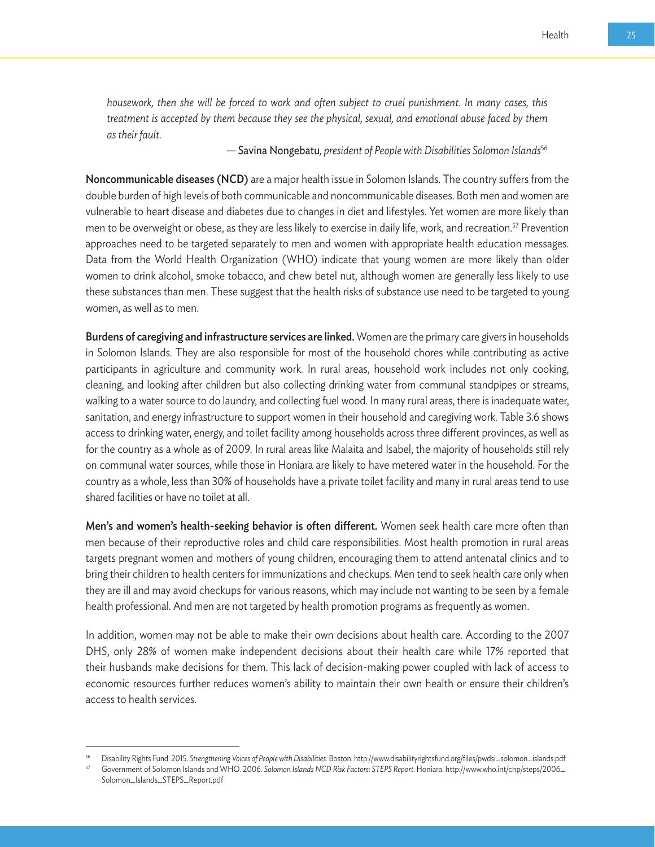*housework, then she will be forced to work and often subject to cruel punishment. In many cases, this treatment is accepted by them because they see the physical, sexual, and emotional abuse faced by them as their fault.* 

 *—* Savina Nongebatu*, president of People with Disabilities Solomon Islands*<sup>56</sup>

Noncommunicable diseases (NCD) are a major health issue in Solomon Islands. The country suffers from the double burden of high levels of both communicable and noncommunicable diseases. Both men and women are vulnerable to heart disease and diabetes due to changes in diet and lifestyles. Yet women are more likely than men to be overweight or obese, as they are less likely to exercise in daily life, work, and recreation.<sup>57</sup> Prevention approaches need to be targeted separately to men and women with appropriate health education messages. Data from the World Health Organization (WHO) indicate that young women are more likely than older women to drink alcohol, smoke tobacco, and chew betel nut, although women are generally less likely to use these substances than men. These suggest that the health risks of substance use need to be targeted to young women, as well as to men.

Burdens of caregiving and infrastructure services are linked. Women are the primary care givers in households in Solomon Islands. They are also responsible for most of the household chores while contributing as active participants in agriculture and community work. In rural areas, household work includes not only cooking, cleaning, and looking after children but also collecting drinking water from communal standpipes or streams, walking to a water source to do laundry, and collecting fuel wood. In many rural areas, there is inadequate water, sanitation, and energy infrastructure to support women in their household and caregiving work. Table 3.6 shows access to drinking water, energy, and toilet facility among households across three different provinces, as well as for the country as a whole as of 2009. In rural areas like Malaita and Isabel, the majority of households still rely on communal water sources, while those in Honiara are likely to have metered water in the household. For the country as a whole, less than 30% of households have a private toilet facility and many in rural areas tend to use shared facilities or have no toilet at all.

Men's and women's health-seeking behavior is often different. Women seek health care more often than men because of their reproductive roles and child care responsibilities. Most health promotion in rural areas targets pregnant women and mothers of young children, encouraging them to attend antenatal clinics and to bring their children to health centers for immunizations and checkups. Men tend to seek health care only when they are ill and may avoid checkups for various reasons, which may include not wanting to be seen by a female health professional. And men are not targeted by health promotion programs as frequently as women.

In addition, women may not be able to make their own decisions about health care. According to the 2007 DHS, only 28% of women make independent decisions about their health care while 17% reported that their husbands make decisions for them. This lack of decision-making power coupled with lack of access to economic resources further reduces women's ability to maintain their own health or ensure their children's access to health services.

<sup>56</sup> Disability Rights Fund. 2015. *Strengthening Voices of People with Disabilities.* Boston. http://www.disabilityrightsfund.org/files/pwdsi\_solomon\_islands.pdf

<sup>57</sup> Government of Solomon Islands and WHO. 2006. *Solomon Islands NCD Risk Factors: STEPS Report.* Honiara. http://www.who.int/chp/steps/2006\_ Solomon\_Islands\_STEPS\_Report.pdf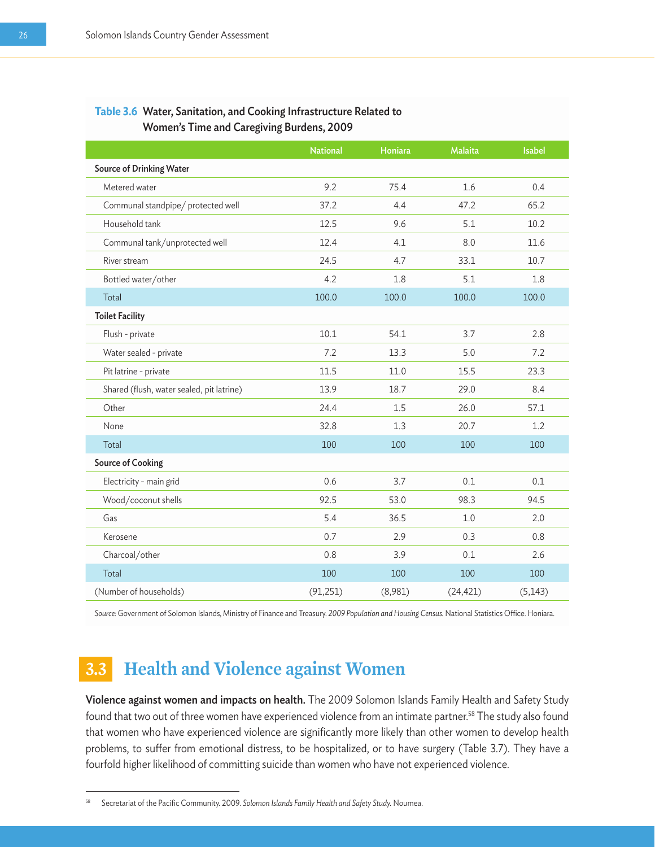#### **Table 3.6** Water, Sanitation, and Cooking Infrastructure Related to Women's Time and Caregiving Burdens, 2009

|                                           | <b>National</b> | Honiara | <b>Malaita</b> | <b>Isabel</b> |
|-------------------------------------------|-----------------|---------|----------------|---------------|
| <b>Source of Drinking Water</b>           |                 |         |                |               |
| Metered water                             | 9.2             | 75.4    | 1.6            | 0.4           |
| Communal standpipe/ protected well        | 37.2            | 4.4     | 47.2           | 65.2          |
| Household tank                            | 12.5            | 9.6     | 5.1            | 10.2          |
| Communal tank/unprotected well            | 12.4            | 4.1     | 8.0            | 11.6          |
| River stream                              | 24.5            | 4.7     | 33.1           | 10.7          |
| Bottled water/other                       | 4.2             | 1.8     | 5.1            | 1.8           |
| Total                                     | 100.0           | 100.0   | 100.0          | 100.0         |
| <b>Toilet Facility</b>                    |                 |         |                |               |
| Flush - private                           | 10.1            | 54.1    | 3.7            | 2.8           |
| Water sealed - private                    | 7.2             | 13.3    | 5.0            | 7.2           |
| Pit latrine - private                     | 11.5            | 11.0    | 15.5           | 23.3          |
| Shared (flush, water sealed, pit latrine) | 13.9            | 18.7    | 29.0           | 8.4           |
| Other                                     | 24.4            | 1.5     | 26.0           | 57.1          |
| None                                      | 32.8            | 1.3     | 20.7           | 1.2           |
| Total                                     | 100             | 100     | 100            | 100           |
| <b>Source of Cooking</b>                  |                 |         |                |               |
| Electricity - main grid                   | 0.6             | 3.7     | 0.1            | 0.1           |
| Wood/coconut shells                       | 92.5            | 53.0    | 98.3           | 94.5          |
| Gas                                       | 5.4             | 36.5    | 1.0            | 2.0           |
| Kerosene                                  | 0.7             | 2.9     | 0.3            | 0.8           |
| Charcoal/other                            | 0.8             | 3.9     | 0.1            | 2.6           |
| Total                                     | 100             | 100     | 100            | 100           |
| (Number of households)                    | (91, 251)       | (8,981) | (24, 421)      | (5, 143)      |

*Source:* Government of Solomon Islands, Ministry of Finance and Treasury. *2009 Population and Housing Census.* National Statistics Office. Honiara.

## **3.3 Health and Violence against Women**

Violence against women and impacts on health. The 2009 Solomon Islands Family Health and Safety Study found that two out of three women have experienced violence from an intimate partner.<sup>58</sup> The study also found that women who have experienced violence are significantly more likely than other women to develop health problems, to suffer from emotional distress, to be hospitalized, or to have surgery (Table 3.7). They have a fourfold higher likelihood of committing suicide than women who have not experienced violence.

<sup>58</sup> Secretariat of the Pacific Community. 2009. *Solomon Islands Family Health and Safety Study.* Noumea.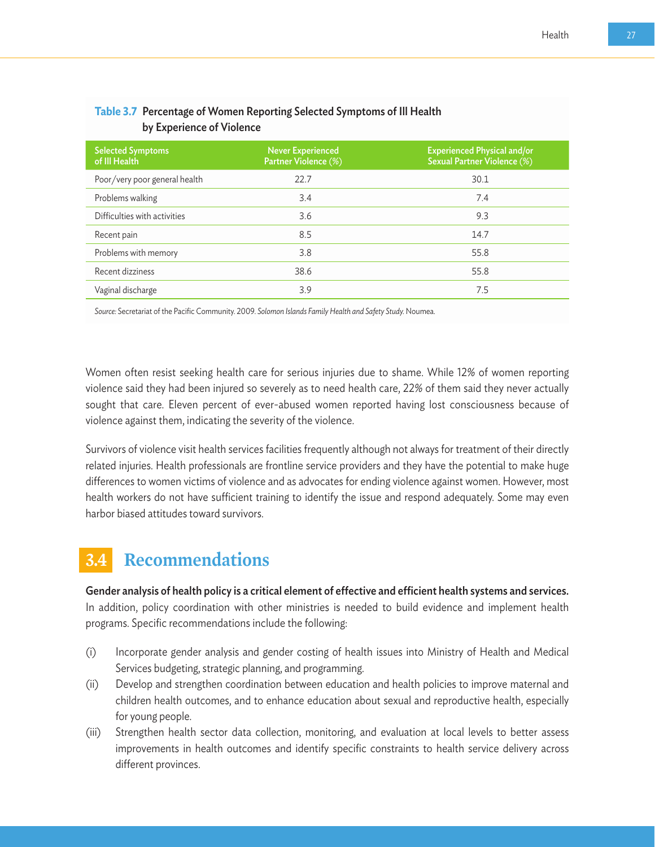| <b>Selected Symptoms</b><br>of III Health | Never Experienced<br>Partner Violence (%) | <b>Experienced Physical and/or</b><br><b>Sexual Partner Violence (%)</b> |
|-------------------------------------------|-------------------------------------------|--------------------------------------------------------------------------|
| Poor/very poor general health             | 22.7                                      | 30.1                                                                     |
| Problems walking                          | 3.4                                       | 7.4                                                                      |
| Difficulties with activities              | 3.6                                       | 9.3                                                                      |
| Recent pain                               | 8.5                                       | 14.7                                                                     |
| Problems with memory                      | 3.8                                       | 55.8                                                                     |
| Recent dizziness                          | 38.6                                      | 55.8                                                                     |
| Vaginal discharge                         | 3.9                                       | 7.5                                                                      |
|                                           |                                           |                                                                          |

#### **Table 3.7** Percentage of Women Reporting Selected Symptoms of Ill Health by Experience of Violence

*Source:* Secretariat of the Pacific Community. 2009. *Solomon Islands Family Health and Safety Study.* Noumea.

Women often resist seeking health care for serious injuries due to shame. While 12% of women reporting violence said they had been injured so severely as to need health care, 22% of them said they never actually sought that care. Eleven percent of ever-abused women reported having lost consciousness because of violence against them, indicating the severity of the violence.

Survivors of violence visit health services facilities frequently although not always for treatment of their directly related injuries. Health professionals are frontline service providers and they have the potential to make huge differences to women victims of violence and as advocates for ending violence against women. However, most health workers do not have sufficient training to identify the issue and respond adequately. Some may even harbor biased attitudes toward survivors.

## **3.4 Recommendations**

Gender analysis of health policy is a critical element of effective and efficient health systems and services. In addition, policy coordination with other ministries is needed to build evidence and implement health programs. Specific recommendations include the following:

- (i) Incorporate gender analysis and gender costing of health issues into Ministry of Health and Medical Services budgeting, strategic planning, and programming.
- (ii) Develop and strengthen coordination between education and health policies to improve maternal and children health outcomes, and to enhance education about sexual and reproductive health, especially for young people.
- (iii) Strengthen health sector data collection, monitoring, and evaluation at local levels to better assess improvements in health outcomes and identify specific constraints to health service delivery across different provinces.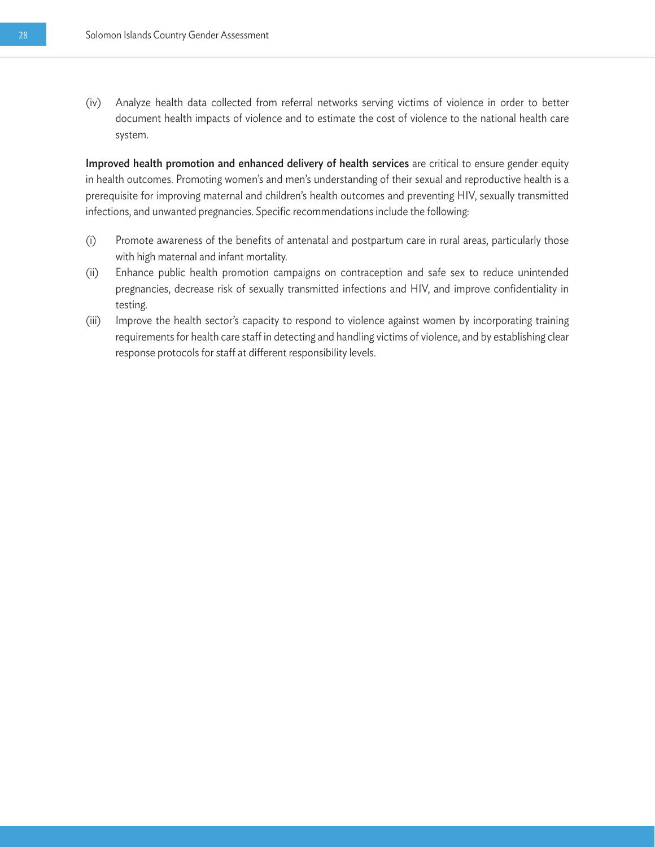(iv) Analyze health data collected from referral networks serving victims of violence in order to better document health impacts of violence and to estimate the cost of violence to the national health care system.

Improved health promotion and enhanced delivery of health services are critical to ensure gender equity in health outcomes. Promoting women's and men's understanding of their sexual and reproductive health is a prerequisite for improving maternal and children's health outcomes and preventing HIV, sexually transmitted infections, and unwanted pregnancies. Specific recommendations include the following:

- (i) Promote awareness of the benefits of antenatal and postpartum care in rural areas, particularly those with high maternal and infant mortality.
- (ii) Enhance public health promotion campaigns on contraception and safe sex to reduce unintended pregnancies, decrease risk of sexually transmitted infections and HIV, and improve confidentiality in testing.
- (iii) Improve the health sector's capacity to respond to violence against women by incorporating training requirements for health care staff in detecting and handling victims of violence, and by establishing clear response protocols for staff at different responsibility levels.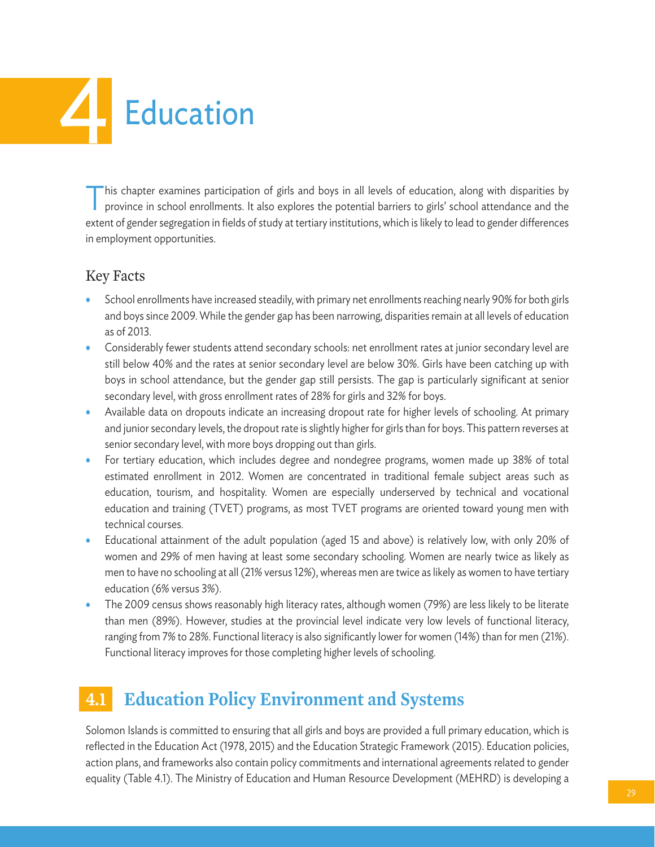# **Education**

This chapter examines participation of girls and boys in all levels of education, along with disparities by province in school enrollments. It also explores the potential barriers to girls' school attendance and the extent of gender segregation in fields of study at tertiary institutions, which is likely to lead to gender differences in employment opportunities.

#### Key Facts

- School enrollments have increased steadily, with primary net enrollments reaching nearly 90% for both girls and boys since 2009. While the gender gap has been narrowing, disparities remain at all levels of education as of 2013.
- Considerably fewer students attend secondary schools: net enrollment rates at junior secondary level are still below 40% and the rates at senior secondary level are below 30%. Girls have been catching up with boys in school attendance, but the gender gap still persists. The gap is particularly significant at senior secondary level, with gross enrollment rates of 28% for girls and 32% for boys.
- Available data on dropouts indicate an increasing dropout rate for higher levels of schooling. At primary and junior secondary levels, the dropout rate is slightly higher for girls than for boys. This pattern reverses at senior secondary level, with more boys dropping out than girls.
- For tertiary education, which includes degree and nondegree programs, women made up 38% of total estimated enrollment in 2012. Women are concentrated in traditional female subject areas such as education, tourism, and hospitality. Women are especially underserved by technical and vocational education and training (TVET) programs, as most TVET programs are oriented toward young men with technical courses.
- Educational attainment of the adult population (aged 15 and above) is relatively low, with only 20% of women and 29% of men having at least some secondary schooling. Women are nearly twice as likely as men to have no schooling at all (21% versus 12%), whereas men are twice as likely as women to have tertiary education (6% versus 3%).
- The 2009 census shows reasonably high literacy rates, although women (79%) are less likely to be literate than men (89%). However, studies at the provincial level indicate very low levels of functional literacy, ranging from 7% to 28%. Functional literacy is also significantly lower for women (14%) than for men (21%). Functional literacy improves for those completing higher levels of schooling.

## **4.1 Education Policy Environment and Systems**

Solomon Islands is committed to ensuring that all girls and boys are provided a full primary education, which is reflected in the Education Act (1978, 2015) and the Education Strategic Framework (2015). Education policies, action plans, and frameworks also contain policy commitments and international agreements related to gender equality (Table 4.1). The Ministry of Education and Human Resource Development (MEHRD) is developing a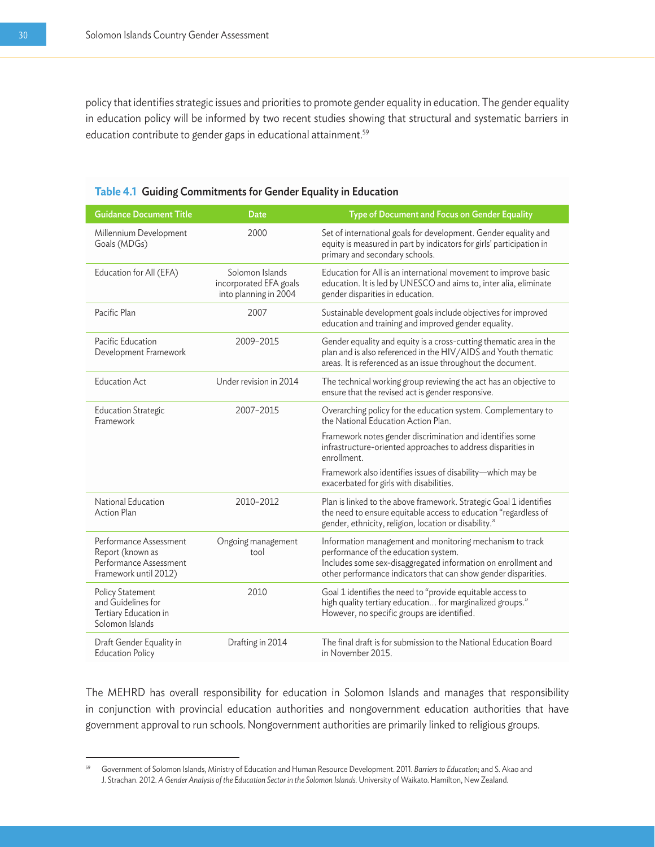policy that identifies strategic issues and priorities to promote gender equality in education. The gender equality in education policy will be informed by two recent studies showing that structural and systematic barriers in education contribute to gender gaps in educational attainment.<sup>59</sup>

| <b>Guidance Document Title</b>                                                                | Date                                                               | <b>Type of Document and Focus on Gender Equality</b>                                                                                                                                                                                |
|-----------------------------------------------------------------------------------------------|--------------------------------------------------------------------|-------------------------------------------------------------------------------------------------------------------------------------------------------------------------------------------------------------------------------------|
| Millennium Development<br>Goals (MDGs)                                                        | 2000                                                               | Set of international goals for development. Gender equality and<br>equity is measured in part by indicators for girls' participation in<br>primary and secondary schools.                                                           |
| Education for All (EFA)                                                                       | Solomon Islands<br>incorporated EFA goals<br>into planning in 2004 | Education for All is an international movement to improve basic<br>education. It is led by UNESCO and aims to, inter alia, eliminate<br>gender disparities in education.                                                            |
| Pacific Plan                                                                                  | 2007                                                               | Sustainable development goals include objectives for improved<br>education and training and improved gender equality.                                                                                                               |
| Pacific Education<br>Development Framework                                                    | 2009-2015                                                          | Gender equality and equity is a cross-cutting thematic area in the<br>plan and is also referenced in the HIV/AIDS and Youth thematic<br>areas. It is referenced as an issue throughout the document.                                |
| <b>Education Act</b>                                                                          | Under revision in 2014                                             | The technical working group reviewing the act has an objective to<br>ensure that the revised act is gender responsive.                                                                                                              |
| <b>Education Strategic</b><br>Framework                                                       | 2007-2015                                                          | Overarching policy for the education system. Complementary to<br>the National Education Action Plan.                                                                                                                                |
|                                                                                               |                                                                    | Framework notes gender discrimination and identifies some<br>infrastructure-oriented approaches to address disparities in<br>enrollment.                                                                                            |
|                                                                                               |                                                                    | Framework also identifies issues of disability-which may be<br>exacerbated for girls with disabilities.                                                                                                                             |
| National Education<br><b>Action Plan</b>                                                      | 2010-2012                                                          | Plan is linked to the above framework. Strategic Goal 1 identifies<br>the need to ensure equitable access to education "regardless of<br>gender, ethnicity, religion, location or disability."                                      |
| Performance Assessment<br>Report (known as<br>Performance Assessment<br>Framework until 2012) | Ongoing management<br>tool                                         | Information management and monitoring mechanism to track<br>performance of the education system.<br>Includes some sex-disaggregated information on enrollment and<br>other performance indicators that can show gender disparities. |
| <b>Policy Statement</b><br>and Guidelines for<br>Tertiary Education in<br>Solomon Islands     | 2010                                                               | Goal 1 identifies the need to "provide equitable access to<br>high quality tertiary education for marginalized groups."<br>However, no specific groups are identified.                                                              |
| Draft Gender Equality in<br><b>Education Policy</b>                                           | Drafting in 2014                                                   | The final draft is for submission to the National Education Board<br>in November 2015.                                                                                                                                              |

| Table 4.1 Guiding Commitments for Gender Equality in Education |  |  |  |  |
|----------------------------------------------------------------|--|--|--|--|
|----------------------------------------------------------------|--|--|--|--|

The MEHRD has overall responsibility for education in Solomon Islands and manages that responsibility in conjunction with provincial education authorities and nongovernment education authorities that have government approval to run schools. Nongovernment authorities are primarily linked to religious groups.

<sup>59</sup> Government of Solomon Islands, Ministry of Education and Human Resource Development. 2011. *Barriers to Education*; and S. Akao and J. Strachan. 2012. *A Gender Analysis of the Education Sector in the Solomon Islands.* University of Waikato. Hamilton, New Zealand.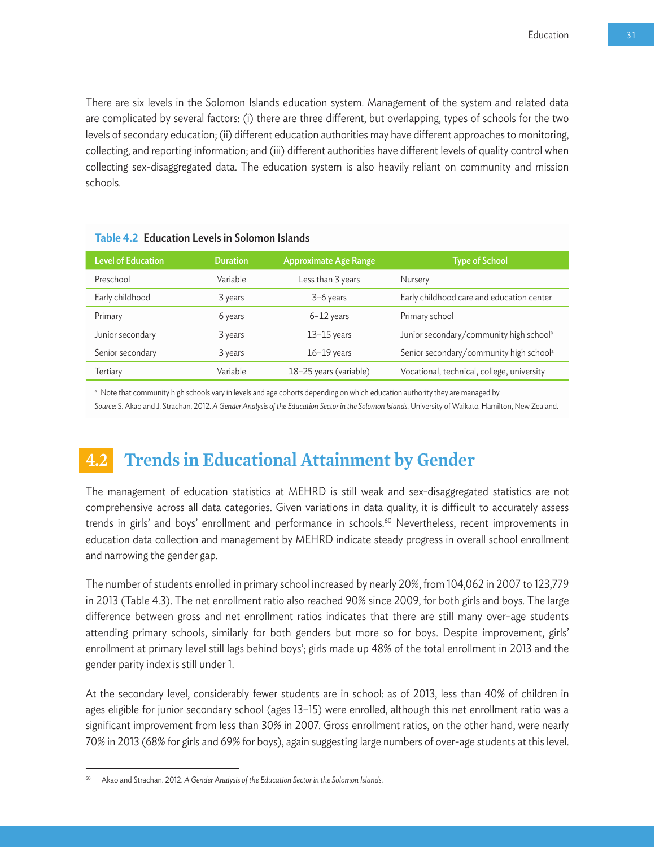There are six levels in the Solomon Islands education system. Management of the system and related data are complicated by several factors: (i) there are three different, but overlapping, types of schools for the two levels of secondary education; (ii) different education authorities may have different approaches to monitoring, collecting, and reporting information; and (iii) different authorities have different levels of quality control when collecting sex-disaggregated data. The education system is also heavily reliant on community and mission schools.

| <b>Level of Education</b> | <b>Duration</b> | <b>Approximate Age Range</b> | <b>Type of School</b>                               |
|---------------------------|-----------------|------------------------------|-----------------------------------------------------|
| Preschool                 | Variable        | Less than 3 years            | Nursery                                             |
| Early childhood           | 3 years         | 3-6 years                    | Early childhood care and education center           |
| Primary                   | 6 years         | $6-12$ years                 | Primary school                                      |
| Junior secondary          | 3 years         | $13-15$ years                | Junior secondary/community high school <sup>a</sup> |
| Senior secondary          | 3 years         | $16-19$ years                | Senior secondary/community high school <sup>a</sup> |
| Tertiary                  | Variable        | 18-25 years (variable)       | Vocational, technical, college, university          |

**Table 4.2** Education Levels in Solomon Islands

**a** Note that community high schools vary in levels and age cohorts depending on which education authority they are managed by.

*Source:* S. Akao and J. Strachan. 2012. *A Gender Analysis of the Education Sector in the Solomon Islands.* University of Waikato. Hamilton, New Zealand.

## **4.2 Trends in Educational Attainment by Gender**

The management of education statistics at MEHRD is still weak and sex-disaggregated statistics are not comprehensive across all data categories. Given variations in data quality, it is difficult to accurately assess trends in girls' and boys' enrollment and performance in schools.<sup>60</sup> Nevertheless, recent improvements in education data collection and management by MEHRD indicate steady progress in overall school enrollment and narrowing the gender gap.

The number of students enrolled in primary school increased by nearly 20%, from 104,062 in 2007 to 123,779 in 2013 (Table 4.3). The net enrollment ratio also reached 90% since 2009, for both girls and boys. The large difference between gross and net enrollment ratios indicates that there are still many over-age students attending primary schools, similarly for both genders but more so for boys. Despite improvement, girls' enrollment at primary level still lags behind boys'; girls made up 48% of the total enrollment in 2013 and the gender parity index is still under 1.

At the secondary level, considerably fewer students are in school: as of 2013, less than 40% of children in ages eligible for junior secondary school (ages 13–15) were enrolled, although this net enrollment ratio was a significant improvement from less than 30% in 2007. Gross enrollment ratios, on the other hand, were nearly 70% in 2013 (68% for girls and 69% for boys), again suggesting large numbers of over-age students at this level.

<sup>60</sup> Akao and Strachan. 2012. *A Gender Analysis of the Education Sector in the Solomon Islands.*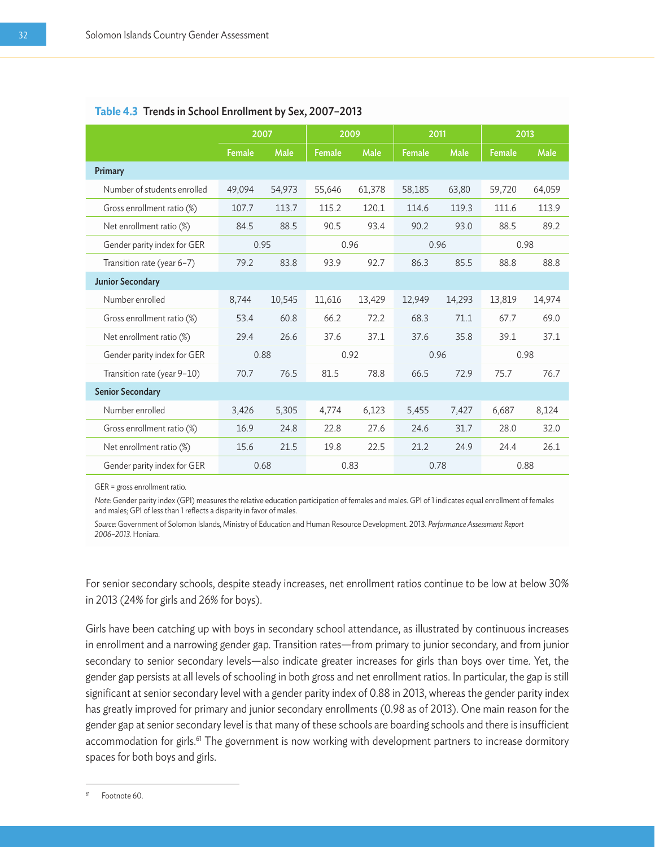|                             | 2007          |        | 2009          |        | 2011   |        | 2013          |        |
|-----------------------------|---------------|--------|---------------|--------|--------|--------|---------------|--------|
|                             | <b>Female</b> | Male   | <b>Female</b> | Male   | Female | Male   | <b>Female</b> | Male   |
| Primary                     |               |        |               |        |        |        |               |        |
| Number of students enrolled | 49,094        | 54,973 | 55,646        | 61,378 | 58,185 | 63,80  | 59,720        | 64,059 |
| Gross enrollment ratio (%)  | 107.7         | 113.7  | 115.2         | 120.1  | 114.6  | 119.3  | 111.6         | 113.9  |
| Net enrollment ratio (%)    | 84.5          | 88.5   | 90.5          | 93.4   | 90.2   | 93.0   | 88.5          | 89.2   |
| Gender parity index for GER |               | 0.95   |               | 0.96   | 0.96   |        | 0.98          |        |
| Transition rate (year 6-7)  | 79.2          | 83.8   | 93.9          | 92.7   | 86.3   | 85.5   | 88.8          | 88.8   |
| <b>Junior Secondary</b>     |               |        |               |        |        |        |               |        |
| Number enrolled             | 8,744         | 10,545 | 11,616        | 13,429 | 12,949 | 14,293 | 13,819        | 14,974 |
| Gross enrollment ratio (%)  | 53.4          | 60.8   | 66.2          | 72.2   | 68.3   | 71.1   | 67.7          | 69.0   |
| Net enrollment ratio (%)    | 29.4          | 26.6   | 37.6          | 37.1   | 37.6   | 35.8   | 39.1          | 37.1   |
| Gender parity index for GER |               | 0.88   |               | 0.92   | 0.96   |        | 0.98          |        |
| Transition rate (year 9-10) | 70.7          | 76.5   | 81.5          | 78.8   | 66.5   | 72.9   | 75.7          | 76.7   |
| <b>Senior Secondary</b>     |               |        |               |        |        |        |               |        |
| Number enrolled             | 3,426         | 5,305  | 4,774         | 6,123  | 5,455  | 7,427  | 6,687         | 8,124  |
| Gross enrollment ratio (%)  | 16.9          | 24.8   | 22.8          | 27.6   | 24.6   | 31.7   | 28.0          | 32.0   |
| Net enrollment ratio (%)    | 15.6          | 21.5   | 19.8          | 22.5   | 21.2   | 24.9   | 24.4          | 26.1   |
| Gender parity index for GER |               | 0.68   |               | 0.83   | 0.78   |        |               | 0.88   |

#### **Table 4.3** Trends in School Enrollment by Sex, 2007–2013

GER = gross enrollment ratio.

*Note:* Gender parity index (GPI) measures the relative education participation of females and males. GPI of 1 indicates equal enrollment of females and males; GPI of less than 1 reflects a disparity in favor of males.

*Source:* Government of Solomon Islands, Ministry of Education and Human Resource Development. 2013. *Performance Assessment Report 2006–2013.* Honiara.

For senior secondary schools, despite steady increases, net enrollment ratios continue to be low at below 30% in 2013 (24% for girls and 26% for boys).

Girls have been catching up with boys in secondary school attendance, as illustrated by continuous increases in enrollment and a narrowing gender gap. Transition rates—from primary to junior secondary, and from junior secondary to senior secondary levels—also indicate greater increases for girls than boys over time. Yet, the gender gap persists at all levels of schooling in both gross and net enrollment ratios. In particular, the gap is still significant at senior secondary level with a gender parity index of 0.88 in 2013, whereas the gender parity index has greatly improved for primary and junior secondary enrollments (0.98 as of 2013). One main reason for the gender gap at senior secondary level is that many of these schools are boarding schools and there is insufficient accommodation for girls.<sup>61</sup> The government is now working with development partners to increase dormitory spaces for both boys and girls.

<sup>61</sup> Footnote 60.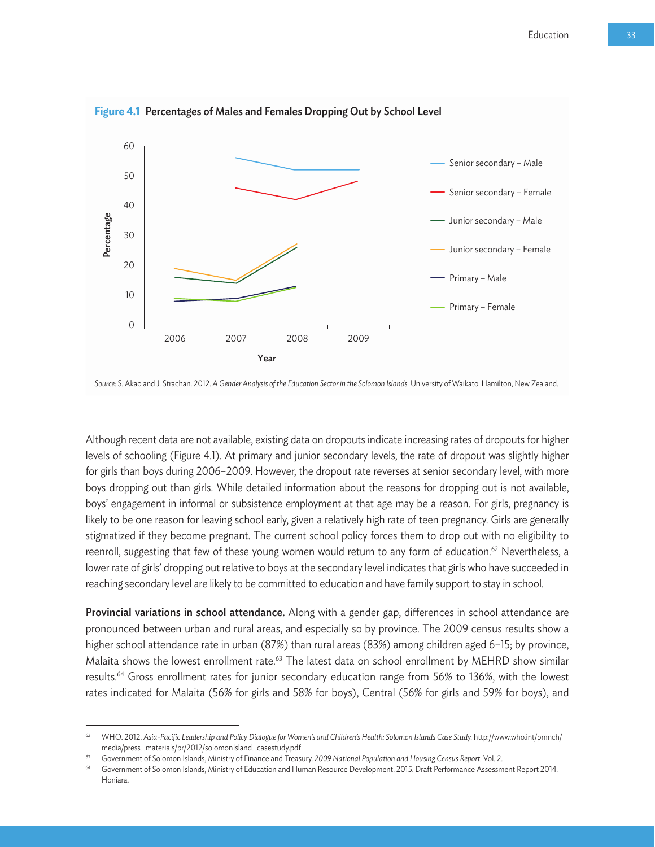

**Figure 4.1** Percentages of Males and Females Dropping Out by School Level

Although recent data are not available, existing data on dropouts indicate increasing rates of dropouts for higher levels of schooling (Figure 4.1). At primary and junior secondary levels, the rate of dropout was slightly higher for girls than boys during 2006–2009. However, the dropout rate reverses at senior secondary level, with more boys dropping out than girls. While detailed information about the reasons for dropping out is not available, boys' engagement in informal or subsistence employment at that age may be a reason. For girls, pregnancy is likely to be one reason for leaving school early, given a relatively high rate of teen pregnancy. Girls are generally stigmatized if they become pregnant. The current school policy forces them to drop out with no eligibility to reenroll, suggesting that few of these young women would return to any form of education.<sup>62</sup> Nevertheless, a lower rate of girls' dropping out relative to boys at the secondary level indicates that girls who have succeeded in reaching secondary level are likely to be committed to education and have family support to stay in school.

**Provincial variations in school attendance.** Along with a gender gap, differences in school attendance are pronounced between urban and rural areas, and especially so by province. The 2009 census results show a higher school attendance rate in urban (87%) than rural areas (83%) among children aged 6–15; by province, Malaita shows the lowest enrollment rate.63 The latest data on school enrollment by MEHRD show similar results.64 Gross enrollment rates for junior secondary education range from 56% to 136%, with the lowest rates indicated for Malaita (56% for girls and 58% for boys), Central (56% for girls and 59% for boys), and

*Source:* S. Akao and J. Strachan. 2012. *A Gender Analysis of the Education Sector in the Solomon Islands.* University of Waikato. Hamilton, New Zealand.

<sup>62</sup> WHO. 2012. *Asia-Pacific Leadership and Policy Dialogue for Women's and Children's Health: Solomon Islands Case Study.* http://www.who.int/pmnch/ media/press\_materials/pr/2012/solomonIsland\_casestudy.pdf<br>Government of Solomon Islands, Ministry of Finance and Treasury. 2009 National Population and Housing Census Report. Vol. 2.

<sup>64</sup> Government of Solomon Islands, Ministry of Education and Human Resource Development. 2015. Draft Performance Assessment Report 2014. Honiara.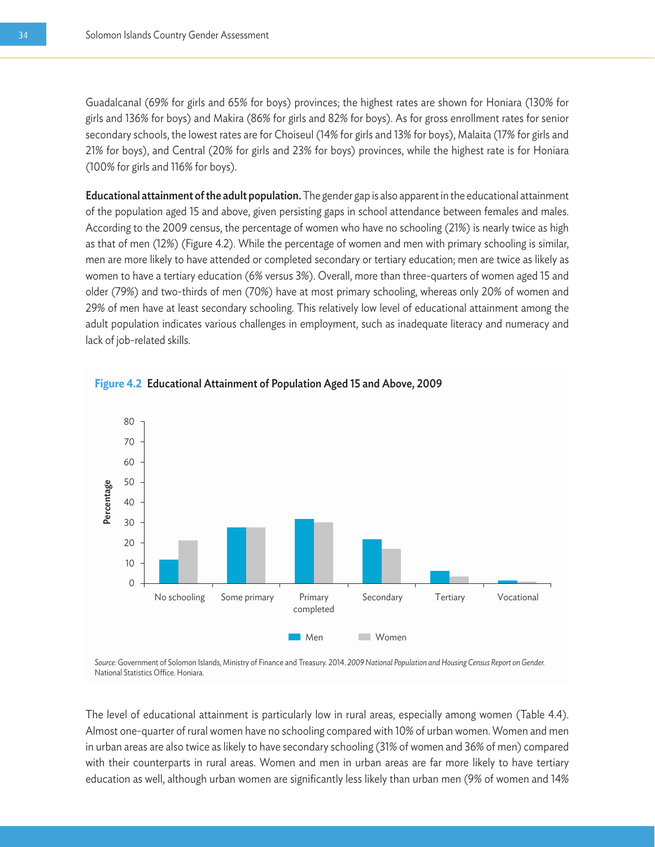Guadalcanal (69% for girls and 65% for boys) provinces; the highest rates are shown for Honiara (130% for girls and 136% for boys) and Makira (86% for girls and 82% for boys). As for gross enrollment rates for senior secondary schools, the lowest rates are for Choiseul (14% for girls and 13% for boys), Malaita (17% for girls and 21% for boys), and Central (20% for girls and 23% for boys) provinces, while the highest rate is for Honiara (100% for girls and 116% for boys).

Educational attainment of the adult population. The gender gap is also apparent in the educational attainment of the population aged 15 and above, given persisting gaps in school attendance between females and males. According to the 2009 census, the percentage of women who have no schooling (21%) is nearly twice as high as that of men (12%) (Figure 4.2). While the percentage of women and men with primary schooling is similar, men are more likely to have attended or completed secondary or tertiary education; men are twice as likely as women to have a tertiary education (6% versus 3%). Overall, more than three-quarters of women aged 15 and older (79%) and two-thirds of men (70%) have at most primary schooling, whereas only 20% of women and 29% of men have at least secondary schooling. This relatively low level of educational attainment among the adult population indicates various challenges in employment, such as inadequate literacy and numeracy and lack of job-related skills.





*Source:* Government of Solomon Islands, Ministry of Finance and Treasury. 2014. *2009 National Population and Housing Census Report on Gender.* National Statistics Office. Honiara.

The level of educational attainment is particularly low in rural areas, especially among women (Table 4.4). Almost one-quarter of rural women have no schooling compared with 10% of urban women. Women and men in urban areas are also twice as likely to have secondary schooling (31% of women and 36% of men) compared with their counterparts in rural areas. Women and men in urban areas are far more likely to have tertiary education as well, although urban women are significantly less likely than urban men (9% of women and 14%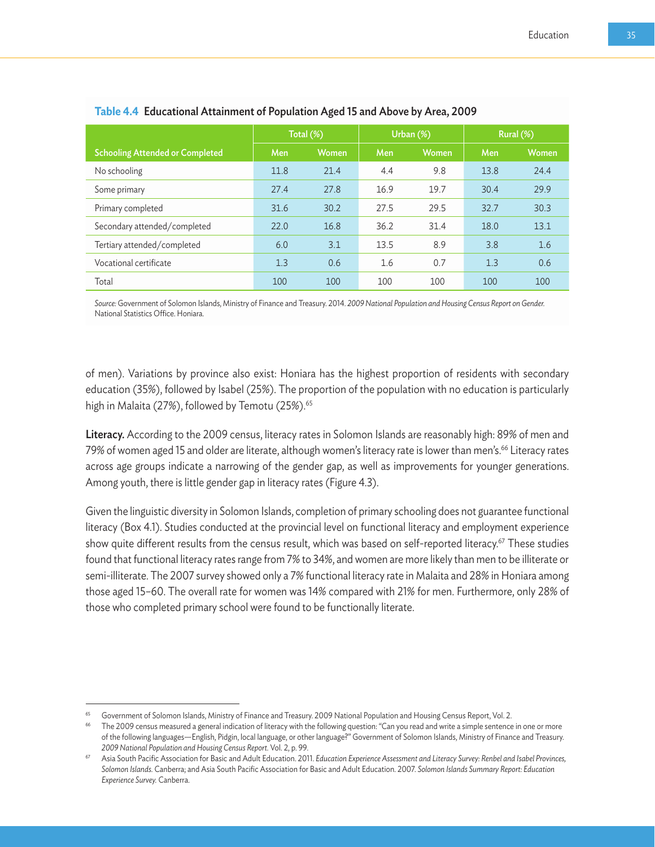|                                        |      |              |      |           | Rural (%) |       |
|----------------------------------------|------|--------------|------|-----------|-----------|-------|
|                                        |      | Total (%)    |      | Urban (%) |           |       |
| <b>Schooling Attended or Completed</b> | Men  | <b>Women</b> | Men  | Women     | Men       | Women |
| No schooling                           | 11.8 | 21.4         | 4.4  | 9.8       | 13.8      | 24.4  |
| Some primary                           | 27.4 | 27.8         | 16.9 | 19.7      | 30.4      | 29.9  |
| Primary completed                      | 31.6 | 30.2         | 27.5 | 29.5      | 32.7      | 30.3  |
| Secondary attended/completed           | 22.0 | 16.8         | 36.2 | 31.4      | 18.0      | 13.1  |
| Tertiary attended/completed            | 6.0  | 3.1          | 13.5 | 8.9       | 3.8       | 1.6   |
| Vocational certificate                 | 1.3  | 0.6          | 1.6  | 0.7       | 1.3       | 0.6   |
| Total                                  | 100  | 100          | 100  | 100       | 100       | 100   |

#### **Table 4.4** Educational Attainment of Population Aged 15 and Above by Area, 2009

*Source:* Government of Solomon Islands, Ministry of Finance and Treasury. 2014. *2009 National Population and Housing Census Report on Gender.*  National Statistics Office. Honiara.

of men). Variations by province also exist: Honiara has the highest proportion of residents with secondary education (35%), followed by Isabel (25%). The proportion of the population with no education is particularly high in Malaita (27%), followed by Temotu (25%).<sup>65</sup>

Literacy. According to the 2009 census, literacy rates in Solomon Islands are reasonably high: 89% of men and 79% of women aged 15 and older are literate, although women's literacy rate is lower than men's.<sup>66</sup> Literacy rates across age groups indicate a narrowing of the gender gap, as well as improvements for younger generations. Among youth, there is little gender gap in literacy rates (Figure 4.3).

Given the linguistic diversity in Solomon Islands, completion of primary schooling does not guarantee functional literacy (Box 4.1). Studies conducted at the provincial level on functional literacy and employment experience show quite different results from the census result, which was based on self-reported literacy.<sup>67</sup> These studies found that functional literacy rates range from 7% to 34%, and women are more likely than men to be illiterate or semi-illiterate. The 2007 survey showed only a 7% functional literacy rate in Malaita and 28% in Honiara among those aged 15–60. The overall rate for women was 14% compared with 21% for men. Furthermore, only 28% of those who completed primary school were found to be functionally literate.

<sup>&</sup>lt;sup>65</sup> Government of Solomon Islands, Ministry of Finance and Treasury. 2009 National Population and Housing Census Report, Vol. 2.

<sup>66</sup> The 2009 census measured a general indication of literacy with the following question: "Can you read and write a simple sentence in one or more of the following languages—English, Pidgin, local language, or other language?" Government of Solomon Islands, Ministry of Finance and Treasury.

<sup>2009</sup> National Population and Housing Census Report. Vol. 2, p. 99.<br>Asia South Pacific Association for Basic and Adult Education. 2011. Education Experience Assessment and Literacy Survey: Renbel and Isabel Provinces, *Solomon Islands.* Canberra; and Asia South Pacific Association for Basic and Adult Education. 2007. *Solomon Islands Summary Report: Education Experience Survey.* Canberra.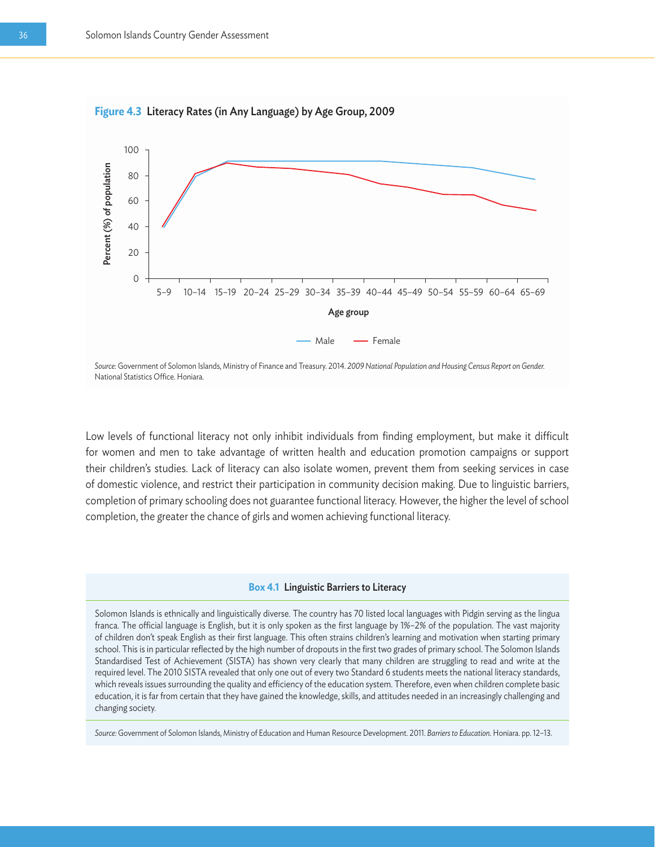

Low levels of functional literacy not only inhibit individuals from finding employment, but make it difficult for women and men to take advantage of written health and education promotion campaigns or support their children's studies. Lack of literacy can also isolate women, prevent them from seeking services in case of domestic violence, and restrict their participation in community decision making. Due to linguistic barriers, completion of primary schooling does not guarantee functional literacy. However, the higher the level of school completion, the greater the chance of girls and women achieving functional literacy.

#### **Box 4.1** Linguistic Barriers to Literacy

Solomon Islands is ethnically and linguistically diverse. The country has 70 listed local languages with Pidgin serving as the lingua franca. The official language is English, but it is only spoken as the first language by 1%–2% of the population. The vast majority of children don't speak English as their first language. This often strains children's learning and motivation when starting primary school. This is in particular reflected by the high number of dropouts in the first two grades of primary school. The Solomon Islands Standardised Test of Achievement (SISTA) has shown very clearly that many children are struggling to read and write at the required level. The 2010 SISTA revealed that only one out of every two Standard 6 students meets the national literacy standards, which reveals issues surrounding the quality and efficiency of the education system. Therefore, even when children complete basic education, it is far from certain that they have gained the knowledge, skills, and attitudes needed in an increasingly challenging and changing society.

*Source:* Government of Solomon Islands, Ministry of Education and Human Resource Development. 2011. *Barriers to Education.* Honiara. pp. 12–13.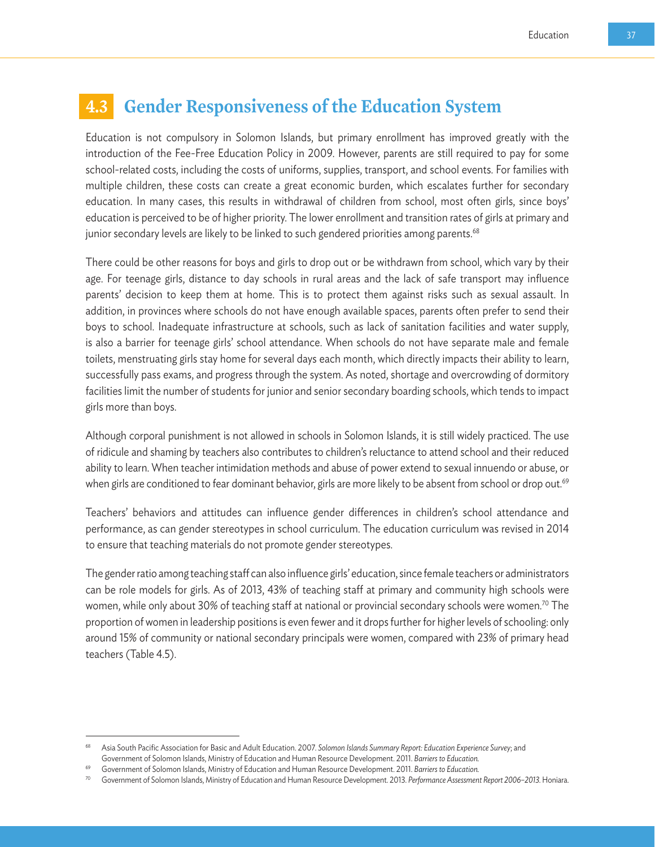## **4.3 Gender Responsiveness of the Education System**

Education is not compulsory in Solomon Islands, but primary enrollment has improved greatly with the introduction of the Fee-Free Education Policy in 2009. However, parents are still required to pay for some school-related costs, including the costs of uniforms, supplies, transport, and school events. For families with multiple children, these costs can create a great economic burden, which escalates further for secondary education. In many cases, this results in withdrawal of children from school, most often girls, since boys' education is perceived to be of higher priority. The lower enrollment and transition rates of girls at primary and junior secondary levels are likely to be linked to such gendered priorities among parents.<sup>68</sup>

There could be other reasons for boys and girls to drop out or be withdrawn from school, which vary by their age. For teenage girls, distance to day schools in rural areas and the lack of safe transport may influence parents' decision to keep them at home. This is to protect them against risks such as sexual assault. In addition, in provinces where schools do not have enough available spaces, parents often prefer to send their boys to school. Inadequate infrastructure at schools, such as lack of sanitation facilities and water supply, is also a barrier for teenage girls' school attendance. When schools do not have separate male and female toilets, menstruating girls stay home for several days each month, which directly impacts their ability to learn, successfully pass exams, and progress through the system. As noted, shortage and overcrowding of dormitory facilities limit the number of students for junior and senior secondary boarding schools, which tends to impact girls more than boys.

Although corporal punishment is not allowed in schools in Solomon Islands, it is still widely practiced. The use of ridicule and shaming by teachers also contributes to children's reluctance to attend school and their reduced ability to learn. When teacher intimidation methods and abuse of power extend to sexual innuendo or abuse, or when girls are conditioned to fear dominant behavior, girls are more likely to be absent from school or drop out.<sup>69</sup>

Teachers' behaviors and attitudes can influence gender differences in children's school attendance and performance, as can gender stereotypes in school curriculum. The education curriculum was revised in 2014 to ensure that teaching materials do not promote gender stereotypes.

The gender ratio among teaching staff can also influence girls' education, since female teachers or administrators can be role models for girls. As of 2013, 43% of teaching staff at primary and community high schools were women, while only about 30% of teaching staff at national or provincial secondary schools were women.<sup>70</sup> The proportion of women in leadership positions is even fewer and it drops further for higher levels of schooling: only around 15% of community or national secondary principals were women, compared with 23% of primary head teachers (Table 4.5).

<sup>68</sup> Asia South Pacific Association for Basic and Adult Education. 2007. *Solomon Islands Summary Report: Education Experience Survey*; and Government of Solomon Islands, Ministry of Education and Human Resource Development. 2011. *Barriers to Education.*

<sup>69</sup> Government of Solomon Islands, Ministry of Education and Human Resource Development. 2011. *Barriers to Education.* 

<sup>70</sup> Government of Solomon Islands, Ministry of Education and Human Resource Development. 2013. *Performance Assessment Report 2006–2013.* Honiara.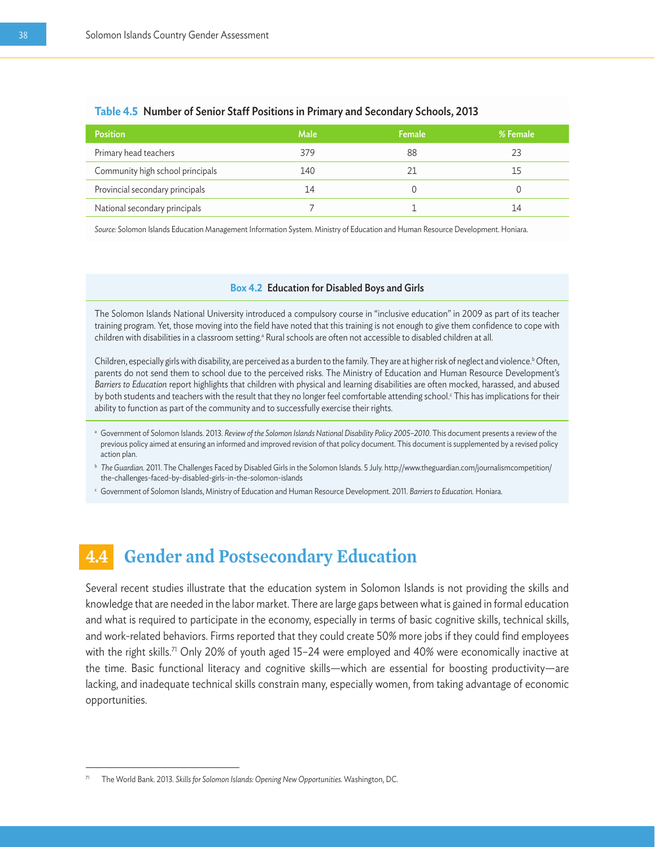| <b>Position</b>                  | <b>Male</b> | <b>Female</b> | % Female |
|----------------------------------|-------------|---------------|----------|
| Primary head teachers            | 379         | 88            | 23       |
| Community high school principals | 140         |               | 15       |
| Provincial secondary principals  | 14          |               |          |
| National secondary principals    |             |               | 14       |

#### **Table 4.5** Number of Senior Staff Positions in Primary and Secondary Schools, 2013

*Source:* Solomon Islands Education Management Information System. Ministry of Education and Human Resource Development. Honiara.

#### **Box 4.2** Education for Disabled Boys and Girls

The Solomon Islands National University introduced a compulsory course in "inclusive education" in 2009 as part of its teacher training program. Yet, those moving into the field have noted that this training is not enough to give them confidence to cope with children with disabilities in a classroom setting.ª Rural schools are often not accessible to disabled children at all.

Children, especially girls with disability, are perceived as a burden to the family. They are at higher risk of neglect and violence.<sup>b</sup> Often, parents do not send them to school due to the perceived risks. The Ministry of Education and Human Resource Development's *Barriers to Education* report highlights that children with physical and learning disabilities are often mocked, harassed, and abused by both students and teachers with the result that they no longer feel comfortable attending school.<sup>c</sup> This has implications for their ability to function as part of the community and to successfully exercise their rights.

- a Government of Solomon Islands. 2013. Review of the Solomon Islands National Disability Policy 2005-2010. This document presents a review of the previous policy aimed at ensuring an informed and improved revision of that policy document. This document is supplemented by a revised policy action plan.
- **b** The Guardian. 2011. The Challenges Faced by Disabled Girls in the Solomon Islands. 5 July. http://www.theguardian.com/journalismcompetition/ the-challenges-faced-by-disabled-girls-in-the-solomon-islands
- <sup>c</sup> Government of Solomon Islands, Ministry of Education and Human Resource Development. 2011. *Barriers to Education.* Honiara.

## **4.4 Gender and Postsecondary Education**

Several recent studies illustrate that the education system in Solomon Islands is not providing the skills and knowledge that are needed in the labor market. There are large gaps between what is gained in formal education and what is required to participate in the economy, especially in terms of basic cognitive skills, technical skills, and work-related behaviors. Firms reported that they could create 50% more jobs if they could find employees with the right skills.<sup>71</sup> Only 20% of youth aged 15-24 were employed and 40% were economically inactive at the time. Basic functional literacy and cognitive skills—which are essential for boosting productivity—are lacking, and inadequate technical skills constrain many, especially women, from taking advantage of economic opportunities.

<sup>71</sup> The World Bank. 2013. *Skills for Solomon Islands: Opening New Opportunities.* Washington, DC.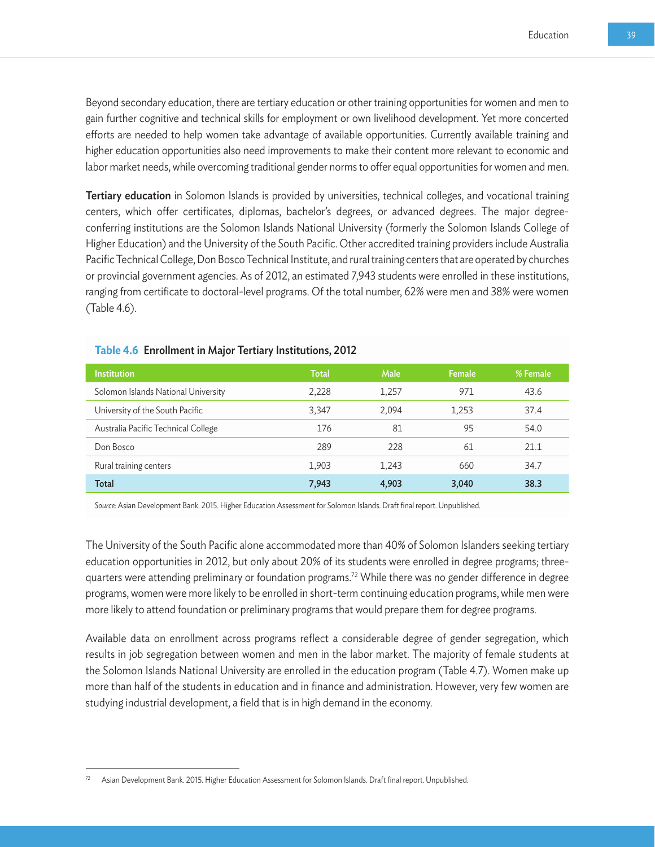Beyond secondary education, there are tertiary education or other training opportunities for women and men to gain further cognitive and technical skills for employment or own livelihood development. Yet more concerted efforts are needed to help women take advantage of available opportunities. Currently available training and higher education opportunities also need improvements to make their content more relevant to economic and labor market needs, while overcoming traditional gender norms to offer equal opportunities for women and men.

Tertiary education in Solomon Islands is provided by universities, technical colleges, and vocational training centers, which offer certificates, diplomas, bachelor's degrees, or advanced degrees. The major degreeconferring institutions are the Solomon Islands National University (formerly the Solomon Islands College of Higher Education) and the University of the South Pacific. Other accredited training providers include Australia Pacific Technical College, Don Bosco Technical Institute, and rural training centers that are operated by churches or provincial government agencies. As of 2012, an estimated 7,943 students were enrolled in these institutions, ranging from certificate to doctoral-level programs. Of the total number, 62% were men and 38% were women (Table 4.6).

| <b>Institution</b>                  | Total | <b>Male</b> | <b>Female</b> | % Female |
|-------------------------------------|-------|-------------|---------------|----------|
| Solomon Islands National University | 2,228 | 1,257       | 971           | 43.6     |
| University of the South Pacific     | 3,347 | 2,094       | 1,253         | 37.4     |
| Australia Pacific Technical College | 176   | 81          | 95            | 54.0     |
| Don Bosco                           | 289   | 228         | 61            | 21.1     |
| Rural training centers              | 1,903 | 1,243       | 660           | 34.7     |
| <b>Total</b>                        | 7,943 | 4,903       | 3,040         | 38.3     |

#### **Table 4.6** Enrollment in Major Tertiary Institutions, 2012

*Source:* Asian Development Bank. 2015. Higher Education Assessment for Solomon Islands. Draft final report. Unpublished.

The University of the South Pacific alone accommodated more than 40% of Solomon Islanders seeking tertiary education opportunities in 2012, but only about 20% of its students were enrolled in degree programs; threequarters were attending preliminary or foundation programs.72 While there was no gender difference in degree programs, women were more likely to be enrolled in short-term continuing education programs, while men were more likely to attend foundation or preliminary programs that would prepare them for degree programs.

Available data on enrollment across programs reflect a considerable degree of gender segregation, which results in job segregation between women and men in the labor market. The majority of female students at the Solomon Islands National University are enrolled in the education program (Table 4.7). Women make up more than half of the students in education and in finance and administration. However, very few women are studying industrial development, a field that is in high demand in the economy.

<sup>72</sup> Asian Development Bank. 2015. Higher Education Assessment for Solomon Islands. Draft final report. Unpublished.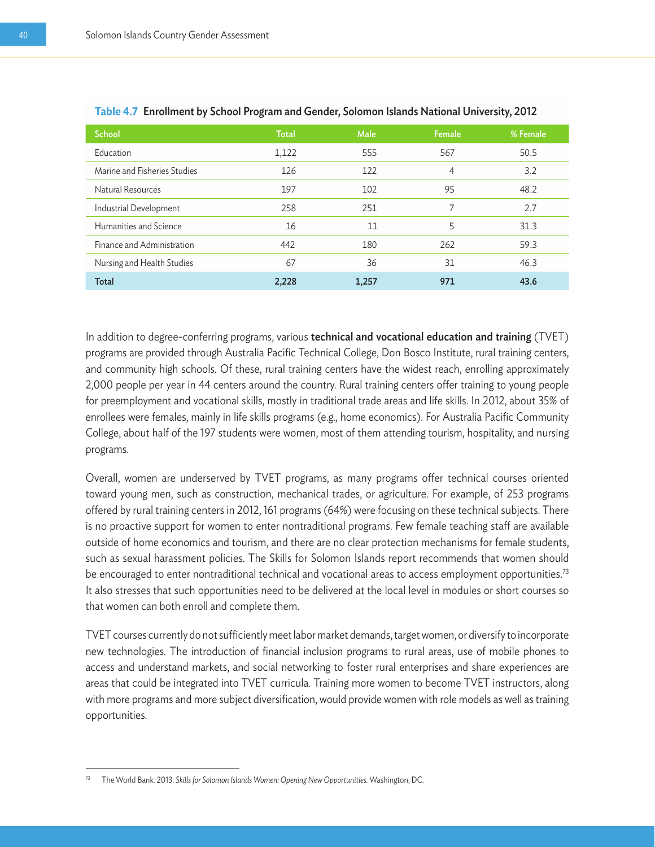| <b>School</b>                | <b>Total</b> | Male  | <b>Female</b> | % Female |
|------------------------------|--------------|-------|---------------|----------|
| Education                    | 1,122        | 555   | 567           | 50.5     |
| Marine and Fisheries Studies | 126          | 122   | 4             | 3.2      |
| Natural Resources            | 197          | 102   | 95            | 48.2     |
| Industrial Development       | 258          | 251   | 7             | 2.7      |
| Humanities and Science       | 16           | 11    | 5             | 31.3     |
| Finance and Administration   | 442          | 180   | 262           | 59.3     |
| Nursing and Health Studies   | 67           | 36    | 31            | 46.3     |
| <b>Total</b>                 | 2.228        | 1,257 | 971           | 43.6     |

|  |  | Table 4.7 Enrollment by School Program and Gender, Solomon Islands National University, 2012 |  |  |
|--|--|----------------------------------------------------------------------------------------------|--|--|
|  |  |                                                                                              |  |  |

In addition to degree-conferring programs, various technical and vocational education and training (TVET) programs are provided through Australia Pacific Technical College, Don Bosco Institute, rural training centers, and community high schools. Of these, rural training centers have the widest reach, enrolling approximately 2,000 people per year in 44 centers around the country. Rural training centers offer training to young people for preemployment and vocational skills, mostly in traditional trade areas and life skills. In 2012, about 35% of enrollees were females, mainly in life skills programs (e.g., home economics). For Australia Pacific Community College, about half of the 197 students were women, most of them attending tourism, hospitality, and nursing programs.

Overall, women are underserved by TVET programs, as many programs offer technical courses oriented toward young men, such as construction, mechanical trades, or agriculture. For example, of 253 programs offered by rural training centers in 2012, 161 programs (64%) were focusing on these technical subjects. There is no proactive support for women to enter nontraditional programs. Few female teaching staff are available outside of home economics and tourism, and there are no clear protection mechanisms for female students, such as sexual harassment policies. The Skills for Solomon Islands report recommends that women should be encouraged to enter nontraditional technical and vocational areas to access employment opportunities.<sup>73</sup> It also stresses that such opportunities need to be delivered at the local level in modules or short courses so that women can both enroll and complete them.

TVET courses currently do not sufficiently meet labor market demands, target women, or diversify to incorporate new technologies. The introduction of financial inclusion programs to rural areas, use of mobile phones to access and understand markets, and social networking to foster rural enterprises and share experiences are areas that could be integrated into TVET curricula. Training more women to become TVET instructors, along with more programs and more subject diversification, would provide women with role models as well as training opportunities.

<sup>73</sup> The World Bank. 2013. *Skills for Solomon Islands Women: Opening New Opportunities.* Washington, DC.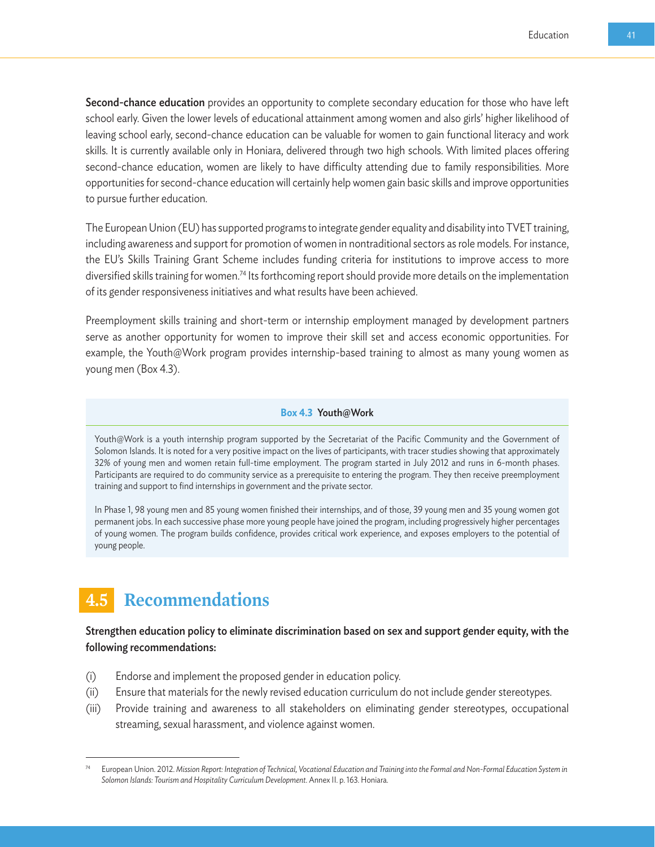Second-chance education provides an opportunity to complete secondary education for those who have left school early. Given the lower levels of educational attainment among women and also girls' higher likelihood of leaving school early, second-chance education can be valuable for women to gain functional literacy and work skills. It is currently available only in Honiara, delivered through two high schools. With limited places offering second-chance education, women are likely to have difficulty attending due to family responsibilities. More opportunities for second-chance education will certainly help women gain basic skills and improve opportunities to pursue further education.

The European Union (EU) has supported programs to integrate gender equality and disability into TVET training, including awareness and support for promotion of women in nontraditional sectors as role models. For instance, the EU's Skills Training Grant Scheme includes funding criteria for institutions to improve access to more diversified skills training for women.<sup>74</sup> Its forthcoming report should provide more details on the implementation of its gender responsiveness initiatives and what results have been achieved.

Preemployment skills training and short-term or internship employment managed by development partners serve as another opportunity for women to improve their skill set and access economic opportunities. For example, the Youth@Work program provides internship-based training to almost as many young women as young men (Box 4.3).

#### **Box 4.3** Youth@Work

Youth@Work is a youth internship program supported by the Secretariat of the Pacific Community and the Government of Solomon Islands. It is noted for a very positive impact on the lives of participants, with tracer studies showing that approximately 32% of young men and women retain full-time employment. The program started in July 2012 and runs in 6-month phases. Participants are required to do community service as a prerequisite to entering the program. They then receive preemployment training and support to find internships in government and the private sector.

In Phase 1, 98 young men and 85 young women finished their internships, and of those, 39 young men and 35 young women got permanent jobs. In each successive phase more young people have joined the program, including progressively higher percentages of young women. The program builds confidence, provides critical work experience, and exposes employers to the potential of young people.

## **4.5 Recommendations**

Strengthen education policy to eliminate discrimination based on sex and support gender equity, with the following recommendations:

- (i) Endorse and implement the proposed gender in education policy.
- (ii) Ensure that materials for the newly revised education curriculum do not include gender stereotypes.
- (iii) Provide training and awareness to all stakeholders on eliminating gender stereotypes, occupational streaming, sexual harassment, and violence against women.

<sup>74</sup> European Union. 2012. *Mission Report: Integration of Technical, Vocational Education and Training into the Formal and Non-Formal Education System in Solomon Islands: Tourism and Hospitality Curriculum Development.* Annex II. p. 163. Honiara.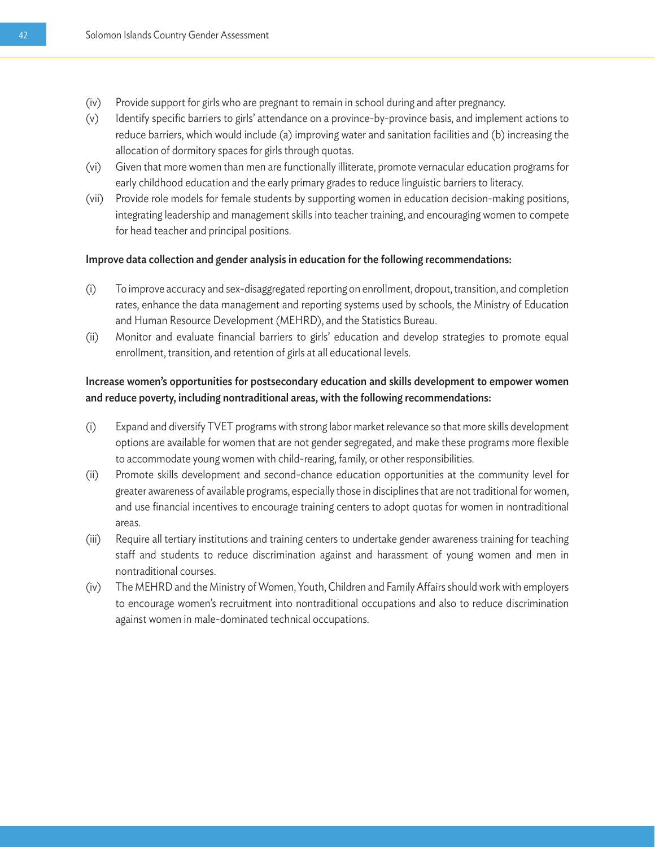- (iv) Provide support for girls who are pregnant to remain in school during and after pregnancy.
- (v) Identify specific barriers to girls' attendance on a province-by-province basis, and implement actions to reduce barriers, which would include (a) improving water and sanitation facilities and (b) increasing the allocation of dormitory spaces for girls through quotas.
- (vi) Given that more women than men are functionally illiterate, promote vernacular education programs for early childhood education and the early primary grades to reduce linguistic barriers to literacy.
- (vii) Provide role models for female students by supporting women in education decision-making positions, integrating leadership and management skills into teacher training, and encouraging women to compete for head teacher and principal positions.

#### Improve data collection and gender analysis in education for the following recommendations:

- (i) To improve accuracy and sex-disaggregated reporting on enrollment, dropout, transition, and completion rates, enhance the data management and reporting systems used by schools, the Ministry of Education and Human Resource Development (MEHRD), and the Statistics Bureau.
- (ii) Monitor and evaluate financial barriers to girls' education and develop strategies to promote equal enrollment, transition, and retention of girls at all educational levels.

#### Increase women's opportunities for postsecondary education and skills development to empower women and reduce poverty, including nontraditional areas, with the following recommendations:

- (i) Expand and diversify TVET programs with strong labor market relevance so that more skills development options are available for women that are not gender segregated, and make these programs more flexible to accommodate young women with child-rearing, family, or other responsibilities.
- (ii) Promote skills development and second-chance education opportunities at the community level for greater awareness of available programs, especially those in disciplines that are not traditional for women, and use financial incentives to encourage training centers to adopt quotas for women in nontraditional areas.
- (iii) Require all tertiary institutions and training centers to undertake gender awareness training for teaching staff and students to reduce discrimination against and harassment of young women and men in nontraditional courses.
- (iv) The MEHRD and the Ministry of Women, Youth, Children and Family Affairs should work with employers to encourage women's recruitment into nontraditional occupations and also to reduce discrimination against women in male-dominated technical occupations.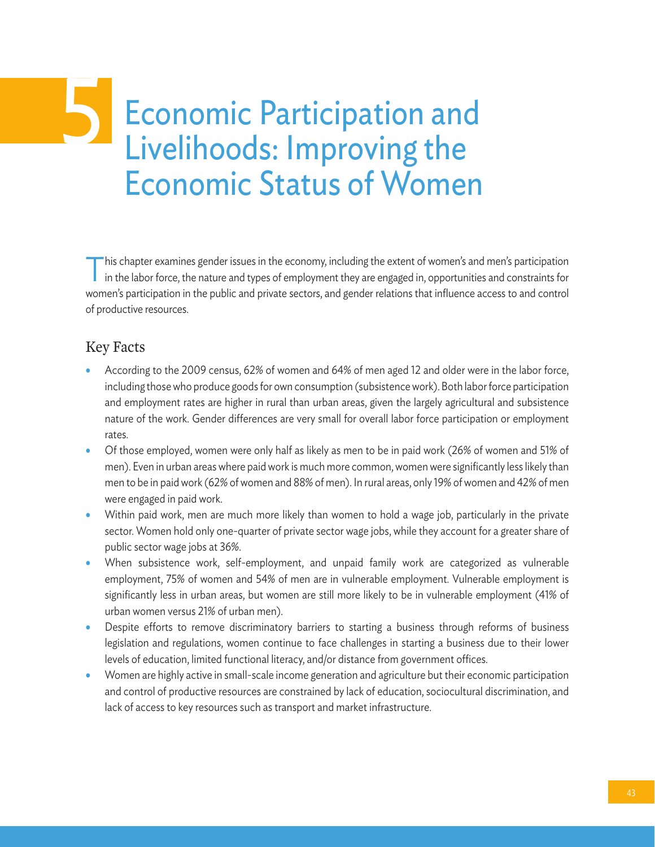## Economic Participation and Livelihoods: Improving the Economic Status of Women 5

This chapter examines gender issues in the economy, including the extent of women's and men's participation in the labor force, the nature and types of employment they are engaged in, opportunities and constraints for women's participation in the public and private sectors, and gender relations that influence access to and control of productive resources.

#### Key Facts

- According to the 2009 census, 62% of women and 64% of men aged 12 and older were in the labor force, including those who produce goods for own consumption (subsistence work). Both labor force participation and employment rates are higher in rural than urban areas, given the largely agricultural and subsistence nature of the work. Gender differences are very small for overall labor force participation or employment rates.
- Of those employed, women were only half as likely as men to be in paid work (26% of women and 51% of men). Even in urban areas where paid work is much more common, women were significantly less likely than men to be in paid work (62% of women and 88% of men). In rural areas, only 19% of women and 42% of men were engaged in paid work.
- Within paid work, men are much more likely than women to hold a wage job, particularly in the private sector. Women hold only one-quarter of private sector wage jobs, while they account for a greater share of public sector wage jobs at 36%.
- When subsistence work, self-employment, and unpaid family work are categorized as vulnerable employment, 75% of women and 54% of men are in vulnerable employment. Vulnerable employment is significantly less in urban areas, but women are still more likely to be in vulnerable employment (41% of urban women versus 21% of urban men).
- Despite efforts to remove discriminatory barriers to starting a business through reforms of business legislation and regulations, women continue to face challenges in starting a business due to their lower levels of education, limited functional literacy, and/or distance from government offices.
- Women are highly active in small-scale income generation and agriculture but their economic participation and control of productive resources are constrained by lack of education, sociocultural discrimination, and lack of access to key resources such as transport and market infrastructure.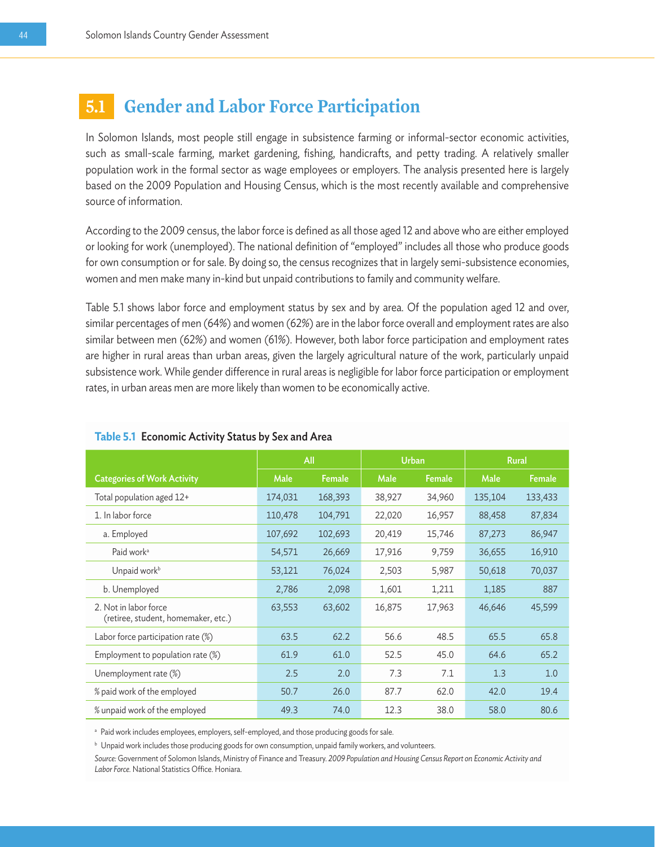## **5.1 Gender and Labor Force Participation**

In Solomon Islands, most people still engage in subsistence farming or informal-sector economic activities, such as small-scale farming, market gardening, fishing, handicrafts, and petty trading. A relatively smaller population work in the formal sector as wage employees or employers. The analysis presented here is largely based on the 2009 Population and Housing Census, which is the most recently available and comprehensive source of information.

According to the 2009 census, the labor force is defined as all those aged 12 and above who are either employed or looking for work (unemployed). The national definition of "employed" includes all those who produce goods for own consumption or for sale. By doing so, the census recognizes that in largely semi-subsistence economies, women and men make many in-kind but unpaid contributions to family and community welfare.

Table 5.1 shows labor force and employment status by sex and by area. Of the population aged 12 and over, similar percentages of men (64%) and women (62%) are in the labor force overall and employment rates are also similar between men (62%) and women (61%). However, both labor force participation and employment rates are higher in rural areas than urban areas, given the largely agricultural nature of the work, particularly unpaid subsistence work. While gender difference in rural areas is negligible for labor force participation or employment rates, in urban areas men are more likely than women to be economically active.

|                                                              | All     |         | <b>Urban</b> |        | <b>Rural</b> |               |
|--------------------------------------------------------------|---------|---------|--------------|--------|--------------|---------------|
| <b>Categories of Work Activity</b>                           | Male    | Female  | Male         | Female | Male         | <b>Female</b> |
| Total population aged 12+                                    | 174,031 | 168,393 | 38,927       | 34,960 | 135,104      | 133,433       |
| 1. In labor force                                            | 110,478 | 104,791 | 22,020       | 16,957 | 88,458       | 87,834        |
| a. Employed                                                  | 107,692 | 102,693 | 20,419       | 15,746 | 87,273       | 86,947        |
| Paid work <sup>a</sup>                                       | 54,571  | 26,669  | 17,916       | 9,759  | 36,655       | 16,910        |
| Unpaid work <sup>b</sup>                                     | 53,121  | 76,024  | 2,503        | 5,987  | 50,618       | 70,037        |
| b. Unemployed                                                | 2,786   | 2,098   | 1,601        | 1,211  | 1,185        | 887           |
| 2. Not in labor force<br>(retiree, student, homemaker, etc.) | 63,553  | 63,602  | 16,875       | 17,963 | 46,646       | 45,599        |
| Labor force participation rate (%)                           | 63.5    | 62.2    | 56.6         | 48.5   | 65.5         | 65.8          |
| Employment to population rate $(\%)$                         | 61.9    | 61.0    | 52.5         | 45.0   | 64.6         | 65.2          |
| Unemployment rate (%)                                        | 2.5     | 2.0     | 7.3          | 7.1    | 1.3          | 1.0           |
| % paid work of the employed                                  | 50.7    | 26.0    | 87.7         | 62.0   | 42.0         | 19.4          |
| % unpaid work of the employed                                | 49.3    | 74.0    | 12.3         | 38.0   | 58.0         | 80.6          |

#### **Table 5.1** Economic Activity Status by Sex and Area

<sup>a</sup> Paid work includes employees, employers, self-employed, and those producing goods for sale.

**b** Unpaid work includes those producing goods for own consumption, unpaid family workers, and volunteers.

*Source:* Government of Solomon Islands, Ministry of Finance and Treasury. *2009 Population and Housing Census Report on Economic Activity and Labor Force.* National Statistics Office. Honiara.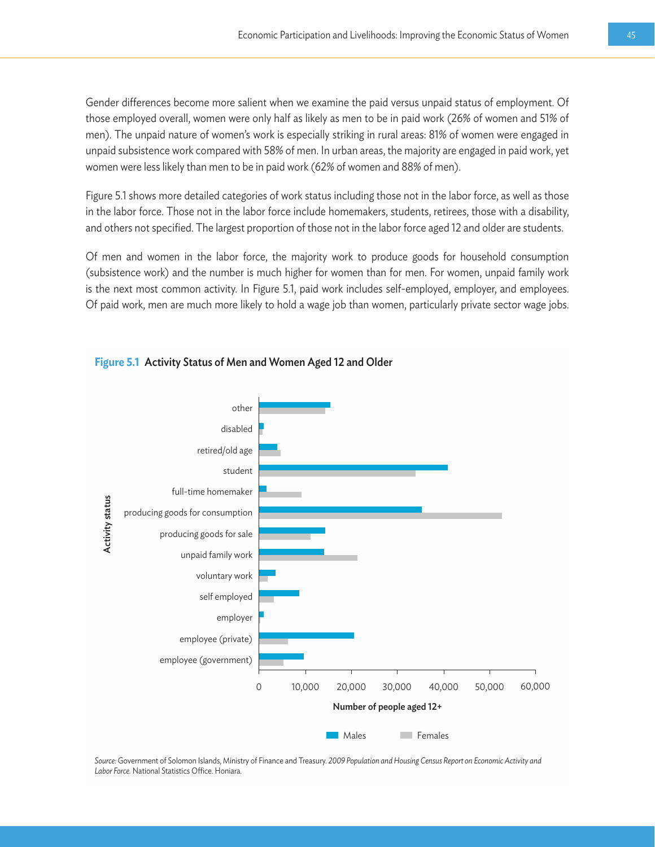Gender differences become more salient when we examine the paid versus unpaid status of employment. Of those employed overall, women were only half as likely as men to be in paid work (26% of women and 51% of men). The unpaid nature of women's work is especially striking in rural areas: 81% of women were engaged in unpaid subsistence work compared with 58% of men. In urban areas, the majority are engaged in paid work, yet women were less likely than men to be in paid work (62% of women and 88% of men).

Figure 5.1 shows more detailed categories of work status including those not in the labor force, as well as those in the labor force. Those not in the labor force include homemakers, students, retirees, those with a disability, and others not specified. The largest proportion of those not in the labor force aged 12 and older are students.

Of men and women in the labor force, the majority work to produce goods for household consumption (subsistence work) and the number is much higher for women than for men. For women, unpaid family work is the next most common activity. In Figure 5.1, paid work includes self-employed, employer, and employees. Of paid work, men are much more likely to hold a wage job than women, particularly private sector wage jobs.



*Source:* Government of Solomon Islands, Ministry of Finance and Treasury. *2009 Population and Housing Census Report on Economic Activity and Labor Force.* National Statistics Office. Honiara.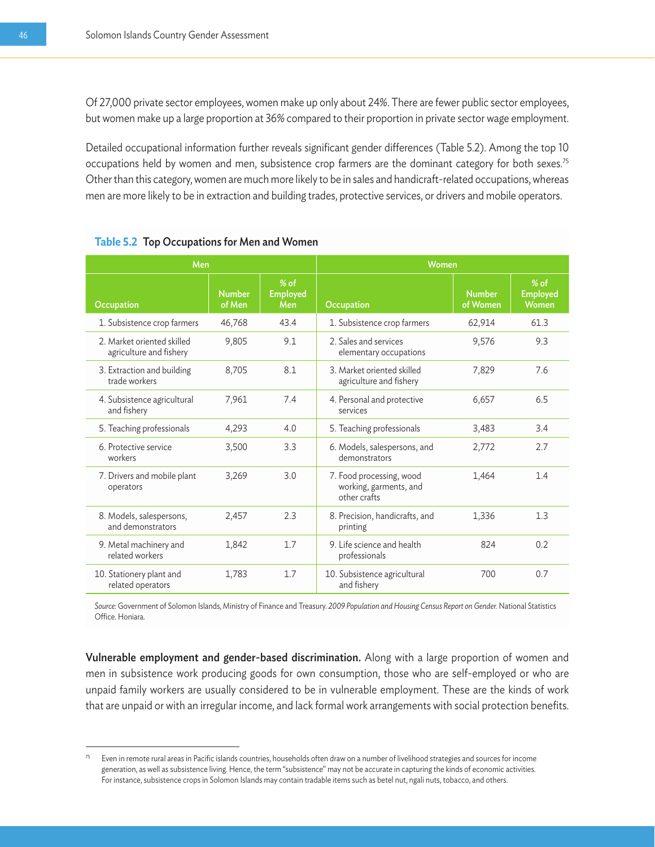Of 27,000 private sector employees, women make up only about 24%. There are fewer public sector employees, but women make up a large proportion at 36% compared to their proportion in private sector wage employment.

Detailed occupational information further reveals significant gender differences (Table 5.2). Among the top 10 occupations held by women and men, subsistence crop farmers are the dominant category for both sexes.75 Other than this category, women are much more likely to be in sales and handicraft-related occupations, whereas men are more likely to be in extraction and building trades, protective services, or drivers and mobile operators.

|                                                       | Men                     |                                  |                                                                    | Women                     |                                    |  |
|-------------------------------------------------------|-------------------------|----------------------------------|--------------------------------------------------------------------|---------------------------|------------------------------------|--|
| Occupation                                            | <b>Number</b><br>of Men | $%$ of<br><b>Employed</b><br>Men | Occupation                                                         | <b>Number</b><br>of Women | $%$ of<br><b>Employed</b><br>Women |  |
| 1. Subsistence crop farmers                           | 46,768                  | 43.4                             | 1. Subsistence crop farmers                                        | 62,914                    | 61.3                               |  |
| 2. Market oriented skilled<br>agriculture and fishery | 9,805                   | 9.1                              | 2. Sales and services<br>elementary occupations                    | 9,576                     | 9.3                                |  |
| 3. Extraction and building<br>trade workers           | 8,705                   | 8.1                              | 3. Market oriented skilled<br>agriculture and fishery              | 7.829                     | 7.6                                |  |
| 4. Subsistence agricultural<br>and fishery            | 7,961                   | 74                               | 4. Personal and protective<br>services                             | 6,657                     | 6.5                                |  |
| 5. Teaching professionals                             | 4,293                   | 4.0                              | 5. Teaching professionals                                          | 3,483                     | 3.4                                |  |
| 6. Protective service<br>workers                      | 3,500                   | 3.3                              | 6. Models, salespersons, and<br>demonstrators                      | 2,772                     | 2.7                                |  |
| 7. Drivers and mobile plant<br>operators              | 3,269                   | 3.0                              | 7. Food processing, wood<br>working, garments, and<br>other crafts | 1,464                     | 1.4                                |  |
| 8. Models, salespersons,<br>and demonstrators         | 2,457                   | 2.3                              | 8. Precision, handicrafts, and<br>printing                         | 1,336                     | 1.3                                |  |
| 9. Metal machinery and<br>related workers             | 1,842                   | 1.7                              | 9. Life science and health<br>professionals                        | 824                       | 0.2                                |  |
| 10. Stationery plant and<br>related operators         | 1,783                   | 1.7                              | 10. Subsistence agricultural<br>and fishery                        | 700                       | 0.7                                |  |

|  |  |  |  | <b>Table 5.2 Top Occupations for Men and Women</b> |
|--|--|--|--|----------------------------------------------------|
|--|--|--|--|----------------------------------------------------|

*Source:* Government of Solomon Islands, Ministry of Finance and Treasury. *2009 Population and Housing Census Report on Gender.* National Statistics Office. Honiara.

Vulnerable employment and gender-based discrimination. Along with a large proportion of women and men in subsistence work producing goods for own consumption, those who are self-employed or who are unpaid family workers are usually considered to be in vulnerable employment. These are the kinds of work that are unpaid or with an irregular income, and lack formal work arrangements with social protection benefits.

Even in remote rural areas in Pacific islands countries, households often draw on a number of livelihood strategies and sources for income generation, as well as subsistence living. Hence, the term "subsistence" may not be accurate in capturing the kinds of economic activities. For instance, subsistence crops in Solomon Islands may contain tradable items such as betel nut, ngali nuts, tobacco, and others.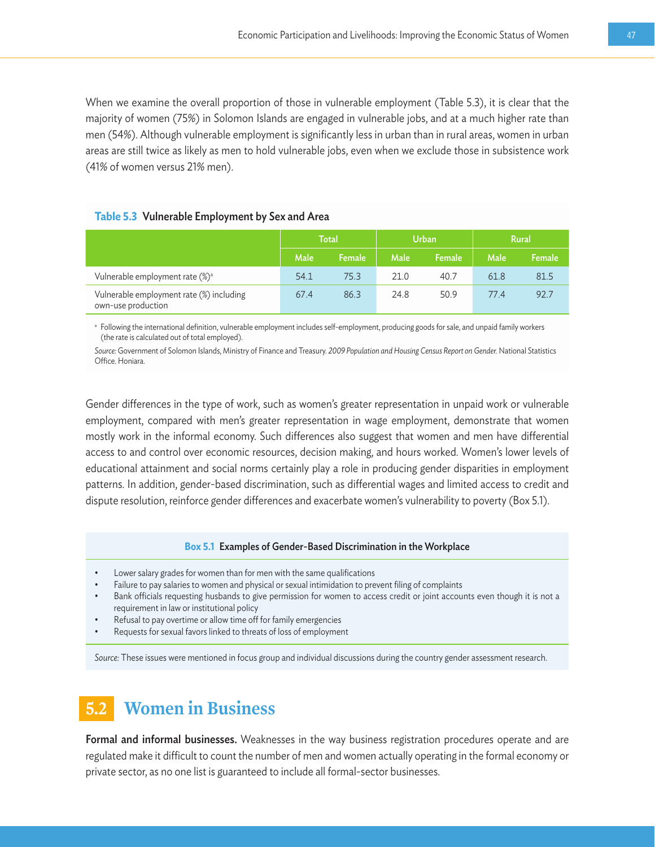When we examine the overall proportion of those in vulnerable employment (Table 5.3), it is clear that the majority of women (75%) in Solomon Islands are engaged in vulnerable jobs, and at a much higher rate than men (54%). Although vulnerable employment is significantly less in urban than in rural areas, women in urban areas are still twice as likely as men to hold vulnerable jobs, even when we exclude those in subsistence work (41% of women versus 21% men).

#### **Table 5.3** Vulnerable Employment by Sex and Area

|                                                                | <b>Total</b> |        | <b>Urban</b> |        | <b>Rural</b> |        |
|----------------------------------------------------------------|--------------|--------|--------------|--------|--------------|--------|
|                                                                | Male         | Female | <b>Male</b>  | Female | Male         | Female |
| Vulnerable employment rate (%) <sup>a</sup>                    | 54.1         | 75.3   | 21.0         | 40.7   | 61.8         | 81.5   |
| Vulnerable employment rate (%) including<br>own-use production | 67.4         | 86.3   | 24.8         | 50.9   | 77.4         | 92.7   |

a Following the international definition, vulnerable employment includes self-employment, producing goods for sale, and unpaid family workers (the rate is calculated out of total employed).

*Source:* Government of Solomon Islands, Ministry of Finance and Treasury. *2009 Population and Housing Census Report on Gender.* National Statistics Office. Honiara.

Gender differences in the type of work, such as women's greater representation in unpaid work or vulnerable employment, compared with men's greater representation in wage employment, demonstrate that women mostly work in the informal economy. Such differences also suggest that women and men have differential access to and control over economic resources, decision making, and hours worked. Women's lower levels of educational attainment and social norms certainly play a role in producing gender disparities in employment patterns. In addition, gender-based discrimination, such as differential wages and limited access to credit and dispute resolution, reinforce gender differences and exacerbate women's vulnerability to poverty (Box 5.1).

#### **Box 5.1** Examples of Gender-Based Discrimination in the Workplace

- Lower salary grades for women than for men with the same qualifications
- Failure to pay salaries to women and physical or sexual intimidation to prevent filing of complaints
- Bank officials requesting husbands to give permission for women to access credit or joint accounts even though it is not a requirement in law or institutional policy
- Refusal to pay overtime or allow time off for family emergencies
- Requests for sexual favors linked to threats of loss of employment

*Source:* These issues were mentioned in focus group and individual discussions during the country gender assessment research.

## **5.2 Women in Business**

Formal and informal businesses. Weaknesses in the way business registration procedures operate and are regulated make it difficult to count the number of men and women actually operating in the formal economy or private sector, as no one list is guaranteed to include all formal-sector businesses.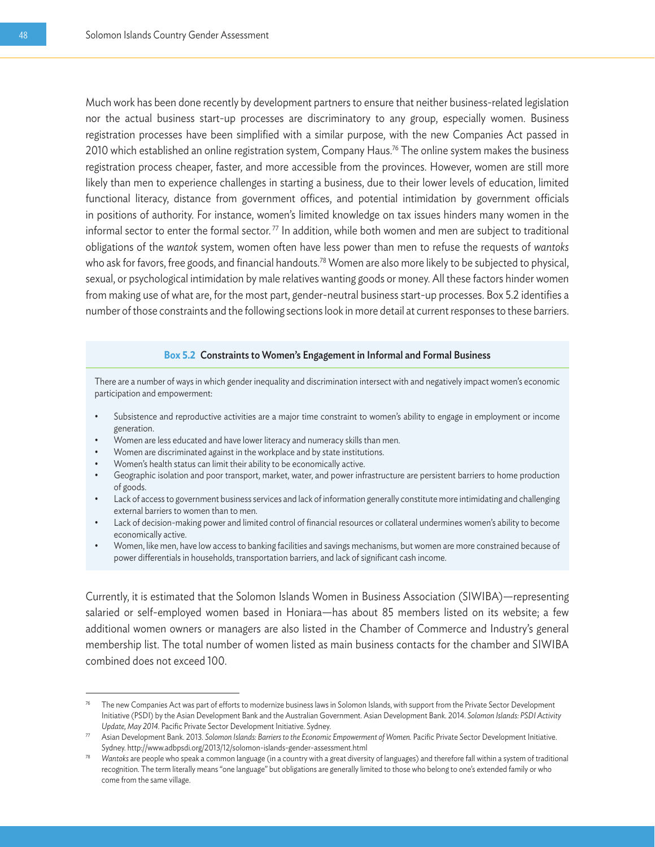Much work has been done recently by development partners to ensure that neither business-related legislation nor the actual business start-up processes are discriminatory to any group, especially women. Business registration processes have been simplified with a similar purpose, with the new Companies Act passed in 2010 which established an online registration system, Company Haus.<sup>76</sup> The online system makes the business registration process cheaper, faster, and more accessible from the provinces. However, women are still more likely than men to experience challenges in starting a business, due to their lower levels of education, limited functional literacy, distance from government offices, and potential intimidation by government officials in positions of authority. For instance, women's limited knowledge on tax issues hinders many women in the informal sector to enter the formal sector.<sup>77</sup> In addition, while both women and men are subject to traditional obligations of the *wantok* system, women often have less power than men to refuse the requests of *wantoks* who ask for favors, free goods, and financial handouts.<sup>78</sup> Women are also more likely to be subjected to physical, sexual, or psychological intimidation by male relatives wanting goods or money. All these factors hinder women from making use of what are, for the most part, gender-neutral business start-up processes. Box 5.2 identifies a number of those constraints and the following sections look in more detail at current responses to these barriers.

#### **Box 5.2** Constraints to Women's Engagement in Informal and Formal Business

There are a number of ways in which gender inequality and discrimination intersect with and negatively impact women's economic participation and empowerment:

- Subsistence and reproductive activities are a major time constraint to women's ability to engage in employment or income generation.
- Women are less educated and have lower literacy and numeracy skills than men.
- Women are discriminated against in the workplace and by state institutions.
- Women's health status can limit their ability to be economically active.
- Geographic isolation and poor transport, market, water, and power infrastructure are persistent barriers to home production of goods.
- Lack of access to government business services and lack of information generally constitute more intimidating and challenging external barriers to women than to men.
- Lack of decision-making power and limited control of financial resources or collateral undermines women's ability to become economically active.
- Women, like men, have low access to banking facilities and savings mechanisms, but women are more constrained because of power differentials in households, transportation barriers, and lack of significant cash income.

Currently, it is estimated that the Solomon Islands Women in Business Association (SIWIBA)—representing salaried or self-employed women based in Honiara—has about 85 members listed on its website; a few additional women owners or managers are also listed in the Chamber of Commerce and Industry's general membership list. The total number of women listed as main business contacts for the chamber and SIWIBA combined does not exceed 100.

<sup>76</sup> The new Companies Act was part of efforts to modernize business laws in Solomon Islands, with support from the Private Sector Development Initiative (PSDI) by the Asian Development Bank and the Australian Government. Asian Development Bank. 2014. *Solomon Islands: PSDI Activity*  Update, May 2014. Pacific Private Sector Development Initiative. Sydney.<br>Asian Development Bank. 2013. Solomon Islands: Barriers to the Economic Empowerment of Women. Pacific Private Sector Development Initiative.

Sydney. http://www.adbpsdi.org/2013/12/solomon-islands-gender-assessment.html

<sup>78</sup> *Wantoks* are people who speak a common language (in a country with a great diversity of languages) and therefore fall within a system of traditional recognition. The term literally means "one language" but obligations are generally limited to those who belong to one's extended family or who come from the same village.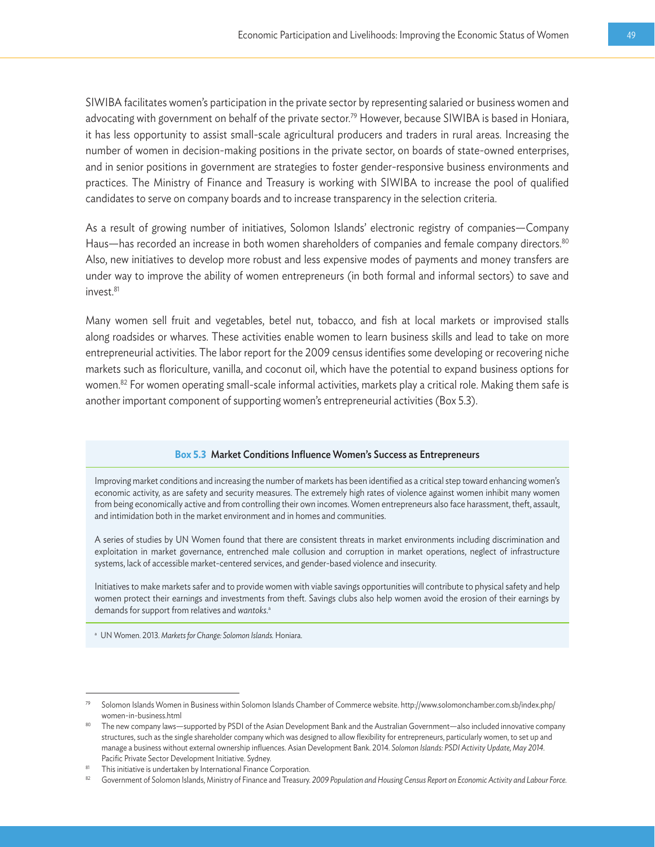SIWIBA facilitates women's participation in the private sector by representing salaried or business women and advocating with government on behalf of the private sector.<sup>79</sup> However, because SIWIBA is based in Honiara, it has less opportunity to assist small-scale agricultural producers and traders in rural areas. Increasing the number of women in decision-making positions in the private sector, on boards of state-owned enterprises, and in senior positions in government are strategies to foster gender-responsive business environments and practices. The Ministry of Finance and Treasury is working with SIWIBA to increase the pool of qualified candidates to serve on company boards and to increase transparency in the selection criteria.

As a result of growing number of initiatives, Solomon Islands' electronic registry of companies—Company Haus—has recorded an increase in both women shareholders of companies and female company directors.<sup>80</sup> Also, new initiatives to develop more robust and less expensive modes of payments and money transfers are under way to improve the ability of women entrepreneurs (in both formal and informal sectors) to save and invest.<sup>81</sup>

Many women sell fruit and vegetables, betel nut, tobacco, and fish at local markets or improvised stalls along roadsides or wharves. These activities enable women to learn business skills and lead to take on more entrepreneurial activities. The labor report for the 2009 census identifies some developing or recovering niche markets such as floriculture, vanilla, and coconut oil, which have the potential to expand business options for women.82 For women operating small-scale informal activities, markets play a critical role. Making them safe is another important component of supporting women's entrepreneurial activities (Box 5.3).

#### **Box 5.3** Market Conditions Influence Women's Success as Entrepreneurs

Improving market conditions and increasing the number of markets has been identified as a critical step toward enhancing women's economic activity, as are safety and security measures. The extremely high rates of violence against women inhibit many women from being economically active and from controlling their own incomes. Women entrepreneurs also face harassment, theft, assault, and intimidation both in the market environment and in homes and communities.

A series of studies by UN Women found that there are consistent threats in market environments including discrimination and exploitation in market governance, entrenched male collusion and corruption in market operations, neglect of infrastructure systems, lack of accessible market-centered services, and gender-based violence and insecurity.

Initiatives to make markets safer and to provide women with viable savings opportunities will contribute to physical safety and help women protect their earnings and investments from theft. Savings clubs also help women avoid the erosion of their earnings by demands for support from relatives and *wantoks*. a

a UN Women. 2013. *Markets for Change: Solomon Islands.* Honiara.

<sup>79</sup> Solomon Islands Women in Business within Solomon Islands Chamber of Commerce website. http://www.solomonchamber.com.sb/index.php/ women-in-business.html 80 The new company laws—supported by PSDI of the Asian Development Bank and the Australian Government—also included innovative company

structures, such as the single shareholder company which was designed to allow flexibility for entrepreneurs, particularly women, to set up and manage a business without external ownership influences. Asian Development Bank. 2014. *Solomon Islands: PSDI Activity Update, May 2014.* Pacific Private Sector Development Initiative. Sydney.

This initiative is undertaken by International Finance Corporation.

<sup>82</sup> Government of Solomon Islands, Ministry of Finance and Treasury. 2009 Population and Housing Census Report on Economic Activity and Labour Force.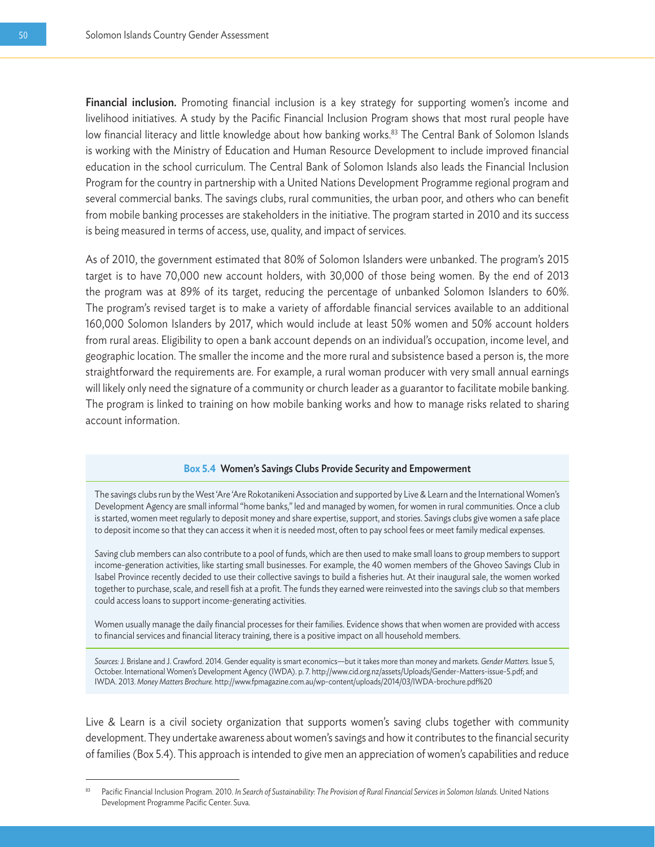Financial inclusion. Promoting financial inclusion is a key strategy for supporting women's income and livelihood initiatives. A study by the Pacific Financial Inclusion Program shows that most rural people have low financial literacy and little knowledge about how banking works.<sup>83</sup> The Central Bank of Solomon Islands is working with the Ministry of Education and Human Resource Development to include improved financial education in the school curriculum. The Central Bank of Solomon Islands also leads the Financial Inclusion Program for the country in partnership with a United Nations Development Programme regional program and several commercial banks. The savings clubs, rural communities, the urban poor, and others who can benefit from mobile banking processes are stakeholders in the initiative. The program started in 2010 and its success is being measured in terms of access, use, quality, and impact of services.

As of 2010, the government estimated that 80% of Solomon Islanders were unbanked. The program's 2015 target is to have 70,000 new account holders, with 30,000 of those being women. By the end of 2013 the program was at 89% of its target, reducing the percentage of unbanked Solomon Islanders to 60%. The program's revised target is to make a variety of affordable financial services available to an additional 160,000 Solomon Islanders by 2017, which would include at least 50% women and 50% account holders from rural areas. Eligibility to open a bank account depends on an individual's occupation, income level, and geographic location. The smaller the income and the more rural and subsistence based a person is, the more straightforward the requirements are. For example, a rural woman producer with very small annual earnings will likely only need the signature of a community or church leader as a guarantor to facilitate mobile banking. The program is linked to training on how mobile banking works and how to manage risks related to sharing account information.

#### **Box 5.4** Women's Savings Clubs Provide Security and Empowerment

The savings clubs run by the West 'Are 'Are Rokotanikeni Association and supported by Live & Learn and the International Women's Development Agency are small informal "home banks," led and managed by women, for women in rural communities. Once a club is started, women meet regularly to deposit money and share expertise, support, and stories. Savings clubs give women a safe place to deposit income so that they can access it when it is needed most, often to pay school fees or meet family medical expenses.

Saving club members can also contribute to a pool of funds, which are then used to make small loans to group members to support income-generation activities, like starting small businesses. For example, the 40 women members of the Ghoveo Savings Club in Isabel Province recently decided to use their collective savings to build a fisheries hut. At their inaugural sale, the women worked together to purchase, scale, and resell fish at a profit. The funds they earned were reinvested into the savings club so that members could access loans to support income-generating activities.

Women usually manage the daily financial processes for their families. Evidence shows that when women are provided with access to financial services and financial literacy training, there is a positive impact on all household members.

*Sources:* J. Brislane and J. Crawford. 2014. Gender equality is smart economics—but it takes more than money and markets. *Gender Matters.* Issue 5, October. International Women's Development Agency (IWDA). p. 7. http://www.cid.org.nz/assets/Uploads/Gender-Matters-issue-5.pdf; and IWDA. 2013. *Money Matters Brochure.* http://www.fpmagazine.com.au/wp-content/uploads/2014/03/IWDA-brochure.pdf%20

Live & Learn is a civil society organization that supports women's saving clubs together with community development. They undertake awareness about women's savings and how it contributes to the financial security of families (Box 5.4). This approach is intended to give men an appreciation of women's capabilities and reduce

<sup>83</sup> Pacific Financial Inclusion Program. 2010. *In Search of Sustainability: The Provision of Rural Financial Services in Solomon Islands.* United Nations Development Programme Pacific Center. Suva.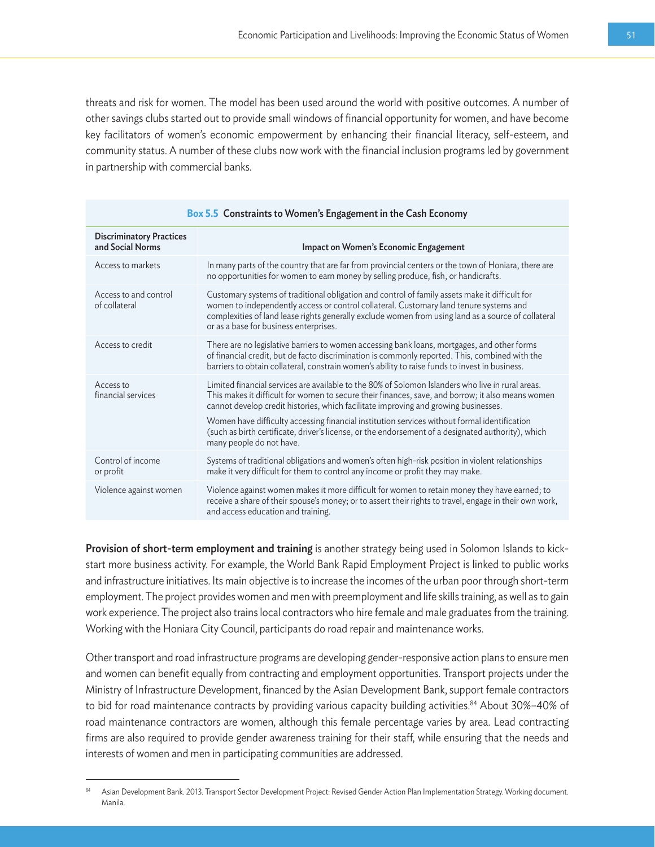threats and risk for women. The model has been used around the world with positive outcomes. A number of other savings clubs started out to provide small windows of financial opportunity for women, and have become key facilitators of women's economic empowerment by enhancing their financial literacy, self-esteem, and community status. A number of these clubs now work with the financial inclusion programs led by government in partnership with commercial banks.

| Box 5.5 Constraints to Women's Engagement in the Cash Economy |                                                                                                                                                                                                                                                                                                                                                                                                                                                                                                                                 |  |  |  |  |
|---------------------------------------------------------------|---------------------------------------------------------------------------------------------------------------------------------------------------------------------------------------------------------------------------------------------------------------------------------------------------------------------------------------------------------------------------------------------------------------------------------------------------------------------------------------------------------------------------------|--|--|--|--|
| <b>Discriminatory Practices</b><br>and Social Norms           | Impact on Women's Economic Engagement                                                                                                                                                                                                                                                                                                                                                                                                                                                                                           |  |  |  |  |
| Access to markets                                             | In many parts of the country that are far from provincial centers or the town of Honiara, there are<br>no opportunities for women to earn money by selling produce, fish, or handicrafts.                                                                                                                                                                                                                                                                                                                                       |  |  |  |  |
| Access to and control<br>of collateral                        | Customary systems of traditional obligation and control of family assets make it difficult for<br>women to independently access or control collateral. Customary land tenure systems and<br>complexities of land lease rights generally exclude women from using land as a source of collateral<br>or as a base for business enterprises.                                                                                                                                                                                       |  |  |  |  |
| Access to credit                                              | There are no legislative barriers to women accessing bank loans, mortgages, and other forms<br>of financial credit, but de facto discrimination is commonly reported. This, combined with the<br>barriers to obtain collateral, constrain women's ability to raise funds to invest in business.                                                                                                                                                                                                                                 |  |  |  |  |
| Access to<br>financial services                               | Limited financial services are available to the 80% of Solomon Islanders who live in rural areas.<br>This makes it difficult for women to secure their finances, save, and borrow; it also means women<br>cannot develop credit histories, which facilitate improving and growing businesses.<br>Women have difficulty accessing financial institution services without formal identification<br>(such as birth certificate, driver's license, or the endorsement of a designated authority), which<br>many people do not have. |  |  |  |  |
| Control of income<br>or profit                                | Systems of traditional obligations and women's often high-risk position in violent relationships<br>make it very difficult for them to control any income or profit they may make.                                                                                                                                                                                                                                                                                                                                              |  |  |  |  |
| Violence against women                                        | Violence against women makes it more difficult for women to retain money they have earned; to<br>receive a share of their spouse's money; or to assert their rights to travel, engage in their own work,<br>and access education and training.                                                                                                                                                                                                                                                                                  |  |  |  |  |

Provision of short-term employment and training is another strategy being used in Solomon Islands to kickstart more business activity. For example, the World Bank Rapid Employment Project is linked to public works and infrastructure initiatives. Its main objective is to increase the incomes of the urban poor through short-term employment. The project provides women and men with preemployment and life skills training, as well as to gain work experience. The project also trains local contractors who hire female and male graduates from the training. Working with the Honiara City Council, participants do road repair and maintenance works.

Other transport and road infrastructure programs are developing gender-responsive action plans to ensure men and women can benefit equally from contracting and employment opportunities. Transport projects under the Ministry of Infrastructure Development, financed by the Asian Development Bank, support female contractors to bid for road maintenance contracts by providing various capacity building activities.<sup>84</sup> About 30%-40% of road maintenance contractors are women, although this female percentage varies by area. Lead contracting firms are also required to provide gender awareness training for their staff, while ensuring that the needs and interests of women and men in participating communities are addressed.

<sup>84</sup> Asian Development Bank. 2013. Transport Sector Development Project: Revised Gender Action Plan Implementation Strategy. Working document. Manila.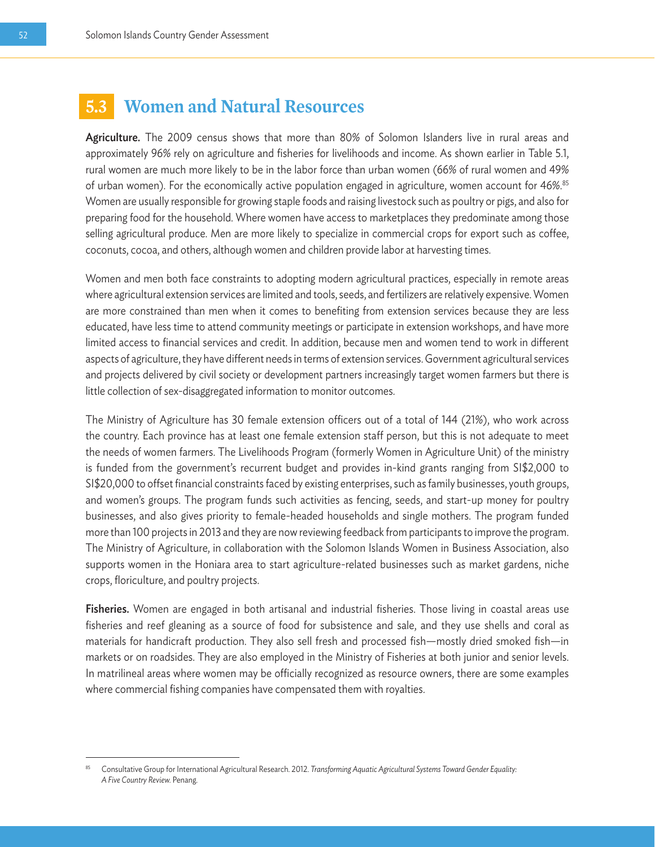### **5.3 Women and Natural Resources**

Agriculture. The 2009 census shows that more than 80% of Solomon Islanders live in rural areas and approximately 96% rely on agriculture and fisheries for livelihoods and income. As shown earlier in Table 5.1, rural women are much more likely to be in the labor force than urban women (66% of rural women and 49% of urban women). For the economically active population engaged in agriculture, women account for 46%.<sup>85</sup> Women are usually responsible for growing staple foods and raising livestock such as poultry or pigs, and also for preparing food for the household. Where women have access to marketplaces they predominate among those selling agricultural produce. Men are more likely to specialize in commercial crops for export such as coffee, coconuts, cocoa, and others, although women and children provide labor at harvesting times.

Women and men both face constraints to adopting modern agricultural practices, especially in remote areas where agricultural extension services are limited and tools, seeds, and fertilizers are relatively expensive. Women are more constrained than men when it comes to benefiting from extension services because they are less educated, have less time to attend community meetings or participate in extension workshops, and have more limited access to financial services and credit. In addition, because men and women tend to work in different aspects of agriculture, they have different needs in terms of extension services. Government agricultural services and projects delivered by civil society or development partners increasingly target women farmers but there is little collection of sex-disaggregated information to monitor outcomes.

The Ministry of Agriculture has 30 female extension officers out of a total of 144 (21%), who work across the country. Each province has at least one female extension staff person, but this is not adequate to meet the needs of women farmers. The Livelihoods Program (formerly Women in Agriculture Unit) of the ministry is funded from the government's recurrent budget and provides in-kind grants ranging from SI\$2,000 to SI\$20,000 to offset financial constraints faced by existing enterprises, such as family businesses, youth groups, and women's groups. The program funds such activities as fencing, seeds, and start-up money for poultry businesses, and also gives priority to female-headed households and single mothers. The program funded more than 100 projects in 2013 and they are now reviewing feedback from participants to improve the program. The Ministry of Agriculture, in collaboration with the Solomon Islands Women in Business Association, also supports women in the Honiara area to start agriculture-related businesses such as market gardens, niche crops, floriculture, and poultry projects.

Fisheries. Women are engaged in both artisanal and industrial fisheries. Those living in coastal areas use fisheries and reef gleaning as a source of food for subsistence and sale, and they use shells and coral as materials for handicraft production. They also sell fresh and processed fish—mostly dried smoked fish—in markets or on roadsides. They are also employed in the Ministry of Fisheries at both junior and senior levels. In matrilineal areas where women may be officially recognized as resource owners, there are some examples where commercial fishing companies have compensated them with royalties.

<sup>85</sup> Consultative Group for International Agricultural Research. 2012. *Transforming Aquatic Agricultural Systems Toward Gender Equality: A Five Country Review.* Penang.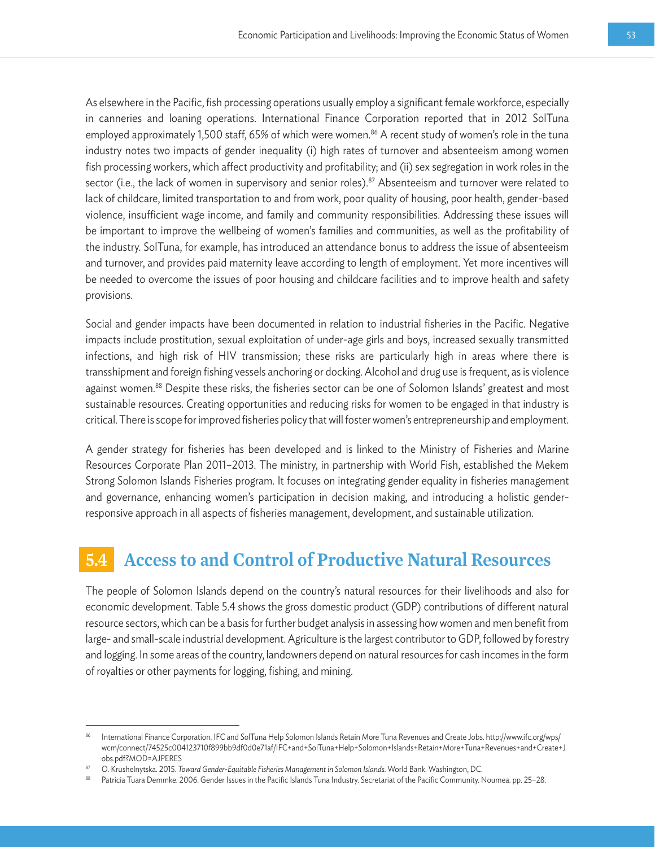As elsewhere in the Pacific, fish processing operations usually employ a significant female workforce, especially in canneries and loaning operations. International Finance Corporation reported that in 2012 SolTuna employed approximately 1,500 staff, 65% of which were women.<sup>86</sup> A recent study of women's role in the tuna industry notes two impacts of gender inequality (i) high rates of turnover and absenteeism among women fish processing workers, which affect productivity and profitability; and (ii) sex segregation in work roles in the sector (i.e., the lack of women in supervisory and senior roles).<sup>87</sup> Absenteeism and turnover were related to lack of childcare, limited transportation to and from work, poor quality of housing, poor health, gender-based violence, insufficient wage income, and family and community responsibilities. Addressing these issues will be important to improve the wellbeing of women's families and communities, as well as the profitability of the industry. SolTuna, for example, has introduced an attendance bonus to address the issue of absenteeism and turnover, and provides paid maternity leave according to length of employment. Yet more incentives will be needed to overcome the issues of poor housing and childcare facilities and to improve health and safety provisions.

Social and gender impacts have been documented in relation to industrial fisheries in the Pacific. Negative impacts include prostitution, sexual exploitation of under-age girls and boys, increased sexually transmitted infections, and high risk of HIV transmission; these risks are particularly high in areas where there is transshipment and foreign fishing vessels anchoring or docking. Alcohol and drug use is frequent, as is violence against women.<sup>88</sup> Despite these risks, the fisheries sector can be one of Solomon Islands' greatest and most sustainable resources. Creating opportunities and reducing risks for women to be engaged in that industry is critical. There is scope for improved fisheries policy that will foster women's entrepreneurship and employment.

A gender strategy for fisheries has been developed and is linked to the Ministry of Fisheries and Marine Resources Corporate Plan 2011–2013. The ministry, in partnership with World Fish, established the Mekem Strong Solomon Islands Fisheries program. It focuses on integrating gender equality in fisheries management and governance, enhancing women's participation in decision making, and introducing a holistic genderresponsive approach in all aspects of fisheries management, development, and sustainable utilization.

## **5.4 Access to and Control of Productive Natural Resources**

The people of Solomon Islands depend on the country's natural resources for their livelihoods and also for economic development. Table 5.4 shows the gross domestic product (GDP) contributions of different natural resource sectors, which can be a basis for further budget analysis in assessing how women and men benefit from large- and small-scale industrial development. Agriculture is the largest contributor to GDP, followed by forestry and logging. In some areas of the country, landowners depend on natural resources for cash incomes in the form of royalties or other payments for logging, fishing, and mining.

<sup>86</sup> International Finance Corporation. IFC and SolTuna Help Solomon Islands Retain More Tuna Revenues and Create Jobs. http://www.ifc.org/wps/ wcm/connect/74525c004123710f899bb9df0d0e71af/IFC+and+SolTuna+Help+Solomon+Islands+Retain+More+Tuna+Revenues+and+Create+J obs.pdf?MOD=AJPERES

<sup>87</sup> O. Krushelnytska. 2015. *Toward Gender-Equitable Fisheries Management in Solomon Islands.* World Bank. Washington, DC.

<sup>88</sup> Patricia Tuara Demmke. 2006. Gender Issues in the Pacific Islands Tuna Industry. Secretariat of the Pacific Community. Noumea. pp. 25–28.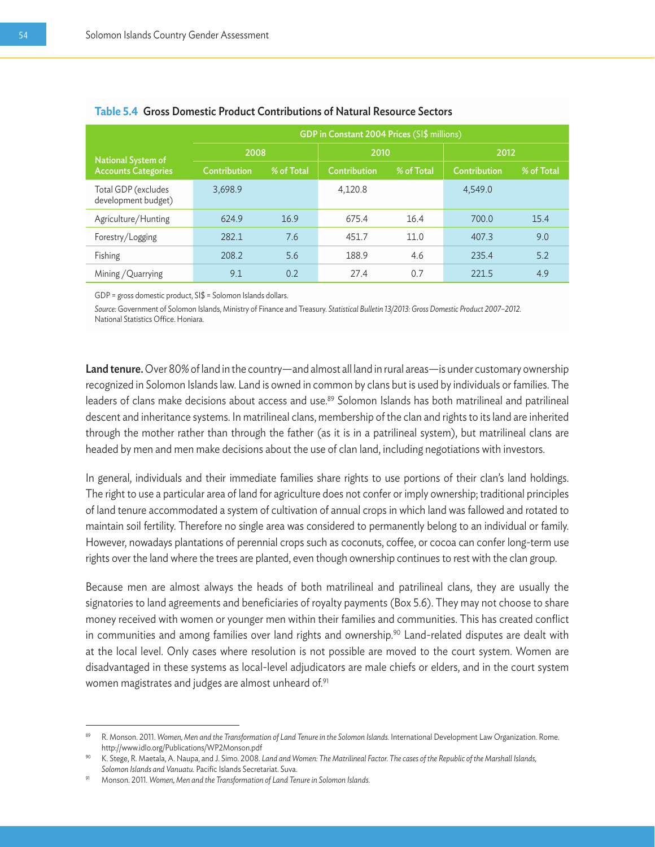|                                            | GDP in Constant 2004 Prices (SI\$ millions) |            |              |            |              |            |  |  |  |
|--------------------------------------------|---------------------------------------------|------------|--------------|------------|--------------|------------|--|--|--|
| <b>National System of</b>                  | 2008                                        |            | 2010         |            | 2012         |            |  |  |  |
| <b>Accounts Categories</b>                 | Contribution                                | % of Total | Contribution | % of Total | Contribution | % of Total |  |  |  |
| Total GDP (excludes<br>development budget) | 3,698.9                                     |            | 4.120.8      |            | 4,549.0      |            |  |  |  |
| Agriculture/Hunting                        | 624.9                                       | 16.9       | 675.4        | 16.4       | 700.0        | 15.4       |  |  |  |
| Forestry/Logging                           | 282.1                                       | 7.6        | 451.7        | 11.0       | 407.3        | 9.0        |  |  |  |
| Fishing                                    | 208.2                                       | 5.6        | 188.9        | 4.6        | 235.4        | 5.2        |  |  |  |
| Mining / Quarrying                         | 9.1                                         | 0.2        | 27.4         | 0.7        | 221.5        | 4.9        |  |  |  |

#### **Table 5.4** Gross Domestic Product Contributions of Natural Resource Sectors

GDP = gross domestic product, SI\$ = Solomon Islands dollars.

*Source:* Government of Solomon Islands, Ministry of Finance and Treasury. *Statistical Bulletin 13/2013: Gross Domestic Product 2007–2012.* National Statistics Office. Honiara.

Land tenure. Over 80% of land in the country—and almost all land in rural areas—is under customary ownership recognized in Solomon Islands law. Land is owned in common by clans but is used by individuals or families. The leaders of clans make decisions about access and use.<sup>89</sup> Solomon Islands has both matrilineal and patrilineal descent and inheritance systems. In matrilineal clans, membership of the clan and rights to its land are inherited through the mother rather than through the father (as it is in a patrilineal system), but matrilineal clans are headed by men and men make decisions about the use of clan land, including negotiations with investors.

In general, individuals and their immediate families share rights to use portions of their clan's land holdings. The right to use a particular area of land for agriculture does not confer or imply ownership; traditional principles of land tenure accommodated a system of cultivation of annual crops in which land was fallowed and rotated to maintain soil fertility. Therefore no single area was considered to permanently belong to an individual or family. However, nowadays plantations of perennial crops such as coconuts, coffee, or cocoa can confer long-term use rights over the land where the trees are planted, even though ownership continues to rest with the clan group.

Because men are almost always the heads of both matrilineal and patrilineal clans, they are usually the signatories to land agreements and beneficiaries of royalty payments (Box 5.6). They may not choose to share money received with women or younger men within their families and communities. This has created conflict in communities and among families over land rights and ownership.<sup>90</sup> Land-related disputes are dealt with at the local level. Only cases where resolution is not possible are moved to the court system. Women are disadvantaged in these systems as local-level adjudicators are male chiefs or elders, and in the court system women magistrates and judges are almost unheard of.<sup>91</sup>

R. Monson. 2011. Women, Men and the Transformation of Land Tenure in the Solomon Islands. International Development Law Organization. Rome. http://www.idlo.org/Publications/WP2Monson.pdf

<sup>90</sup> K. Stege, R. Maetala, A. Naupa, and J. Simo. 2008. *Land and Women: The Matrilineal Factor. The cases of the Republic of the Marshall Islands, Solomon Islands and Vanuatu.* Pacific Islands Secretariat. Suva.

<sup>91</sup> Monson. 2011. *Women, Men and the Transformation of Land Tenure in Solomon Islands.*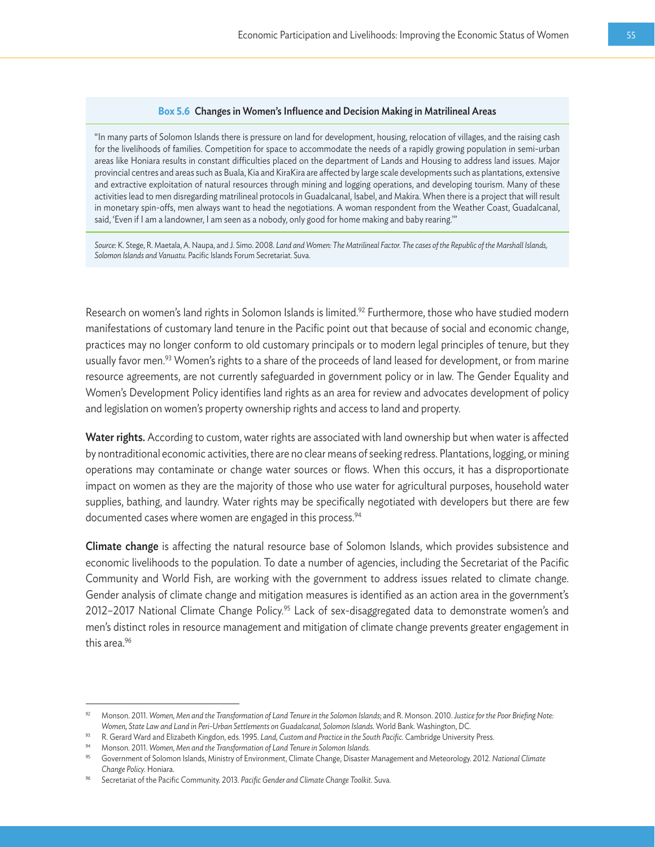#### **Box 5.6** Changes in Women's Influence and Decision Making in Matrilineal Areas

"In many parts of Solomon Islands there is pressure on land for development, housing, relocation of villages, and the raising cash for the livelihoods of families. Competition for space to accommodate the needs of a rapidly growing population in semi-urban areas like Honiara results in constant difficulties placed on the department of Lands and Housing to address land issues. Major provincial centres and areas such as Buala, Kia and KiraKira are affected by large scale developments such as plantations, extensive and extractive exploitation of natural resources through mining and logging operations, and developing tourism. Many of these activities lead to men disregarding matrilineal protocols in Guadalcanal, Isabel, and Makira. When there is a project that will result in monetary spin-offs, men always want to head the negotiations. A woman respondent from the Weather Coast, Guadalcanal, said, 'Even if I am a landowner, I am seen as a nobody, only good for home making and baby rearing.'"

*Source:* K. Stege, R. Maetala, A. Naupa, and J. Simo. 2008. *Land and Women: The Matrilineal Factor. The cases of the Republic of the Marshall Islands, Solomon Islands and Vanuatu.* Pacific Islands Forum Secretariat. Suva.

Research on women's land rights in Solomon Islands is limited.<sup>92</sup> Furthermore, those who have studied modern manifestations of customary land tenure in the Pacific point out that because of social and economic change, practices may no longer conform to old customary principals or to modern legal principles of tenure, but they usually favor men.<sup>93</sup> Women's rights to a share of the proceeds of land leased for development, or from marine resource agreements, are not currently safeguarded in government policy or in law. The Gender Equality and Women's Development Policy identifies land rights as an area for review and advocates development of policy and legislation on women's property ownership rights and access to land and property.

Water rights. According to custom, water rights are associated with land ownership but when water is affected by nontraditional economic activities, there are no clear means of seeking redress. Plantations, logging, or mining operations may contaminate or change water sources or flows. When this occurs, it has a disproportionate impact on women as they are the majority of those who use water for agricultural purposes, household water supplies, bathing, and laundry. Water rights may be specifically negotiated with developers but there are few documented cases where women are engaged in this process.<sup>94</sup>

Climate change is affecting the natural resource base of Solomon Islands, which provides subsistence and economic livelihoods to the population. To date a number of agencies, including the Secretariat of the Pacific Community and World Fish, are working with the government to address issues related to climate change. Gender analysis of climate change and mitigation measures is identified as an action area in the government's 2012–2017 National Climate Change Policy.<sup>95</sup> Lack of sex-disaggregated data to demonstrate women's and men's distinct roles in resource management and mitigation of climate change prevents greater engagement in this area.<sup>96</sup>

<sup>92</sup> Monson. 2011. *Women, Men and the Transformation of Land Tenure in the Solomon Islands*; and R. Monson. 2010. *Justice for the Poor Briefing Note: Women, State Law and Land in Peri-Urban Settlements on Guadalcanal, Solomon Islands.* World Bank. Washington, DC.

<sup>93</sup> R. Gerard Ward and Elizabeth Kingdon, eds. 1995. *Land, Custom and Practice in the South Pacific.* Cambridge University Press.

<sup>94</sup> Monson. 2011. *Women, Men and the Transformation of Land Tenure in Solomon Islands.*

<sup>95</sup> Government of Solomon Islands, Ministry of Environment, Climate Change, Disaster Management and Meteorology. 2012. *National Climate Change Policy.* Honiara.

<sup>96</sup> Secretariat of the Pacific Community. 2013. *Pacific Gender and Climate Change Toolkit.* Suva.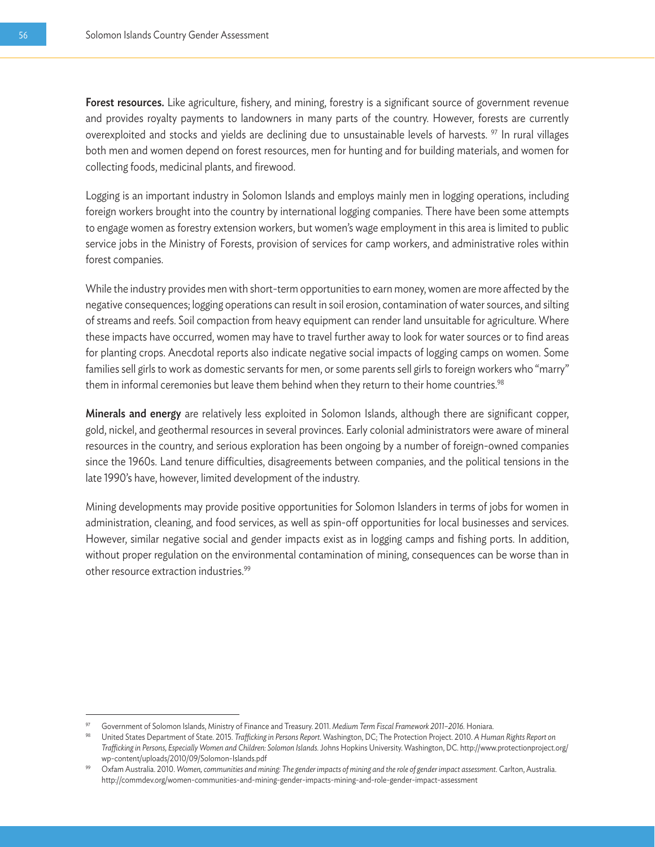Forest resources. Like agriculture, fishery, and mining, forestry is a significant source of government revenue and provides royalty payments to landowners in many parts of the country. However, forests are currently overexploited and stocks and yields are declining due to unsustainable levels of harvests. <sup>97</sup> In rural villages both men and women depend on forest resources, men for hunting and for building materials, and women for collecting foods, medicinal plants, and firewood.

Logging is an important industry in Solomon Islands and employs mainly men in logging operations, including foreign workers brought into the country by international logging companies. There have been some attempts to engage women as forestry extension workers, but women's wage employment in this area is limited to public service jobs in the Ministry of Forests, provision of services for camp workers, and administrative roles within forest companies.

While the industry provides men with short-term opportunities to earn money, women are more affected by the negative consequences; logging operations can result in soil erosion, contamination of water sources, and silting of streams and reefs. Soil compaction from heavy equipment can render land unsuitable for agriculture. Where these impacts have occurred, women may have to travel further away to look for water sources or to find areas for planting crops. Anecdotal reports also indicate negative social impacts of logging camps on women. Some families sell girls to work as domestic servants for men, or some parents sell girls to foreign workers who "marry" them in informal ceremonies but leave them behind when they return to their home countries.<sup>98</sup>

Minerals and energy are relatively less exploited in Solomon Islands, although there are significant copper, gold, nickel, and geothermal resources in several provinces. Early colonial administrators were aware of mineral resources in the country, and serious exploration has been ongoing by a number of foreign-owned companies since the 1960s. Land tenure difficulties, disagreements between companies, and the political tensions in the late 1990's have, however, limited development of the industry.

Mining developments may provide positive opportunities for Solomon Islanders in terms of jobs for women in administration, cleaning, and food services, as well as spin-off opportunities for local businesses and services. However, similar negative social and gender impacts exist as in logging camps and fishing ports. In addition, without proper regulation on the environmental contamination of mining, consequences can be worse than in other resource extraction industries.99

<sup>&</sup>lt;sup>97</sup> Government of Solomon Islands, Ministry of Finance and Treasury. 2011. Medium Term Fiscal Framework 2011-2016. Honiara.<br><sup>98</sup> United States Department of State. 2015. Trafficking in Persons Report. Washington, DC; The *Trafficking in Persons, Especially Women and Children: Solomon Islands.* Johns Hopkins University. Washington, DC. http://www.protectionproject.org/ wp-content/uploads/2010/09/Solomon-Islands.pdf

<sup>99</sup> Oxfam Australia. 2010. *Women, communities and mining: The gender impacts of mining and the role of gender impact assessment.* Carlton, Australia. http://commdev.org/women-communities-and-mining-gender-impacts-mining-and-role-gender-impact-assessment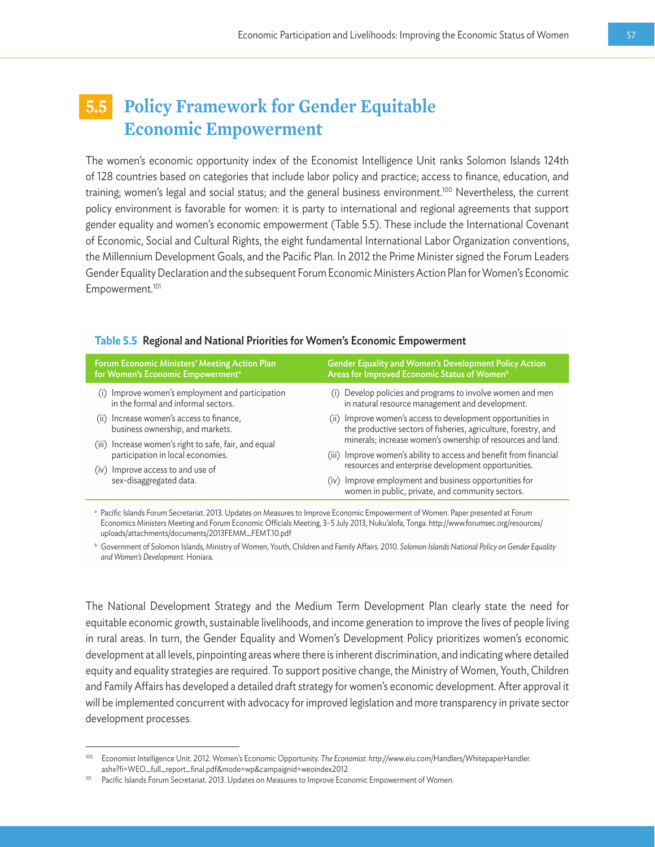## **5.5 Policy Framework for Gender Equitable Economic Empowerment**

The women's economic opportunity index of the Economist Intelligence Unit ranks Solomon Islands 124th of 128 countries based on categories that include labor policy and practice; access to finance, education, and training; women's legal and social status; and the general business environment.<sup>100</sup> Nevertheless, the current policy environment is favorable for women: it is party to international and regional agreements that support gender equality and women's economic empowerment (Table 5.5). These include the International Covenant of Economic, Social and Cultural Rights, the eight fundamental International Labor Organization conventions, the Millennium Development Goals, and the Pacific Plan. In 2012 the Prime Minister signed the Forum Leaders Gender Equality Declaration and the subsequent Forum Economic Ministers Action Plan for Women's Economic Empowerment.101

| Forum Economic Ministers' Meeting Action Plan                | <b>Gender Equality and Women's Development Policy Action</b>                                                                                                      |
|--------------------------------------------------------------|-------------------------------------------------------------------------------------------------------------------------------------------------------------------|
| for Women's Economic Empowerment <sup>a</sup>                | Areas for Improved Economic Status of Women <sup>b</sup>                                                                                                          |
| (i) Improve women's employment and participation             | (i) Develop policies and programs to involve women and men                                                                                                        |
| in the formal and informal sectors.                          | in natural resource management and development.                                                                                                                   |
| (ii) Increase women's access to finance,                     | (ii) Improve women's access to development opportunities in                                                                                                       |
| business ownership, and markets.                             | the productive sectors of fisheries, agriculture, forestry, and                                                                                                   |
| (iii) Increase women's right to safe, fair, and equal        | minerals; increase women's ownership of resources and land.                                                                                                       |
| participation in local economies.                            | (iii) Improve women's ability to access and benefit from financial                                                                                                |
| (iv) Improve access to and use of<br>sex-disaggregated data. | resources and enterprise development opportunities.<br>(iv) Improve employment and business opportunities for<br>women in public, private, and community sectors. |

#### **Table 5.5** Regional and National Priorities for Women's Economic Empowerment

a Pacific Islands Forum Secretariat. 2013. Updates on Measures to Improve Economic Empowerment of Women. Paper presented at Forum Economics Ministers Meeting and Forum Economic Officials Meeting, 3–5 July 2013, Nuku'alofa, Tonga. http://www.forumsec.org/resources/ uploads/attachments/documents/2013FEMM\_FEMT.10.pdf

<sup>b</sup> Government of Solomon Islands, Ministry of Women, Youth, Children and Family Affairs. 2010. *Solomon Islands National Policy on Gender Equality and Women's Development.* Honiara.

The National Development Strategy and the Medium Term Development Plan clearly state the need for equitable economic growth, sustainable livelihoods, and income generation to improve the lives of people living in rural areas. In turn, the Gender Equality and Women's Development Policy prioritizes women's economic development at all levels, pinpointing areas where there is inherent discrimination, and indicating where detailed equity and equality strategies are required. To support positive change, the Ministry of Women, Youth, Children and Family Affairs has developed a detailed draft strategy for women's economic development. After approval it will be implemented concurrent with advocacy for improved legislation and more transparency in private sector development processes.

<sup>100</sup> Economist Intelligence Unit. 2012. Women's Economic Opportunity. *The Economist. http://*www.eiu.com/Handlers/WhitepaperHandler.

ashx?fi=WEO\_full\_report\_final.pdf&mode=wp&campaignid=weoindex2012<br>Pacific Islands Forum Secretariat. 2013. Updates on Measures to Improve Economic Empowerment of Women.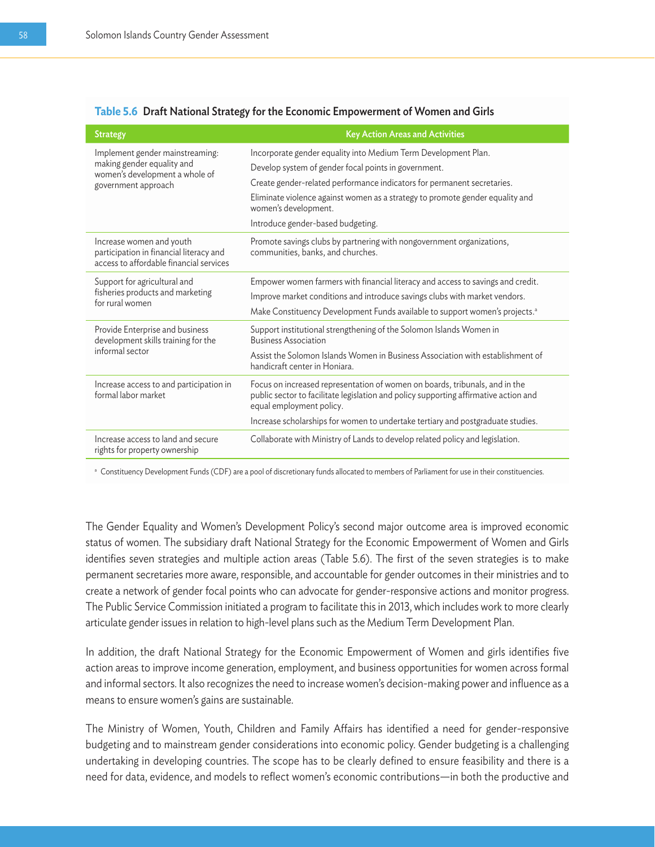#### **Table 5.6** Draft National Strategy for the Economic Empowerment of Women and Girls

| <b>Strategy</b>                                                                                                        | <b>Key Action Areas and Activities</b>                                                                                                                                                          |
|------------------------------------------------------------------------------------------------------------------------|-------------------------------------------------------------------------------------------------------------------------------------------------------------------------------------------------|
| Implement gender mainstreaming:<br>making gender equality and<br>women's development a whole of<br>government approach | Incorporate gender equality into Medium Term Development Plan.                                                                                                                                  |
|                                                                                                                        | Develop system of gender focal points in government.                                                                                                                                            |
|                                                                                                                        | Create gender-related performance indicators for permanent secretaries.                                                                                                                         |
|                                                                                                                        | Eliminate violence against women as a strategy to promote gender equality and<br>women's development.                                                                                           |
|                                                                                                                        | Introduce gender-based budgeting.                                                                                                                                                               |
| Increase women and youth<br>participation in financial literacy and<br>access to affordable financial services         | Promote savings clubs by partnering with nongovernment organizations,<br>communities, banks, and churches.                                                                                      |
| Support for agricultural and<br>fisheries products and marketing<br>for rural women                                    | Empower women farmers with financial literacy and access to savings and credit.                                                                                                                 |
|                                                                                                                        | Improve market conditions and introduce savings clubs with market vendors.                                                                                                                      |
|                                                                                                                        | Make Constituency Development Funds available to support women's projects. <sup>a</sup>                                                                                                         |
| Provide Enterprise and business<br>development skills training for the<br>informal sector                              | Support institutional strengthening of the Solomon Islands Women in<br><b>Business Association</b>                                                                                              |
|                                                                                                                        | Assist the Solomon Islands Women in Business Association with establishment of<br>handicraft center in Honiara.                                                                                 |
| Increase access to and participation in<br>formal labor market                                                         | Focus on increased representation of women on boards, tribunals, and in the<br>public sector to facilitate legislation and policy supporting affirmative action and<br>equal employment policy. |
|                                                                                                                        | Increase scholarships for women to undertake tertiary and postgraduate studies.                                                                                                                 |
| Increase access to land and secure<br>rights for property ownership                                                    | Collaborate with Ministry of Lands to develop related policy and legislation.                                                                                                                   |

a Constituency Development Funds (CDF) are a pool of discretionary funds allocated to members of Parliament for use in their constituencies.

The Gender Equality and Women's Development Policy's second major outcome area is improved economic status of women. The subsidiary draft National Strategy for the Economic Empowerment of Women and Girls identifies seven strategies and multiple action areas (Table 5.6). The first of the seven strategies is to make permanent secretaries more aware, responsible, and accountable for gender outcomes in their ministries and to create a network of gender focal points who can advocate for gender-responsive actions and monitor progress. The Public Service Commission initiated a program to facilitate this in 2013, which includes work to more clearly articulate gender issues in relation to high-level plans such as the Medium Term Development Plan.

In addition, the draft National Strategy for the Economic Empowerment of Women and girls identifies five action areas to improve income generation, employment, and business opportunities for women across formal and informal sectors. It also recognizes the need to increase women's decision-making power and influence as a means to ensure women's gains are sustainable.

The Ministry of Women, Youth, Children and Family Affairs has identified a need for gender-responsive budgeting and to mainstream gender considerations into economic policy. Gender budgeting is a challenging undertaking in developing countries. The scope has to be clearly defined to ensure feasibility and there is a need for data, evidence, and models to reflect women's economic contributions—in both the productive and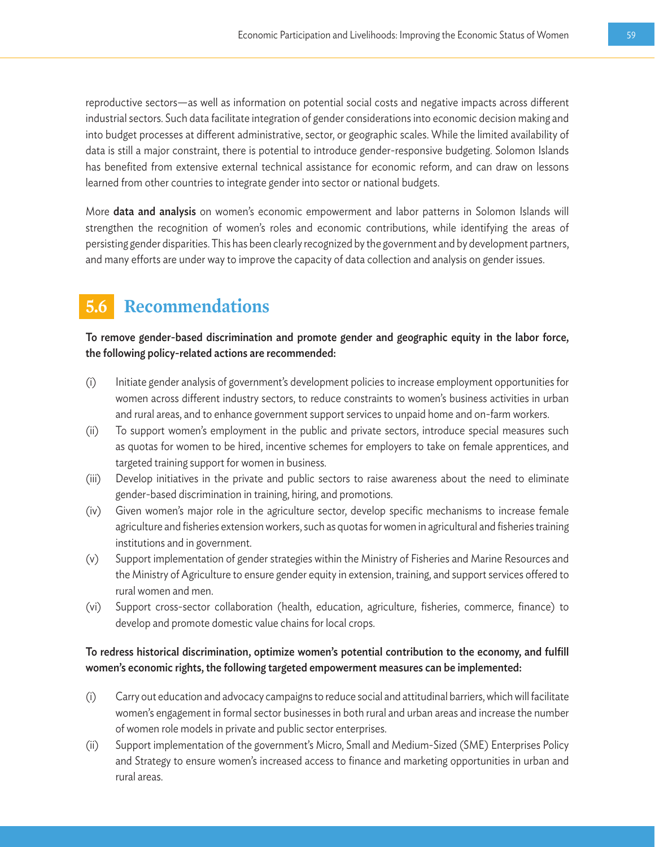reproductive sectors—as well as information on potential social costs and negative impacts across different industrial sectors. Such data facilitate integration of gender considerations into economic decision making and into budget processes at different administrative, sector, or geographic scales. While the limited availability of data is still a major constraint, there is potential to introduce gender-responsive budgeting. Solomon Islands has benefited from extensive external technical assistance for economic reform, and can draw on lessons learned from other countries to integrate gender into sector or national budgets.

More data and analysis on women's economic empowerment and labor patterns in Solomon Islands will strengthen the recognition of women's roles and economic contributions, while identifying the areas of persisting gender disparities. This has been clearly recognized by the government and by development partners, and many efforts are under way to improve the capacity of data collection and analysis on gender issues.

## **5.6 Recommendations**

To remove gender-based discrimination and promote gender and geographic equity in the labor force, the following policy-related actions are recommended:

- (i) Initiate gender analysis of government's development policies to increase employment opportunities for women across different industry sectors, to reduce constraints to women's business activities in urban and rural areas, and to enhance government support services to unpaid home and on-farm workers.
- (ii) To support women's employment in the public and private sectors, introduce special measures such as quotas for women to be hired, incentive schemes for employers to take on female apprentices, and targeted training support for women in business.
- (iii) Develop initiatives in the private and public sectors to raise awareness about the need to eliminate gender-based discrimination in training, hiring, and promotions.
- (iv) Given women's major role in the agriculture sector, develop specific mechanisms to increase female agriculture and fisheries extension workers, such as quotas for women in agricultural and fisheries training institutions and in government.
- (v) Support implementation of gender strategies within the Ministry of Fisheries and Marine Resources and the Ministry of Agriculture to ensure gender equity in extension, training, and support services offered to rural women and men.
- (vi) Support cross-sector collaboration (health, education, agriculture, fisheries, commerce, finance) to develop and promote domestic value chains for local crops.

#### To redress historical discrimination, optimize women's potential contribution to the economy, and fulfill women's economic rights, the following targeted empowerment measures can be implemented:

- (i) Carry out education and advocacy campaigns to reduce social and attitudinal barriers, which will facilitate women's engagement in formal sector businesses in both rural and urban areas and increase the number of women role models in private and public sector enterprises.
- (ii) Support implementation of the government's Micro, Small and Medium-Sized (SME) Enterprises Policy and Strategy to ensure women's increased access to finance and marketing opportunities in urban and rural areas.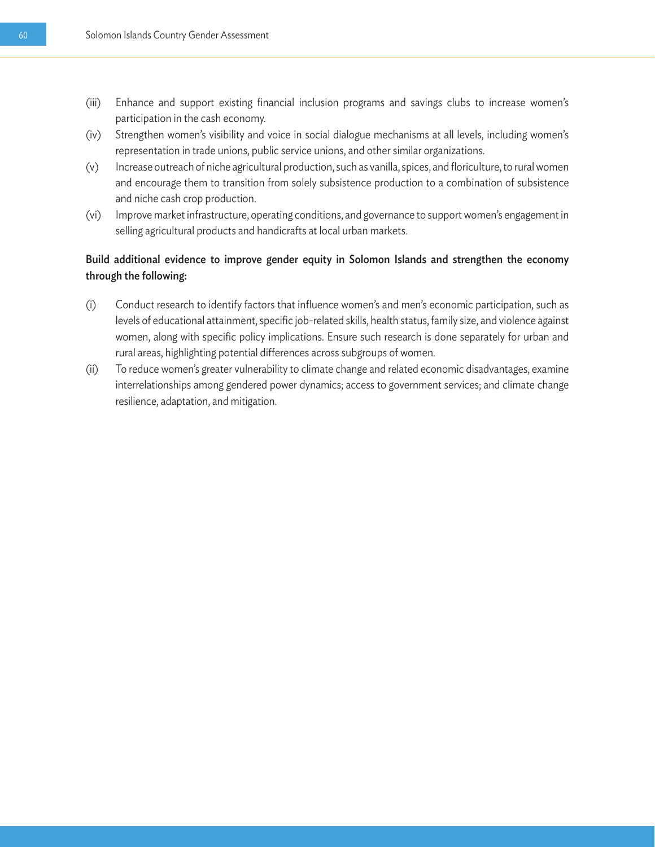- (iii) Enhance and support existing financial inclusion programs and savings clubs to increase women's participation in the cash economy.
- (iv) Strengthen women's visibility and voice in social dialogue mechanisms at all levels, including women's representation in trade unions, public service unions, and other similar organizations.
- (v) Increase outreach of niche agricultural production, such as vanilla, spices, and floriculture, to rural women and encourage them to transition from solely subsistence production to a combination of subsistence and niche cash crop production.
- (vi) Improve market infrastructure, operating conditions, and governance to support women's engagement in selling agricultural products and handicrafts at local urban markets.

#### Build additional evidence to improve gender equity in Solomon Islands and strengthen the economy through the following:

- (i) Conduct research to identify factors that influence women's and men's economic participation, such as levels of educational attainment, specific job-related skills, health status, family size, and violence against women, along with specific policy implications. Ensure such research is done separately for urban and rural areas, highlighting potential differences across subgroups of women.
- (ii) To reduce women's greater vulnerability to climate change and related economic disadvantages, examine interrelationships among gendered power dynamics; access to government services; and climate change resilience, adaptation, and mitigation.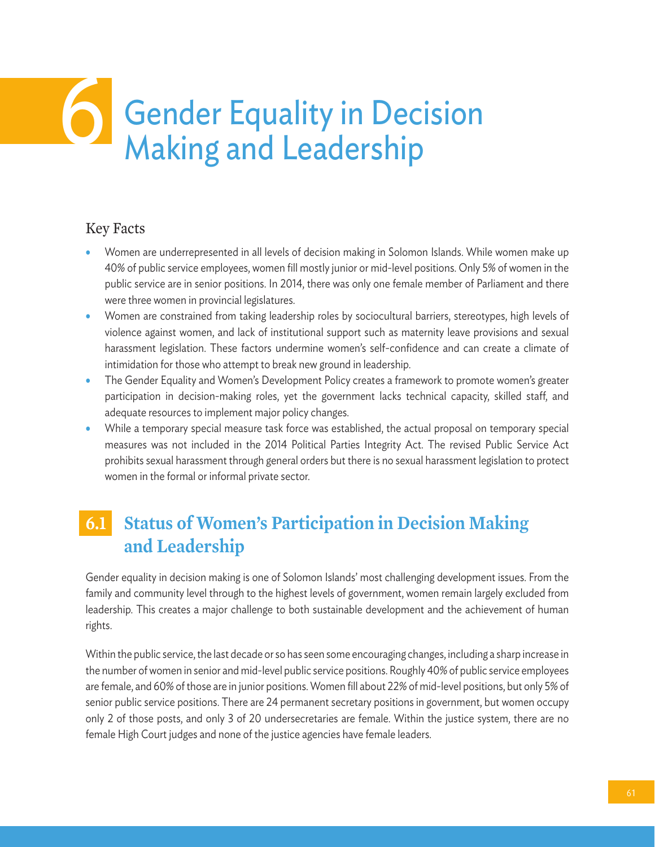# **Gender Equality in Decision<br>Making and Leadership**

## Key Facts

- Women are underrepresented in all levels of decision making in Solomon Islands. While women make up 40% of public service employees, women fill mostly junior or mid-level positions. Only 5% of women in the public service are in senior positions. In 2014, there was only one female member of Parliament and there were three women in provincial legislatures.
- Women are constrained from taking leadership roles by sociocultural barriers, stereotypes, high levels of violence against women, and lack of institutional support such as maternity leave provisions and sexual harassment legislation. These factors undermine women's self-confidence and can create a climate of intimidation for those who attempt to break new ground in leadership.
- The Gender Equality and Women's Development Policy creates a framework to promote women's greater participation in decision-making roles, yet the government lacks technical capacity, skilled staff, and adequate resources to implement major policy changes.
- While a temporary special measure task force was established, the actual proposal on temporary special measures was not included in the 2014 Political Parties Integrity Act. The revised Public Service Act prohibits sexual harassment through general orders but there is no sexual harassment legislation to protect women in the formal or informal private sector.

## **6.1 Status of Women's Participation in Decision Making and Leadership**

Gender equality in decision making is one of Solomon Islands' most challenging development issues. From the family and community level through to the highest levels of government, women remain largely excluded from leadership. This creates a major challenge to both sustainable development and the achievement of human rights.

Within the public service, the last decade or so has seen some encouraging changes, including a sharp increase in the number of women in senior and mid-level public service positions. Roughly 40% of public service employees are female, and 60% of those are in junior positions. Women fill about 22% of mid-level positions, but only 5% of senior public service positions. There are 24 permanent secretary positions in government, but women occupy only 2 of those posts, and only 3 of 20 undersecretaries are female. Within the justice system, there are no female High Court judges and none of the justice agencies have female leaders.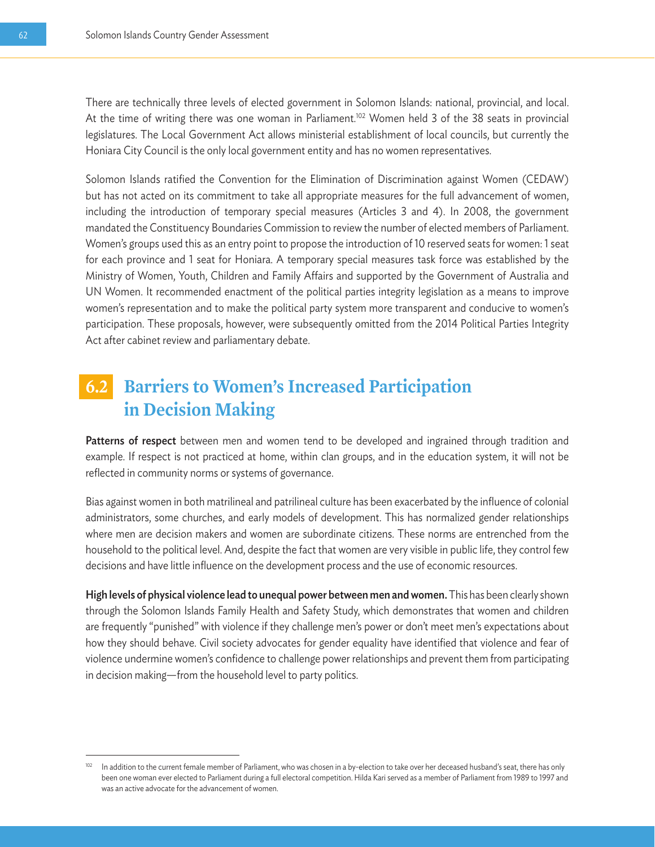There are technically three levels of elected government in Solomon Islands: national, provincial, and local. At the time of writing there was one woman in Parliament.<sup>102</sup> Women held 3 of the 38 seats in provincial legislatures. The Local Government Act allows ministerial establishment of local councils, but currently the Honiara City Council is the only local government entity and has no women representatives.

Solomon Islands ratified the Convention for the Elimination of Discrimination against Women (CEDAW) but has not acted on its commitment to take all appropriate measures for the full advancement of women, including the introduction of temporary special measures (Articles 3 and 4). In 2008, the government mandated the Constituency Boundaries Commission to review the number of elected members of Parliament. Women's groups used this as an entry point to propose the introduction of 10 reserved seats for women: 1 seat for each province and 1 seat for Honiara. A temporary special measures task force was established by the Ministry of Women, Youth, Children and Family Affairs and supported by the Government of Australia and UN Women. It recommended enactment of the political parties integrity legislation as a means to improve women's representation and to make the political party system more transparent and conducive to women's participation. These proposals, however, were subsequently omitted from the 2014 Political Parties Integrity Act after cabinet review and parliamentary debate.

## **6.2 Barriers to Women's Increased Participation in Decision Making**

Patterns of respect between men and women tend to be developed and ingrained through tradition and example. If respect is not practiced at home, within clan groups, and in the education system, it will not be reflected in community norms or systems of governance.

Bias against women in both matrilineal and patrilineal culture has been exacerbated by the influence of colonial administrators, some churches, and early models of development. This has normalized gender relationships where men are decision makers and women are subordinate citizens. These norms are entrenched from the household to the political level. And, despite the fact that women are very visible in public life, they control few decisions and have little influence on the development process and the use of economic resources.

High levels of physical violence lead to unequal power between men and women. This has been clearly shown through the Solomon Islands Family Health and Safety Study, which demonstrates that women and children are frequently "punished" with violence if they challenge men's power or don't meet men's expectations about how they should behave. Civil society advocates for gender equality have identified that violence and fear of violence undermine women's confidence to challenge power relationships and prevent them from participating in decision making—from the household level to party politics.

In addition to the current female member of Parliament, who was chosen in a by-election to take over her deceased husband's seat, there has only been one woman ever elected to Parliament during a full electoral competition. Hilda Kari served as a member of Parliament from 1989 to 1997 and was an active advocate for the advancement of women.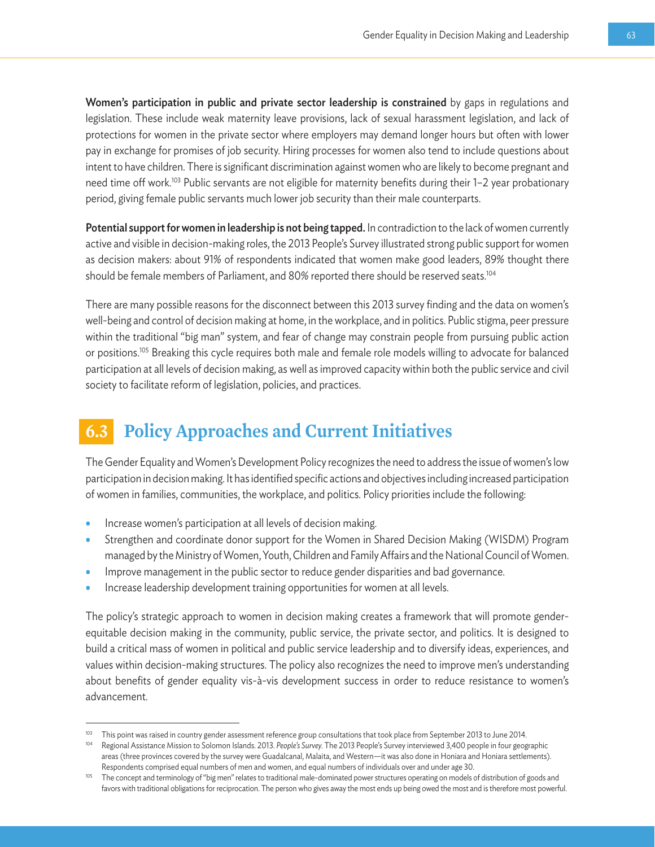Women's participation in public and private sector leadership is constrained by gaps in regulations and legislation. These include weak maternity leave provisions, lack of sexual harassment legislation, and lack of protections for women in the private sector where employers may demand longer hours but often with lower pay in exchange for promises of job security. Hiring processes for women also tend to include questions about intent to have children. There is significant discrimination against women who are likely to become pregnant and need time off work.<sup>103</sup> Public servants are not eligible for maternity benefits during their 1–2 year probationary period, giving female public servants much lower job security than their male counterparts.

Potential support for women in leadership is not being tapped. In contradiction to the lack of women currently active and visible in decision-making roles, the 2013 People's Survey illustrated strong public support for women as decision makers: about 91% of respondents indicated that women make good leaders, 89% thought there should be female members of Parliament, and 80% reported there should be reserved seats.<sup>104</sup>

There are many possible reasons for the disconnect between this 2013 survey finding and the data on women's well-being and control of decision making at home, in the workplace, and in politics. Public stigma, peer pressure within the traditional "big man" system, and fear of change may constrain people from pursuing public action or positions.<sup>105</sup> Breaking this cycle requires both male and female role models willing to advocate for balanced participation at all levels of decision making, as well as improved capacity within both the public service and civil society to facilitate reform of legislation, policies, and practices.

## **6.3 Policy Approaches and Current Initiatives**

The Gender Equality and Women's Development Policy recognizes the need to address the issue of women's low participation in decision making. It has identified specific actions and objectives including increased participation of women in families, communities, the workplace, and politics. Policy priorities include the following:

- Increase women's participation at all levels of decision making.
- Strengthen and coordinate donor support for the Women in Shared Decision Making (WISDM) Program managed by the Ministry of Women, Youth, Children and Family Affairs and the National Council of Women.
- Improve management in the public sector to reduce gender disparities and bad governance.
- Increase leadership development training opportunities for women at all levels.

The policy's strategic approach to women in decision making creates a framework that will promote genderequitable decision making in the community, public service, the private sector, and politics. It is designed to build a critical mass of women in political and public service leadership and to diversify ideas, experiences, and values within decision-making structures. The policy also recognizes the need to improve men's understanding about benefits of gender equality vis-à-vis development success in order to reduce resistance to women's advancement.

<sup>&</sup>lt;sup>103</sup> This point was raised in country gender assessment reference group consultations that took place from September 2013 to June 2014.

<sup>104</sup> Regional Assistance Mission to Solomon Islands. 2013. *People's Survey.* The 2013 People's Survey interviewed 3,400 people in four geographic areas (three provinces covered by the survey were Guadalcanal, Malaita, and Western—it was also done in Honiara and Honiara settlements). Respondents comprised equal numbers of men and women, and equal numbers of individuals over and under age 30.

<sup>&</sup>lt;sup>105</sup> The concept and terminology of "big men" relates to traditional male-dominated power structures operating on models of distribution of goods and favors with traditional obligations for reciprocation. The person who gives away the most ends up being owed the most and is therefore most powerful.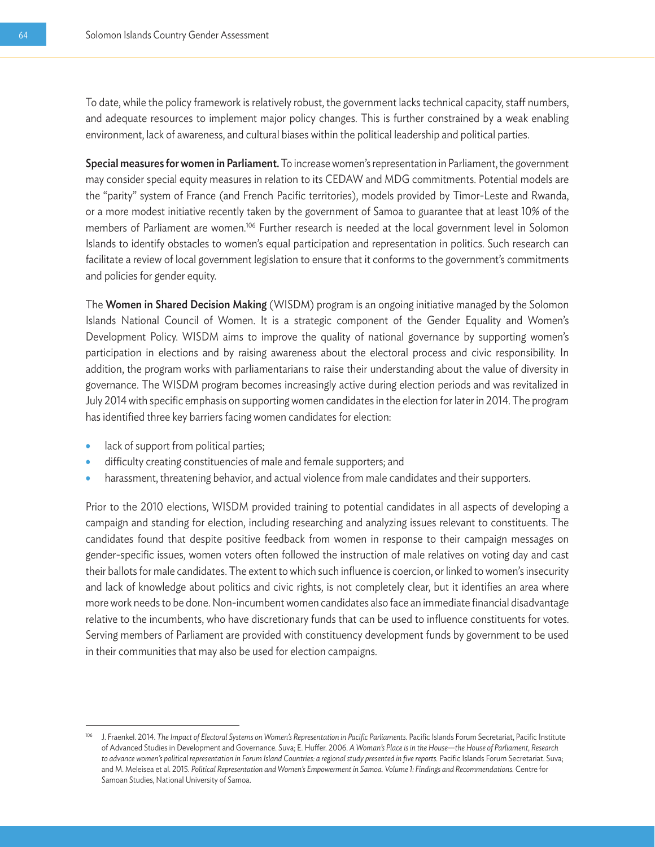To date, while the policy framework is relatively robust, the government lacks technical capacity, staff numbers, and adequate resources to implement major policy changes. This is further constrained by a weak enabling environment, lack of awareness, and cultural biases within the political leadership and political parties.

Special measures for women in Parliament. To increase women's representation in Parliament, the government may consider special equity measures in relation to its CEDAW and MDG commitments. Potential models are the "parity" system of France (and French Pacific territories), models provided by Timor-Leste and Rwanda, or a more modest initiative recently taken by the government of Samoa to guarantee that at least 10% of the members of Parliament are women.<sup>106</sup> Further research is needed at the local government level in Solomon Islands to identify obstacles to women's equal participation and representation in politics. Such research can facilitate a review of local government legislation to ensure that it conforms to the government's commitments and policies for gender equity.

The Women in Shared Decision Making (WISDM) program is an ongoing initiative managed by the Solomon Islands National Council of Women. It is a strategic component of the Gender Equality and Women's Development Policy. WISDM aims to improve the quality of national governance by supporting women's participation in elections and by raising awareness about the electoral process and civic responsibility. In addition, the program works with parliamentarians to raise their understanding about the value of diversity in governance. The WISDM program becomes increasingly active during election periods and was revitalized in July 2014 with specific emphasis on supporting women candidates in the election for later in 2014. The program has identified three key barriers facing women candidates for election:

- lack of support from political parties;
- difficulty creating constituencies of male and female supporters; and
- harassment, threatening behavior, and actual violence from male candidates and their supporters.

Prior to the 2010 elections, WISDM provided training to potential candidates in all aspects of developing a campaign and standing for election, including researching and analyzing issues relevant to constituents. The candidates found that despite positive feedback from women in response to their campaign messages on gender-specific issues, women voters often followed the instruction of male relatives on voting day and cast their ballots for male candidates. The extent to which such influence is coercion, or linked to women's insecurity and lack of knowledge about politics and civic rights, is not completely clear, but it identifies an area where more work needs to be done. Non-incumbent women candidates also face an immediate financial disadvantage relative to the incumbents, who have discretionary funds that can be used to influence constituents for votes. Serving members of Parliament are provided with constituency development funds by government to be used in their communities that may also be used for election campaigns.

<sup>&</sup>lt;sup>106</sup> J. Fraenkel. 2014. The Impact of Electoral Systems on Women's Representation in Pacific Parliaments. Pacific Islands Forum Secretariat, Pacific Institute of Advanced Studies in Development and Governance. Suva; E. Huffer. 2006. *A Woman's Place is in the House—the House of Parliament, Research to advance women's political representation in Forum Island Countries: a regional study presented in five reports.* Pacific Islands Forum Secretariat. Suva; and M. Meleisea et al. 2015. *Political Representation and Women's Empowerment in Samoa. Volume 1: Findings and Recommendations.* Centre for Samoan Studies, National University of Samoa.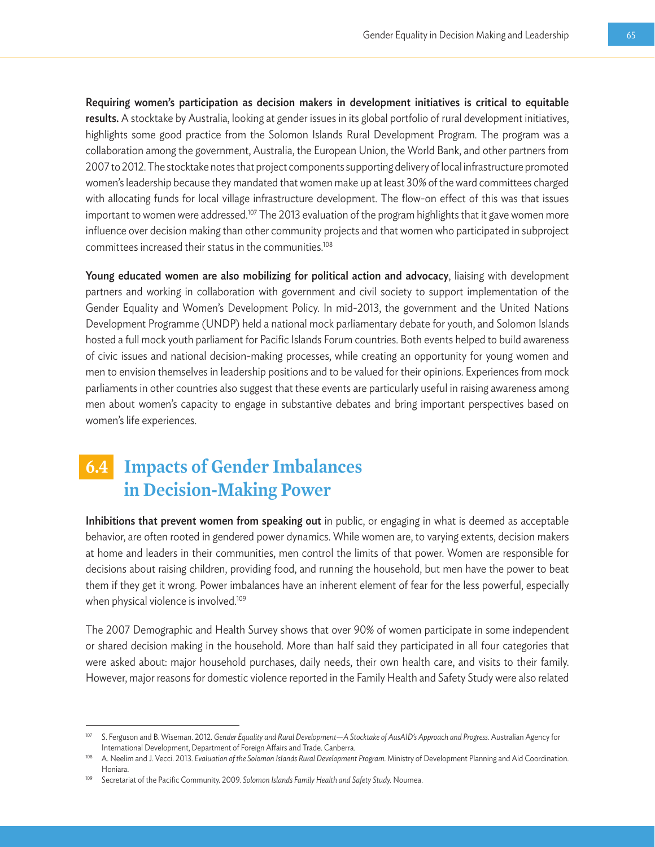Requiring women's participation as decision makers in development initiatives is critical to equitable results. A stocktake by Australia, looking at gender issues in its global portfolio of rural development initiatives, highlights some good practice from the Solomon Islands Rural Development Program. The program was a collaboration among the government, Australia, the European Union, the World Bank, and other partners from 2007 to 2012. The stocktake notes that project components supporting delivery of local infrastructure promoted women's leadership because they mandated that women make up at least 30% of the ward committees charged with allocating funds for local village infrastructure development. The flow-on effect of this was that issues important to women were addressed.<sup>107</sup> The 2013 evaluation of the program highlights that it gave women more influence over decision making than other community projects and that women who participated in subproject committees increased their status in the communities.108

Young educated women are also mobilizing for political action and advocacy, liaising with development partners and working in collaboration with government and civil society to support implementation of the Gender Equality and Women's Development Policy. In mid-2013, the government and the United Nations Development Programme (UNDP) held a national mock parliamentary debate for youth, and Solomon Islands hosted a full mock youth parliament for Pacific Islands Forum countries. Both events helped to build awareness of civic issues and national decision-making processes, while creating an opportunity for young women and men to envision themselves in leadership positions and to be valued for their opinions. Experiences from mock parliaments in other countries also suggest that these events are particularly useful in raising awareness among men about women's capacity to engage in substantive debates and bring important perspectives based on women's life experiences.

## **6.4 Impacts of Gender Imbalances in Decision-Making Power**

Inhibitions that prevent women from speaking out in public, or engaging in what is deemed as acceptable behavior, are often rooted in gendered power dynamics. While women are, to varying extents, decision makers at home and leaders in their communities, men control the limits of that power. Women are responsible for decisions about raising children, providing food, and running the household, but men have the power to beat them if they get it wrong. Power imbalances have an inherent element of fear for the less powerful, especially when physical violence is involved.<sup>109</sup>

The 2007 Demographic and Health Survey shows that over 90% of women participate in some independent or shared decision making in the household. More than half said they participated in all four categories that were asked about: major household purchases, daily needs, their own health care, and visits to their family. However, major reasons for domestic violence reported in the Family Health and Safety Study were also related

<sup>107</sup> S. Ferguson and B. Wiseman. 2012. *Gender Equality and Rural Development—A Stocktake of AusAID's Approach and Progress.* Australian Agency for International Development, Department of Foreign Affairs and Trade. Canberra.<br>A. Neelim and J. Vecci. 2013. Evaluation of the Solomon Islands Rural Development Program. Ministry of Development Planning and Aid Coordination

Honiara.

<sup>109</sup> Secretariat of the Pacific Community. 2009. *Solomon Islands Family Health and Safety Study.* Noumea.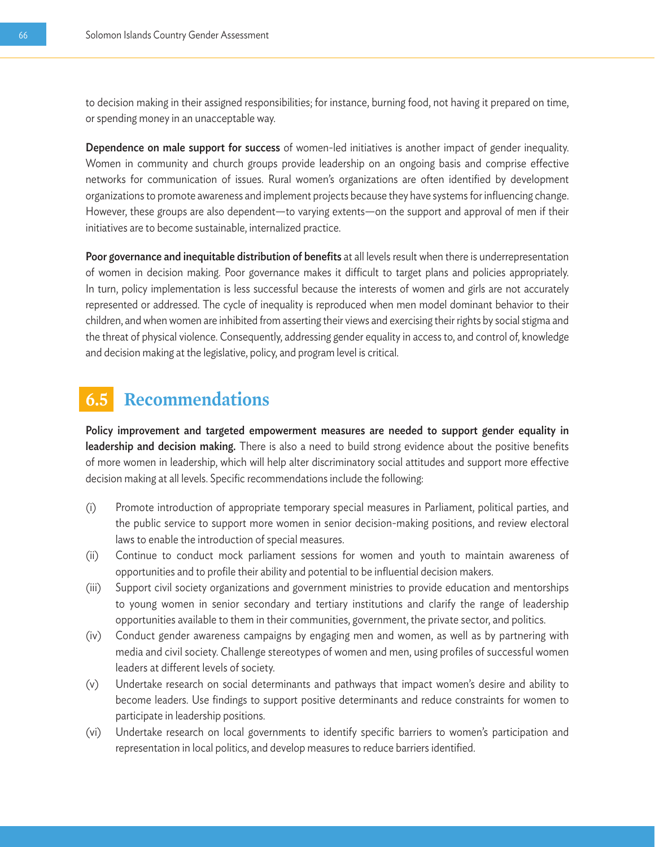to decision making in their assigned responsibilities; for instance, burning food, not having it prepared on time, or spending money in an unacceptable way.

Dependence on male support for success of women-led initiatives is another impact of gender inequality. Women in community and church groups provide leadership on an ongoing basis and comprise effective networks for communication of issues. Rural women's organizations are often identified by development organizations to promote awareness and implement projects because they have systems for influencing change. However, these groups are also dependent—to varying extents—on the support and approval of men if their initiatives are to become sustainable, internalized practice.

Poor governance and inequitable distribution of benefits at all levels result when there is underrepresentation of women in decision making. Poor governance makes it difficult to target plans and policies appropriately. In turn, policy implementation is less successful because the interests of women and girls are not accurately represented or addressed. The cycle of inequality is reproduced when men model dominant behavior to their children, and when women are inhibited from asserting their views and exercising their rights by social stigma and the threat of physical violence. Consequently, addressing gender equality in access to, and control of, knowledge and decision making at the legislative, policy, and program level is critical.

## **6.5 Recommendations**

Policy improvement and targeted empowerment measures are needed to support gender equality in leadership and decision making. There is also a need to build strong evidence about the positive benefits of more women in leadership, which will help alter discriminatory social attitudes and support more effective decision making at all levels. Specific recommendations include the following:

- (i) Promote introduction of appropriate temporary special measures in Parliament, political parties, and the public service to support more women in senior decision-making positions, and review electoral laws to enable the introduction of special measures.
- (ii) Continue to conduct mock parliament sessions for women and youth to maintain awareness of opportunities and to profile their ability and potential to be influential decision makers.
- (iii) Support civil society organizations and government ministries to provide education and mentorships to young women in senior secondary and tertiary institutions and clarify the range of leadership opportunities available to them in their communities, government, the private sector, and politics.
- (iv) Conduct gender awareness campaigns by engaging men and women, as well as by partnering with media and civil society. Challenge stereotypes of women and men, using profiles of successful women leaders at different levels of society.
- (v) Undertake research on social determinants and pathways that impact women's desire and ability to become leaders. Use findings to support positive determinants and reduce constraints for women to participate in leadership positions.
- (vi) Undertake research on local governments to identify specific barriers to women's participation and representation in local politics, and develop measures to reduce barriers identified.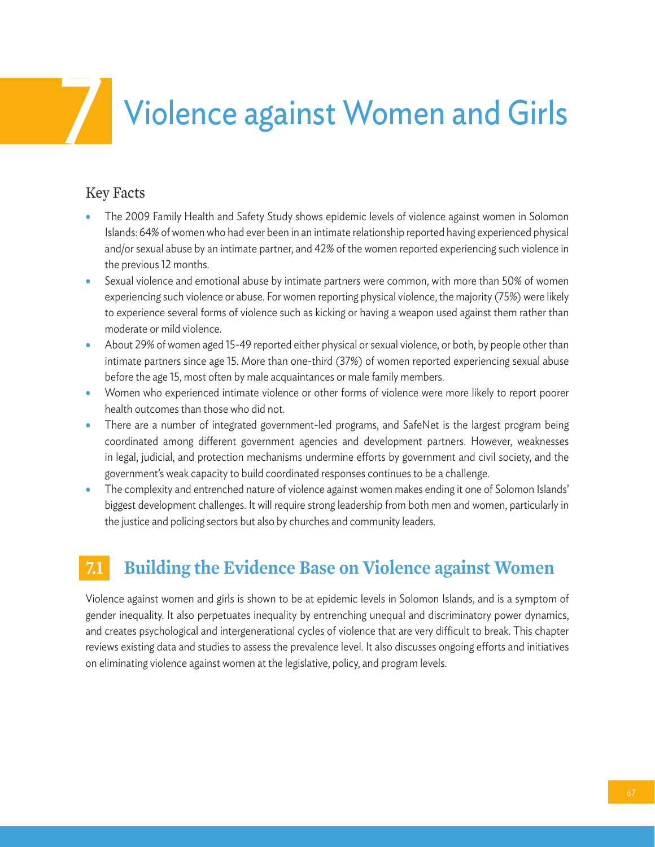## **Violence against Women and Girls**

## Key Facts

- The 2009 Family Health and Safety Study shows epidemic levels of violence against women in Solomon Islands: 64% of women who had ever been in an intimate relationship reported having experienced physical and/or sexual abuse by an intimate partner, and 42% of the women reported experiencing such violence in the previous 12 months.
- Sexual violence and emotional abuse by intimate partners were common, with more than 50% of women experiencing such violence or abuse. For women reporting physical violence, the majority (75%) were likely to experience several forms of violence such as kicking or having a weapon used against them rather than moderate or mild violence.
- About 29% of women aged 15-49 reported either physical or sexual violence, or both, by people other than intimate partners since age 15. More than one-third (37%) of women reported experiencing sexual abuse before the age 15, most often by male acquaintances or male family members.
- Women who experienced intimate violence or other forms of violence were more likely to report poorer health outcomes than those who did not.
- There are a number of integrated government-led programs, and SafeNet is the largest program being coordinated among different government agencies and development partners. However, weaknesses in legal, judicial, and protection mechanisms undermine efforts by government and civil society, and the government's weak capacity to build coordinated responses continues to be a challenge.
- The complexity and entrenched nature of violence against women makes ending it one of Solomon Islands' biggest development challenges. It will require strong leadership from both men and women, particularly in the justice and policing sectors but also by churches and community leaders.

## **7.1 Building the Evidence Base on Violence against Women**

Violence against women and girls is shown to be at epidemic levels in Solomon Islands, and is a symptom of gender inequality. It also perpetuates inequality by entrenching unequal and discriminatory power dynamics, and creates psychological and intergenerational cycles of violence that are very difficult to break. This chapter reviews existing data and studies to assess the prevalence level. It also discusses ongoing efforts and initiatives on eliminating violence against women at the legislative, policy, and program levels.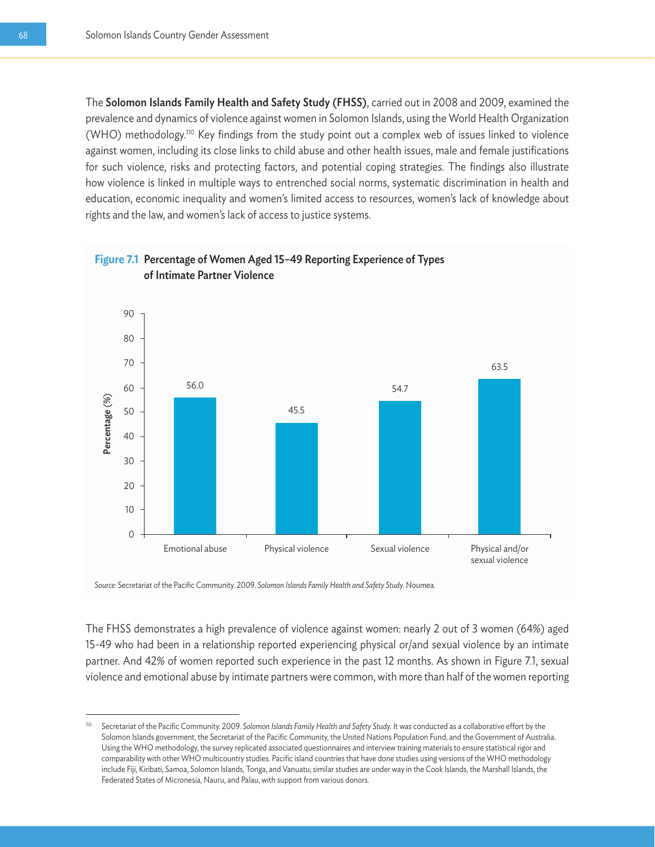The Solomon Islands Family Health and Safety Study (FHSS), carried out in 2008 and 2009, examined the prevalence and dynamics of violence against women in Solomon Islands, using the World Health Organization (WHO) methodology.110 Key findings from the study point out a complex web of issues linked to violence against women, including its close links to child abuse and other health issues, male and female justifications for such violence, risks and protecting factors, and potential coping strategies. The findings also illustrate how violence is linked in multiple ways to entrenched social norms, systematic discrimination in health and education, economic inequality and women's limited access to resources, women's lack of knowledge about rights and the law, and women's lack of access to justice systems.



*Source:* Secretariat of the Pacific Community. 2009. *Solomon Islands Family Health and Safety Study.* Noumea.

The FHSS demonstrates a high prevalence of violence against women: nearly 2 out of 3 women (64%) aged 15-49 who had been in a relationship reported experiencing physical or/and sexual violence by an intimate partner. And 42% of women reported such experience in the past 12 months. As shown in Figure 7.1, sexual violence and emotional abuse by intimate partners were common, with more than half of the women reporting

<sup>110</sup> Secretariat of the Pacific Community. 2009. *Solomon Islands Family Health and Safety Study.* It was conducted as a collaborative effort by the Solomon Islands government, the Secretariat of the Pacific Community, the United Nations Population Fund, and the Government of Australia. Using the WHO methodology, the survey replicated associated questionnaires and interview training materials to ensure statistical rigor and comparability with other WHO multicountry studies. Pacific island countries that have done studies using versions of the WHO methodology include Fiji, Kiribati, Samoa, Solomon Islands, Tonga, and Vanuatu; similar studies are under way in the Cook Islands, the Marshall Islands, the Federated States of Micronesia, Nauru, and Palau, with support from various donors.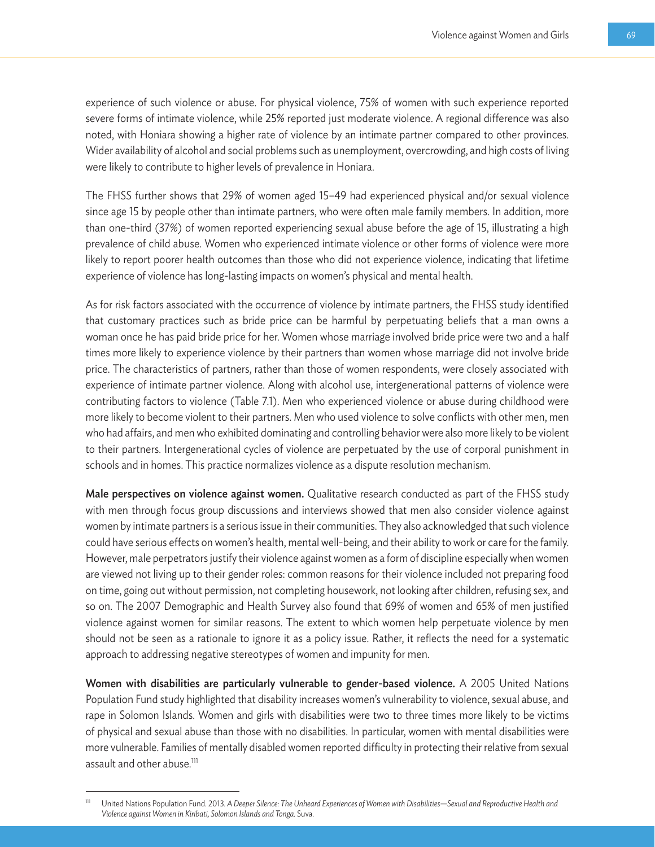experience of such violence or abuse. For physical violence, 75% of women with such experience reported severe forms of intimate violence, while 25% reported just moderate violence. A regional difference was also noted, with Honiara showing a higher rate of violence by an intimate partner compared to other provinces. Wider availability of alcohol and social problems such as unemployment, overcrowding, and high costs of living were likely to contribute to higher levels of prevalence in Honiara.

The FHSS further shows that 29% of women aged 15–49 had experienced physical and/or sexual violence since age 15 by people other than intimate partners, who were often male family members. In addition, more than one-third (37%) of women reported experiencing sexual abuse before the age of 15, illustrating a high prevalence of child abuse. Women who experienced intimate violence or other forms of violence were more likely to report poorer health outcomes than those who did not experience violence, indicating that lifetime experience of violence has long-lasting impacts on women's physical and mental health.

As for risk factors associated with the occurrence of violence by intimate partners, the FHSS study identified that customary practices such as bride price can be harmful by perpetuating beliefs that a man owns a woman once he has paid bride price for her. Women whose marriage involved bride price were two and a half times more likely to experience violence by their partners than women whose marriage did not involve bride price. The characteristics of partners, rather than those of women respondents, were closely associated with experience of intimate partner violence. Along with alcohol use, intergenerational patterns of violence were contributing factors to violence (Table 7.1). Men who experienced violence or abuse during childhood were more likely to become violent to their partners. Men who used violence to solve conflicts with other men, men who had affairs, and men who exhibited dominating and controlling behavior were also more likely to be violent to their partners. Intergenerational cycles of violence are perpetuated by the use of corporal punishment in schools and in homes. This practice normalizes violence as a dispute resolution mechanism.

Male perspectives on violence against women. Qualitative research conducted as part of the FHSS study with men through focus group discussions and interviews showed that men also consider violence against women by intimate partners is a serious issue in their communities. They also acknowledged that such violence could have serious effects on women's health, mental well-being, and their ability to work or care for the family. However, male perpetrators justify their violence against women as a form of discipline especially when women are viewed not living up to their gender roles: common reasons for their violence included not preparing food on time, going out without permission, not completing housework, not looking after children, refusing sex, and so on. The 2007 Demographic and Health Survey also found that 69% of women and 65% of men justified violence against women for similar reasons. The extent to which women help perpetuate violence by men should not be seen as a rationale to ignore it as a policy issue. Rather, it reflects the need for a systematic approach to addressing negative stereotypes of women and impunity for men.

Women with disabilities are particularly vulnerable to gender-based violence. A 2005 United Nations Population Fund study highlighted that disability increases women's vulnerability to violence, sexual abuse, and rape in Solomon Islands. Women and girls with disabilities were two to three times more likely to be victims of physical and sexual abuse than those with no disabilities. In particular, women with mental disabilities were more vulnerable. Families of mentally disabled women reported difficulty in protecting their relative from sexual assault and other abuse.<sup>111</sup>

<sup>111</sup> United Nations Population Fund. 2013. *A Deeper Silence: The Unheard Experiences of Women with Disabilities—Sexual and Reproductive Health and Violence against Women in Kiribati, Solomon Islands and Tonga.* Suva.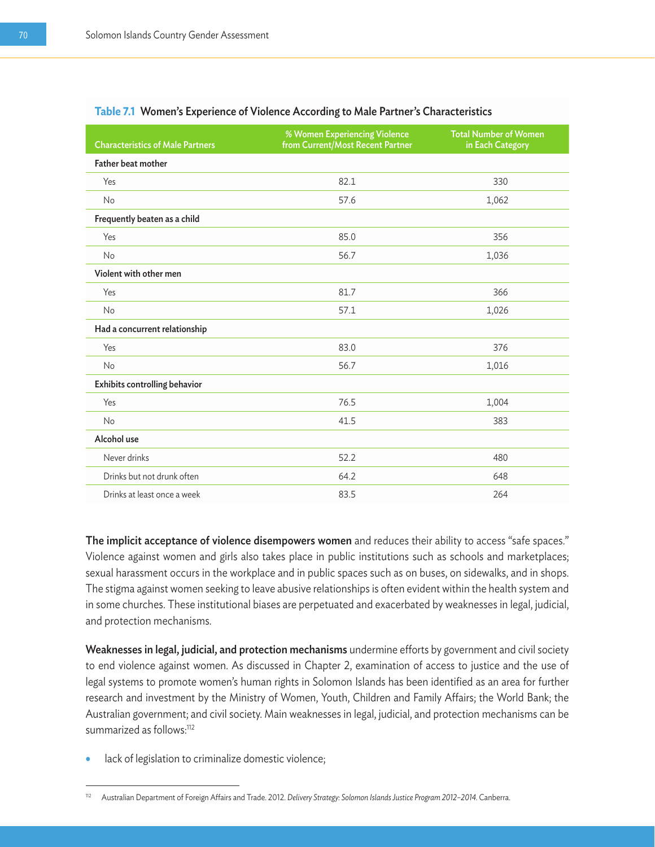| <b>Characteristics of Male Partners</b> | % Women Experiencing Violence<br>from Current/Most Recent Partner | <b>Total Number of Women</b><br>in Each Category |
|-----------------------------------------|-------------------------------------------------------------------|--------------------------------------------------|
| <b>Father beat mother</b>               |                                                                   |                                                  |
| Yes                                     | 82.1                                                              | 330                                              |
| No                                      | 57.6                                                              | 1,062                                            |
| Frequently beaten as a child            |                                                                   |                                                  |
| Yes                                     | 85.0                                                              | 356                                              |
| <b>No</b>                               | 56.7                                                              | 1,036                                            |
| Violent with other men                  |                                                                   |                                                  |
| Yes                                     | 81.7                                                              | 366                                              |
| No                                      | 57.1                                                              | 1,026                                            |
| Had a concurrent relationship           |                                                                   |                                                  |
| Yes                                     | 83.0                                                              | 376                                              |
| <b>No</b>                               | 56.7                                                              | 1,016                                            |
| Exhibits controlling behavior           |                                                                   |                                                  |
| Yes                                     | 76.5                                                              | 1,004                                            |
| No                                      | 41.5                                                              | 383                                              |
| Alcohol use                             |                                                                   |                                                  |
| Never drinks                            | 52.2                                                              | 480                                              |
| Drinks but not drunk often              | 64.2                                                              | 648                                              |
| Drinks at least once a week             | 83.5                                                              | 264                                              |

#### **Table 7.1** Women's Experience of Violence According to Male Partner's Characteristics

The implicit acceptance of violence disempowers women and reduces their ability to access "safe spaces." Violence against women and girls also takes place in public institutions such as schools and marketplaces; sexual harassment occurs in the workplace and in public spaces such as on buses, on sidewalks, and in shops. The stigma against women seeking to leave abusive relationships is often evident within the health system and in some churches. These institutional biases are perpetuated and exacerbated by weaknesses in legal, judicial, and protection mechanisms.

Weaknesses in legal, judicial, and protection mechanisms undermine efforts by government and civil society to end violence against women. As discussed in Chapter 2, examination of access to justice and the use of legal systems to promote women's human rights in Solomon Islands has been identified as an area for further research and investment by the Ministry of Women, Youth, Children and Family Affairs; the World Bank; the Australian government; and civil society. Main weaknesses in legal, judicial, and protection mechanisms can be summarized as follows:<sup>112</sup>

lack of legislation to criminalize domestic violence;

<sup>112</sup> Australian Department of Foreign Affairs and Trade. 2012. *Delivery Strategy: Solomon Islands Justice Program 2012-2014*. Canberra.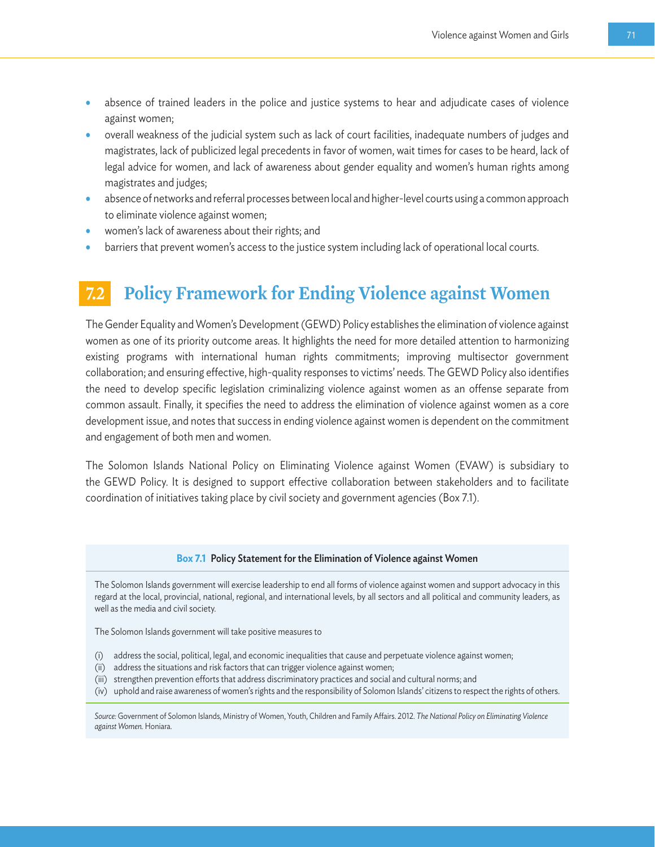- absence of trained leaders in the police and justice systems to hear and adjudicate cases of violence against women;
- overall weakness of the judicial system such as lack of court facilities, inadequate numbers of judges and magistrates, lack of publicized legal precedents in favor of women, wait times for cases to be heard, lack of legal advice for women, and lack of awareness about gender equality and women's human rights among magistrates and judges;
- absence of networks and referral processes between local and higher-level courts using a common approach to eliminate violence against women;
- women's lack of awareness about their rights; and
- barriers that prevent women's access to the justice system including lack of operational local courts.

## **7.2 Policy Framework for Ending Violence against Women**

The Gender Equality and Women's Development (GEWD) Policy establishes the elimination of violence against women as one of its priority outcome areas. It highlights the need for more detailed attention to harmonizing existing programs with international human rights commitments; improving multisector government collaboration; and ensuring effective, high-quality responses to victims' needs. The GEWD Policy also identifies the need to develop specific legislation criminalizing violence against women as an offense separate from common assault. Finally, it specifies the need to address the elimination of violence against women as a core development issue, and notes that success in ending violence against women is dependent on the commitment and engagement of both men and women.

The Solomon Islands National Policy on Eliminating Violence against Women (EVAW) is subsidiary to the GEWD Policy. It is designed to support effective collaboration between stakeholders and to facilitate coordination of initiatives taking place by civil society and government agencies (Box 7.1).

#### **Box 7.1** Policy Statement for the Elimination of Violence against Women

The Solomon Islands government will exercise leadership to end all forms of violence against women and support advocacy in this regard at the local, provincial, national, regional, and international levels, by all sectors and all political and community leaders, as well as the media and civil society.

The Solomon Islands government will take positive measures to

- (i) address the social, political, legal, and economic inequalities that cause and perpetuate violence against women;
- (ii) address the situations and risk factors that can trigger violence against women;
- (iii) strengthen prevention efforts that address discriminatory practices and social and cultural norms; and
- (iv) uphold and raise awareness of women's rights and the responsibility of Solomon Islands' citizens to respect the rights of others.

*Source:* Government of Solomon Islands, Ministry of Women, Youth, Children and Family Affairs. 2012. *The National Policy on Eliminating Violence against Women.* Honiara.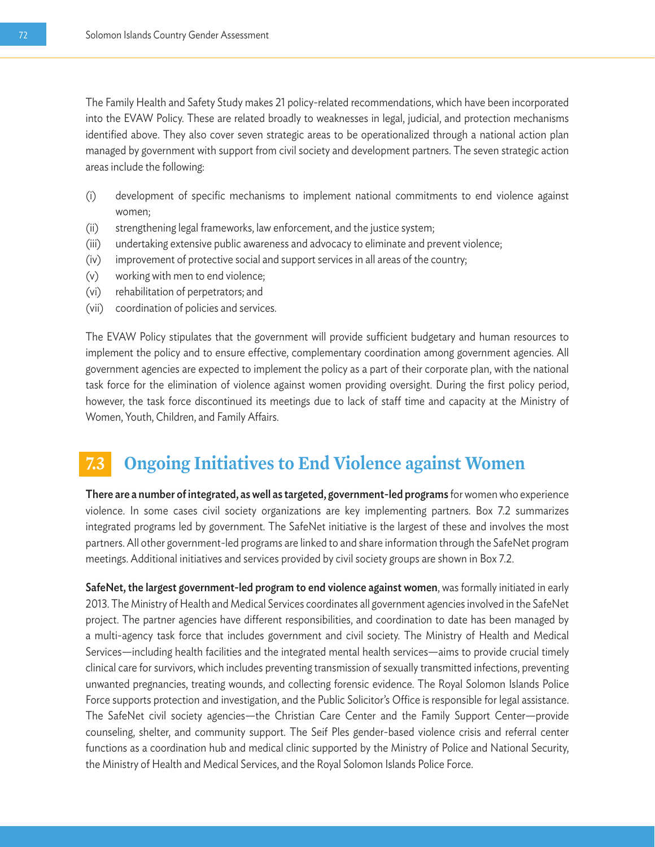The Family Health and Safety Study makes 21 policy-related recommendations, which have been incorporated into the EVAW Policy. These are related broadly to weaknesses in legal, judicial, and protection mechanisms identified above. They also cover seven strategic areas to be operationalized through a national action plan managed by government with support from civil society and development partners. The seven strategic action areas include the following:

- (i) development of specific mechanisms to implement national commitments to end violence against women;
- (ii) strengthening legal frameworks, law enforcement, and the justice system;
- (iii) undertaking extensive public awareness and advocacy to eliminate and prevent violence;
- (iv) improvement of protective social and support services in all areas of the country;
- (v) working with men to end violence;
- (vi) rehabilitation of perpetrators; and
- (vii) coordination of policies and services.

The EVAW Policy stipulates that the government will provide sufficient budgetary and human resources to implement the policy and to ensure effective, complementary coordination among government agencies. All government agencies are expected to implement the policy as a part of their corporate plan, with the national task force for the elimination of violence against women providing oversight. During the first policy period, however, the task force discontinued its meetings due to lack of staff time and capacity at the Ministry of Women, Youth, Children, and Family Affairs.

## *Ongoing Initiatives to End Violence against Women*

There are a number of integrated, as well as targeted, government-led programs for women who experience violence. In some cases civil society organizations are key implementing partners. Box 7.2 summarizes integrated programs led by government. The SafeNet initiative is the largest of these and involves the most partners. All other government-led programs are linked to and share information through the SafeNet program meetings. Additional initiatives and services provided by civil society groups are shown in Box 7.2.

SafeNet, the largest government-led program to end violence against women, was formally initiated in early 2013. The Ministry of Health and Medical Services coordinates all government agencies involved in the SafeNet project. The partner agencies have different responsibilities, and coordination to date has been managed by a multi-agency task force that includes government and civil society. The Ministry of Health and Medical Services—including health facilities and the integrated mental health services—aims to provide crucial timely clinical care for survivors, which includes preventing transmission of sexually transmitted infections, preventing unwanted pregnancies, treating wounds, and collecting forensic evidence. The Royal Solomon Islands Police Force supports protection and investigation, and the Public Solicitor's Office is responsible for legal assistance. The SafeNet civil society agencies—the Christian Care Center and the Family Support Center—provide counseling, shelter, and community support. The Seif Ples gender-based violence crisis and referral center functions as a coordination hub and medical clinic supported by the Ministry of Police and National Security, the Ministry of Health and Medical Services, and the Royal Solomon Islands Police Force.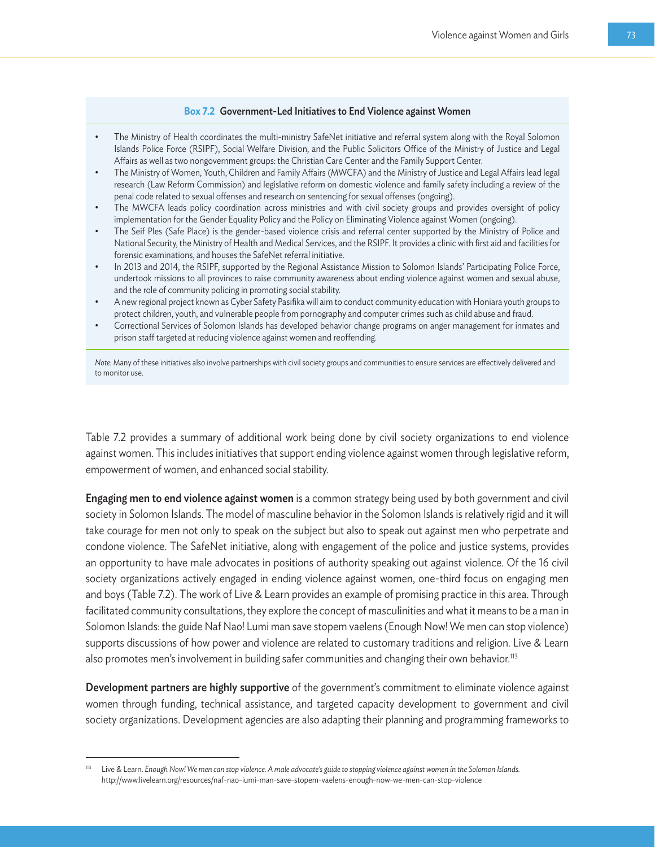#### **Box 7.2** Government-Led Initiatives to End Violence against Women

- The Ministry of Health coordinates the multi-ministry SafeNet initiative and referral system along with the Royal Solomon Islands Police Force (RSIPF), Social Welfare Division, and the Public Solicitors Office of the Ministry of Justice and Legal Affairs as well as two nongovernment groups: the Christian Care Center and the Family Support Center.
- The Ministry of Women, Youth, Children and Family Affairs (MWCFA) and the Ministry of Justice and Legal Affairs lead legal research (Law Reform Commission) and legislative reform on domestic violence and family safety including a review of the penal code related to sexual offenses and research on sentencing for sexual offenses (ongoing).
- The MWCFA leads policy coordination across ministries and with civil society groups and provides oversight of policy implementation for the Gender Equality Policy and the Policy on Eliminating Violence against Women (ongoing).
- The Seif Ples (Safe Place) is the gender-based violence crisis and referral center supported by the Ministry of Police and National Security, the Ministry of Health and Medical Services, and the RSIPF. It provides a clinic with first aid and facilities for forensic examinations, and houses the SafeNet referral initiative.
- In 2013 and 2014, the RSIPF, supported by the Regional Assistance Mission to Solomon Islands' Participating Police Force, undertook missions to all provinces to raise community awareness about ending violence against women and sexual abuse, and the role of community policing in promoting social stability.
- A new regional project known as Cyber Safety Pasifika will aim to conduct community education with Honiara youth groups to protect children, youth, and vulnerable people from pornography and computer crimes such as child abuse and fraud.
- Correctional Services of Solomon Islands has developed behavior change programs on anger management for inmates and prison staff targeted at reducing violence against women and reoffending.

*Note:* Many of these initiatives also involve partnerships with civil society groups and communities to ensure services are effectively delivered and to monitor use.

Table 7.2 provides a summary of additional work being done by civil society organizations to end violence against women. This includes initiatives that support ending violence against women through legislative reform, empowerment of women, and enhanced social stability.

Engaging men to end violence against women is a common strategy being used by both government and civil society in Solomon Islands. The model of masculine behavior in the Solomon Islands is relatively rigid and it will take courage for men not only to speak on the subject but also to speak out against men who perpetrate and condone violence. The SafeNet initiative, along with engagement of the police and justice systems, provides an opportunity to have male advocates in positions of authority speaking out against violence. Of the 16 civil society organizations actively engaged in ending violence against women, one-third focus on engaging men and boys (Table 7.2). The work of Live & Learn provides an example of promising practice in this area. Through facilitated community consultations, they explore the concept of masculinities and what it means to be a man in Solomon Islands: the guide Naf Nao! Lumi man save stopem vaelens (Enough Now! We men can stop violence) supports discussions of how power and violence are related to customary traditions and religion. Live & Learn also promotes men's involvement in building safer communities and changing their own behavior.<sup>113</sup>

Development partners are highly supportive of the government's commitment to eliminate violence against women through funding, technical assistance, and targeted capacity development to government and civil society organizations. Development agencies are also adapting their planning and programming frameworks to

<sup>113</sup> Live & Learn. *Enough Now! We men can stop violence. A male advocate's guide to stopping violence against women in the Solomon Islands.* http://www.livelearn.org/resources/naf-nao-iumi-man-save-stopem-vaelens-enough-now-we-men-can-stop-violence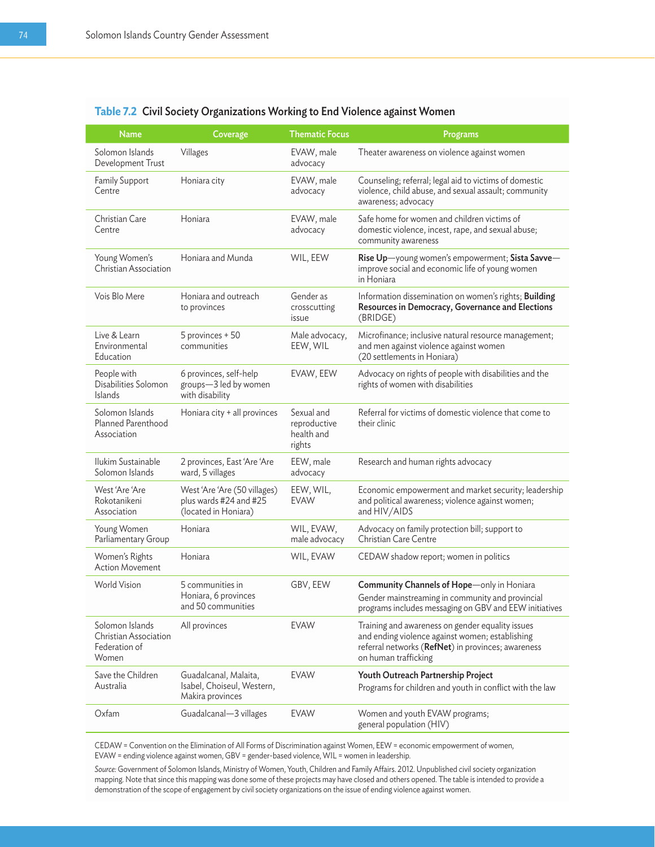| <b>Name</b>                                                        | Coverage                                                                       | <b>Thematic Focus</b>                              | Programs                                                                                                                                                                          |
|--------------------------------------------------------------------|--------------------------------------------------------------------------------|----------------------------------------------------|-----------------------------------------------------------------------------------------------------------------------------------------------------------------------------------|
| Solomon Islands<br>Development Trust                               | Villages                                                                       | EVAW, male<br>advocacy                             | Theater awareness on violence against women                                                                                                                                       |
| <b>Family Support</b><br>Centre                                    | Honiara city                                                                   | EVAW, male<br>advocacy                             | Counseling; referral; legal aid to victims of domestic<br>violence, child abuse, and sexual assault; community<br>awareness; advocacy                                             |
| Christian Care<br>Centre                                           | Honiara                                                                        | EVAW, male<br>advocacy                             | Safe home for women and children victims of<br>domestic violence, incest, rape, and sexual abuse;<br>community awareness                                                          |
| Young Women's<br>Christian Association                             | Honiara and Munda                                                              | WIL, EEW                                           | Rise Up-young women's empowerment; Sista Savve-<br>improve social and economic life of young women<br>in Honiara                                                                  |
| Vois Blo Mere                                                      | Honiara and outreach<br>to provinces                                           | Gender as<br>crosscutting<br>issue                 | Information dissemination on women's rights; Building<br>Resources in Democracy, Governance and Elections<br>(BRIDGE)                                                             |
| Live & Learn<br>Environmental<br>Education                         | 5 provinces + 50<br>communities                                                | Male advocacy,<br>EEW, WIL                         | Microfinance; inclusive natural resource management;<br>and men against violence against women<br>(20 settlements in Honiara)                                                     |
| People with<br>Disabilities Solomon<br><b>Islands</b>              | 6 provinces, self-help<br>groups-3 led by women<br>with disability             | EVAW, EEW                                          | Advocacy on rights of people with disabilities and the<br>rights of women with disabilities                                                                                       |
| Solomon Islands<br>Planned Parenthood<br>Association               | Honiara city + all provinces                                                   | Sexual and<br>reproductive<br>health and<br>rights | Referral for victims of domestic violence that come to<br>their clinic                                                                                                            |
| Ilukim Sustainable<br>Solomon Islands                              | 2 provinces, East 'Are 'Are<br>ward, 5 villages                                | EEW, male<br>advocacy                              | Research and human rights advocacy                                                                                                                                                |
| West 'Are 'Are<br>Rokotanikeni<br>Association                      | West 'Are 'Are (50 villages)<br>plus wards #24 and #25<br>(located in Honiara) | EEW, WIL,<br><b>EVAW</b>                           | Economic empowerment and market security; leadership<br>and political awareness; violence against women;<br>and HIV/AIDS                                                          |
| Young Women<br>Parliamentary Group                                 | Honiara                                                                        | WIL, EVAW,<br>male advocacy                        | Advocacy on family protection bill; support to<br><b>Christian Care Centre</b>                                                                                                    |
| Women's Rights<br><b>Action Movement</b>                           | Honiara                                                                        | WIL, EVAW                                          | CEDAW shadow report; women in politics                                                                                                                                            |
| World Vision                                                       | 5 communities in<br>Honiara, 6 provinces<br>and 50 communities                 | GBV, EEW                                           | Community Channels of Hope-only in Honiara<br>Gender mainstreaming in community and provincial<br>programs includes messaging on GBV and EEW initiatives                          |
| Solomon Islands<br>Christian Association<br>Federation of<br>Women | All provinces                                                                  | EVAW                                               | Training and awareness on gender equality issues<br>and ending violence against women; establishing<br>referral networks (RefNet) in provinces; awareness<br>on human trafficking |
| Save the Children<br>Australia                                     | Guadalcanal, Malaita,<br>Isabel, Choiseul, Western,<br>Makira provinces        | <b>EVAW</b>                                        | Youth Outreach Partnership Project<br>Programs for children and youth in conflict with the law                                                                                    |
| Oxfam                                                              | Guadalcanal-3 villages                                                         | <b>EVAW</b>                                        | Women and youth EVAW programs;<br>general population (HIV)                                                                                                                        |

#### **Table 7.2** Civil Society Organizations Working to End Violence against Women

CEDAW = Convention on the Elimination of All Forms of Discrimination against Women, EEW = economic empowerment of women, EVAW = ending violence against women, GBV = gender-based violence, WIL = women in leadership.

*Source:* Government of Solomon Islands, Ministry of Women, Youth, Children and Family Affairs. 2012. Unpublished civil society organization mapping. Note that since this mapping was done some of these projects may have closed and others opened. The table is intended to provide a demonstration of the scope of engagement by civil society organizations on the issue of ending violence against women.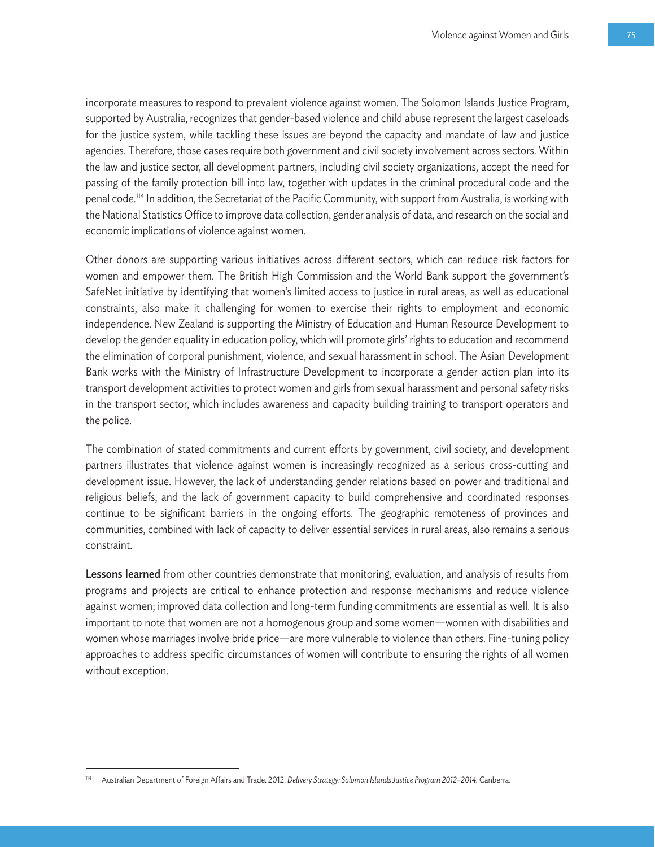incorporate measures to respond to prevalent violence against women. The Solomon Islands Justice Program, supported by Australia, recognizes that gender-based violence and child abuse represent the largest caseloads for the justice system, while tackling these issues are beyond the capacity and mandate of law and justice agencies. Therefore, those cases require both government and civil society involvement across sectors. Within the law and justice sector, all development partners, including civil society organizations, accept the need for passing of the family protection bill into law, together with updates in the criminal procedural code and the penal code.114 In addition, the Secretariat of the Pacific Community, with support from Australia, is working with the National Statistics Office to improve data collection, gender analysis of data, and research on the social and economic implications of violence against women.

Other donors are supporting various initiatives across different sectors, which can reduce risk factors for women and empower them. The British High Commission and the World Bank support the government's SafeNet initiative by identifying that women's limited access to justice in rural areas, as well as educational constraints, also make it challenging for women to exercise their rights to employment and economic independence. New Zealand is supporting the Ministry of Education and Human Resource Development to develop the gender equality in education policy, which will promote girls' rights to education and recommend the elimination of corporal punishment, violence, and sexual harassment in school. The Asian Development Bank works with the Ministry of Infrastructure Development to incorporate a gender action plan into its transport development activities to protect women and girls from sexual harassment and personal safety risks in the transport sector, which includes awareness and capacity building training to transport operators and the police.

The combination of stated commitments and current efforts by government, civil society, and development partners illustrates that violence against women is increasingly recognized as a serious cross-cutting and development issue. However, the lack of understanding gender relations based on power and traditional and religious beliefs, and the lack of government capacity to build comprehensive and coordinated responses continue to be significant barriers in the ongoing efforts. The geographic remoteness of provinces and communities, combined with lack of capacity to deliver essential services in rural areas, also remains a serious constraint.

Lessons learned from other countries demonstrate that monitoring, evaluation, and analysis of results from programs and projects are critical to enhance protection and response mechanisms and reduce violence against women; improved data collection and long-term funding commitments are essential as well. It is also important to note that women are not a homogenous group and some women—women with disabilities and women whose marriages involve bride price—are more vulnerable to violence than others. Fine-tuning policy approaches to address specific circumstances of women will contribute to ensuring the rights of all women without exception.

<sup>114</sup> Australian Department of Foreign Affairs and Trade. 2012. *Delivery Strategy: Solomon Islands Justice Program 2012–2014.* Canberra.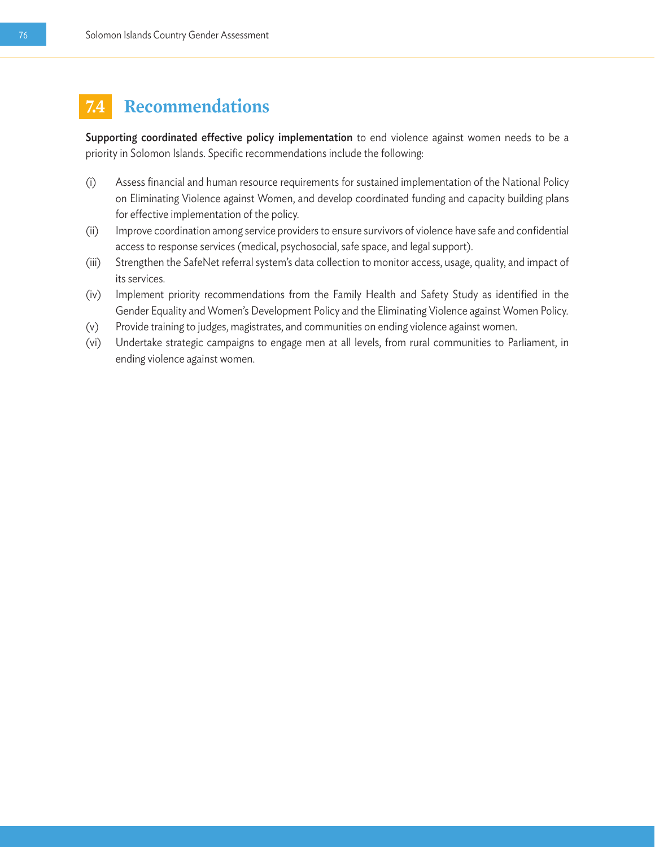## **7.4 Recommendations**

Supporting coordinated effective policy implementation to end violence against women needs to be a priority in Solomon Islands. Specific recommendations include the following:

- (i) Assess financial and human resource requirements for sustained implementation of the National Policy on Eliminating Violence against Women, and develop coordinated funding and capacity building plans for effective implementation of the policy.
- (ii) Improve coordination among service providers to ensure survivors of violence have safe and confidential access to response services (medical, psychosocial, safe space, and legal support).
- (iii) Strengthen the SafeNet referral system's data collection to monitor access, usage, quality, and impact of its services.
- (iv) Implement priority recommendations from the Family Health and Safety Study as identified in the Gender Equality and Women's Development Policy and the Eliminating Violence against Women Policy.
- (v) Provide training to judges, magistrates, and communities on ending violence against women.
- (vi) Undertake strategic campaigns to engage men at all levels, from rural communities to Parliament, in ending violence against women.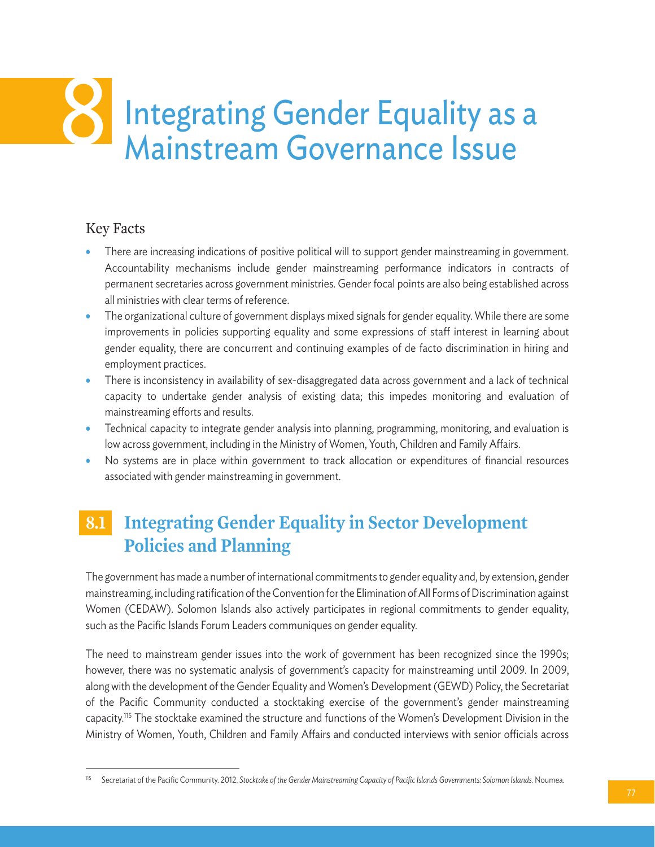# Integrating Gender Equality as a<br>Mainstream Governance Issue

## Key Facts

- There are increasing indications of positive political will to support gender mainstreaming in government. Accountability mechanisms include gender mainstreaming performance indicators in contracts of permanent secretaries across government ministries. Gender focal points are also being established across all ministries with clear terms of reference.
- The organizational culture of government displays mixed signals for gender equality. While there are some improvements in policies supporting equality and some expressions of staff interest in learning about gender equality, there are concurrent and continuing examples of de facto discrimination in hiring and employment practices.
- There is inconsistency in availability of sex-disaggregated data across government and a lack of technical capacity to undertake gender analysis of existing data; this impedes monitoring and evaluation of mainstreaming efforts and results.
- Technical capacity to integrate gender analysis into planning, programming, monitoring, and evaluation is low across government, including in the Ministry of Women, Youth, Children and Family Affairs.
- No systems are in place within government to track allocation or expenditures of financial resources associated with gender mainstreaming in government.

## **8.1 Integrating Gender Equality in Sector Development Policies and Planning**

The government has made a number of international commitments to gender equality and, by extension, gender mainstreaming, including ratification of the Convention for the Elimination of All Forms of Discrimination against Women (CEDAW). Solomon Islands also actively participates in regional commitments to gender equality, such as the Pacific Islands Forum Leaders communiques on gender equality.

The need to mainstream gender issues into the work of government has been recognized since the 1990s; however, there was no systematic analysis of government's capacity for mainstreaming until 2009. In 2009, along with the development of the Gender Equality and Women's Development (GEWD) Policy, the Secretariat of the Pacific Community conducted a stocktaking exercise of the government's gender mainstreaming capacity.115 The stocktake examined the structure and functions of the Women's Development Division in the Ministry of Women, Youth, Children and Family Affairs and conducted interviews with senior officials across

<sup>115</sup> Secretariat of the Pacific Community. 2012. *Stocktake of the Gender Mainstreaming Capacity of Pacific Islands Governments: Solomon Islands.* Noumea.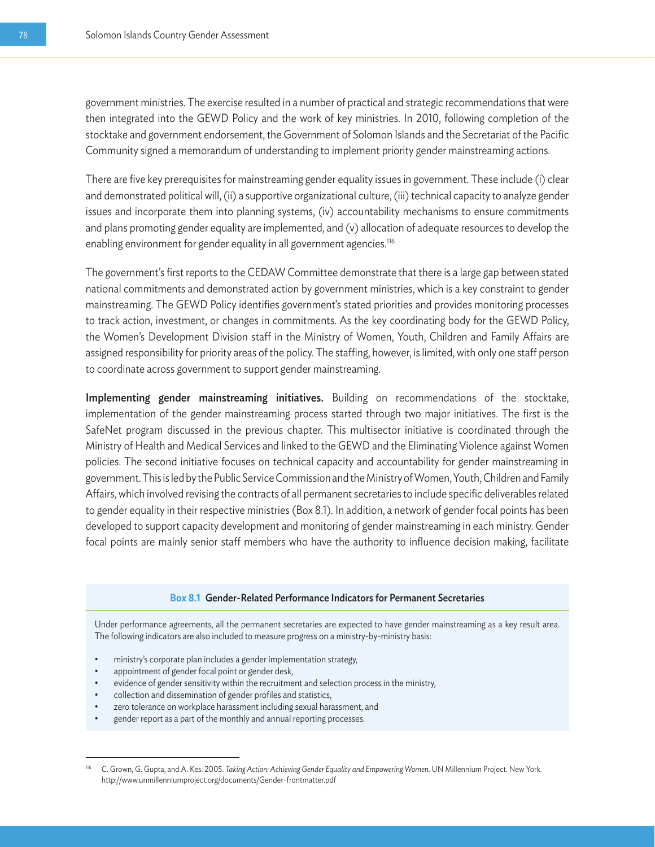government ministries. The exercise resulted in a number of practical and strategic recommendations that were then integrated into the GEWD Policy and the work of key ministries. In 2010, following completion of the stocktake and government endorsement, the Government of Solomon Islands and the Secretariat of the Pacific Community signed a memorandum of understanding to implement priority gender mainstreaming actions.

There are five key prerequisites for mainstreaming gender equality issues in government. These include (i) clear and demonstrated political will, (ii) a supportive organizational culture, (iii) technical capacity to analyze gender issues and incorporate them into planning systems, (iv) accountability mechanisms to ensure commitments and plans promoting gender equality are implemented, and (v) allocation of adequate resources to develop the enabling environment for gender equality in all government agencies.<sup>116</sup>

The government's first reports to the CEDAW Committee demonstrate that there is a large gap between stated national commitments and demonstrated action by government ministries, which is a key constraint to gender mainstreaming. The GEWD Policy identifies government's stated priorities and provides monitoring processes to track action, investment, or changes in commitments. As the key coordinating body for the GEWD Policy, the Women's Development Division staff in the Ministry of Women, Youth, Children and Family Affairs are assigned responsibility for priority areas of the policy. The staffing, however, is limited, with only one staff person to coordinate across government to support gender mainstreaming.

Implementing gender mainstreaming initiatives. Building on recommendations of the stocktake, implementation of the gender mainstreaming process started through two major initiatives. The first is the SafeNet program discussed in the previous chapter. This multisector initiative is coordinated through the Ministry of Health and Medical Services and linked to the GEWD and the Eliminating Violence against Women policies. The second initiative focuses on technical capacity and accountability for gender mainstreaming in government. This is led by the Public Service Commission and the Ministry of Women, Youth, Children and Family Affairs, which involved revising the contracts of all permanent secretaries to include specific deliverables related to gender equality in their respective ministries (Box 8.1). In addition, a network of gender focal points has been developed to support capacity development and monitoring of gender mainstreaming in each ministry. Gender focal points are mainly senior staff members who have the authority to influence decision making, facilitate

#### **Box 8.1** Gender-Related Performance Indicators for Permanent Secretaries

Under performance agreements, all the permanent secretaries are expected to have gender mainstreaming as a key result area. The following indicators are also included to measure progress on a ministry-by-ministry basis:

- ministry's corporate plan includes a gender implementation strategy,
- appointment of gender focal point or gender desk,
- evidence of gender sensitivity within the recruitment and selection process in the ministry,
- collection and dissemination of gender profiles and statistics,
- zero tolerance on workplace harassment including sexual harassment, and
- gender report as a part of the monthly and annual reporting processes.

<sup>116</sup> C. Grown, G. Gupta, and A. Kes. 2005. *Taking Action: Achieving Gender Equality and Empowering Women.* UN Millennium Project. New York. http://www.unmillenniumproject.org/documents/Gender-frontmatter.pdf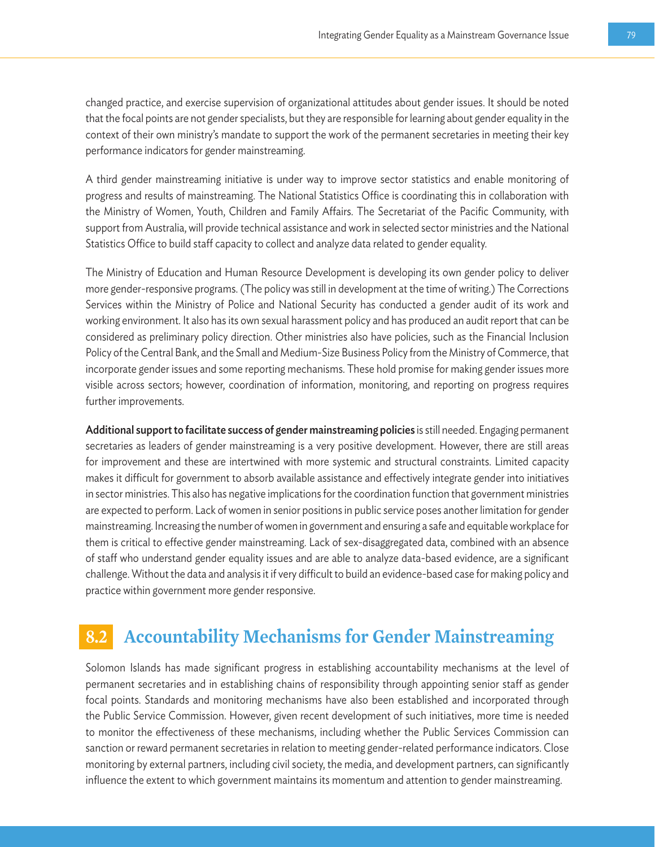changed practice, and exercise supervision of organizational attitudes about gender issues. It should be noted that the focal points are not gender specialists, but they are responsible for learning about gender equality in the context of their own ministry's mandate to support the work of the permanent secretaries in meeting their key performance indicators for gender mainstreaming.

A third gender mainstreaming initiative is under way to improve sector statistics and enable monitoring of progress and results of mainstreaming. The National Statistics Office is coordinating this in collaboration with the Ministry of Women, Youth, Children and Family Affairs. The Secretariat of the Pacific Community, with support from Australia, will provide technical assistance and work in selected sector ministries and the National Statistics Office to build staff capacity to collect and analyze data related to gender equality.

The Ministry of Education and Human Resource Development is developing its own gender policy to deliver more gender-responsive programs. (The policy was still in development at the time of writing.) The Corrections Services within the Ministry of Police and National Security has conducted a gender audit of its work and working environment. It also has its own sexual harassment policy and has produced an audit report that can be considered as preliminary policy direction. Other ministries also have policies, such as the Financial Inclusion Policy of the Central Bank, and the Small and Medium-Size Business Policy from the Ministry of Commerce, that incorporate gender issues and some reporting mechanisms. These hold promise for making gender issues more visible across sectors; however, coordination of information, monitoring, and reporting on progress requires further improvements.

Additional support to facilitate success of gender mainstreaming policies is still needed. Engaging permanent secretaries as leaders of gender mainstreaming is a very positive development. However, there are still areas for improvement and these are intertwined with more systemic and structural constraints. Limited capacity makes it difficult for government to absorb available assistance and effectively integrate gender into initiatives in sector ministries. This also has negative implications for the coordination function that government ministries are expected to perform. Lack of women in senior positions in public service poses another limitation for gender mainstreaming. Increasing the number of women in government and ensuring a safe and equitable workplace for them is critical to effective gender mainstreaming. Lack of sex-disaggregated data, combined with an absence of staff who understand gender equality issues and are able to analyze data-based evidence, are a significant challenge. Without the data and analysis it if very difficult to build an evidence-based case for making policy and practice within government more gender responsive.

## **8.2 Accountability Mechanisms for Gender Mainstreaming**

Solomon Islands has made significant progress in establishing accountability mechanisms at the level of permanent secretaries and in establishing chains of responsibility through appointing senior staff as gender focal points. Standards and monitoring mechanisms have also been established and incorporated through the Public Service Commission. However, given recent development of such initiatives, more time is needed to monitor the effectiveness of these mechanisms, including whether the Public Services Commission can sanction or reward permanent secretaries in relation to meeting gender-related performance indicators. Close monitoring by external partners, including civil society, the media, and development partners, can significantly influence the extent to which government maintains its momentum and attention to gender mainstreaming.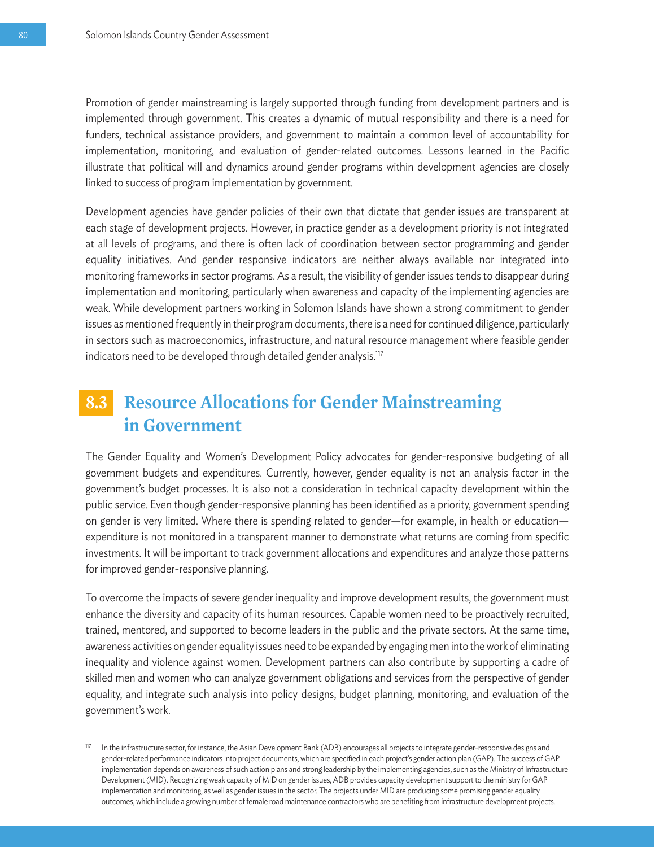Promotion of gender mainstreaming is largely supported through funding from development partners and is implemented through government. This creates a dynamic of mutual responsibility and there is a need for funders, technical assistance providers, and government to maintain a common level of accountability for implementation, monitoring, and evaluation of gender-related outcomes. Lessons learned in the Pacific illustrate that political will and dynamics around gender programs within development agencies are closely linked to success of program implementation by government.

Development agencies have gender policies of their own that dictate that gender issues are transparent at each stage of development projects. However, in practice gender as a development priority is not integrated at all levels of programs, and there is often lack of coordination between sector programming and gender equality initiatives. And gender responsive indicators are neither always available nor integrated into monitoring frameworks in sector programs. As a result, the visibility of gender issues tends to disappear during implementation and monitoring, particularly when awareness and capacity of the implementing agencies are weak. While development partners working in Solomon Islands have shown a strong commitment to gender issues as mentioned frequently in their program documents, there is a need for continued diligence, particularly in sectors such as macroeconomics, infrastructure, and natural resource management where feasible gender indicators need to be developed through detailed gender analysis.<sup>117</sup>

## **8.3 Resource Allocations for Gender Mainstreaming in Government**

The Gender Equality and Women's Development Policy advocates for gender-responsive budgeting of all government budgets and expenditures. Currently, however, gender equality is not an analysis factor in the government's budget processes. It is also not a consideration in technical capacity development within the public service. Even though gender-responsive planning has been identified as a priority, government spending on gender is very limited. Where there is spending related to gender—for example, in health or education expenditure is not monitored in a transparent manner to demonstrate what returns are coming from specific investments. It will be important to track government allocations and expenditures and analyze those patterns for improved gender-responsive planning.

To overcome the impacts of severe gender inequality and improve development results, the government must enhance the diversity and capacity of its human resources. Capable women need to be proactively recruited, trained, mentored, and supported to become leaders in the public and the private sectors. At the same time, awareness activities on gender equality issues need to be expanded by engaging men into the work of eliminating inequality and violence against women. Development partners can also contribute by supporting a cadre of skilled men and women who can analyze government obligations and services from the perspective of gender equality, and integrate such analysis into policy designs, budget planning, monitoring, and evaluation of the government's work.

<sup>117</sup> In the infrastructure sector, for instance, the Asian Development Bank (ADB) encourages all projects to integrate gender-responsive designs and gender-related performance indicators into project documents, which are specified in each project's gender action plan (GAP). The success of GAP implementation depends on awareness of such action plans and strong leadership by the implementing agencies, such as the Ministry of Infrastructure Development (MID). Recognizing weak capacity of MID on gender issues, ADB provides capacity development support to the ministry for GAP implementation and monitoring, as well as gender issues in the sector. The projects under MID are producing some promising gender equality outcomes, which include a growing number of female road maintenance contractors who are benefiting from infrastructure development projects.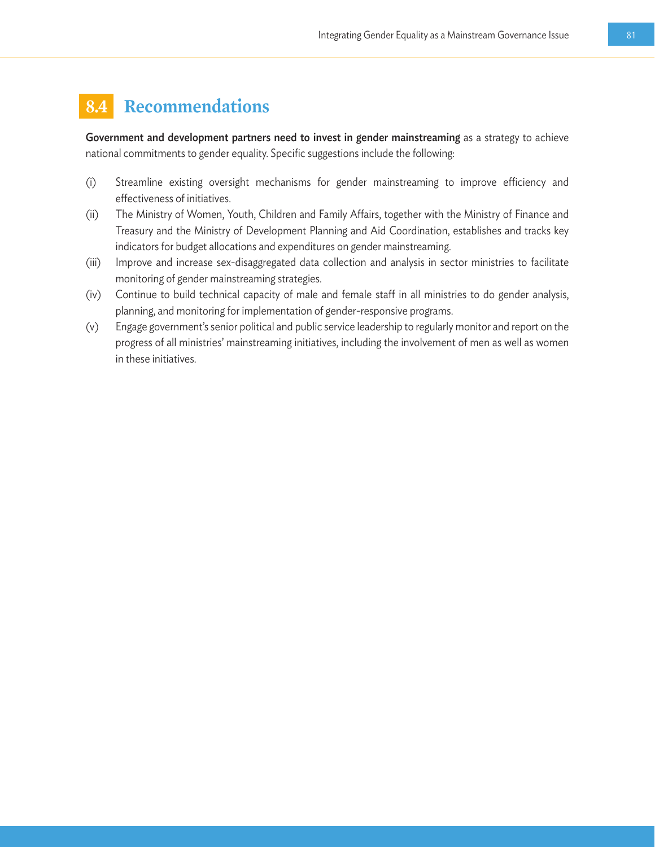## **8.4 Recommendations**

Government and development partners need to invest in gender mainstreaming as a strategy to achieve national commitments to gender equality. Specific suggestions include the following:

- (i) Streamline existing oversight mechanisms for gender mainstreaming to improve efficiency and effectiveness of initiatives.
- (ii) The Ministry of Women, Youth, Children and Family Affairs, together with the Ministry of Finance and Treasury and the Ministry of Development Planning and Aid Coordination, establishes and tracks key indicators for budget allocations and expenditures on gender mainstreaming.
- (iii) Improve and increase sex-disaggregated data collection and analysis in sector ministries to facilitate monitoring of gender mainstreaming strategies.
- (iv) Continue to build technical capacity of male and female staff in all ministries to do gender analysis, planning, and monitoring for implementation of gender-responsive programs.
- (v) Engage government's senior political and public service leadership to regularly monitor and report on the progress of all ministries' mainstreaming initiatives, including the involvement of men as well as women in these initiatives.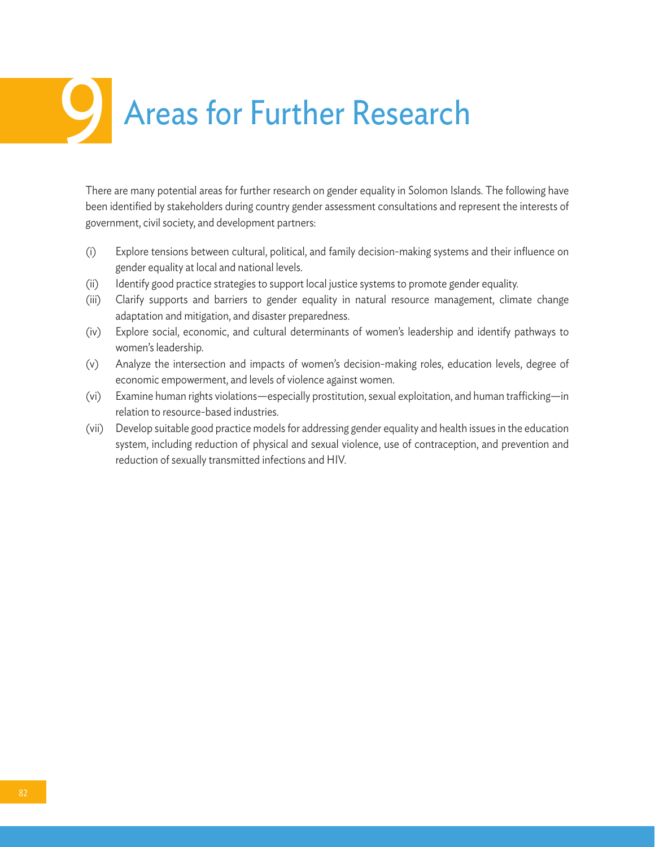## Areas for Further Research

There are many potential areas for further research on gender equality in Solomon Islands. The following have been identified by stakeholders during country gender assessment consultations and represent the interests of government, civil society, and development partners:

- (i) Explore tensions between cultural, political, and family decision-making systems and their influence on gender equality at local and national levels.
- (ii) Identify good practice strategies to support local justice systems to promote gender equality.
- (iii) Clarify supports and barriers to gender equality in natural resource management, climate change adaptation and mitigation, and disaster preparedness.
- (iv) Explore social, economic, and cultural determinants of women's leadership and identify pathways to women's leadership.
- (v) Analyze the intersection and impacts of women's decision-making roles, education levels, degree of economic empowerment, and levels of violence against women.
- (vi) Examine human rights violations—especially prostitution, sexual exploitation, and human trafficking—in relation to resource-based industries.
- (vii) Develop suitable good practice models for addressing gender equality and health issues in the education system, including reduction of physical and sexual violence, use of contraception, and prevention and reduction of sexually transmitted infections and HIV.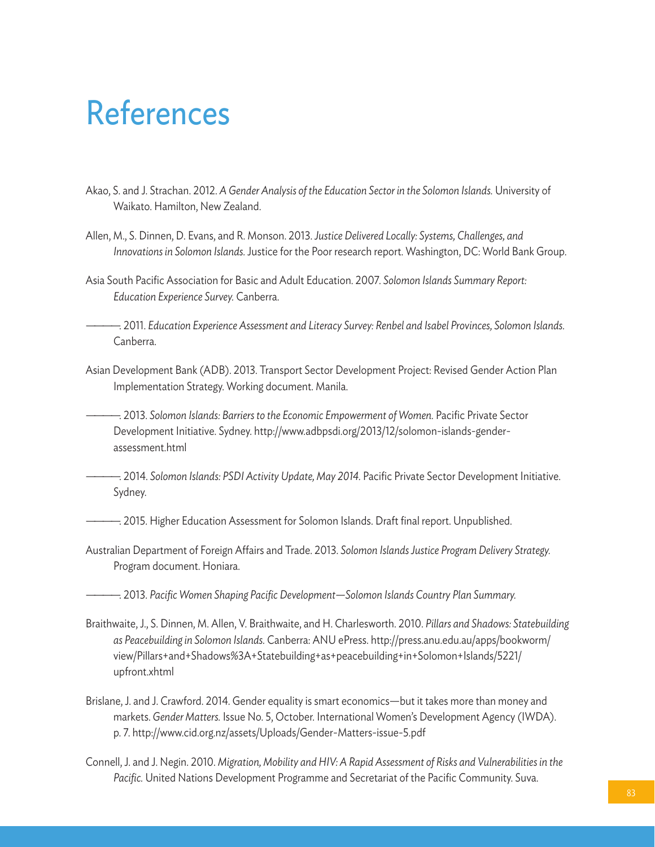## References

- Akao, S. and J. Strachan. 2012. *A Gender Analysis of the Education Sector in the Solomon Islands.* University of Waikato. Hamilton, New Zealand.
- Allen, M., S. Dinnen, D. Evans, and R. Monson. 2013. *Justice Delivered Locally: Systems, Challenges, and Innovations in Solomon Islands.* Justice for the Poor research report. Washington, DC: World Bank Group.
- Asia South Pacific Association for Basic and Adult Education. 2007. *Solomon Islands Summary Report: Education Experience Survey.* Canberra.

————. 2011. *Education Experience Assessment and Literacy Survey: Renbel and Isabel Provinces, Solomon Islands.* Canberra.

Asian Development Bank (ADB). 2013. Transport Sector Development Project: Revised Gender Action Plan Implementation Strategy. Working document. Manila.

————. 2013. *Solomon Islands: Barriers to the Economic Empowerment of Women.* Pacific Private Sector Development Initiative. Sydney. http://www.adbpsdi.org/2013/12/solomon-islands-genderassessment.html

————. 2014. *Solomon Islands: PSDI Activity Update, May 2014.* Pacific Private Sector Development Initiative. Sydney.

—. 2015. Higher Education Assessment for Solomon Islands. Draft final report. Unpublished.

Australian Department of Foreign Affairs and Trade. 2013. *Solomon Islands Justice Program Delivery Strategy.* Program document. Honiara.

————. 2013. *Pacific Women Shaping Pacific Development—Solomon Islands Country Plan Summary.*

- Braithwaite, J., S. Dinnen, M. Allen, V. Braithwaite, and H. Charlesworth. 2010. *Pillars and Shadows: Statebuilding as Peacebuilding in Solomon Islands.* Canberra: ANU ePress. http://press.anu.edu.au/apps/bookworm/ view/Pillars+and+Shadows%3A+Statebuilding+as+peacebuilding+in+Solomon+Islands/5221/ upfront.xhtml
- Brislane, J. and J. Crawford. 2014. Gender equality is smart economics—but it takes more than money and markets. *Gender Matters.* Issue No. 5, October. International Women's Development Agency (IWDA). p. 7. http://www.cid.org.nz/assets/Uploads/Gender-Matters-issue-5.pdf
- Connell, J. and J. Negin. 2010. *Migration, Mobility and HIV: A Rapid Assessment of Risks and Vulnerabilities in the Pacific.* United Nations Development Programme and Secretariat of the Pacific Community. Suva.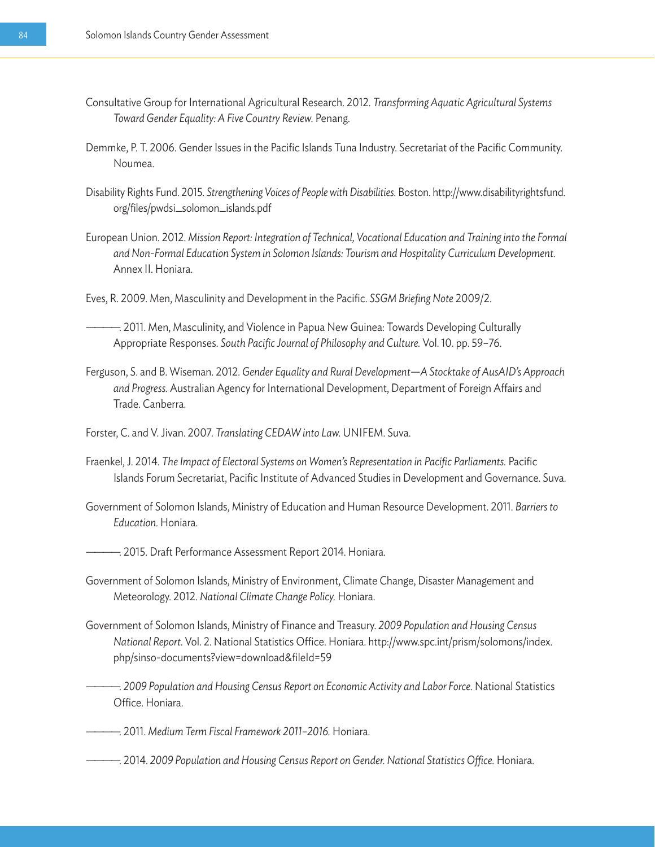- Consultative Group for International Agricultural Research. 2012. *Transforming Aquatic Agricultural Systems Toward Gender Equality: A Five Country Review.* Penang.
- Demmke, P. T. 2006. Gender Issues in the Pacific Islands Tuna Industry. Secretariat of the Pacific Community. Noumea.
- Disability Rights Fund. 2015. *Strengthening Voices of People with Disabilities.* Boston. http://www.disabilityrightsfund. org/files/pwdsi\_solomon\_islands.pdf
- European Union. 2012. *Mission Report: Integration of Technical, Vocational Education and Training into the Formal and Non-Formal Education System in Solomon Islands: Tourism and Hospitality Curriculum Development.*  Annex II. Honiara.
- Eves, R. 2009. Men, Masculinity and Development in the Pacific. *SSGM Briefing Note* 2009/2.
- ————. 2011. Men, Masculinity, and Violence in Papua New Guinea: Towards Developing Culturally Appropriate Responses. *South Pacific Journal of Philosophy and Culture.* Vol. 10. pp. 59–76.
- Ferguson, S. and B. Wiseman. 2012. *Gender Equality and Rural Development—A Stocktake of AusAID's Approach and Progress.* Australian Agency for International Development, Department of Foreign Affairs and Trade. Canberra.
- Forster, C. and V. Jivan. 2007. *Translating CEDAW into Law.* UNIFEM. Suva.
- Fraenkel, J. 2014. *The Impact of Electoral Systems on Women's Representation in Pacific Parliaments.* Pacific Islands Forum Secretariat, Pacific Institute of Advanced Studies in Development and Governance. Suva.
- Government of Solomon Islands, Ministry of Education and Human Resource Development. 2011. *Barriers to Education.* Honiara.
- ————. 2015. Draft Performance Assessment Report 2014. Honiara.
- Government of Solomon Islands, Ministry of Environment, Climate Change, Disaster Management and Meteorology. 2012. *National Climate Change Policy.* Honiara.
- Government of Solomon Islands, Ministry of Finance and Treasury. *2009 Population and Housing Census National Report.* Vol. 2. National Statistics Office. Honiara. http://www.spc.int/prism/solomons/index. php/sinso-documents?view=download&fileId=59
	- ————. *2009 Population and Housing Census Report on Economic Activity and Labor Force.* National Statistics Office. Honiara.
- ————. 2011. *Medium Term Fiscal Framework 2011–2016.* Honiara.
- ————. 2014. *2009 Population and Housing Census Report on Gender. National Statistics Office.* Honiara.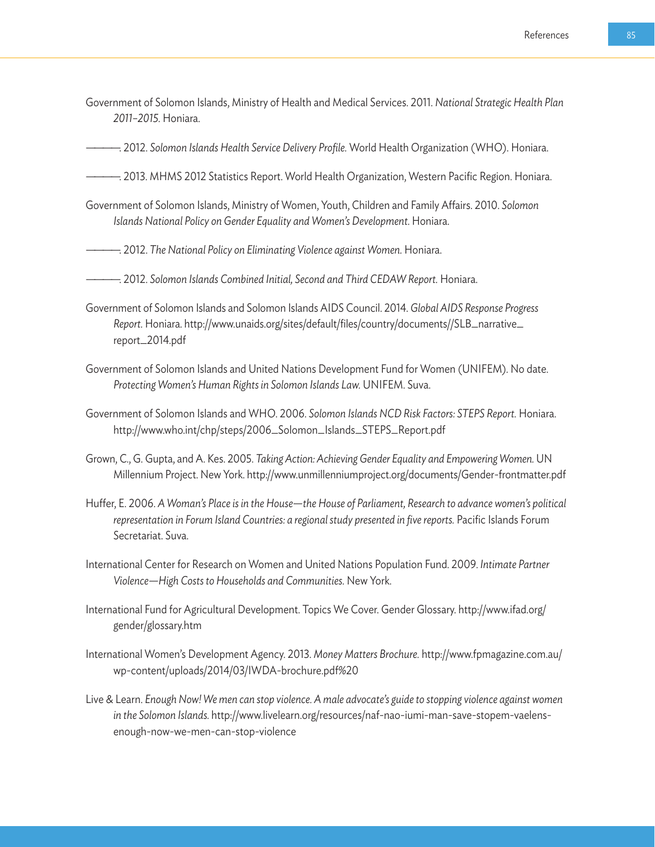Government of Solomon Islands, Ministry of Health and Medical Services. 2011. *National Strategic Health Plan 2011–2015.* Honiara.

————. 2012. *Solomon Islands Health Service Delivery Profile.* World Health Organization (WHO). Honiara.

- ————. 2013. MHMS 2012 Statistics Report. World Health Organization, Western Pacific Region. Honiara.
- Government of Solomon Islands, Ministry of Women, Youth, Children and Family Affairs. 2010. *Solomon Islands National Policy on Gender Equality and Women's Development.* Honiara.
- ————. 2012. *The National Policy on Eliminating Violence against Women.* Honiara.
- ————. 2012. *Solomon Islands Combined Initial, Second and Third CEDAW Report.* Honiara.
- Government of Solomon Islands and Solomon Islands AIDS Council. 2014. *Global AIDS Response Progress Report.* Honiara. http://www.unaids.org/sites/default/files/country/documents//SLB\_narrative\_ report\_2014.pdf
- Government of Solomon Islands and United Nations Development Fund for Women (UNIFEM). No date. *Protecting Women's Human Rights in Solomon Islands Law.* UNIFEM. Suva.
- Government of Solomon Islands and WHO. 2006. *Solomon Islands NCD Risk Factors: STEPS Report.* Honiara. http://www.who.int/chp/steps/2006\_Solomon\_Islands\_STEPS\_Report.pdf
- Grown, C., G. Gupta, and A. Kes. 2005. *Taking Action: Achieving Gender Equality and Empowering Women.* UN Millennium Project. New York. http://www.unmillenniumproject.org/documents/Gender-frontmatter.pdf
- Huffer, E. 2006. *A Woman's Place is in the House—the House of Parliament, Research to advance women's political representation in Forum Island Countries: a regional study presented in five reports.* Pacific Islands Forum Secretariat. Suva.
- International Center for Research on Women and United Nations Population Fund. 2009. *Intimate Partner Violence—High Costs to Households and Communities.* New York.
- International Fund for Agricultural Development. Topics We Cover. Gender Glossary. http://www.ifad.org/ gender/glossary.htm
- International Women's Development Agency. 2013. *Money Matters Brochure.* http://www.fpmagazine.com.au/ wp-content/uploads/2014/03/IWDA-brochure.pdf%20
- Live & Learn. *Enough Now! We men can stop violence. A male advocate's guide to stopping violence against women in the Solomon Islands.* http://www.livelearn.org/resources/naf-nao-iumi-man-save-stopem-vaelensenough-now-we-men-can-stop-violence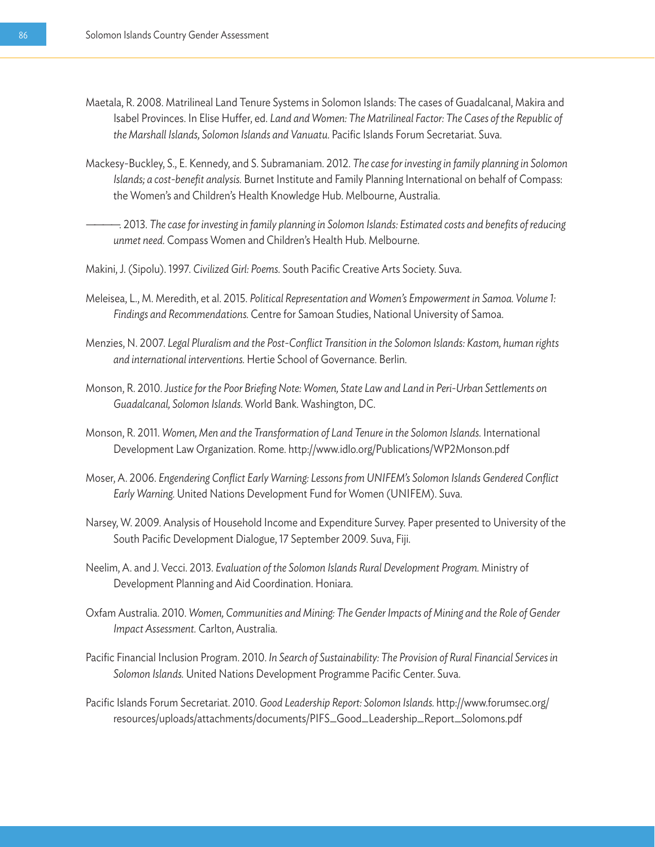- Maetala, R. 2008. Matrilineal Land Tenure Systems in Solomon Islands: The cases of Guadalcanal, Makira and Isabel Provinces. In Elise Huffer, ed. *Land and Women: The Matrilineal Factor: The Cases of the Republic of the Marshall Islands, Solomon Islands and Vanuatu.* Pacific Islands Forum Secretariat. Suva.
- Mackesy-Buckley, S., E. Kennedy, and S. Subramaniam. 2012. *The case for investing in family planning in Solomon Islands; a cost-benefit analysis.* Burnet Institute and Family Planning International on behalf of Compass: the Women's and Children's Health Knowledge Hub. Melbourne, Australia.
- ————. 2013. *The case for investing in family planning in Solomon Islands: Estimated costs and benefits of reducing unmet need.* Compass Women and Children's Health Hub. Melbourne.
- Makini, J. (Sipolu). 1997. *Civilized Girl: Poems.* South Pacific Creative Arts Society. Suva.
- Meleisea, L., M. Meredith, et al. 2015. *Political Representation and Women's Empowerment in Samoa. Volume 1: Findings and Recommendations.* Centre for Samoan Studies, National University of Samoa.
- Menzies, N. 2007. *Legal Pluralism and the Post-Conflict Transition in the Solomon Islands: Kastom, human rights and international interventions.* Hertie School of Governance. Berlin.
- Monson, R. 2010. *Justice for the Poor Briefing Note: Women, State Law and Land in Peri-Urban Settlements on Guadalcanal, Solomon Islands.* World Bank. Washington, DC.
- Monson, R. 2011. *Women, Men and the Transformation of Land Tenure in the Solomon Islands.* International Development Law Organization. Rome. http://www.idlo.org/Publications/WP2Monson.pdf
- Moser, A. 2006. *Engendering Conflict Early Warning: Lessons from UNIFEM's Solomon Islands Gendered Conflict Early Warning.* United Nations Development Fund for Women (UNIFEM). Suva.
- Narsey, W. 2009. Analysis of Household Income and Expenditure Survey. Paper presented to University of the South Pacific Development Dialogue, 17 September 2009. Suva, Fiji.
- Neelim, A. and J. Vecci. 2013. *Evaluation of the Solomon Islands Rural Development Program.* Ministry of Development Planning and Aid Coordination. Honiara.
- Oxfam Australia. 2010. *Women, Communities and Mining: The Gender Impacts of Mining and the Role of Gender Impact Assessment.* Carlton, Australia.
- Pacific Financial Inclusion Program. 2010. *In Search of Sustainability: The Provision of Rural Financial Services in Solomon Islands.* United Nations Development Programme Pacific Center. Suva.
- Pacific Islands Forum Secretariat. 2010. *Good Leadership Report: Solomon Islands.* http://www.forumsec.org/ resources/uploads/attachments/documents/PIFS\_Good\_Leadership\_Report\_Solomons.pdf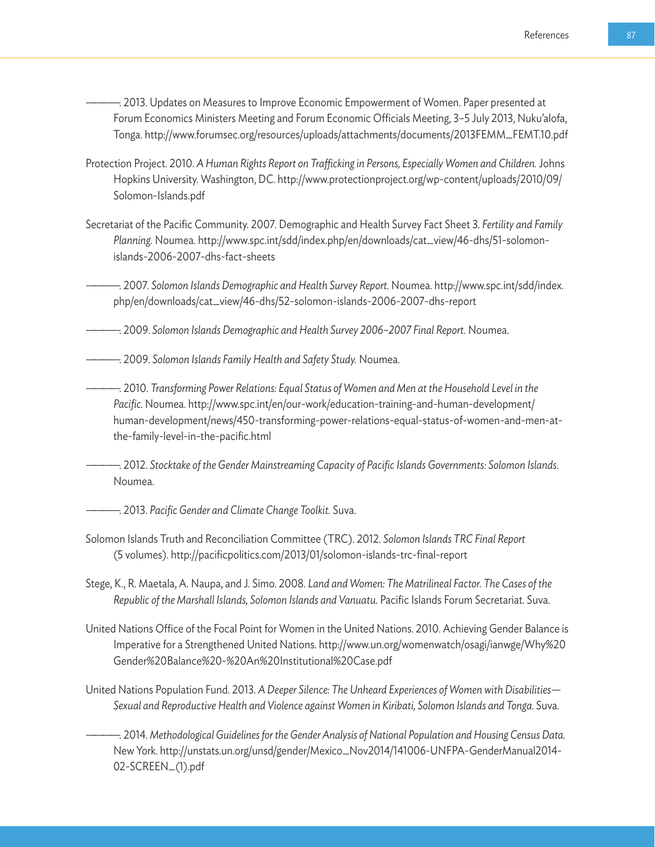- ————. 2013. Updates on Measures to Improve Economic Empowerment of Women. Paper presented at Forum Economics Ministers Meeting and Forum Economic Officials Meeting, 3–5 July 2013, Nuku'alofa, Tonga. http://www.forumsec.org/resources/uploads/attachments/documents/2013FEMM\_FEMT.10.pdf
- Protection Project. 2010. *A Human Rights Report on Trafficking in Persons, Especially Women and Children.* Johns Hopkins University. Washington, DC. http://www.protectionproject.org/wp-content/uploads/2010/09/ Solomon-Islands.pdf
- Secretariat of the Pacific Community. 2007. Demographic and Health Survey Fact Sheet 3. *Fertility and Family Planning.* Noumea. http://www.spc.int/sdd/index.php/en/downloads/cat\_view/46-dhs/51-solomonislands-2006-2007-dhs-fact-sheets
- ————. 2007. *Solomon Islands Demographic and Health Survey Report.* Noumea. http://www.spc.int/sdd/index. php/en/downloads/cat\_view/46-dhs/52-solomon-islands-2006-2007-dhs-report
- ————. 2009. *Solomon Islands Demographic and Health Survey 2006–2007 Final Report.* Noumea.
- ————. 2009. *Solomon Islands Family Health and Safety Study.* Noumea.
	- ————. 2010. *Transforming Power Relations: Equal Status of Women and Men at the Household Level in the Pacific.* Noumea. http://www.spc.int/en/our-work/education-training-and-human-development/ human-development/news/450-transforming-power-relations-equal-status-of-women-and-men-atthe-family-level-in-the-pacific.html

————. 2012. *Stocktake of the Gender Mainstreaming Capacity of Pacific Islands Governments: Solomon Islands.* Noumea.

- ————. 2013. *Pacific Gender and Climate Change Toolkit.* Suva.
- Solomon Islands Truth and Reconciliation Committee (TRC). 2012. *Solomon Islands TRC Final Report* (5 volumes). http://pacificpolitics.com/2013/01/solomon-islands-trc-final-report
- Stege, K., R. Maetala, A. Naupa, and J. Simo. 2008. *Land and Women: The Matrilineal Factor. The Cases of the Republic of the Marshall Islands, Solomon Islands and Vanuatu.* Pacific Islands Forum Secretariat. Suva.
- United Nations Office of the Focal Point for Women in the United Nations. 2010. Achieving Gender Balance is Imperative for a Strengthened United Nations. http://www.un.org/womenwatch/osagi/ianwge/Why%20 Gender%20Balance%20-%20An%20Institutional%20Case.pdf
- United Nations Population Fund. 2013. *A Deeper Silence: The Unheard Experiences of Women with Disabilities— Sexual and Reproductive Health and Violence against Women in Kiribati, Solomon Islands and Tonga.* Suva.
- ————. 2014. *Methodological Guidelines for the Gender Analysis of National Population and Housing Census Data.*  New York. http://unstats.un.org/unsd/gender/Mexico\_Nov2014/141006-UNFPA-GenderManual2014- 02-SCREEN\_(1).pdf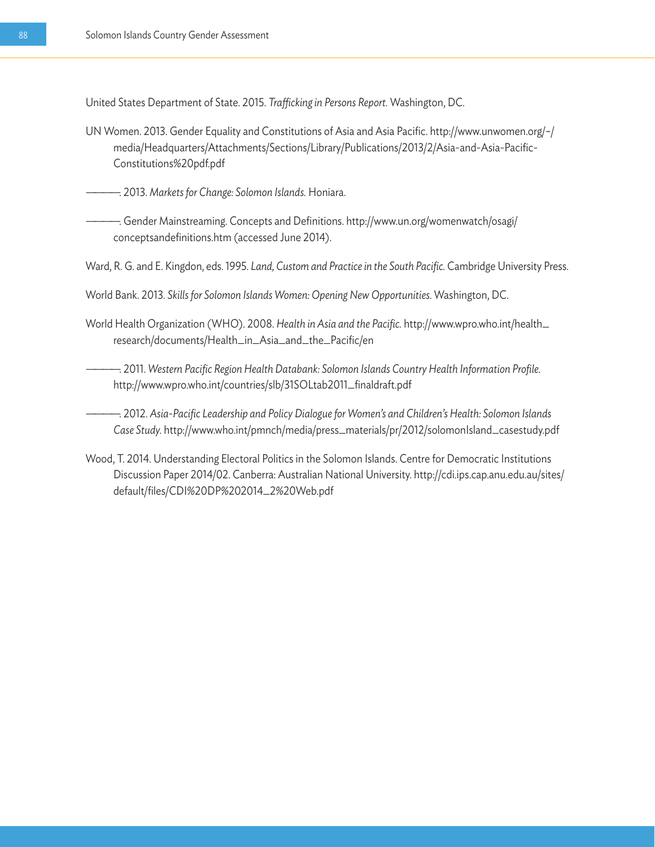United States Department of State. 2015. *Trafficking in Persons Report.* Washington, DC.

- UN Women. 2013. Gender Equality and Constitutions of Asia and Asia Pacific. http://www.unwomen.org/~/ media/Headquarters/Attachments/Sections/Library/Publications/2013/2/Asia-and-Asia-Pacific-Constitutions%20pdf.pdf
	- ————. 2013. *Markets for Change: Solomon Islands.* Honiara.

—. Gender Mainstreaming. Concepts and Definitions. http://www.un.org/womenwatch/osagi/ conceptsandefinitions.htm (accessed June 2014).

- Ward, R. G. and E. Kingdon, eds. 1995. *Land, Custom and Practice in the South Pacific.* Cambridge University Press.
- World Bank. 2013. *Skills for Solomon Islands Women: Opening New Opportunities.* Washington, DC.

World Health Organization (WHO). 2008. *Health in Asia and the Pacific.* http://www.wpro.who.int/health\_ research/documents/Health\_in\_Asia\_and\_the\_Pacific/en

————. 2011. *Western Pacific Region Health Databank: Solomon Islands Country Health Information Profile.*  http://www.wpro.who.int/countries/slb/31SOLtab2011\_finaldraft.pdf

————. 2012. *Asia-Pacific Leadership and Policy Dialogue for Women's and Children's Health: Solomon Islands Case Study.* http://www.who.int/pmnch/media/press\_materials/pr/2012/solomonIsland\_casestudy.pdf

Wood, T. 2014. Understanding Electoral Politics in the Solomon Islands. Centre for Democratic Institutions Discussion Paper 2014/02. Canberra: Australian National University. http://cdi.ips.cap.anu.edu.au/sites/ default/files/CDI%20DP%202014\_2%20Web.pdf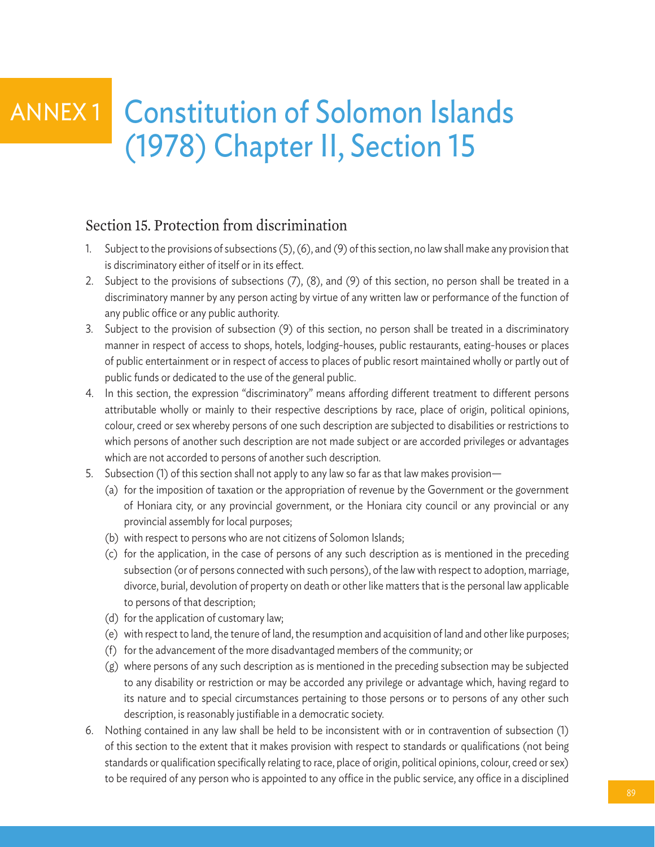## Constitution of Solomon Islands (1978) Chapter II, Section 15 ANNEX 1

### Section 15. Protection from discrimination

- 1. Subject to the provisions of subsections (5), (6), and (9) of this section, no law shall make any provision that is discriminatory either of itself or in its effect.
- 2. Subject to the provisions of subsections (7), (8), and (9) of this section, no person shall be treated in a discriminatory manner by any person acting by virtue of any written law or performance of the function of any public office or any public authority.
- 3. Subject to the provision of subsection (9) of this section, no person shall be treated in a discriminatory manner in respect of access to shops, hotels, lodging-houses, public restaurants, eating-houses or places of public entertainment or in respect of access to places of public resort maintained wholly or partly out of public funds or dedicated to the use of the general public.
- 4. In this section, the expression "discriminatory" means affording different treatment to different persons attributable wholly or mainly to their respective descriptions by race, place of origin, political opinions, colour, creed or sex whereby persons of one such description are subjected to disabilities or restrictions to which persons of another such description are not made subject or are accorded privileges or advantages which are not accorded to persons of another such description.
- 5. Subsection (1) of this section shall not apply to any law so far as that law makes provision—
	- (a) for the imposition of taxation or the appropriation of revenue by the Government or the government of Honiara city, or any provincial government, or the Honiara city council or any provincial or any provincial assembly for local purposes;
	- (b) with respect to persons who are not citizens of Solomon Islands;
	- (c) for the application, in the case of persons of any such description as is mentioned in the preceding subsection (or of persons connected with such persons), of the law with respect to adoption, marriage, divorce, burial, devolution of property on death or other like matters that is the personal law applicable to persons of that description;
	- (d) for the application of customary law;
	- (e) with respect to land, the tenure of land, the resumption and acquisition of land and other like purposes;
	- (f) for the advancement of the more disadvantaged members of the community; or
	- (g) where persons of any such description as is mentioned in the preceding subsection may be subjected to any disability or restriction or may be accorded any privilege or advantage which, having regard to its nature and to special circumstances pertaining to those persons or to persons of any other such description, is reasonably justifiable in a democratic society.
- 6. Nothing contained in any law shall be held to be inconsistent with or in contravention of subsection (1) of this section to the extent that it makes provision with respect to standards or qualifications (not being standards or qualification specifically relating to race, place of origin, political opinions, colour, creed or sex) to be required of any person who is appointed to any office in the public service, any office in a disciplined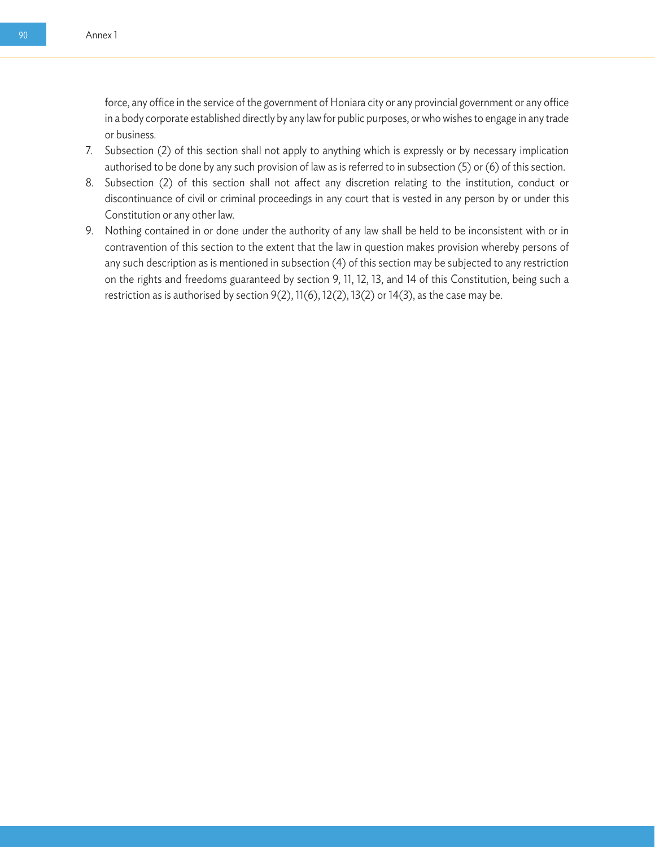force, any office in the service of the government of Honiara city or any provincial government or any office in a body corporate established directly by any law for public purposes, or who wishes to engage in any trade or business.

- 7. Subsection (2) of this section shall not apply to anything which is expressly or by necessary implication authorised to be done by any such provision of law as is referred to in subsection (5) or (6) of this section.
- 8. Subsection (2) of this section shall not affect any discretion relating to the institution, conduct or discontinuance of civil or criminal proceedings in any court that is vested in any person by or under this Constitution or any other law.
- 9. Nothing contained in or done under the authority of any law shall be held to be inconsistent with or in contravention of this section to the extent that the law in question makes provision whereby persons of any such description as is mentioned in subsection (4) of this section may be subjected to any restriction on the rights and freedoms guaranteed by section 9, 11, 12, 13, and 14 of this Constitution, being such a restriction as is authorised by section 9(2), 11(6), 12(2), 13(2) or 14(3), as the case may be.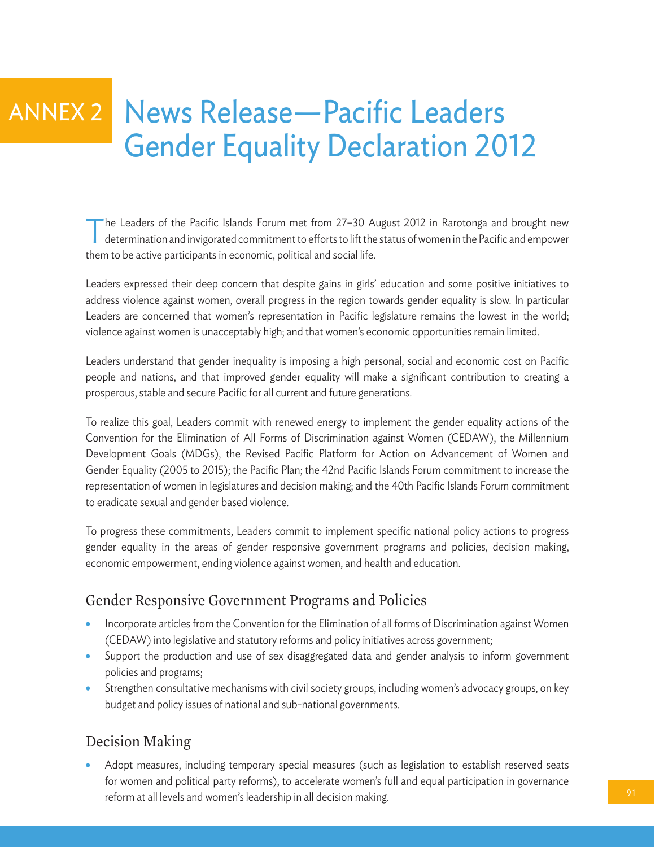# News Release—Pacific Leaders Gender Equality Declaration 2012 ANNEX 2

The Leaders of the Pacific Islands Forum met from 27-30 August 2012 in Rarotonga and brought new determination and invigorated commitment to efforts to lift the status of women in the Pacific and empower them to be active participants in economic, political and social life.

Leaders expressed their deep concern that despite gains in girls' education and some positive initiatives to address violence against women, overall progress in the region towards gender equality is slow. In particular Leaders are concerned that women's representation in Pacific legislature remains the lowest in the world; violence against women is unacceptably high; and that women's economic opportunities remain limited.

Leaders understand that gender inequality is imposing a high personal, social and economic cost on Pacific people and nations, and that improved gender equality will make a significant contribution to creating a prosperous, stable and secure Pacific for all current and future generations.

To realize this goal, Leaders commit with renewed energy to implement the gender equality actions of the Convention for the Elimination of All Forms of Discrimination against Women (CEDAW), the Millennium Development Goals (MDGs), the Revised Pacific Platform for Action on Advancement of Women and Gender Equality (2005 to 2015); the Pacific Plan; the 42nd Pacific Islands Forum commitment to increase the representation of women in legislatures and decision making; and the 40th Pacific Islands Forum commitment to eradicate sexual and gender based violence.

To progress these commitments, Leaders commit to implement specific national policy actions to progress gender equality in the areas of gender responsive government programs and policies, decision making, economic empowerment, ending violence against women, and health and education.

## Gender Responsive Government Programs and Policies

- Incorporate articles from the Convention for the Elimination of all forms of Discrimination against Women (CEDAW) into legislative and statutory reforms and policy initiatives across government;
- Support the production and use of sex disaggregated data and gender analysis to inform government policies and programs;
- Strengthen consultative mechanisms with civil society groups, including women's advocacy groups, on key budget and policy issues of national and sub-national governments.

## Decision Making

• Adopt measures, including temporary special measures (such as legislation to establish reserved seats for women and political party reforms), to accelerate women's full and equal participation in governance reform at all levels and women's leadership in all decision making.